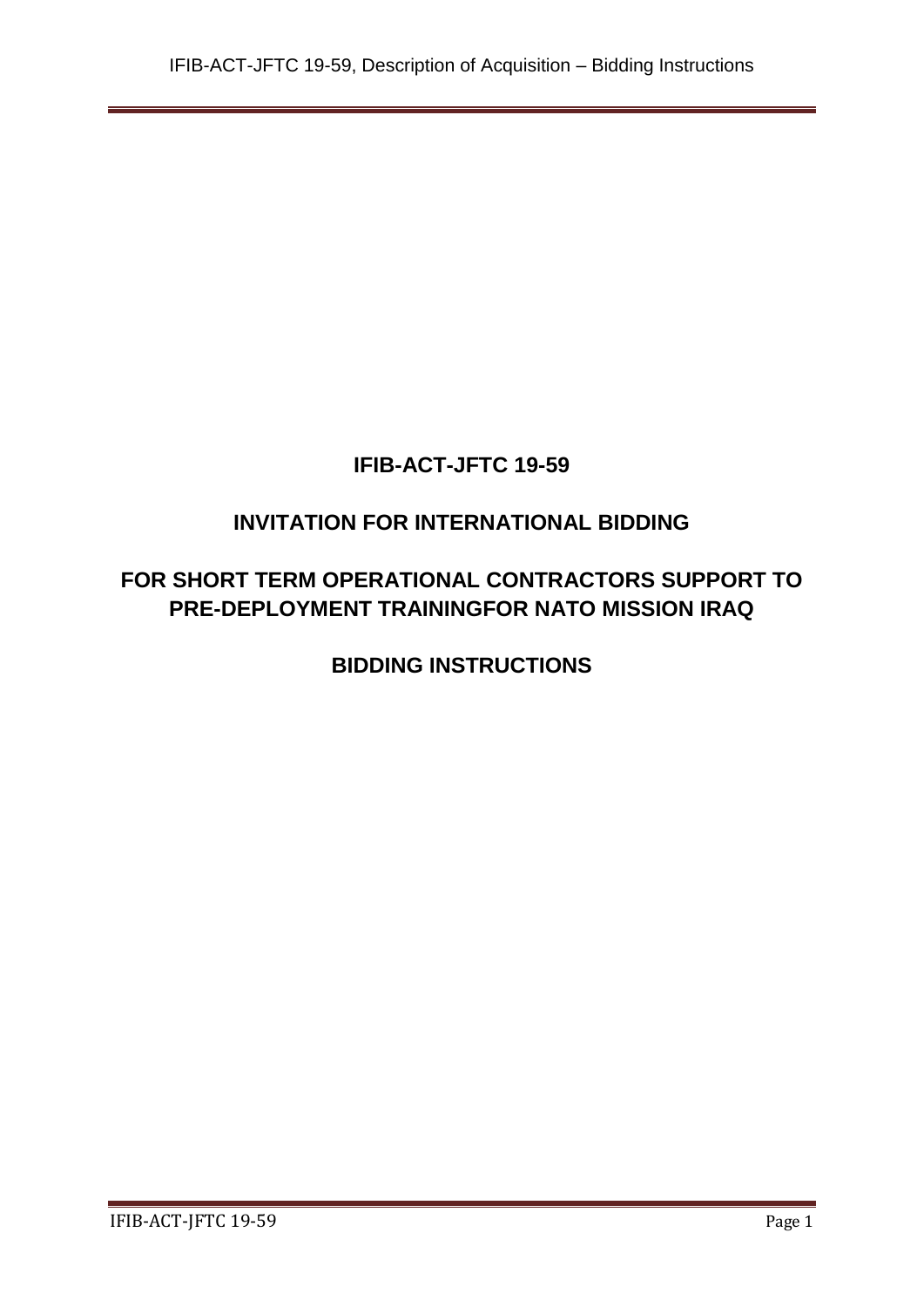# **IFIB-ACT-JFTC 19-59**

# **INVITATION FOR INTERNATIONAL BIDDING**

# **FOR SHORT TERM OPERATIONAL CONTRACTORS SUPPORT TO PRE-DEPLOYMENT TRAININGFOR NATO MISSION IRAQ**

**BIDDING INSTRUCTIONS**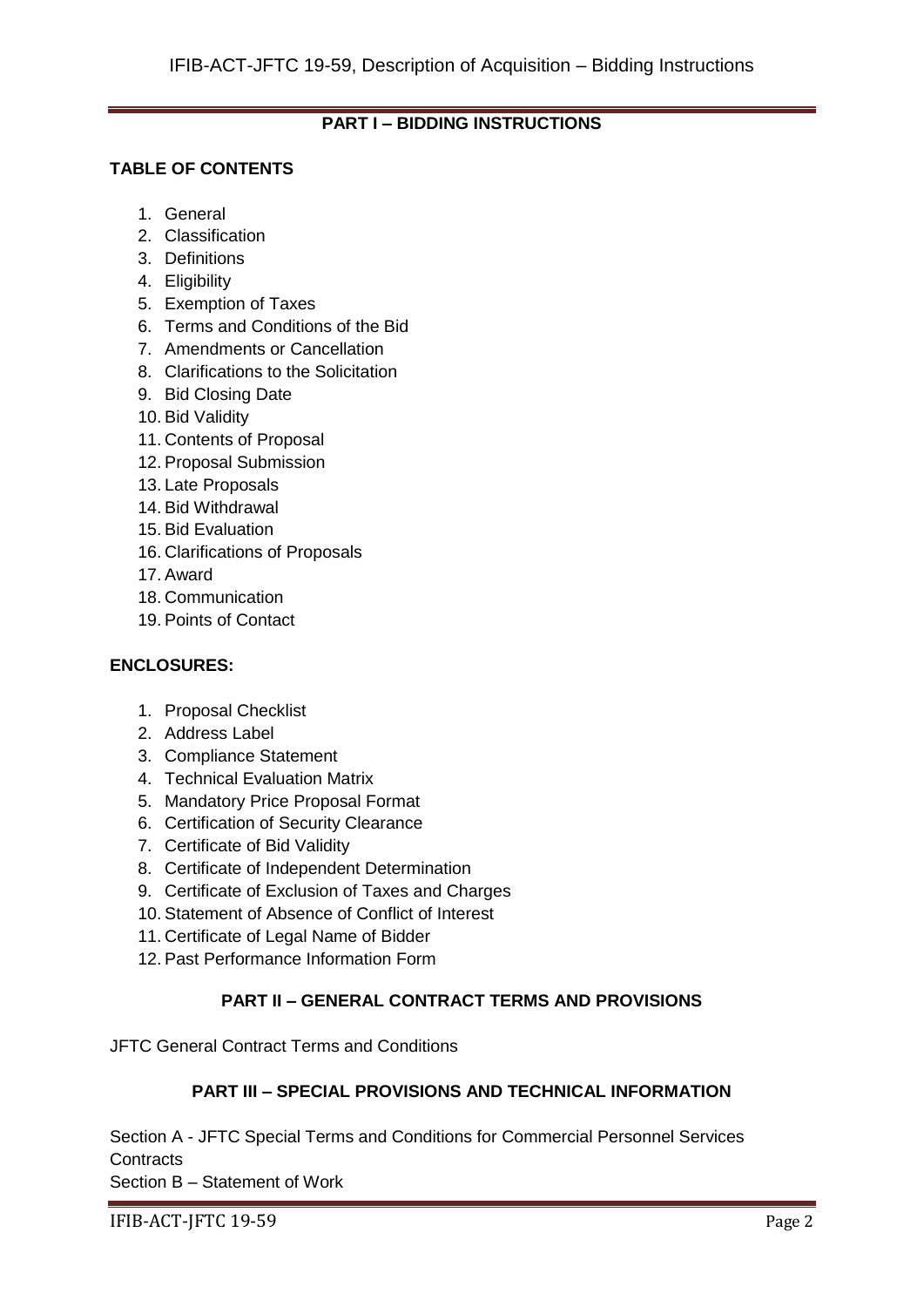## **PART I – BIDDING INSTRUCTIONS**

## **TABLE OF CONTENTS**

- 1. General
- 2. Classification
- 3. Definitions
- 4. Eligibility
- 5. Exemption of Taxes
- 6. Terms and Conditions of the Bid
- 7. Amendments or Cancellation
- 8. Clarifications to the Solicitation
- 9. Bid Closing Date
- 10. Bid Validity
- 11. Contents of Proposal
- 12. Proposal Submission
- 13. Late Proposals
- 14. Bid Withdrawal
- 15. Bid Evaluation
- 16. Clarifications of Proposals
- 17. Award
- 18. Communication
- 19. Points of Contact

#### **ENCLOSURES:**

- 1. Proposal Checklist
- 2. Address Label
- 3. Compliance Statement
- 4. Technical Evaluation Matrix
- 5. Mandatory Price Proposal Format
- 6. Certification of Security Clearance
- 7. Certificate of Bid Validity
- 8. Certificate of Independent Determination
- 9. Certificate of Exclusion of Taxes and Charges
- 10. Statement of Absence of Conflict of Interest
- 11. Certificate of Legal Name of Bidder
- 12. Past Performance Information Form

## **PART II – GENERAL CONTRACT TERMS AND PROVISIONS**

JFTC General Contract Terms and Conditions

## **PART III – SPECIAL PROVISIONS AND TECHNICAL INFORMATION**

Section A - JFTC Special Terms and Conditions for Commercial Personnel Services **Contracts** 

Section B – Statement of Work

IFIB-ACT-JFTC 19-59 Page 2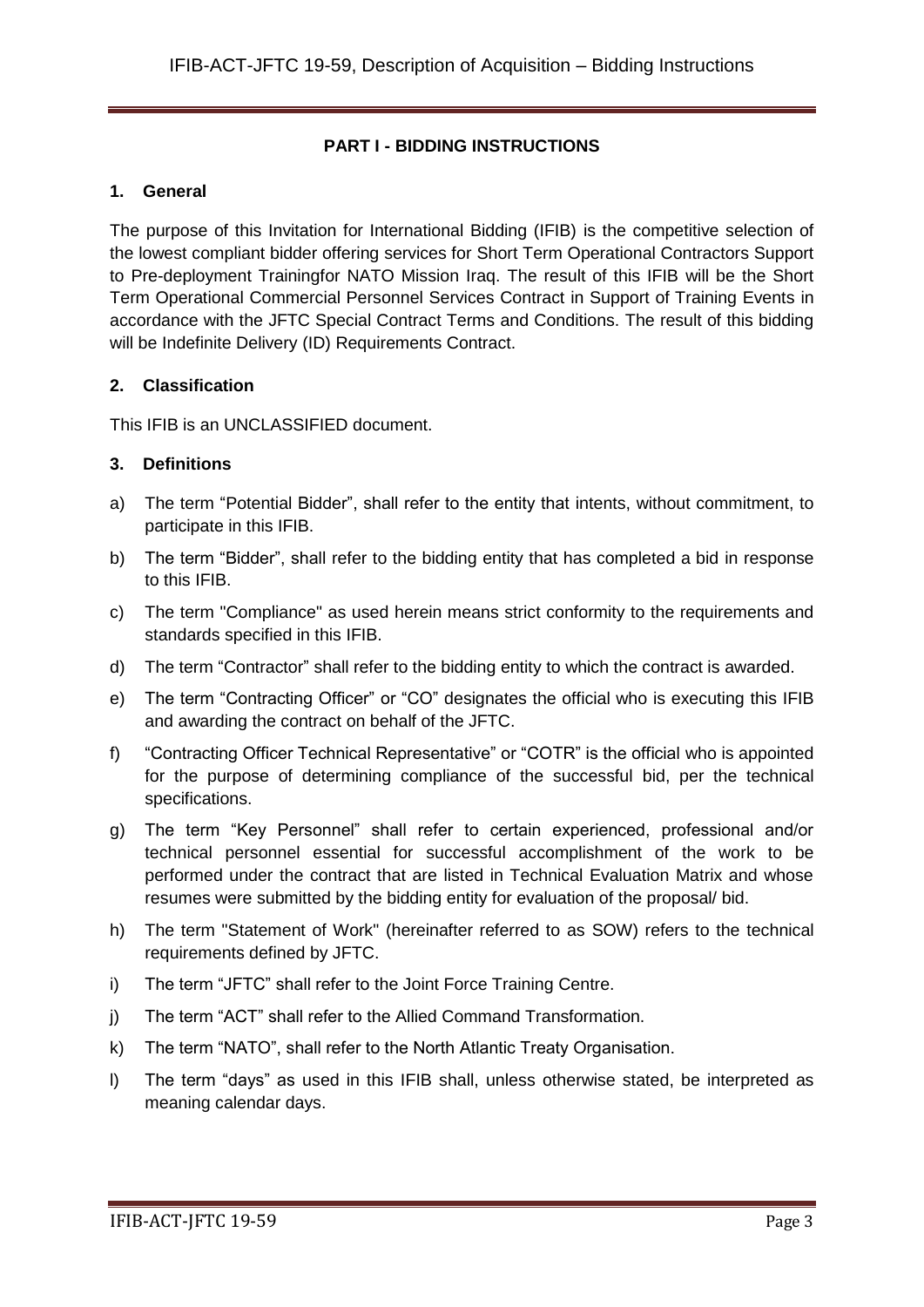## **PART I - BIDDING INSTRUCTIONS**

#### **1. General**

The purpose of this Invitation for International Bidding (IFIB) is the competitive selection of the lowest compliant bidder offering services for Short Term Operational Contractors Support to Pre-deployment Trainingfor NATO Mission Iraq. The result of this IFIB will be the Short Term Operational Commercial Personnel Services Contract in Support of Training Events in accordance with the JFTC Special Contract Terms and Conditions. The result of this bidding will be Indefinite Delivery (ID) Requirements Contract.

#### **2. Classification**

This IFIB is an UNCLASSIFIED document.

#### **3. Definitions**

- a) The term "Potential Bidder", shall refer to the entity that intents, without commitment, to participate in this IFIB.
- b) The term "Bidder", shall refer to the bidding entity that has completed a bid in response to this IFIB.
- c) The term "Compliance" as used herein means strict conformity to the requirements and standards specified in this IFIB.
- d) The term "Contractor" shall refer to the bidding entity to which the contract is awarded.
- e) The term "Contracting Officer" or "CO" designates the official who is executing this IFIB and awarding the contract on behalf of the JFTC.
- f) "Contracting Officer Technical Representative" or "COTR" is the official who is appointed for the purpose of determining compliance of the successful bid, per the technical specifications.
- g) The term "Key Personnel" shall refer to certain experienced, professional and/or technical personnel essential for successful accomplishment of the work to be performed under the contract that are listed in Technical Evaluation Matrix and whose resumes were submitted by the bidding entity for evaluation of the proposal/ bid.
- h) The term "Statement of Work" (hereinafter referred to as SOW) refers to the technical requirements defined by JFTC.
- i) The term "JFTC" shall refer to the Joint Force Training Centre.
- j) The term "ACT" shall refer to the Allied Command Transformation.
- k) The term "NATO", shall refer to the North Atlantic Treaty Organisation.
- l) The term "days" as used in this IFIB shall, unless otherwise stated, be interpreted as meaning calendar days.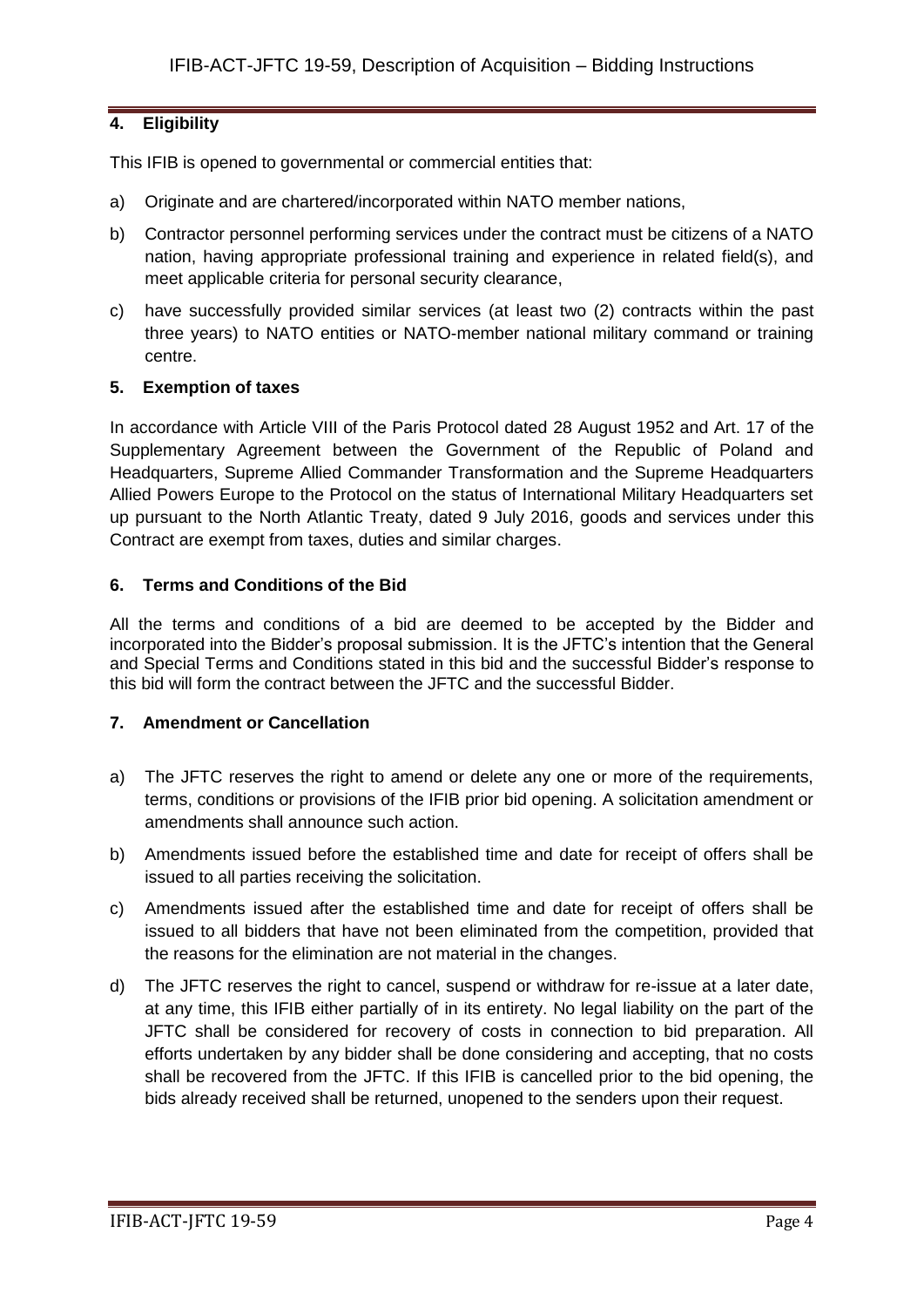## **4. Eligibility**

This IFIB is opened to governmental or commercial entities that:

- a) Originate and are chartered/incorporated within NATO member nations,
- b) Contractor personnel performing services under the contract must be citizens of a NATO nation, having appropriate professional training and experience in related field(s), and meet applicable criteria for personal security clearance,
- c) have successfully provided similar services (at least two (2) contracts within the past three years) to NATO entities or NATO-member national military command or training centre.

#### **5. Exemption of taxes**

In accordance with Article VIII of the Paris Protocol dated 28 August 1952 and Art. 17 of the Supplementary Agreement between the Government of the Republic of Poland and Headquarters, Supreme Allied Commander Transformation and the Supreme Headquarters Allied Powers Europe to the Protocol on the status of International Military Headquarters set up pursuant to the North Atlantic Treaty, dated 9 July 2016, goods and services under this Contract are exempt from taxes, duties and similar charges.

#### **6. Terms and Conditions of the Bid**

All the terms and conditions of a bid are deemed to be accepted by the Bidder and incorporated into the Bidder's proposal submission. It is the JFTC's intention that the General and Special Terms and Conditions stated in this bid and the successful Bidder's response to this bid will form the contract between the JFTC and the successful Bidder.

#### **7. Amendment or Cancellation**

- a) The JFTC reserves the right to amend or delete any one or more of the requirements, terms, conditions or provisions of the IFIB prior bid opening. A solicitation amendment or amendments shall announce such action.
- b) Amendments issued before the established time and date for receipt of offers shall be issued to all parties receiving the solicitation.
- c) Amendments issued after the established time and date for receipt of offers shall be issued to all bidders that have not been eliminated from the competition, provided that the reasons for the elimination are not material in the changes.
- d) The JFTC reserves the right to cancel, suspend or withdraw for re-issue at a later date, at any time, this IFIB either partially of in its entirety. No legal liability on the part of the JFTC shall be considered for recovery of costs in connection to bid preparation. All efforts undertaken by any bidder shall be done considering and accepting, that no costs shall be recovered from the JFTC. If this IFIB is cancelled prior to the bid opening, the bids already received shall be returned, unopened to the senders upon their request.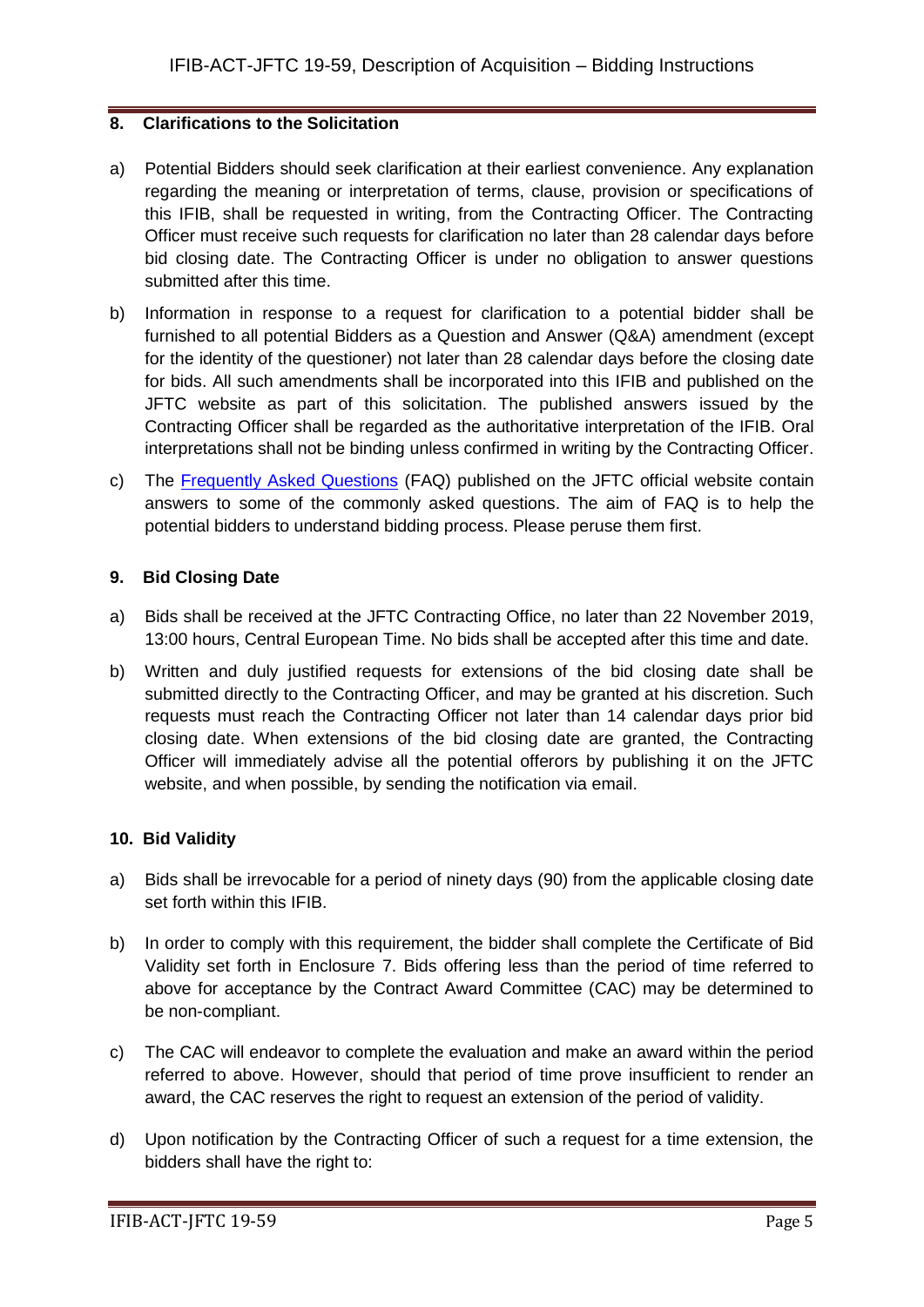#### **8. Clarifications to the Solicitation**

- a) Potential Bidders should seek clarification at their earliest convenience. Any explanation regarding the meaning or interpretation of terms, clause, provision or specifications of this IFIB, shall be requested in writing, from the Contracting Officer. The Contracting Officer must receive such requests for clarification no later than 28 calendar days before bid closing date. The Contracting Officer is under no obligation to answer questions submitted after this time.
- b) Information in response to a request for clarification to a potential bidder shall be furnished to all potential Bidders as a Question and Answer (Q&A) amendment (except for the identity of the questioner) not later than 28 calendar days before the closing date for bids. All such amendments shall be incorporated into this IFIB and published on the JFTC website as part of this solicitation. The published answers issued by the Contracting Officer shall be regarded as the authoritative interpretation of the IFIB. Oral interpretations shall not be binding unless confirmed in writing by the Contracting Officer.
- c) The [Frequently Asked Questions](http://www.jftc.nato.int/organization/contracting) (FAQ) published on the JFTC official website contain answers to some of the commonly asked questions. The aim of FAQ is to help the potential bidders to understand bidding process. Please peruse them first.

#### **9. Bid Closing Date**

- a) Bids shall be received at the JFTC Contracting Office, no later than 22 November 2019, 13:00 hours, Central European Time. No bids shall be accepted after this time and date.
- b) Written and duly justified requests for extensions of the bid closing date shall be submitted directly to the Contracting Officer, and may be granted at his discretion. Such requests must reach the Contracting Officer not later than 14 calendar days prior bid closing date. When extensions of the bid closing date are granted, the Contracting Officer will immediately advise all the potential offerors by publishing it on the JFTC website, and when possible, by sending the notification via email.

## **10. Bid Validity**

- a) Bids shall be irrevocable for a period of ninety days (90) from the applicable closing date set forth within this IFIB.
- b) In order to comply with this requirement, the bidder shall complete the Certificate of Bid Validity set forth in Enclosure 7. Bids offering less than the period of time referred to above for acceptance by the Contract Award Committee (CAC) may be determined to be non-compliant.
- c) The CAC will endeavor to complete the evaluation and make an award within the period referred to above. However, should that period of time prove insufficient to render an award, the CAC reserves the right to request an extension of the period of validity.
- d) Upon notification by the Contracting Officer of such a request for a time extension, the bidders shall have the right to: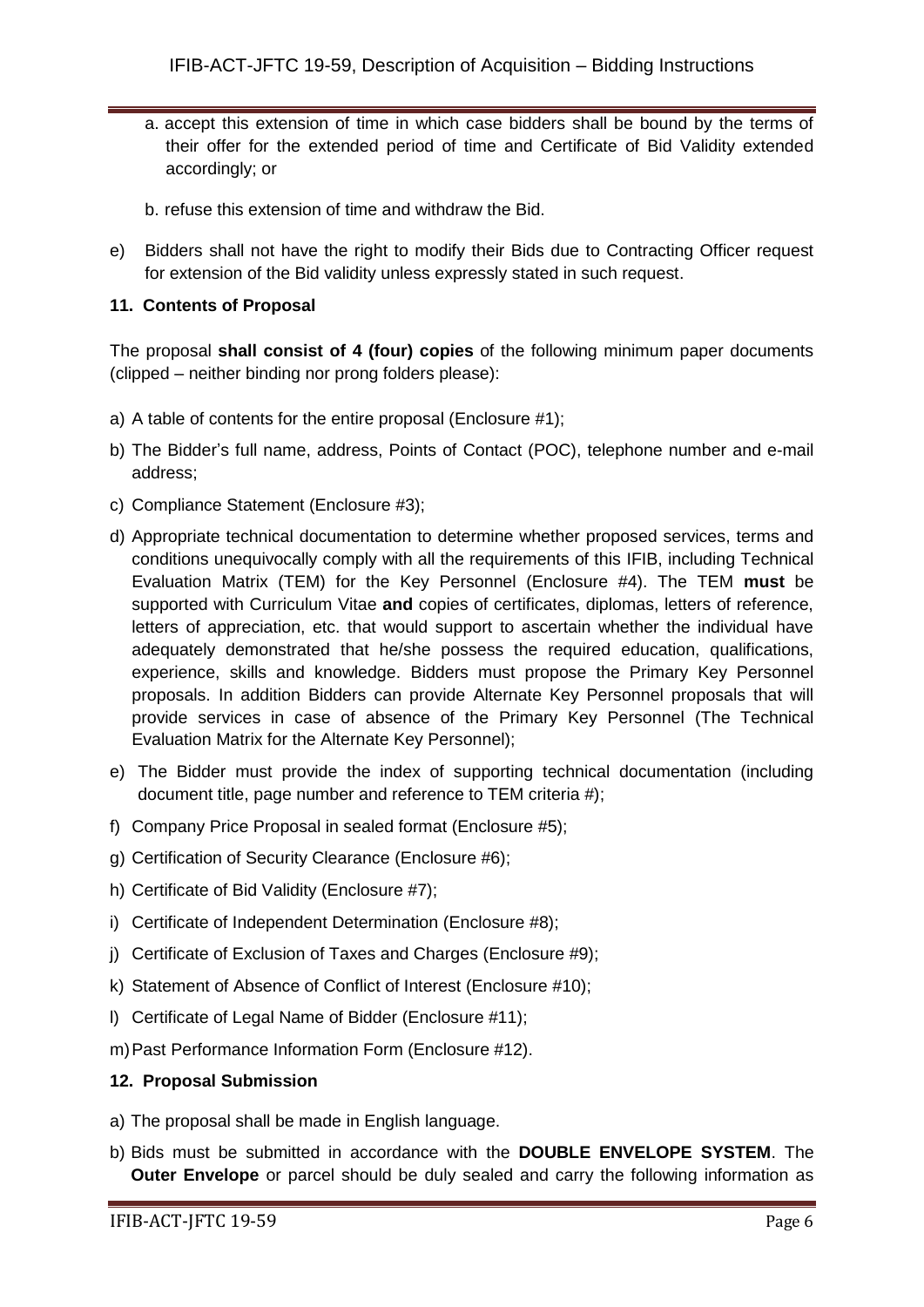- a. accept this extension of time in which case bidders shall be bound by the terms of their offer for the extended period of time and Certificate of Bid Validity extended accordingly; or
- b. refuse this extension of time and withdraw the Bid.
- e) Bidders shall not have the right to modify their Bids due to Contracting Officer request for extension of the Bid validity unless expressly stated in such request.

#### **11. Contents of Proposal**

The proposal **shall consist of 4 (four) copies** of the following minimum paper documents (clipped – neither binding nor prong folders please):

- a) A table of contents for the entire proposal (Enclosure #1);
- b) The Bidder's full name, address, Points of Contact (POC), telephone number and e-mail address;
- c) Compliance Statement (Enclosure #3);
- d) Appropriate technical documentation to determine whether proposed services, terms and conditions unequivocally comply with all the requirements of this IFIB, including Technical Evaluation Matrix (TEM) for the Key Personnel (Enclosure #4). The TEM **must** be supported with Curriculum Vitae **and** copies of certificates, diplomas, letters of reference, letters of appreciation, etc. that would support to ascertain whether the individual have adequately demonstrated that he/she possess the required education, qualifications, experience, skills and knowledge. Bidders must propose the Primary Key Personnel proposals. In addition Bidders can provide Alternate Key Personnel proposals that will provide services in case of absence of the Primary Key Personnel (The Technical Evaluation Matrix for the Alternate Key Personnel);
- e) The Bidder must provide the index of supporting technical documentation (including document title, page number and reference to TEM criteria #);
- f) Company Price Proposal in sealed format (Enclosure #5);
- g) Certification of Security Clearance (Enclosure #6);
- h) Certificate of Bid Validity (Enclosure #7);
- i) Certificate of Independent Determination (Enclosure #8);
- j) Certificate of Exclusion of Taxes and Charges (Enclosure #9);
- k) Statement of Absence of Conflict of Interest (Enclosure #10);
- l) Certificate of Legal Name of Bidder (Enclosure #11);
- m)Past Performance Information Form (Enclosure #12).

#### **12. Proposal Submission**

- a) The proposal shall be made in English language.
- b) Bids must be submitted in accordance with the **DOUBLE ENVELOPE SYSTEM**. The **Outer Envelope** or parcel should be duly sealed and carry the following information as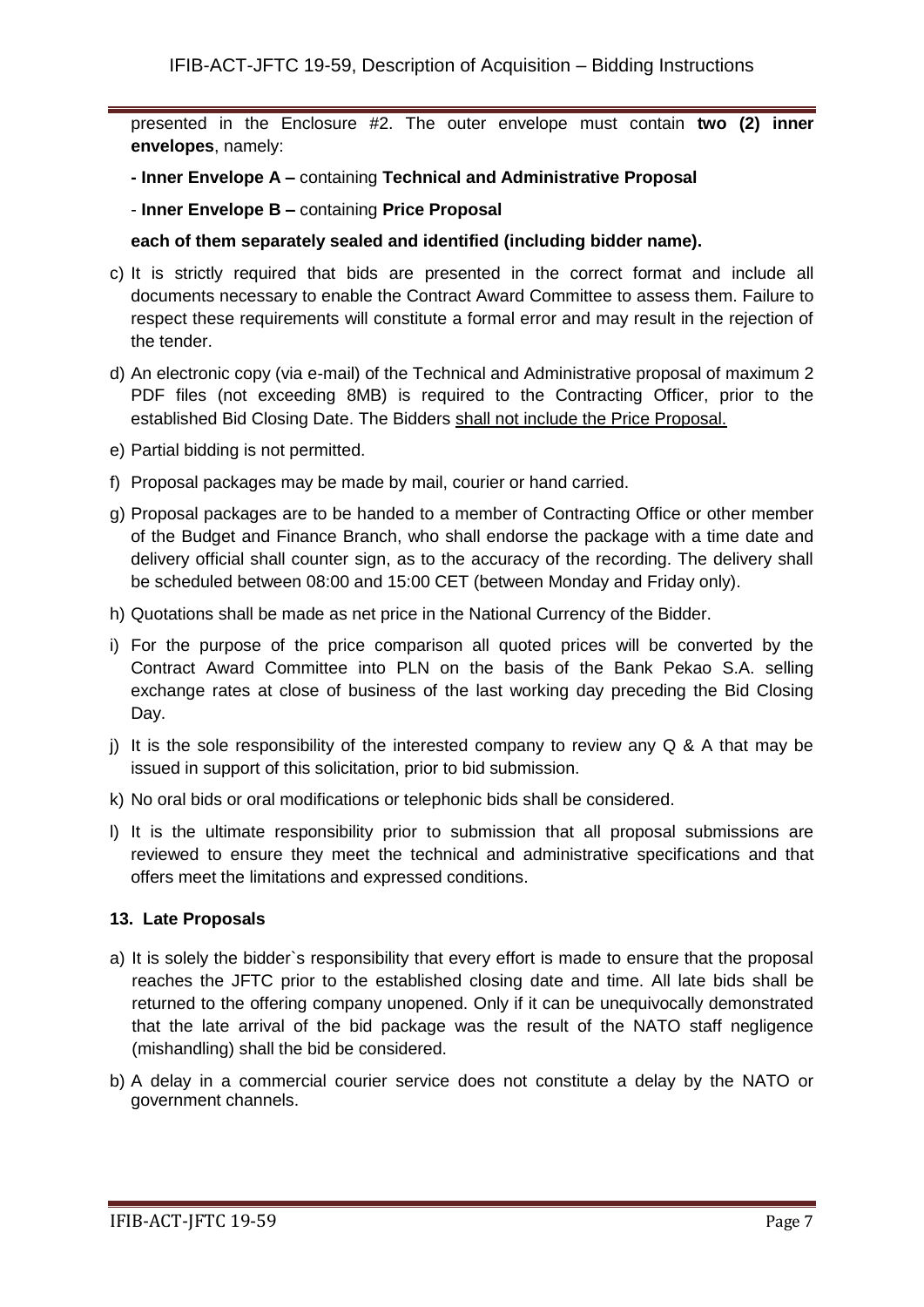presented in the Enclosure #2. The outer envelope must contain **two (2) inner envelopes**, namely:

- **- Inner Envelope A –** containing **Technical and Administrative Proposal**
- **Inner Envelope B –** containing **Price Proposal**

#### **each of them separately sealed and identified (including bidder name).**

- c) It is strictly required that bids are presented in the correct format and include all documents necessary to enable the Contract Award Committee to assess them. Failure to respect these requirements will constitute a formal error and may result in the rejection of the tender.
- d) An electronic copy (via e-mail) of the Technical and Administrative proposal of maximum 2 PDF files (not exceeding 8MB) is required to the Contracting Officer, prior to the established Bid Closing Date. The Bidders shall not include the Price Proposal.
- e) Partial bidding is not permitted.
- f) Proposal packages may be made by mail, courier or hand carried.
- g) Proposal packages are to be handed to a member of Contracting Office or other member of the Budget and Finance Branch, who shall endorse the package with a time date and delivery official shall counter sign, as to the accuracy of the recording. The delivery shall be scheduled between 08:00 and 15:00 CET (between Monday and Friday only).
- h) Quotations shall be made as net price in the National Currency of the Bidder.
- i) For the purpose of the price comparison all quoted prices will be converted by the Contract Award Committee into PLN on the basis of the Bank Pekao S.A. selling exchange rates at close of business of the last working day preceding the Bid Closing Day.
- i) It is the sole responsibility of the interested company to review any  $Q \& A$  that may be issued in support of this solicitation, prior to bid submission.
- k) No oral bids or oral modifications or telephonic bids shall be considered.
- l) It is the ultimate responsibility prior to submission that all proposal submissions are reviewed to ensure they meet the technical and administrative specifications and that offers meet the limitations and expressed conditions.

## **13. Late Proposals**

- a) It is solely the bidder`s responsibility that every effort is made to ensure that the proposal reaches the JFTC prior to the established closing date and time. All late bids shall be returned to the offering company unopened. Only if it can be unequivocally demonstrated that the late arrival of the bid package was the result of the NATO staff negligence (mishandling) shall the bid be considered.
- b) A delay in a commercial courier service does not constitute a delay by the NATO or government channels.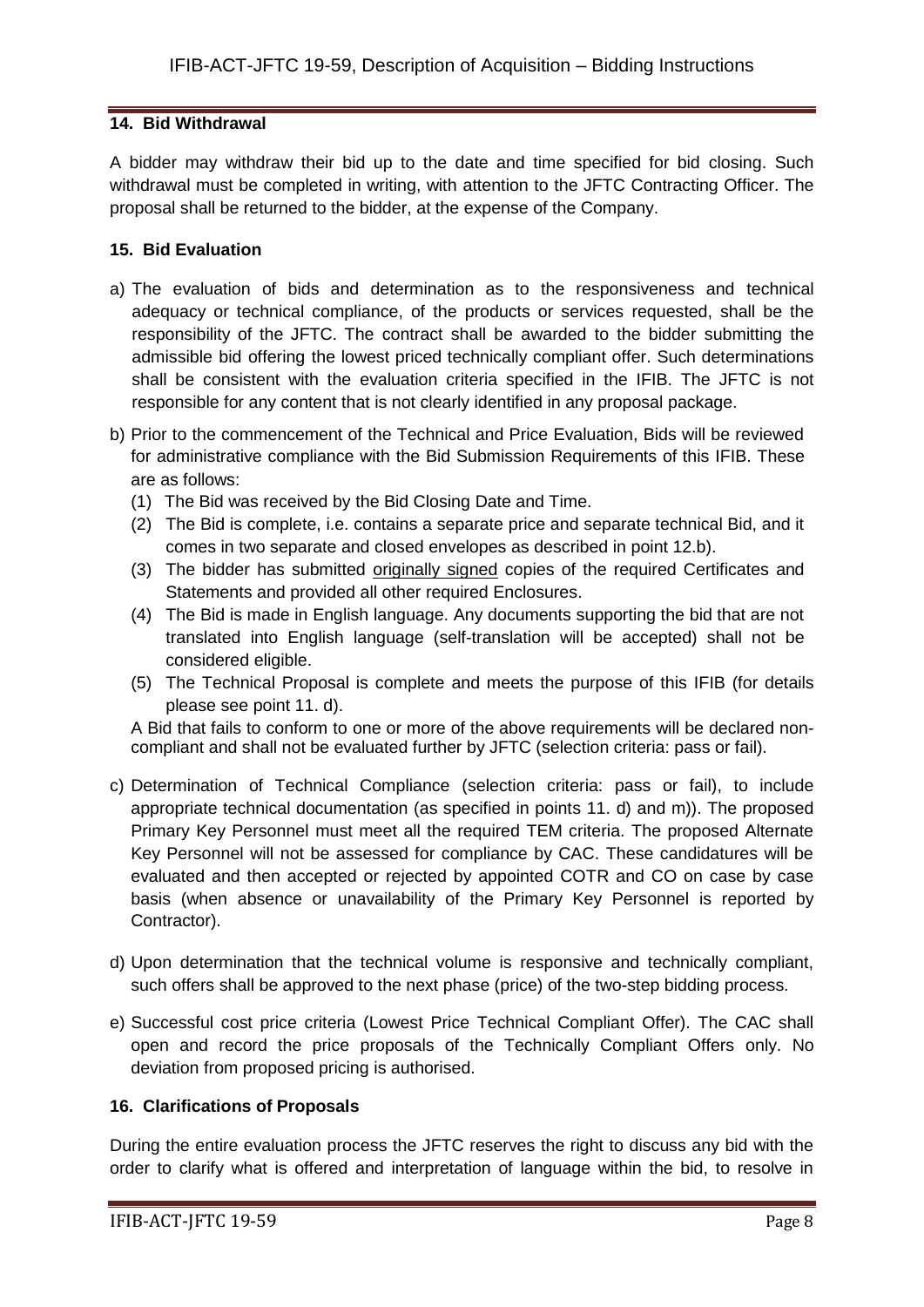### **14. Bid Withdrawal**

A bidder may withdraw their bid up to the date and time specified for bid closing. Such withdrawal must be completed in writing, with attention to the JFTC Contracting Officer. The proposal shall be returned to the bidder, at the expense of the Company.

## **15. Bid Evaluation**

- a) The evaluation of bids and determination as to the responsiveness and technical adequacy or technical compliance, of the products or services requested, shall be the responsibility of the JFTC. The contract shall be awarded to the bidder submitting the admissible bid offering the lowest priced technically compliant offer. Such determinations shall be consistent with the evaluation criteria specified in the IFIB. The JFTC is not responsible for any content that is not clearly identified in any proposal package.
- b) Prior to the commencement of the Technical and Price Evaluation, Bids will be reviewed for administrative compliance with the Bid Submission Requirements of this IFIB. These are as follows:
	- (1) The Bid was received by the Bid Closing Date and Time.
	- (2) The Bid is complete, i.e. contains a separate price and separate technical Bid, and it comes in two separate and closed envelopes as described in point 12.b).
	- (3) The bidder has submitted originally signed copies of the required Certificates and Statements and provided all other required Enclosures.
	- (4) The Bid is made in English language. Any documents supporting the bid that are not translated into English language (self-translation will be accepted) shall not be considered eligible.
	- (5) The Technical Proposal is complete and meets the purpose of this IFIB (for details please see point 11. d).

A Bid that fails to conform to one or more of the above requirements will be declared noncompliant and shall not be evaluated further by JFTC (selection criteria: pass or fail).

- c) Determination of Technical Compliance (selection criteria: pass or fail), to include appropriate technical documentation (as specified in points 11. d) and m)). The proposed Primary Key Personnel must meet all the required TEM criteria. The proposed Alternate Key Personnel will not be assessed for compliance by CAC. These candidatures will be evaluated and then accepted or rejected by appointed COTR and CO on case by case basis (when absence or unavailability of the Primary Key Personnel is reported by Contractor).
- d) Upon determination that the technical volume is responsive and technically compliant, such offers shall be approved to the next phase (price) of the two-step bidding process.
- e) Successful cost price criteria (Lowest Price Technical Compliant Offer). The CAC shall open and record the price proposals of the Technically Compliant Offers only. No deviation from proposed pricing is authorised.

#### **16. Clarifications of Proposals**

During the entire evaluation process the JFTC reserves the right to discuss any bid with the order to clarify what is offered and interpretation of language within the bid, to resolve in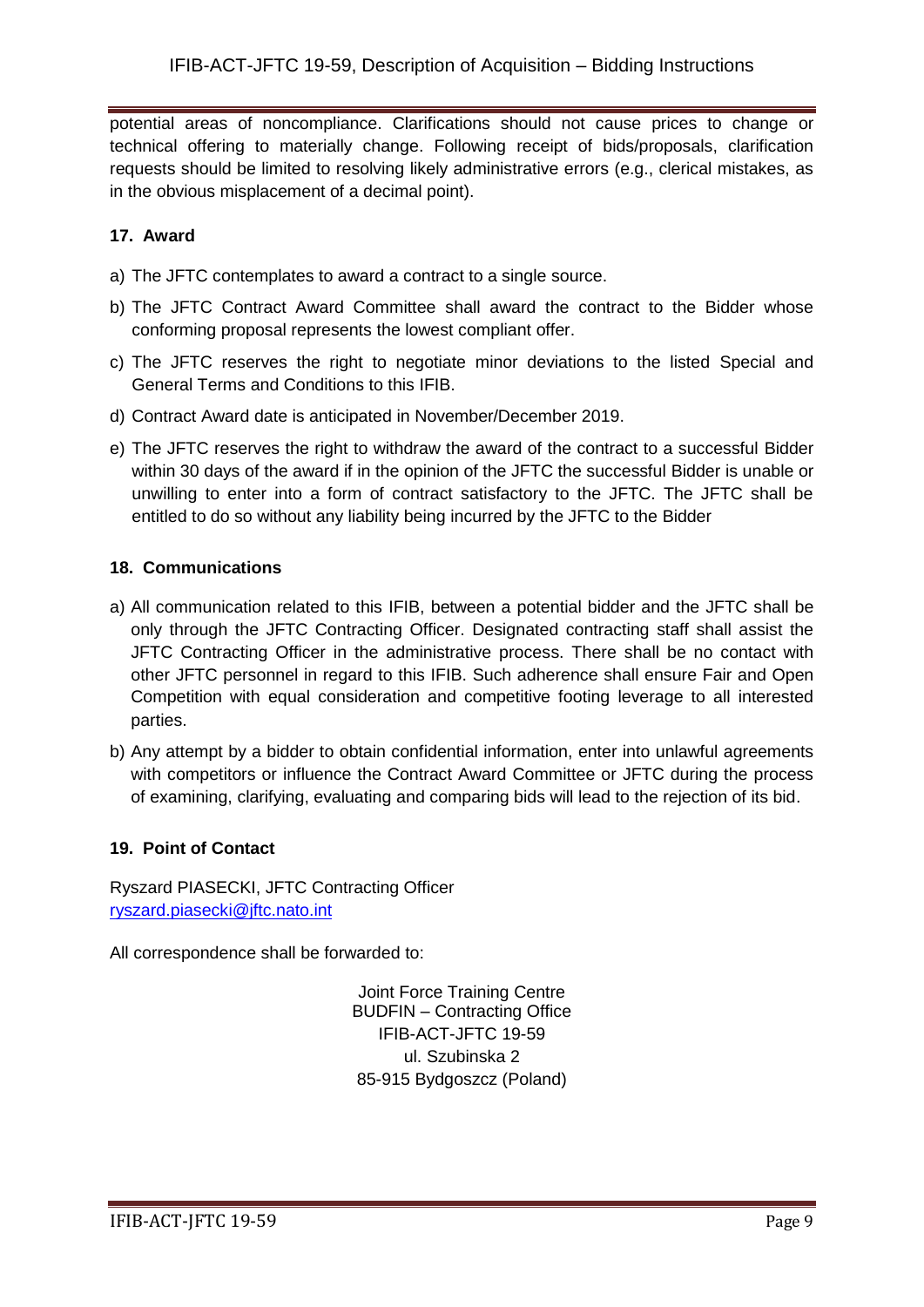potential areas of noncompliance. Clarifications should not cause prices to change or technical offering to materially change. Following receipt of bids/proposals, clarification requests should be limited to resolving likely administrative errors (e.g., clerical mistakes, as in the obvious misplacement of a decimal point).

## **17. Award**

- a) The JFTC contemplates to award a contract to a single source.
- b) The JFTC Contract Award Committee shall award the contract to the Bidder whose conforming proposal represents the lowest compliant offer.
- c) The JFTC reserves the right to negotiate minor deviations to the listed Special and General Terms and Conditions to this IFIB.
- d) Contract Award date is anticipated in November/December 2019.
- e) The JFTC reserves the right to withdraw the award of the contract to a successful Bidder within 30 days of the award if in the opinion of the JFTC the successful Bidder is unable or unwilling to enter into a form of contract satisfactory to the JFTC. The JFTC shall be entitled to do so without any liability being incurred by the JFTC to the Bidder

## **18. Communications**

- a) All communication related to this IFIB, between a potential bidder and the JFTC shall be only through the JFTC Contracting Officer. Designated contracting staff shall assist the JFTC Contracting Officer in the administrative process. There shall be no contact with other JFTC personnel in regard to this IFIB. Such adherence shall ensure Fair and Open Competition with equal consideration and competitive footing leverage to all interested parties.
- b) Any attempt by a bidder to obtain confidential information, enter into unlawful agreements with competitors or influence the Contract Award Committee or JFTC during the process of examining, clarifying, evaluating and comparing bids will lead to the rejection of its bid.

## **19. Point of Contact**

Ryszard PIASECKI, JFTC Contracting Officer [ryszard.piasecki@jftc.nato.int](mailto:ryszard.piasecki@jftc.nato.int)

All correspondence shall be forwarded to:

Joint Force Training Centre BUDFIN – Contracting Office IFIB-ACT-JFTC 19-59 ul. Szubinska 2 85-915 Bydgoszcz (Poland)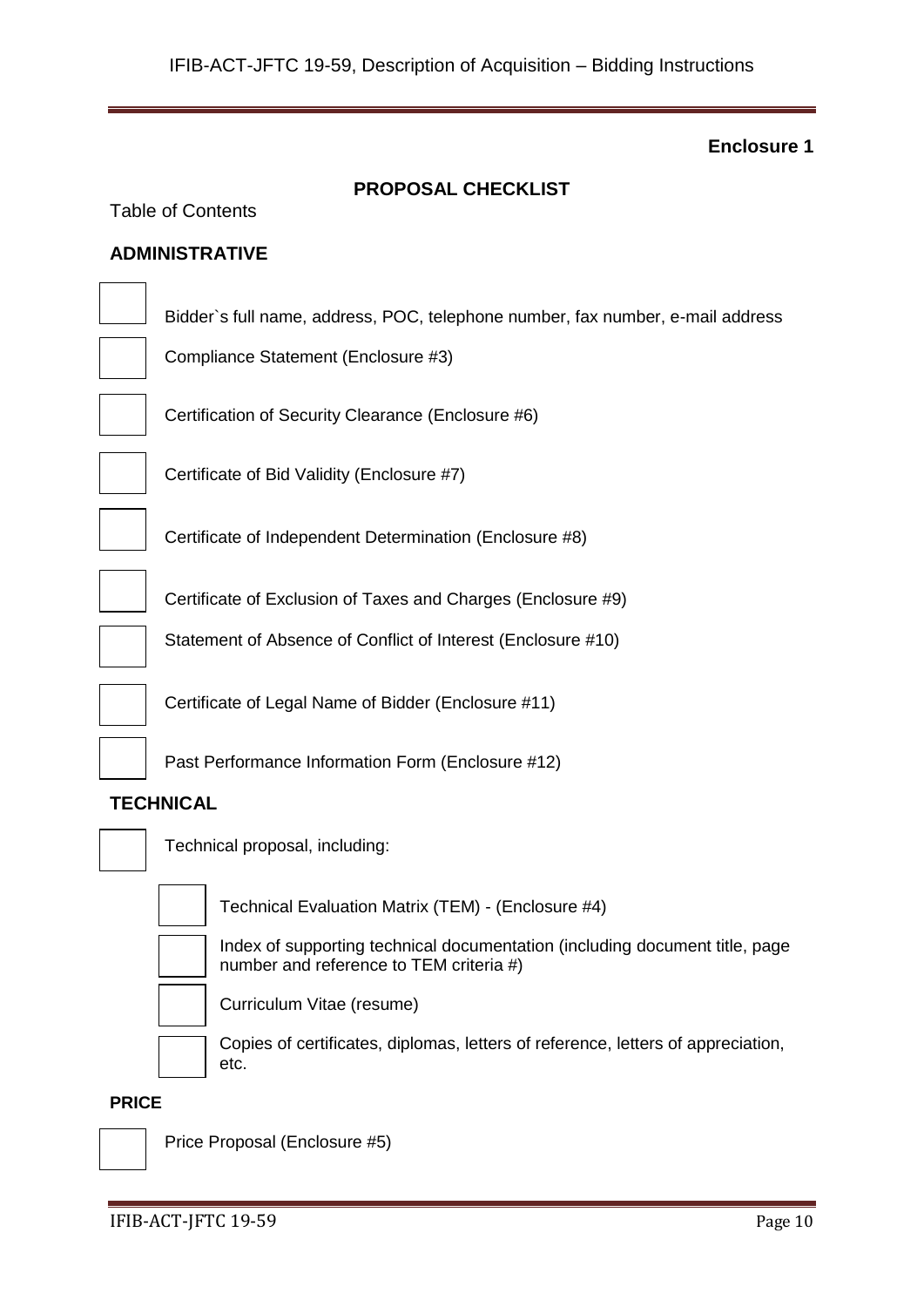| <b>PROPOSAL CHECKLIST</b>                                                                                              |  |  |  |  |  |
|------------------------------------------------------------------------------------------------------------------------|--|--|--|--|--|
| <b>Table of Contents</b>                                                                                               |  |  |  |  |  |
| <b>ADMINISTRATIVE</b>                                                                                                  |  |  |  |  |  |
| Bidder's full name, address, POC, telephone number, fax number, e-mail address<br>Compliance Statement (Enclosure #3)  |  |  |  |  |  |
| Certification of Security Clearance (Enclosure #6)                                                                     |  |  |  |  |  |
| Certificate of Bid Validity (Enclosure #7)                                                                             |  |  |  |  |  |
| Certificate of Independent Determination (Enclosure #8)                                                                |  |  |  |  |  |
| Certificate of Exclusion of Taxes and Charges (Enclosure #9)                                                           |  |  |  |  |  |
| Statement of Absence of Conflict of Interest (Enclosure #10)                                                           |  |  |  |  |  |
| Certificate of Legal Name of Bidder (Enclosure #11)                                                                    |  |  |  |  |  |
| Past Performance Information Form (Enclosure #12)                                                                      |  |  |  |  |  |
| <b>TECHNICAL</b>                                                                                                       |  |  |  |  |  |
| Technical proposal, including:                                                                                         |  |  |  |  |  |
| Technical Evaluation Matrix (TEM) - (Enclosure #4)                                                                     |  |  |  |  |  |
| Index of supporting technical documentation (including document title, page<br>number and reference to TEM criteria #) |  |  |  |  |  |
| Curriculum Vitae (resume)                                                                                              |  |  |  |  |  |
| Copies of certificates, diplomas, letters of reference, letters of appreciation,                                       |  |  |  |  |  |

#### **PRICE**



Price Proposal (Enclosure #5)

etc.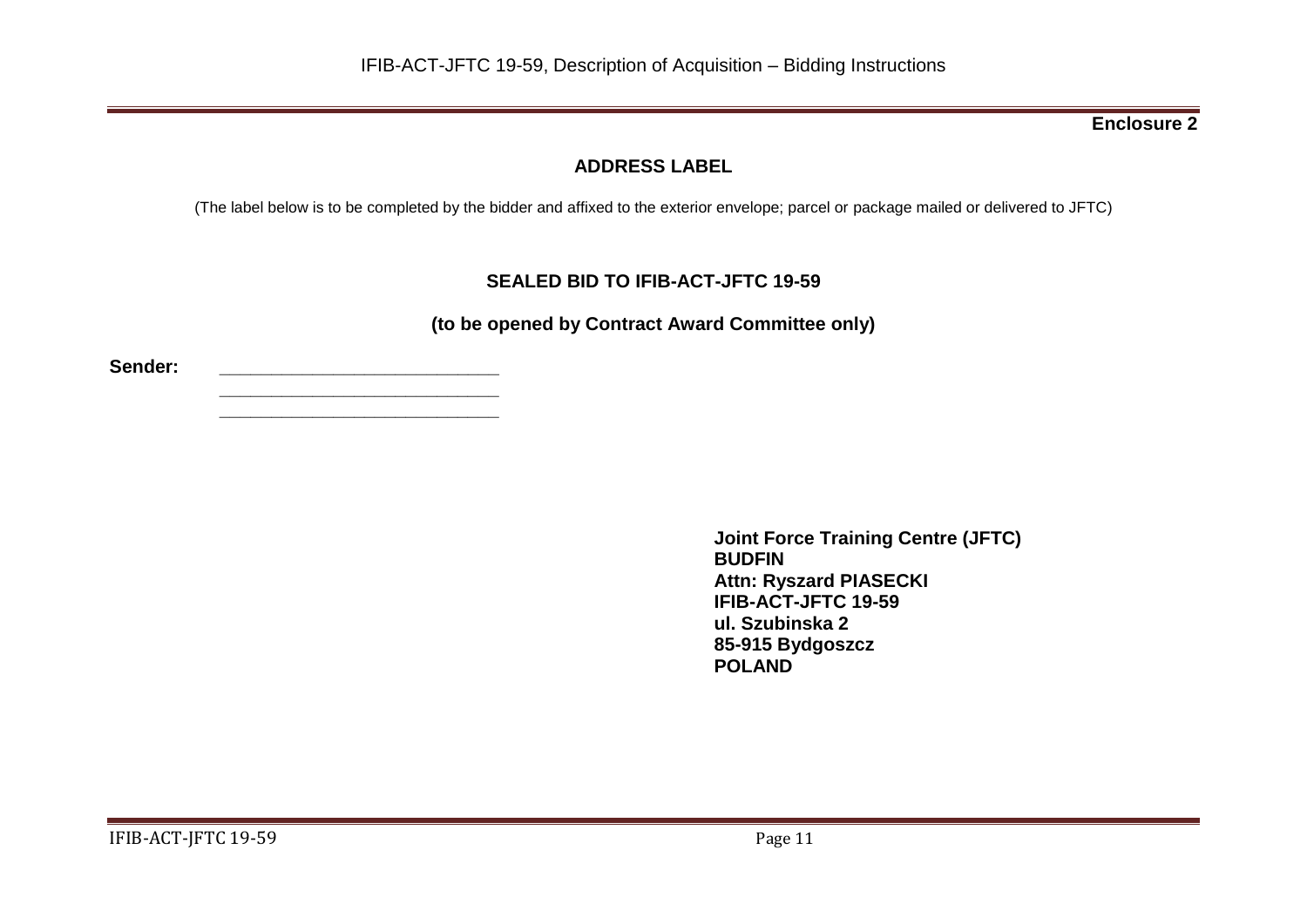# **ADDRESS LABEL**

(The label below is to be completed by the bidder and affixed to the exterior envelope; parcel or package mailed or delivered to JFTC)

# **SEALED BID TO IFIB-ACT-JFTC 19-59**

**(to be opened by Contract Award Committee only)**

**Sender: \_\_\_\_\_\_\_\_\_\_\_\_\_\_\_\_\_\_\_\_\_\_\_\_\_\_\_**

**\_\_\_\_\_\_\_\_\_\_\_\_\_\_\_\_\_\_\_\_\_\_\_\_\_\_\_ \_\_\_\_\_\_\_\_\_\_\_\_\_\_\_\_\_\_\_\_\_\_\_\_\_\_\_**

> **Joint Force Training Centre (JFTC) BUDFIN Attn: Ryszard PIASECKI IFIB-ACT-JFTC 19-59 ul. Szubinska 2 85-915 Bydgoszcz POLAND**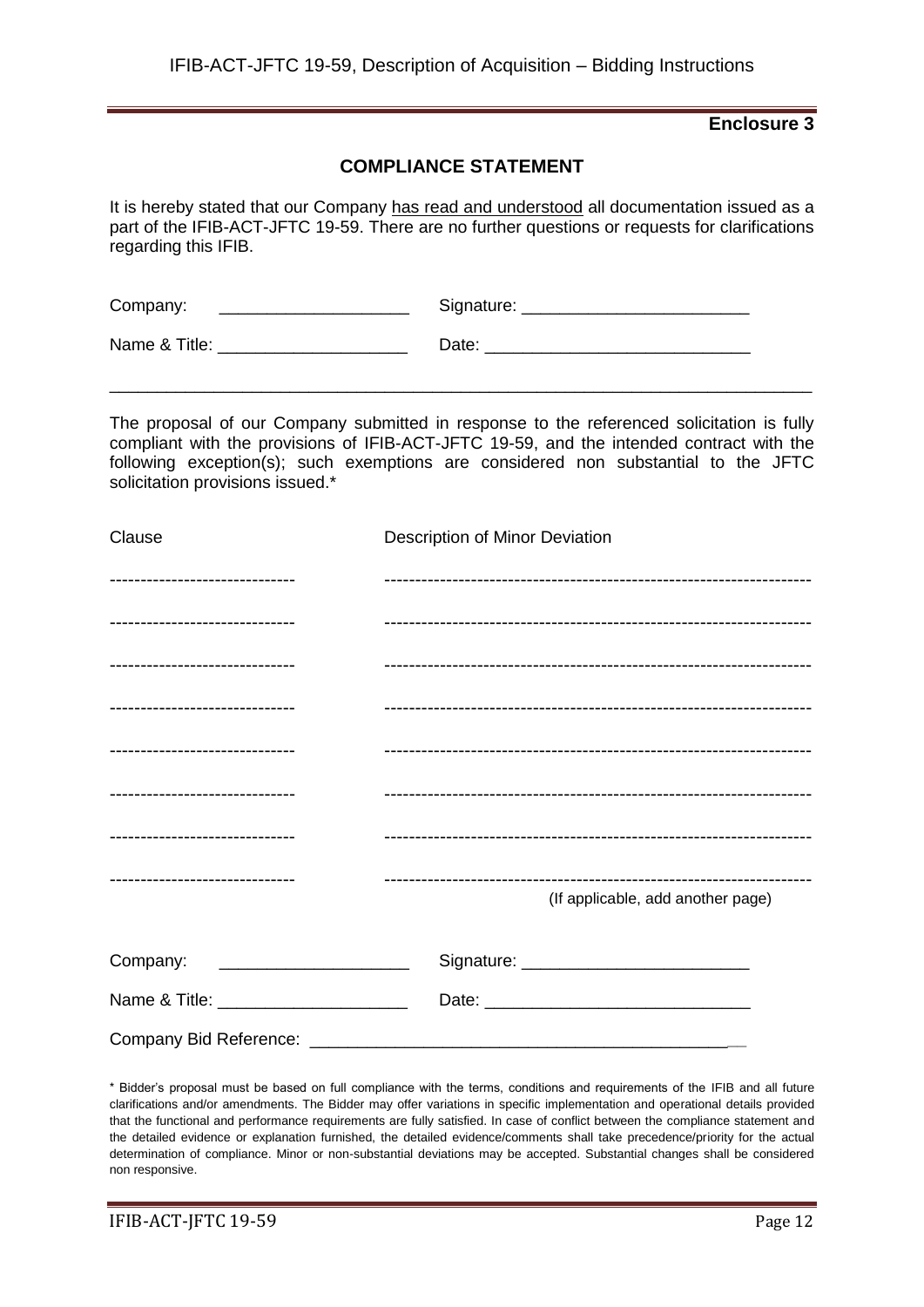## **COMPLIANCE STATEMENT**

It is hereby stated that our Company has read and understood all documentation issued as a part of the IFIB-ACT-JFTC 19-59. There are no further questions or requests for clarifications regarding this IFIB.

| Company:      | Signature: |
|---------------|------------|
| Name & Title: | Date:      |

The proposal of our Company submitted in response to the referenced solicitation is fully compliant with the provisions of IFIB-ACT-JFTC 19-59, and the intended contract with the following exception(s); such exemptions are considered non substantial to the JFTC solicitation provisions issued.\*

\_\_\_\_\_\_\_\_\_\_\_\_\_\_\_\_\_\_\_\_\_\_\_\_\_\_\_\_\_\_\_\_\_\_\_\_\_\_\_\_\_\_\_\_\_\_\_\_\_\_\_\_\_\_\_\_\_\_\_\_\_\_\_\_\_\_\_\_\_\_\_\_\_\_

| Clause                                | Description of Minor Deviation    |
|---------------------------------------|-----------------------------------|
| ------------------------------        |                                   |
| ------------------------------        |                                   |
| -------------------------------       |                                   |
| -------------------------------       |                                   |
| -------------------------------       |                                   |
| -------------------------------       |                                   |
| -------------------------------       |                                   |
| -------------------------------       | (If applicable, add another page) |
| Company:                              |                                   |
| Name & Title: _______________________ |                                   |
|                                       |                                   |

\* Bidder's proposal must be based on full compliance with the terms, conditions and requirements of the IFIB and all future clarifications and/or amendments. The Bidder may offer variations in specific implementation and operational details provided that the functional and performance requirements are fully satisfied. In case of conflict between the compliance statement and the detailed evidence or explanation furnished, the detailed evidence/comments shall take precedence/priority for the actual determination of compliance. Minor or non-substantial deviations may be accepted. Substantial changes shall be considered non responsive.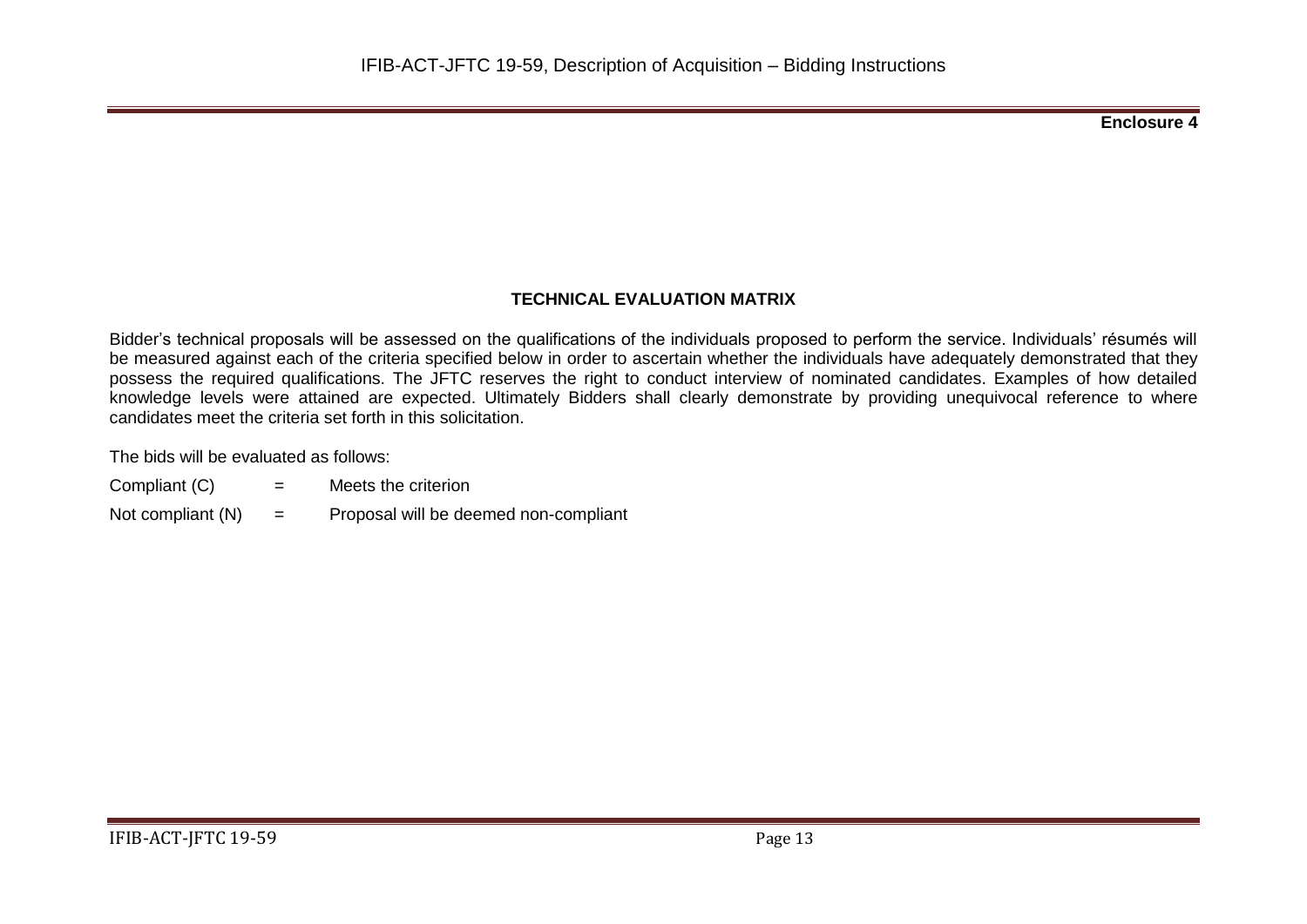# **TECHNICAL EVALUATION MATRIX**

Bidder's technical proposals will be assessed on the qualifications of the individuals proposed to perform the service. Individuals' résumés will be measured against each of the criteria specified below in order to ascertain whether the individuals have adequately demonstrated that they possess the required qualifications. The JFTC reserves the right to conduct interview of nominated candidates. Examples of how detailed knowledge levels were attained are expected. Ultimately Bidders shall clearly demonstrate by providing unequivocal reference to where candidates meet the criteria set forth in this solicitation.

The bids will be evaluated as follows:

- Compliant  $(C)$  = Meets the criterion
- Not compliant  $(N)$  = Proposal will be deemed non-compliant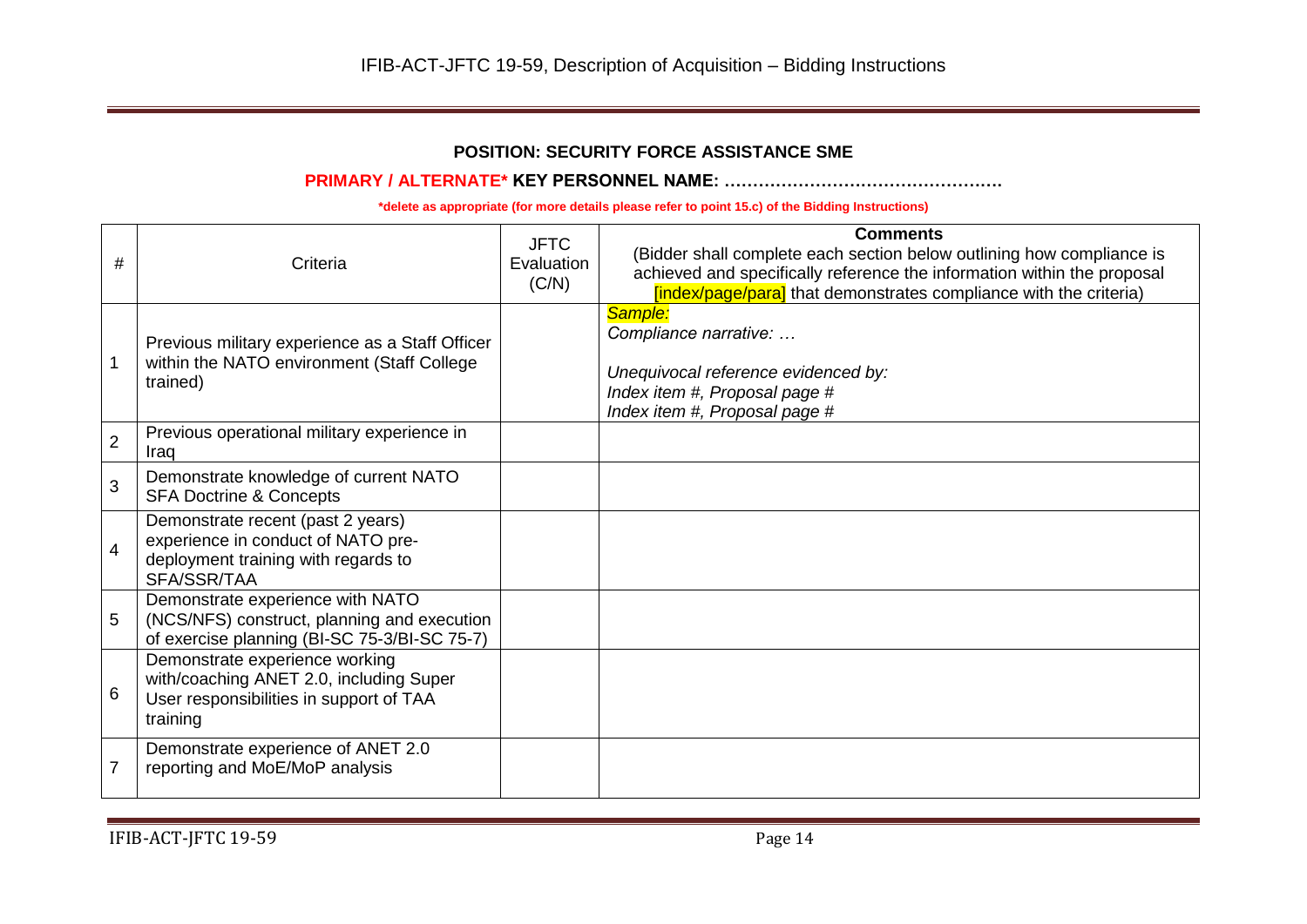## **POSITION: SECURITY FORCE ASSISTANCE SME**

#### **PRIMARY / ALTERNATE\* KEY PERSONNEL NAME: ………………………………………….**

| #              | Criteria                                                                                                                         | <b>JFTC</b><br>Evaluation<br>(C/N) | <b>Comments</b><br>(Bidder shall complete each section below outlining how compliance is<br>achieved and specifically reference the information within the proposal<br>[index/page/para] that demonstrates compliance with the criteria) |
|----------------|----------------------------------------------------------------------------------------------------------------------------------|------------------------------------|------------------------------------------------------------------------------------------------------------------------------------------------------------------------------------------------------------------------------------------|
| 1              | Previous military experience as a Staff Officer<br>within the NATO environment (Staff College<br>trained)                        |                                    | Sample:<br>Compliance narrative:<br>Unequivocal reference evidenced by:<br>Index item #, Proposal page #<br>Index item #, Proposal page #                                                                                                |
| $\overline{2}$ | Previous operational military experience in<br>Iraq                                                                              |                                    |                                                                                                                                                                                                                                          |
| 3              | Demonstrate knowledge of current NATO<br><b>SFA Doctrine &amp; Concepts</b>                                                      |                                    |                                                                                                                                                                                                                                          |
| $\overline{4}$ | Demonstrate recent (past 2 years)<br>experience in conduct of NATO pre-<br>deployment training with regards to<br>SFA/SSR/TAA    |                                    |                                                                                                                                                                                                                                          |
| 5              | Demonstrate experience with NATO<br>(NCS/NFS) construct, planning and execution<br>of exercise planning (BI-SC 75-3/BI-SC 75-7)  |                                    |                                                                                                                                                                                                                                          |
| 6              | Demonstrate experience working<br>with/coaching ANET 2.0, including Super<br>User responsibilities in support of TAA<br>training |                                    |                                                                                                                                                                                                                                          |
| $\overline{7}$ | Demonstrate experience of ANET 2.0<br>reporting and MoE/MoP analysis                                                             |                                    |                                                                                                                                                                                                                                          |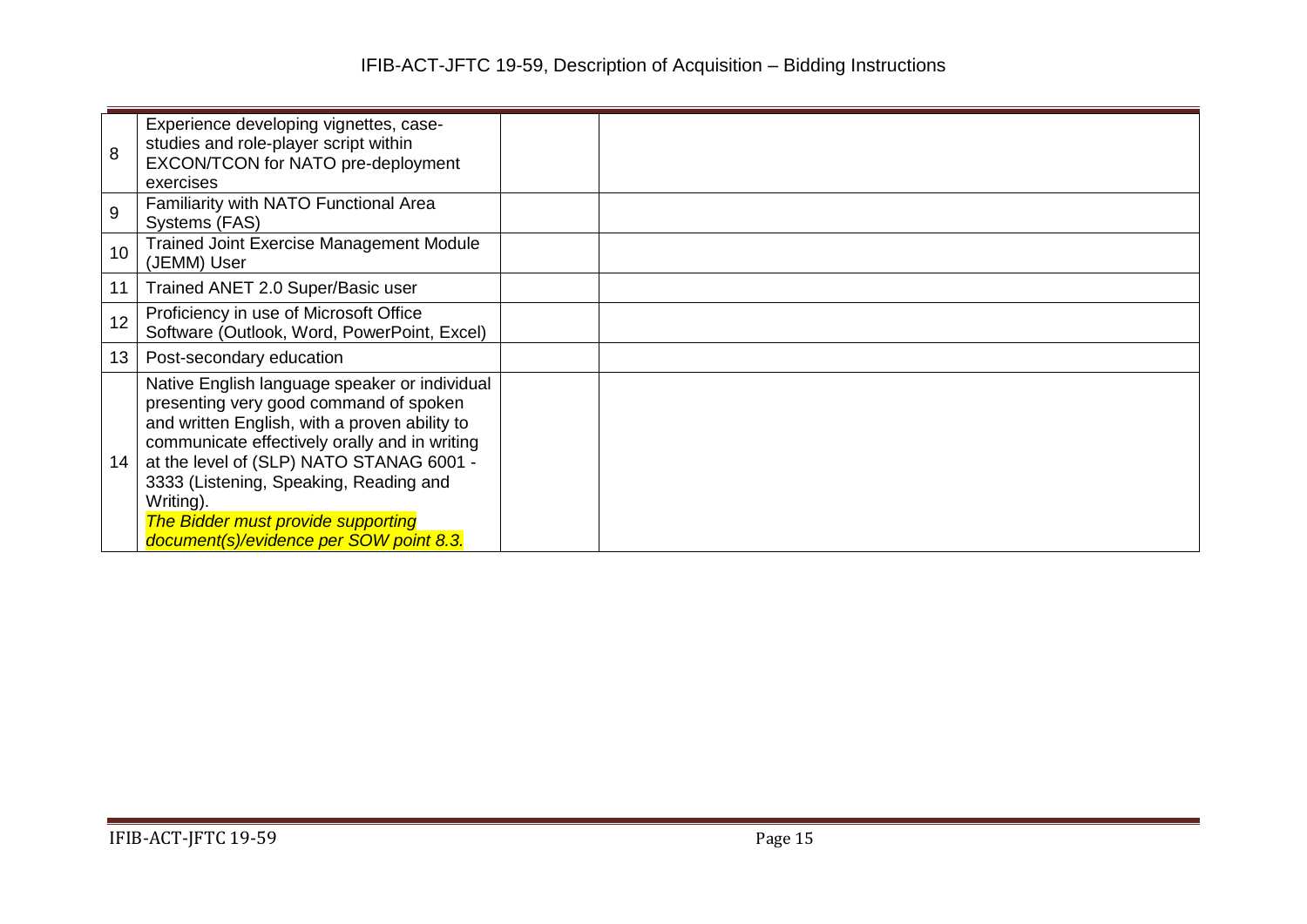| 8  | Experience developing vignettes, case-<br>studies and role-player script within<br>EXCON/TCON for NATO pre-deployment<br>exercises                                                                                                                                                                                                                                                   |  |
|----|--------------------------------------------------------------------------------------------------------------------------------------------------------------------------------------------------------------------------------------------------------------------------------------------------------------------------------------------------------------------------------------|--|
| 9  | Familiarity with NATO Functional Area<br>Systems (FAS)                                                                                                                                                                                                                                                                                                                               |  |
| 10 | <b>Trained Joint Exercise Management Module</b><br>(JEMM) User                                                                                                                                                                                                                                                                                                                       |  |
| 11 | Trained ANET 2.0 Super/Basic user                                                                                                                                                                                                                                                                                                                                                    |  |
| 12 | Proficiency in use of Microsoft Office<br>Software (Outlook, Word, PowerPoint, Excel)                                                                                                                                                                                                                                                                                                |  |
| 13 | Post-secondary education                                                                                                                                                                                                                                                                                                                                                             |  |
| 14 | Native English language speaker or individual<br>presenting very good command of spoken<br>and written English, with a proven ability to<br>communicate effectively orally and in writing<br>at the level of (SLP) NATO STANAG 6001 -<br>3333 (Listening, Speaking, Reading and<br>Writing).<br><b>The Bidder must provide supporting</b><br>document(s)/evidence per SOW point 8.3. |  |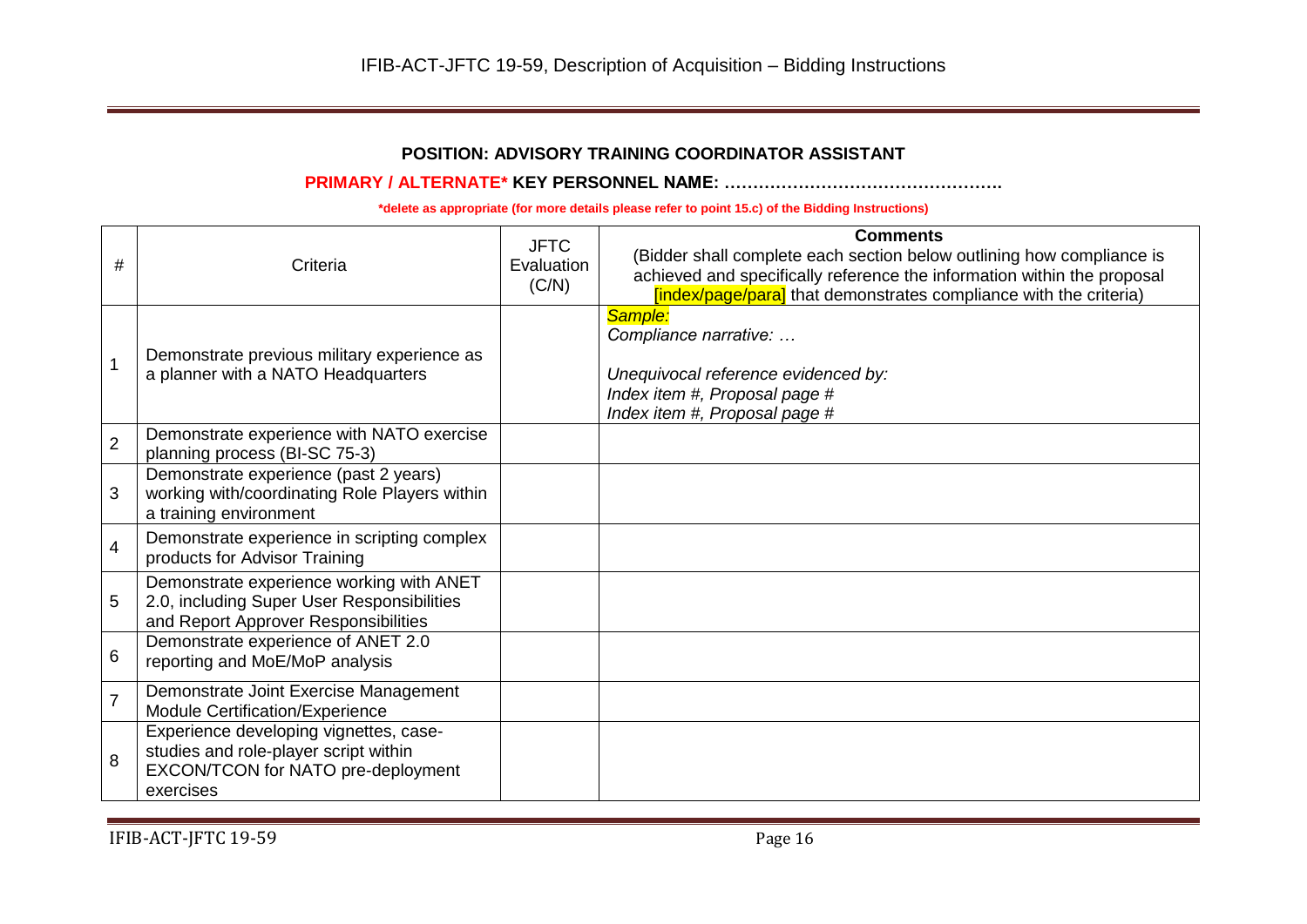# **POSITION: ADVISORY TRAINING COORDINATOR ASSISTANT**

### **PRIMARY / ALTERNATE\* KEY PERSONNEL NAME: ………………………………………….**

| #              | Criteria                                                                                                                           | <b>JFTC</b><br>Evaluation<br>(C/N) | <b>Comments</b><br>(Bidder shall complete each section below outlining how compliance is<br>achieved and specifically reference the information within the proposal<br>[index/page/para] that demonstrates compliance with the criteria) |
|----------------|------------------------------------------------------------------------------------------------------------------------------------|------------------------------------|------------------------------------------------------------------------------------------------------------------------------------------------------------------------------------------------------------------------------------------|
|                | Demonstrate previous military experience as<br>a planner with a NATO Headquarters                                                  |                                    | Sample:<br>Compliance narrative:<br>Unequivocal reference evidenced by:<br>Index item #, Proposal page #<br>Index item #, Proposal page #                                                                                                |
| $\overline{2}$ | Demonstrate experience with NATO exercise<br>planning process (BI-SC 75-3)                                                         |                                    |                                                                                                                                                                                                                                          |
| 3              | Demonstrate experience (past 2 years)<br>working with/coordinating Role Players within<br>a training environment                   |                                    |                                                                                                                                                                                                                                          |
| 4              | Demonstrate experience in scripting complex<br>products for Advisor Training                                                       |                                    |                                                                                                                                                                                                                                          |
| 5              | Demonstrate experience working with ANET<br>2.0, including Super User Responsibilities<br>and Report Approver Responsibilities     |                                    |                                                                                                                                                                                                                                          |
| 6              | Demonstrate experience of ANET 2.0<br>reporting and MoE/MoP analysis                                                               |                                    |                                                                                                                                                                                                                                          |
| $\overline{7}$ | Demonstrate Joint Exercise Management<br>Module Certification/Experience                                                           |                                    |                                                                                                                                                                                                                                          |
| 8              | Experience developing vignettes, case-<br>studies and role-player script within<br>EXCON/TCON for NATO pre-deployment<br>exercises |                                    |                                                                                                                                                                                                                                          |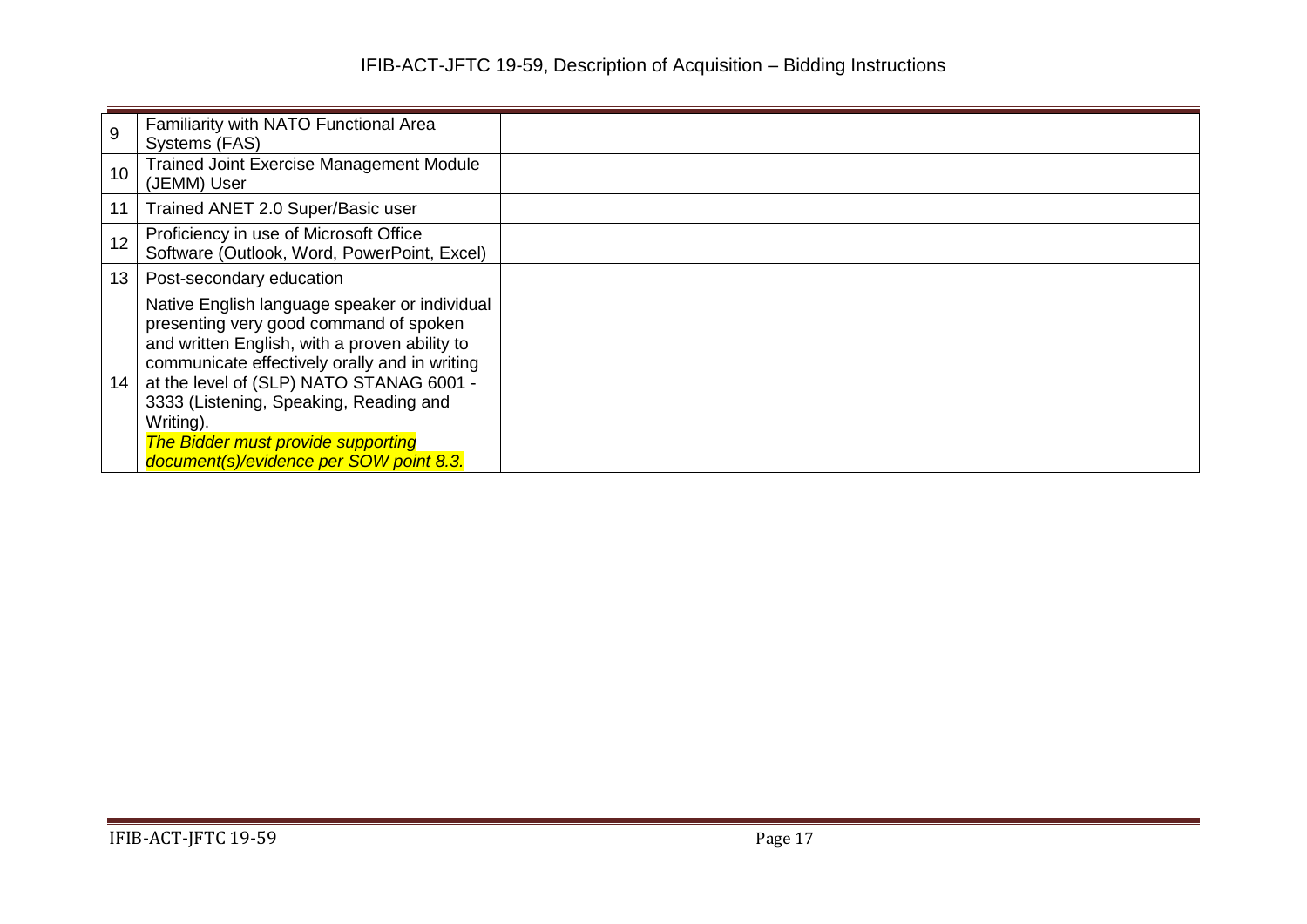| 9  | Familiarity with NATO Functional Area<br>Systems (FAS)                                                                                                                                                                                                                                                                                                                        |  |  |
|----|-------------------------------------------------------------------------------------------------------------------------------------------------------------------------------------------------------------------------------------------------------------------------------------------------------------------------------------------------------------------------------|--|--|
| 10 | <b>Trained Joint Exercise Management Module</b><br>(JEMM) User                                                                                                                                                                                                                                                                                                                |  |  |
| 11 | Trained ANET 2.0 Super/Basic user                                                                                                                                                                                                                                                                                                                                             |  |  |
| 12 | Proficiency in use of Microsoft Office<br>Software (Outlook, Word, PowerPoint, Excel)                                                                                                                                                                                                                                                                                         |  |  |
| 13 | Post-secondary education                                                                                                                                                                                                                                                                                                                                                      |  |  |
| 14 | Native English language speaker or individual<br>presenting very good command of spoken<br>and written English, with a proven ability to<br>communicate effectively orally and in writing<br>at the level of (SLP) NATO STANAG 6001 -<br>3333 (Listening, Speaking, Reading and<br>Writing).<br>The Bidder must provide supporting<br>document(s)/evidence per SOW point 8.3. |  |  |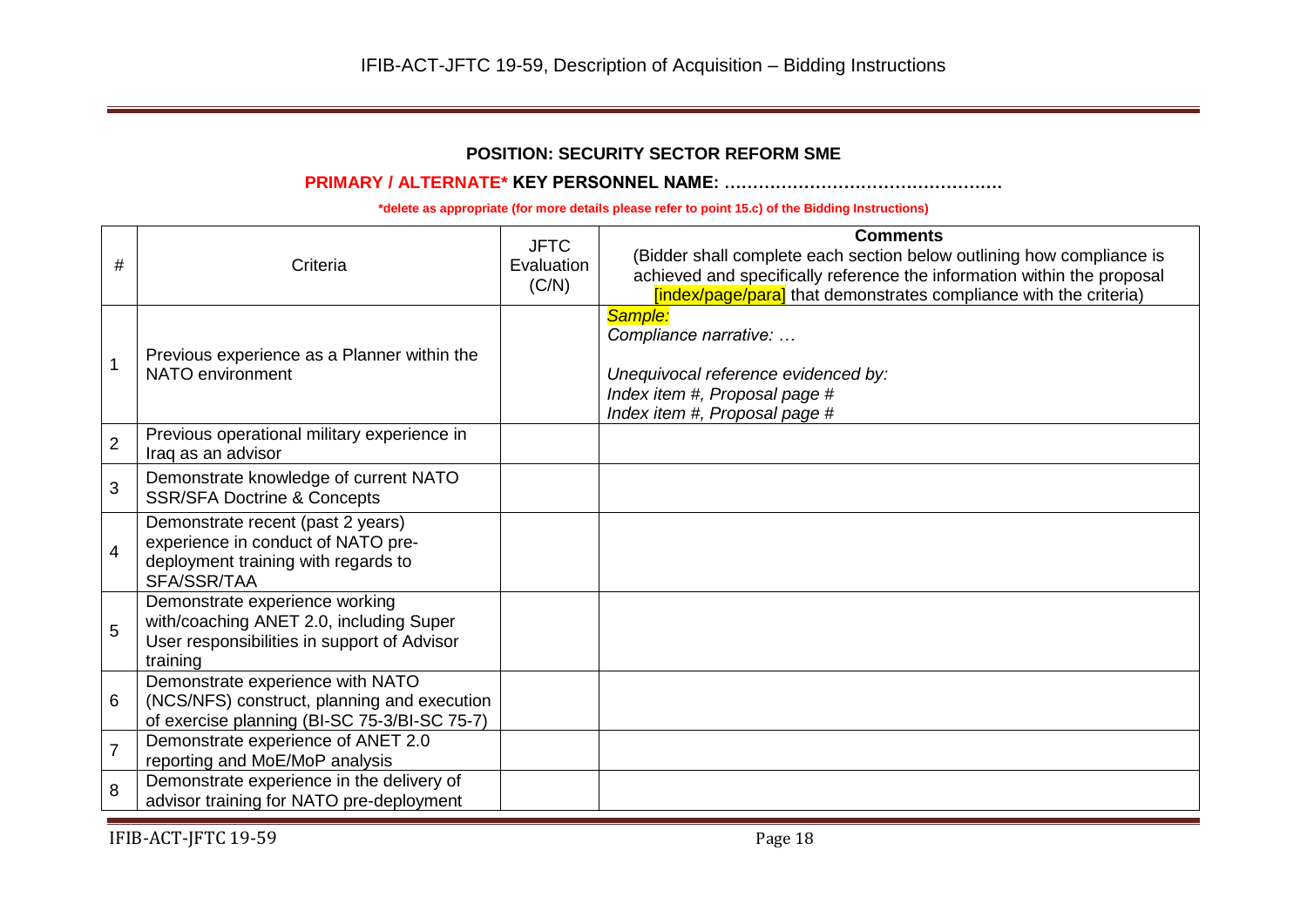## **POSITION: SECURITY SECTOR REFORM SME**

## **PRIMARY / ALTERNATE\* KEY PERSONNEL NAME: ………………………………………….**

**\*delete as appropriate (for more details please refer to point 15.c) of the Bidding Instructions)**

| #              | Criteria                                                                                                                             | <b>JFTC</b><br>Evaluation<br>(C/N) | <b>Comments</b><br>(Bidder shall complete each section below outlining how compliance is<br>achieved and specifically reference the information within the proposal<br>[index/page/para] that demonstrates compliance with the criteria) |
|----------------|--------------------------------------------------------------------------------------------------------------------------------------|------------------------------------|------------------------------------------------------------------------------------------------------------------------------------------------------------------------------------------------------------------------------------------|
|                | Previous experience as a Planner within the<br>NATO environment                                                                      |                                    | Sample:<br>Compliance narrative:<br>Unequivocal reference evidenced by:<br>Index item #, Proposal page #<br>Index item #, Proposal page #                                                                                                |
| $\overline{2}$ | Previous operational military experience in<br>Iraq as an advisor                                                                    |                                    |                                                                                                                                                                                                                                          |
| 3              | Demonstrate knowledge of current NATO<br><b>SSR/SFA Doctrine &amp; Concepts</b>                                                      |                                    |                                                                                                                                                                                                                                          |
| $\overline{4}$ | Demonstrate recent (past 2 years)<br>experience in conduct of NATO pre-<br>deployment training with regards to<br>SFA/SSR/TAA        |                                    |                                                                                                                                                                                                                                          |
| 5              | Demonstrate experience working<br>with/coaching ANET 2.0, including Super<br>User responsibilities in support of Advisor<br>training |                                    |                                                                                                                                                                                                                                          |
| 6              | Demonstrate experience with NATO<br>(NCS/NFS) construct, planning and execution<br>of exercise planning (BI-SC 75-3/BI-SC 75-7)      |                                    |                                                                                                                                                                                                                                          |
| $\overline{7}$ | Demonstrate experience of ANET 2.0<br>reporting and MoE/MoP analysis                                                                 |                                    |                                                                                                                                                                                                                                          |
| 8              | Demonstrate experience in the delivery of<br>advisor training for NATO pre-deployment                                                |                                    |                                                                                                                                                                                                                                          |

IFIB-ACT-JFTC 19-59 Page 18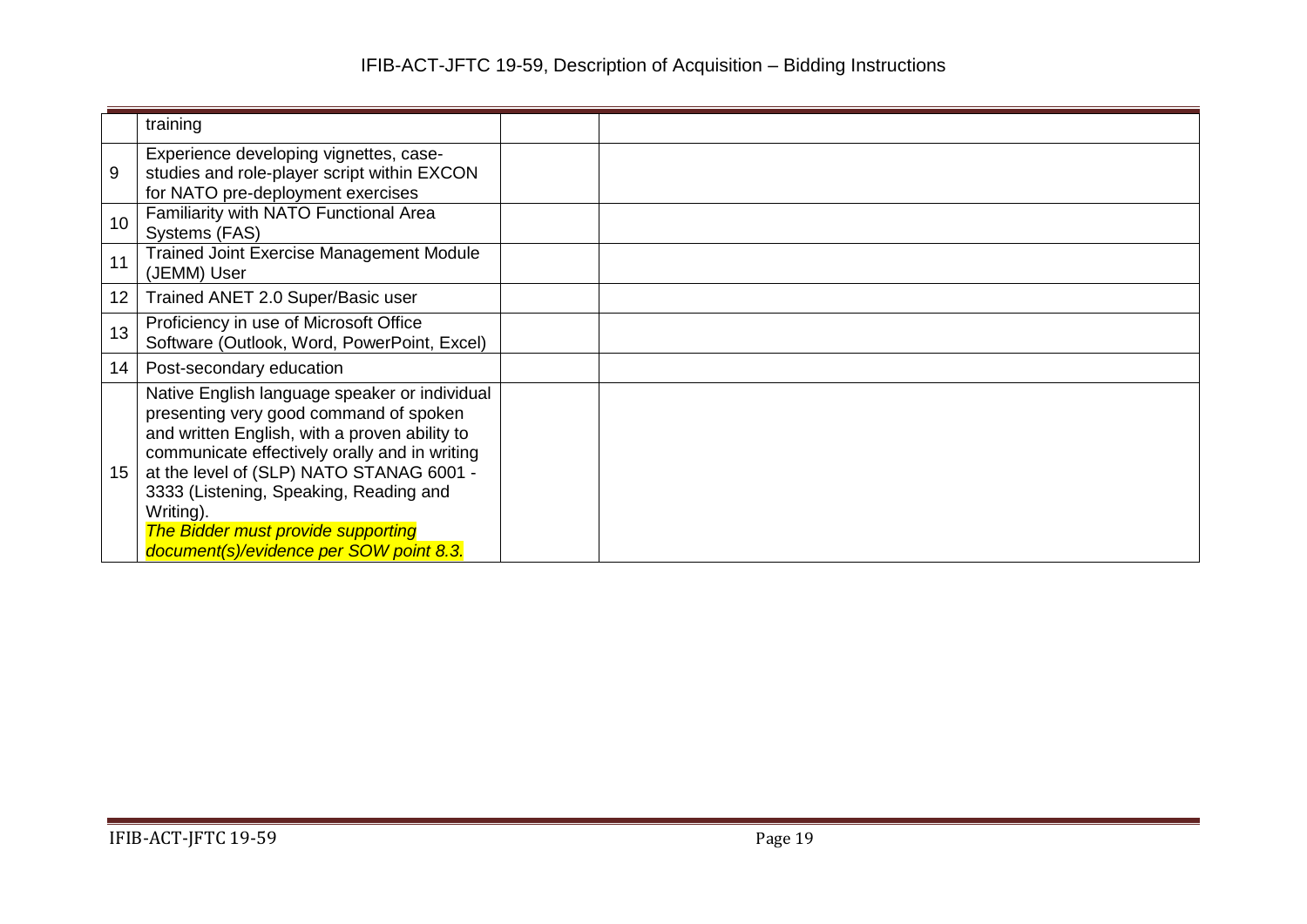|    | training                                                                                                                                                                                                                                                                                                                                                                             |  |
|----|--------------------------------------------------------------------------------------------------------------------------------------------------------------------------------------------------------------------------------------------------------------------------------------------------------------------------------------------------------------------------------------|--|
| 9  | Experience developing vignettes, case-<br>studies and role-player script within EXCON<br>for NATO pre-deployment exercises                                                                                                                                                                                                                                                           |  |
| 10 | Familiarity with NATO Functional Area<br>Systems (FAS)                                                                                                                                                                                                                                                                                                                               |  |
| 11 | <b>Trained Joint Exercise Management Module</b><br>(JEMM) User                                                                                                                                                                                                                                                                                                                       |  |
| 12 | Trained ANET 2.0 Super/Basic user                                                                                                                                                                                                                                                                                                                                                    |  |
| 13 | Proficiency in use of Microsoft Office<br>Software (Outlook, Word, PowerPoint, Excel)                                                                                                                                                                                                                                                                                                |  |
| 14 | Post-secondary education                                                                                                                                                                                                                                                                                                                                                             |  |
| 15 | Native English language speaker or individual<br>presenting very good command of spoken<br>and written English, with a proven ability to<br>communicate effectively orally and in writing<br>at the level of (SLP) NATO STANAG 6001 -<br>3333 (Listening, Speaking, Reading and<br>Writing).<br><b>The Bidder must provide supporting</b><br>document(s)/evidence per SOW point 8.3. |  |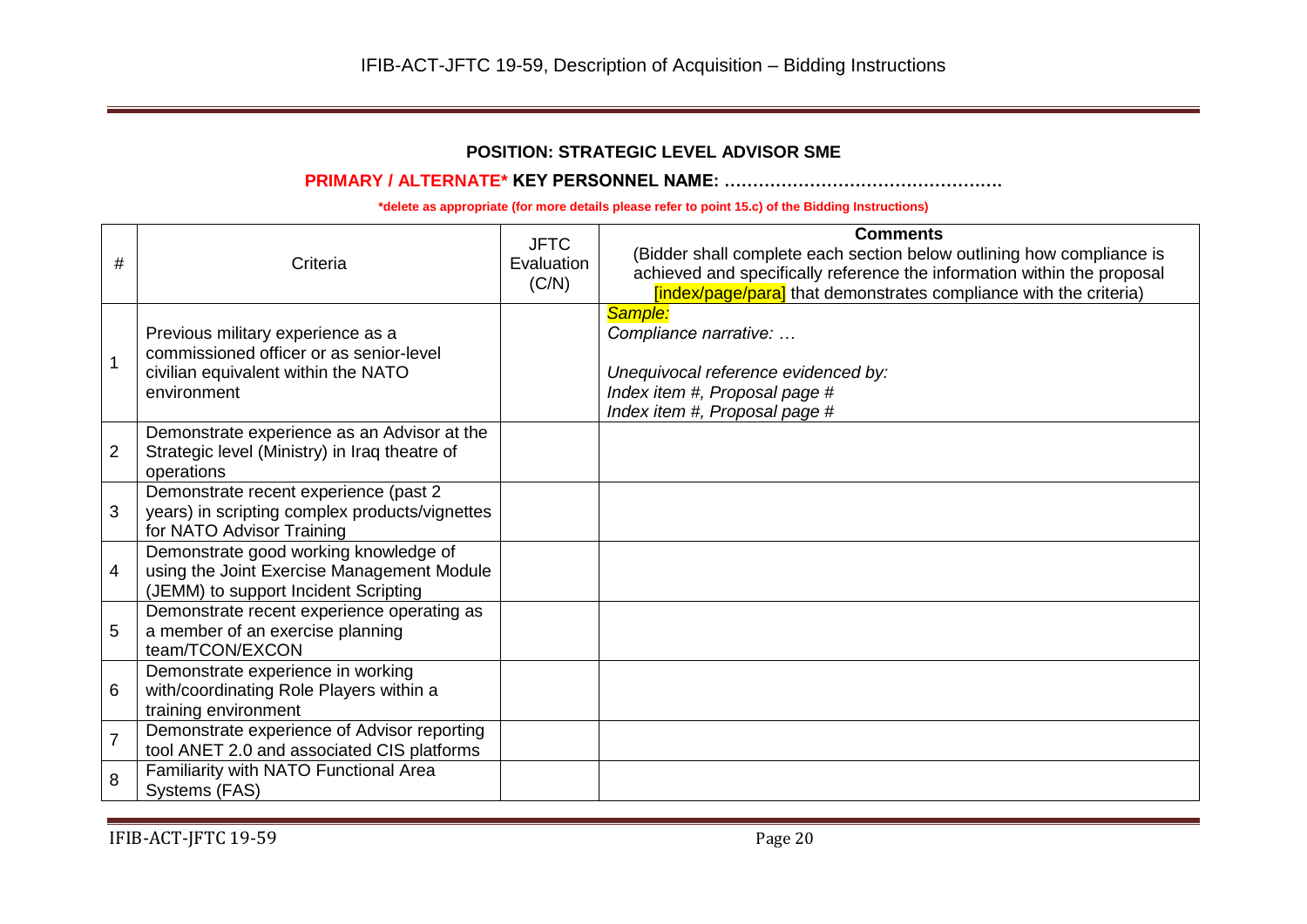# **POSITION: STRATEGIC LEVEL ADVISOR SME**

#### **PRIMARY / ALTERNATE\* KEY PERSONNEL NAME: ………………………………………….**

| #              | Criteria                                                                                                                           | <b>JFTC</b><br>Evaluation<br>(C/N) | <b>Comments</b><br>(Bidder shall complete each section below outlining how compliance is<br>achieved and specifically reference the information within the proposal |
|----------------|------------------------------------------------------------------------------------------------------------------------------------|------------------------------------|---------------------------------------------------------------------------------------------------------------------------------------------------------------------|
|                |                                                                                                                                    |                                    | [index/page/para] that demonstrates compliance with the criteria)                                                                                                   |
|                | Previous military experience as a<br>commissioned officer or as senior-level<br>civilian equivalent within the NATO<br>environment |                                    | Sample:<br>Compliance narrative:<br>Unequivocal reference evidenced by:<br>Index item #, Proposal page #<br>Index item #, Proposal page #                           |
| $\overline{2}$ | Demonstrate experience as an Advisor at the<br>Strategic level (Ministry) in Iraq theatre of<br>operations                         |                                    |                                                                                                                                                                     |
| 3              | Demonstrate recent experience (past 2<br>years) in scripting complex products/vignettes<br>for NATO Advisor Training               |                                    |                                                                                                                                                                     |
| 4              | Demonstrate good working knowledge of<br>using the Joint Exercise Management Module<br>(JEMM) to support Incident Scripting        |                                    |                                                                                                                                                                     |
| 5              | Demonstrate recent experience operating as<br>a member of an exercise planning<br>team/TCON/EXCON                                  |                                    |                                                                                                                                                                     |
| 6              | Demonstrate experience in working<br>with/coordinating Role Players within a<br>training environment                               |                                    |                                                                                                                                                                     |
| $\overline{7}$ | Demonstrate experience of Advisor reporting<br>tool ANET 2.0 and associated CIS platforms                                          |                                    |                                                                                                                                                                     |
| 8              | Familiarity with NATO Functional Area<br>Systems (FAS)                                                                             |                                    |                                                                                                                                                                     |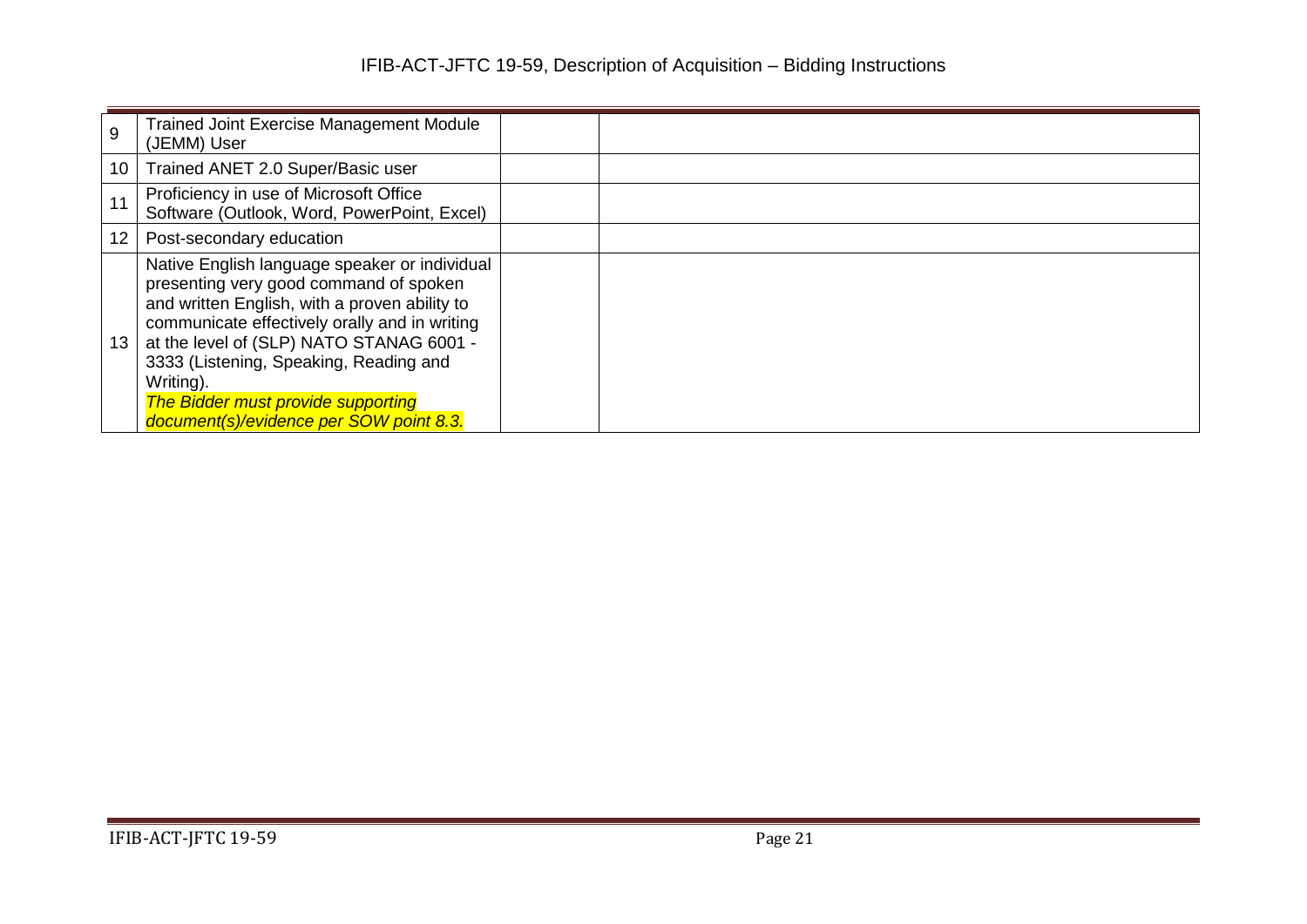| 9  | <b>Trained Joint Exercise Management Module</b><br>(JEMM) User                                                                                                                                                                                                                                                                                                                       |  |
|----|--------------------------------------------------------------------------------------------------------------------------------------------------------------------------------------------------------------------------------------------------------------------------------------------------------------------------------------------------------------------------------------|--|
| 10 | Trained ANET 2.0 Super/Basic user                                                                                                                                                                                                                                                                                                                                                    |  |
|    | Proficiency in use of Microsoft Office<br>Software (Outlook, Word, PowerPoint, Excel)                                                                                                                                                                                                                                                                                                |  |
| 12 | Post-secondary education                                                                                                                                                                                                                                                                                                                                                             |  |
| 13 | Native English language speaker or individual<br>presenting very good command of spoken<br>and written English, with a proven ability to<br>communicate effectively orally and in writing<br>at the level of (SLP) NATO STANAG 6001 -<br>3333 (Listening, Speaking, Reading and<br>Writing).<br><b>The Bidder must provide supporting</b><br>document(s)/evidence per SOW point 8.3. |  |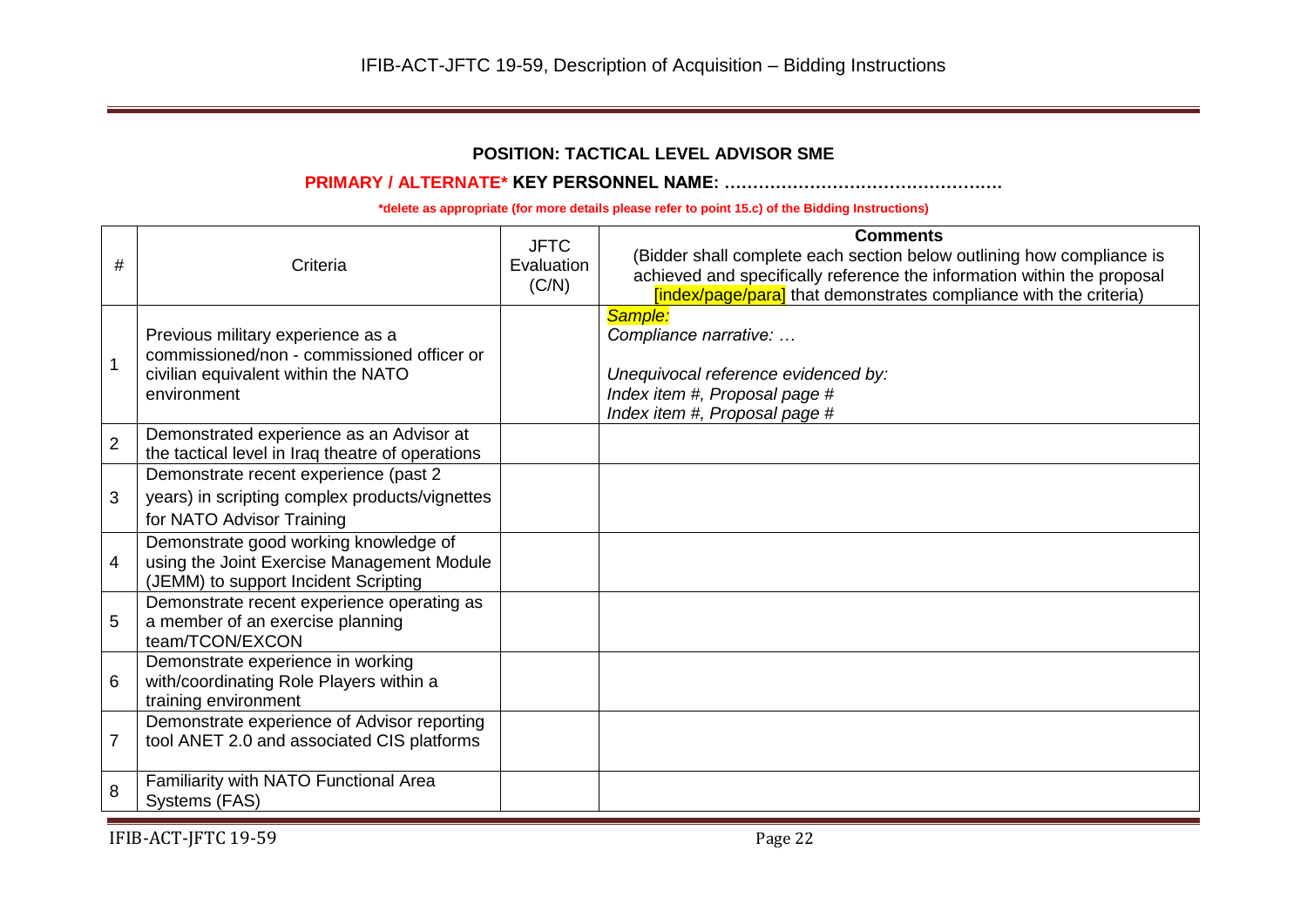# **POSITION: TACTICAL LEVEL ADVISOR SME**

## **PRIMARY / ALTERNATE\* KEY PERSONNEL NAME: ………………………………………….**

| #              | Criteria                                                                                                                              | <b>JFTC</b><br>Evaluation<br>(C/N) | <b>Comments</b><br>(Bidder shall complete each section below outlining how compliance is<br>achieved and specifically reference the information within the proposal<br>[index/page/para] that demonstrates compliance with the criteria) |
|----------------|---------------------------------------------------------------------------------------------------------------------------------------|------------------------------------|------------------------------------------------------------------------------------------------------------------------------------------------------------------------------------------------------------------------------------------|
| $\overline{1}$ | Previous military experience as a<br>commissioned/non - commissioned officer or<br>civilian equivalent within the NATO<br>environment |                                    | Sample:<br>Compliance narrative:<br>Unequivocal reference evidenced by:<br>Index item #, Proposal page #<br>Index item #, Proposal page #                                                                                                |
| $\overline{2}$ | Demonstrated experience as an Advisor at<br>the tactical level in Iraq theatre of operations                                          |                                    |                                                                                                                                                                                                                                          |
| 3              | Demonstrate recent experience (past 2<br>years) in scripting complex products/vignettes<br>for NATO Advisor Training                  |                                    |                                                                                                                                                                                                                                          |
| 4              | Demonstrate good working knowledge of<br>using the Joint Exercise Management Module<br>(JEMM) to support Incident Scripting           |                                    |                                                                                                                                                                                                                                          |
| 5              | Demonstrate recent experience operating as<br>a member of an exercise planning<br>team/TCON/EXCON                                     |                                    |                                                                                                                                                                                                                                          |
| 6              | Demonstrate experience in working<br>with/coordinating Role Players within a<br>training environment                                  |                                    |                                                                                                                                                                                                                                          |
| $\overline{7}$ | Demonstrate experience of Advisor reporting<br>tool ANET 2.0 and associated CIS platforms                                             |                                    |                                                                                                                                                                                                                                          |
| 8              | Familiarity with NATO Functional Area<br>Systems (FAS)                                                                                |                                    |                                                                                                                                                                                                                                          |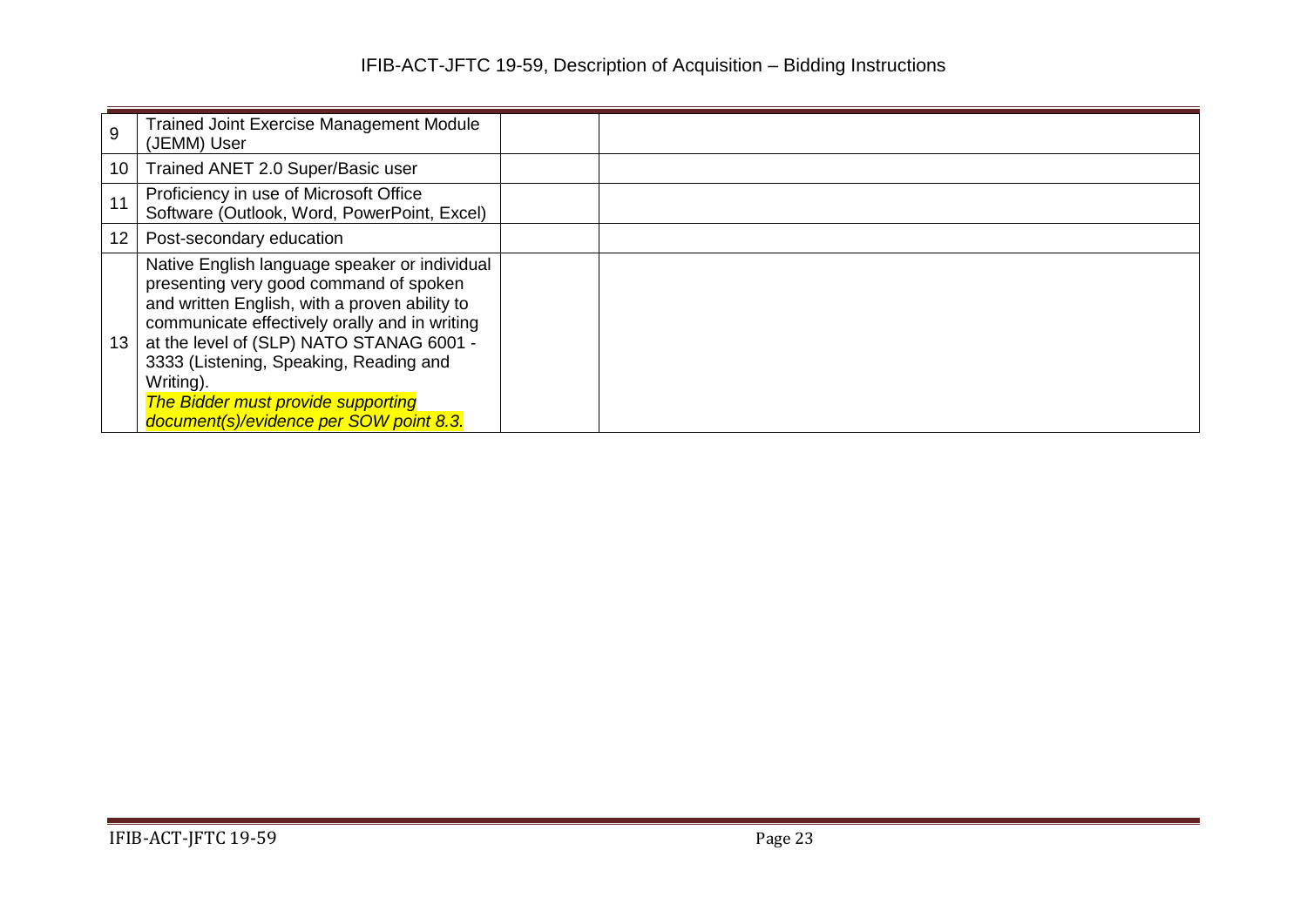| 9  | <b>Trained Joint Exercise Management Module</b><br>(JEMM) User                                                                                                                                                                                                                                                                                                                |  |  |
|----|-------------------------------------------------------------------------------------------------------------------------------------------------------------------------------------------------------------------------------------------------------------------------------------------------------------------------------------------------------------------------------|--|--|
| 10 | Trained ANET 2.0 Super/Basic user                                                                                                                                                                                                                                                                                                                                             |  |  |
|    | Proficiency in use of Microsoft Office<br>Software (Outlook, Word, PowerPoint, Excel)                                                                                                                                                                                                                                                                                         |  |  |
| 12 | Post-secondary education                                                                                                                                                                                                                                                                                                                                                      |  |  |
| 13 | Native English language speaker or individual<br>presenting very good command of spoken<br>and written English, with a proven ability to<br>communicate effectively orally and in writing<br>at the level of (SLP) NATO STANAG 6001 -<br>3333 (Listening, Speaking, Reading and<br>Writing).<br>The Bidder must provide supporting<br>document(s)/evidence per SOW point 8.3. |  |  |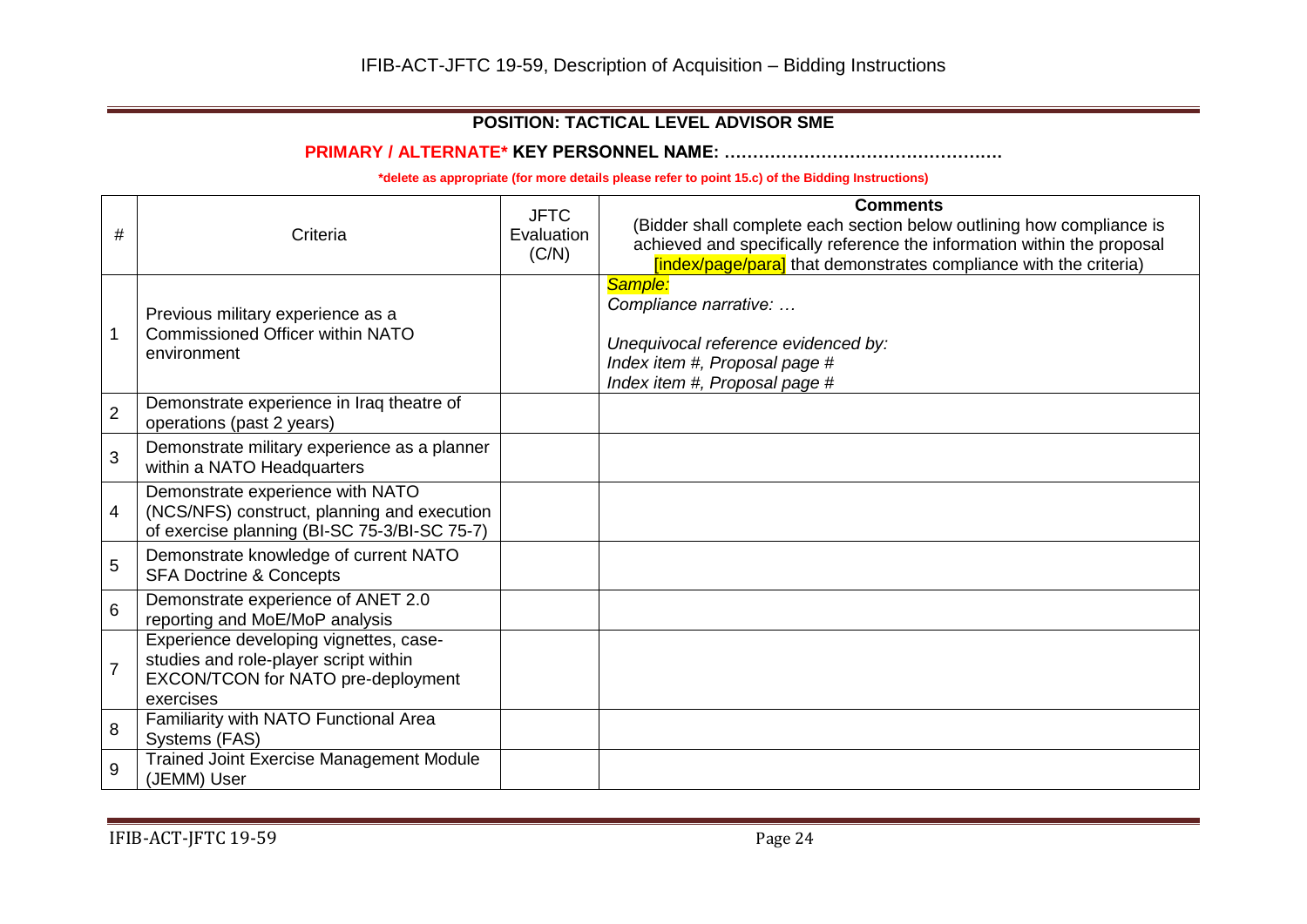# **POSITION: TACTICAL LEVEL ADVISOR SME**

**PRIMARY / ALTERNATE\* KEY PERSONNEL NAME: ………………………………………….**

| #              | Criteria                                                                                                                           | <b>JFTC</b><br>Evaluation<br>(C/N) | <b>Comments</b><br>(Bidder shall complete each section below outlining how compliance is<br>achieved and specifically reference the information within the proposal<br>[index/page/para] that demonstrates compliance with the criteria) |
|----------------|------------------------------------------------------------------------------------------------------------------------------------|------------------------------------|------------------------------------------------------------------------------------------------------------------------------------------------------------------------------------------------------------------------------------------|
|                | Previous military experience as a<br><b>Commissioned Officer within NATO</b><br>environment                                        |                                    | Sample:<br>Compliance narrative:<br>Unequivocal reference evidenced by:<br>Index item #, Proposal page #<br>Index item #, Proposal page #                                                                                                |
| $\overline{2}$ | Demonstrate experience in Iraq theatre of<br>operations (past 2 years)                                                             |                                    |                                                                                                                                                                                                                                          |
| 3              | Demonstrate military experience as a planner<br>within a NATO Headquarters                                                         |                                    |                                                                                                                                                                                                                                          |
| 4              | Demonstrate experience with NATO<br>(NCS/NFS) construct, planning and execution<br>of exercise planning (BI-SC 75-3/BI-SC 75-7)    |                                    |                                                                                                                                                                                                                                          |
| 5              | Demonstrate knowledge of current NATO<br><b>SFA Doctrine &amp; Concepts</b>                                                        |                                    |                                                                                                                                                                                                                                          |
| 6              | Demonstrate experience of ANET 2.0<br>reporting and MoE/MoP analysis                                                               |                                    |                                                                                                                                                                                                                                          |
| $\overline{7}$ | Experience developing vignettes, case-<br>studies and role-player script within<br>EXCON/TCON for NATO pre-deployment<br>exercises |                                    |                                                                                                                                                                                                                                          |
| 8              | Familiarity with NATO Functional Area<br>Systems (FAS)                                                                             |                                    |                                                                                                                                                                                                                                          |
| 9              | Trained Joint Exercise Management Module<br>(JEMM) User                                                                            |                                    |                                                                                                                                                                                                                                          |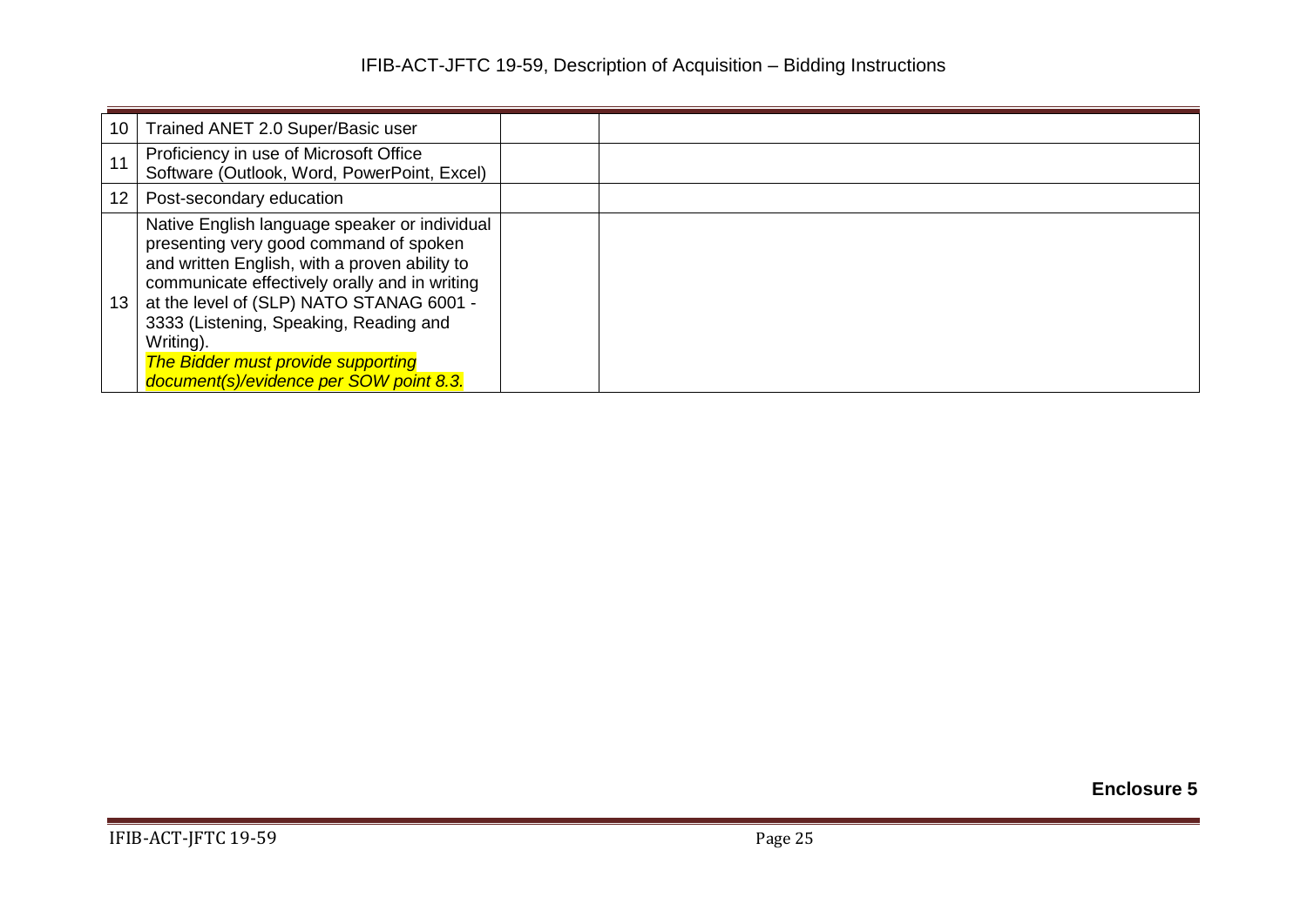| 10 | Trained ANET 2.0 Super/Basic user                                                                                                                                                                                                                                                                                                                                                    |  |
|----|--------------------------------------------------------------------------------------------------------------------------------------------------------------------------------------------------------------------------------------------------------------------------------------------------------------------------------------------------------------------------------------|--|
|    | Proficiency in use of Microsoft Office<br>Software (Outlook, Word, PowerPoint, Excel)                                                                                                                                                                                                                                                                                                |  |
| 12 | Post-secondary education                                                                                                                                                                                                                                                                                                                                                             |  |
| 13 | Native English language speaker or individual<br>presenting very good command of spoken<br>and written English, with a proven ability to<br>communicate effectively orally and in writing<br>at the level of (SLP) NATO STANAG 6001 -<br>3333 (Listening, Speaking, Reading and<br>Writing).<br><b>The Bidder must provide supporting</b><br>document(s)/evidence per SOW point 8.3. |  |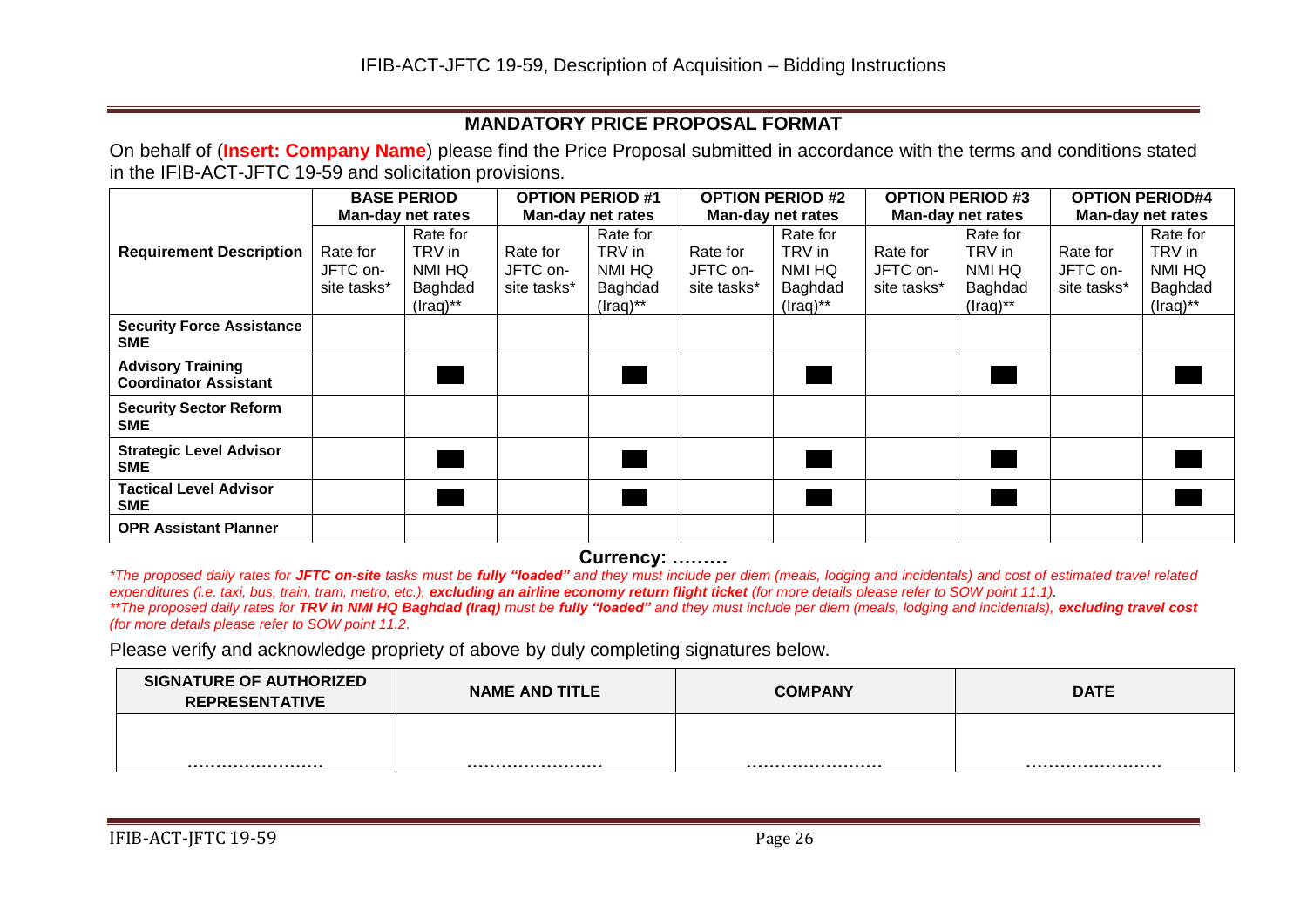# **MANDATORY PRICE PROPOSAL FORMAT**

On behalf of (**Insert: Company Name**) please find the Price Proposal submitted in accordance with the terms and conditions stated in the IFIB-ACT-JFTC 19-59 and solicitation provisions.

|                                                          |                          | <b>BASE PERIOD</b> |                   | <b>OPTION PERIOD #1</b> |             | <b>OPTION PERIOD #2</b>  |             | <b>OPTION PERIOD #3</b> |             | <b>OPTION PERIOD#4</b> |  |
|----------------------------------------------------------|--------------------------|--------------------|-------------------|-------------------------|-------------|--------------------------|-------------|-------------------------|-------------|------------------------|--|
|                                                          | <b>Man-day net rates</b> |                    | Man-day net rates |                         |             | <b>Man-day net rates</b> |             | Man-day net rates       |             | Man-day net rates      |  |
|                                                          |                          | Rate for           |                   | Rate for                |             | Rate for                 |             | Rate for                |             | Rate for               |  |
| <b>Requirement Description</b>                           | Rate for                 | TRV in             | Rate for          | TRV in                  | Rate for    | TRV in                   | Rate for    | TRV in                  | Rate for    | TRV in                 |  |
|                                                          | JFTC on-                 | NMI HQ             | JFTC on-          | NMI HQ                  | JFTC on-    | NMI HQ                   | JFTC on-    | NMI HQ                  | JFTC on-    | NMI HQ                 |  |
|                                                          | site tasks*              | Baghdad            | site tasks*       | Baghdad                 | site tasks* | Baghdad                  | site tasks* | Baghdad                 | site tasks* | Baghdad                |  |
|                                                          |                          | $($ raq $)$ **     |                   | $($ raq $)$ **          |             | $($ raq $)$ **           |             | $($ raq $)$ **          |             | $($ raq $)$ **         |  |
| <b>Security Force Assistance</b><br><b>SME</b>           |                          |                    |                   |                         |             |                          |             |                         |             |                        |  |
| <b>Advisory Training</b><br><b>Coordinator Assistant</b> |                          |                    |                   |                         |             |                          |             |                         |             |                        |  |
| <b>Security Sector Reform</b><br><b>SME</b>              |                          |                    |                   |                         |             |                          |             |                         |             |                        |  |
| <b>Strategic Level Advisor</b><br><b>SME</b>             |                          |                    |                   |                         |             |                          |             |                         |             |                        |  |
| <b>Tactical Level Advisor</b><br><b>SME</b>              |                          |                    |                   |                         |             |                          |             |                         |             |                        |  |
| <b>OPR Assistant Planner</b>                             |                          |                    |                   |                         |             |                          |             |                         |             |                        |  |

**Currency: ………**

*\*The proposed daily rates for JFTC on-site tasks must be fully "loaded" and they must include per diem (meals, lodging and incidentals) and cost of estimated travel related expenditures (i.e. taxi, bus, train, tram, metro, etc.), excluding an airline economy return flight ticket (for more details please refer to SOW point 11.1). \*\*The proposed daily rates for TRV in NMI HQ Baghdad (Iraq) must be fully "loaded" and they must include per diem (meals, lodging and incidentals), excluding travel cost (for more details please refer to SOW point 11.2.*

Please verify and acknowledge propriety of above by duly completing signatures below.

| <b>SIGNATURE OF AUTHORIZED</b><br><b>REPRESENTATIVE</b> | <b>NAME AND TITLE</b> | <b>COMPANY</b> | <b>DATE</b> |
|---------------------------------------------------------|-----------------------|----------------|-------------|
|                                                         |                       |                |             |
|                                                         |                       |                |             |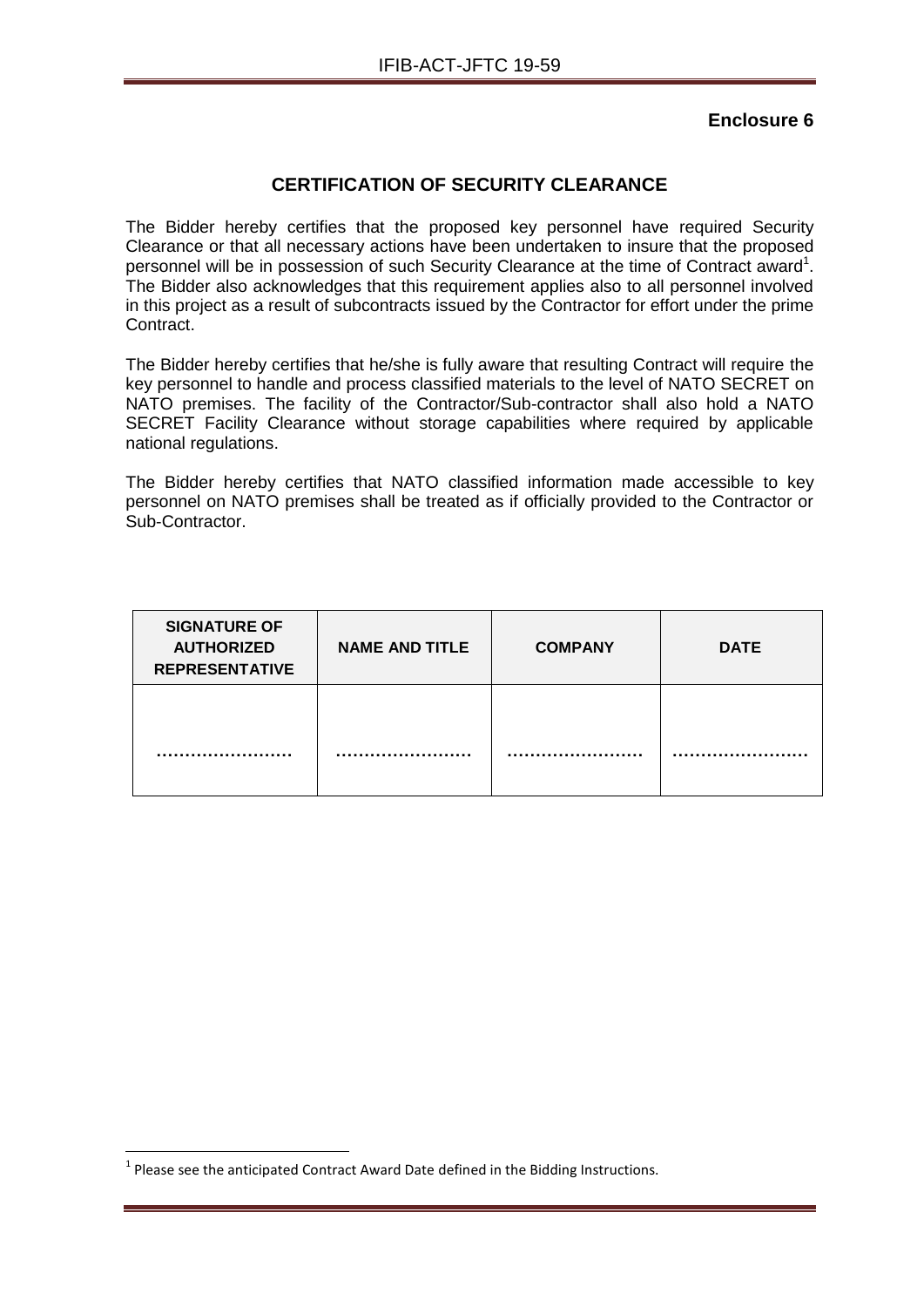## **CERTIFICATION OF SECURITY CLEARANCE**

The Bidder hereby certifies that the proposed key personnel have required Security Clearance or that all necessary actions have been undertaken to insure that the proposed personnel will be in possession of such Security Clearance at the time of Contract award<sup>1</sup>. The Bidder also acknowledges that this requirement applies also to all personnel involved in this project as a result of subcontracts issued by the Contractor for effort under the prime Contract.

The Bidder hereby certifies that he/she is fully aware that resulting Contract will require the key personnel to handle and process classified materials to the level of NATO SECRET on NATO premises. The facility of the Contractor/Sub-contractor shall also hold a NATO SECRET Facility Clearance without storage capabilities where required by applicable national regulations.

The Bidder hereby certifies that NATO classified information made accessible to key personnel on NATO premises shall be treated as if officially provided to the Contractor or Sub-Contractor.

| <b>SIGNATURE OF</b><br><b>AUTHORIZED</b><br><b>REPRESENTATIVE</b> | <b>NAME AND TITLE</b> | <b>COMPANY</b> | <b>DATE</b> |
|-------------------------------------------------------------------|-----------------------|----------------|-------------|
|                                                                   |                       |                |             |

1

 $<sup>1</sup>$  Please see the anticipated Contract Award Date defined in the Bidding Instructions.</sup>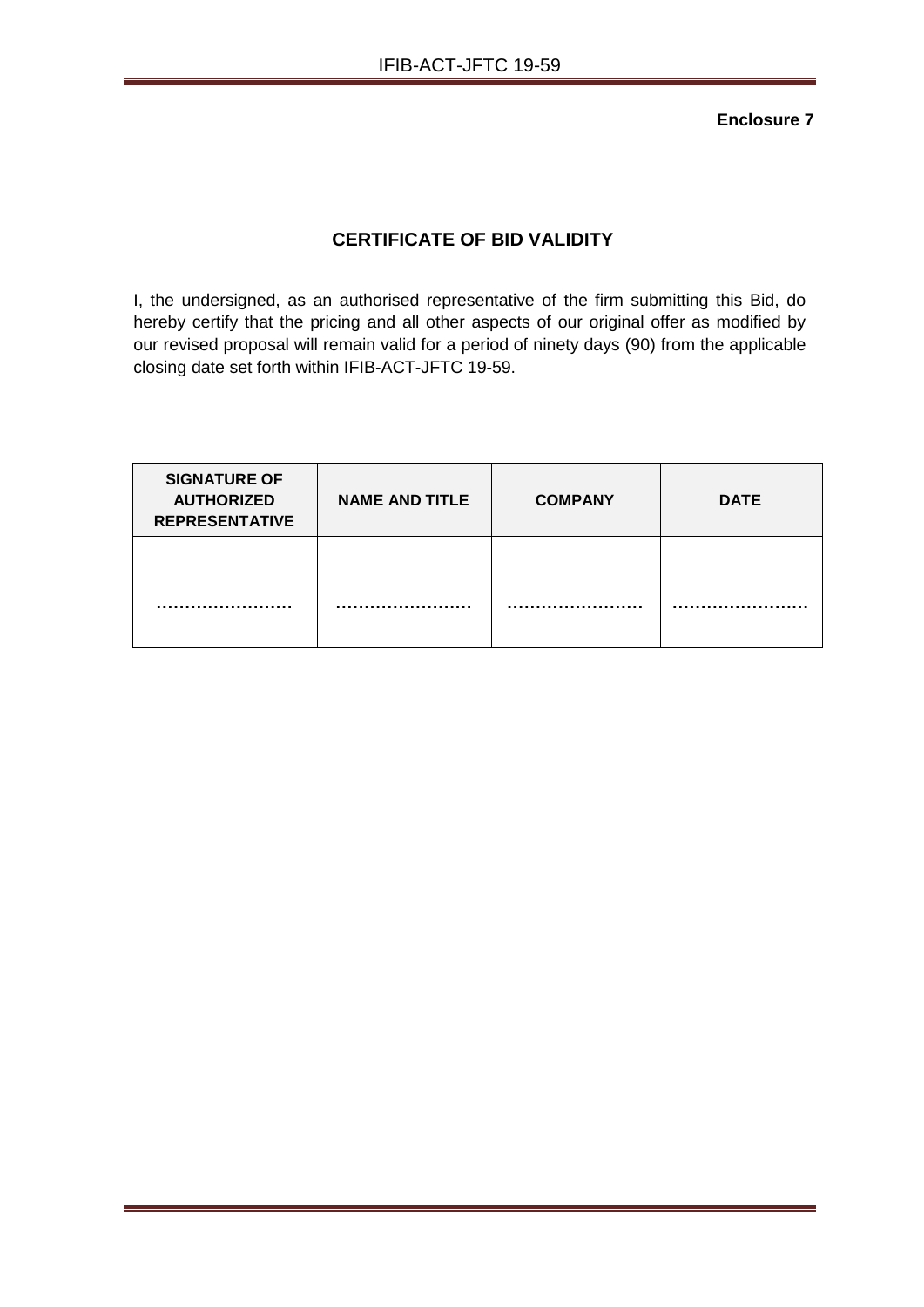# **CERTIFICATE OF BID VALIDITY**

I, the undersigned, as an authorised representative of the firm submitting this Bid, do hereby certify that the pricing and all other aspects of our original offer as modified by our revised proposal will remain valid for a period of ninety days (90) from the applicable closing date set forth within IFIB-ACT-JFTC 19-59.

| <b>SIGNATURE OF</b><br><b>AUTHORIZED</b><br><b>REPRESENTATIVE</b> | <b>NAME AND TITLE</b> | <b>COMPANY</b> | <b>DATE</b> |
|-------------------------------------------------------------------|-----------------------|----------------|-------------|
|                                                                   |                       |                |             |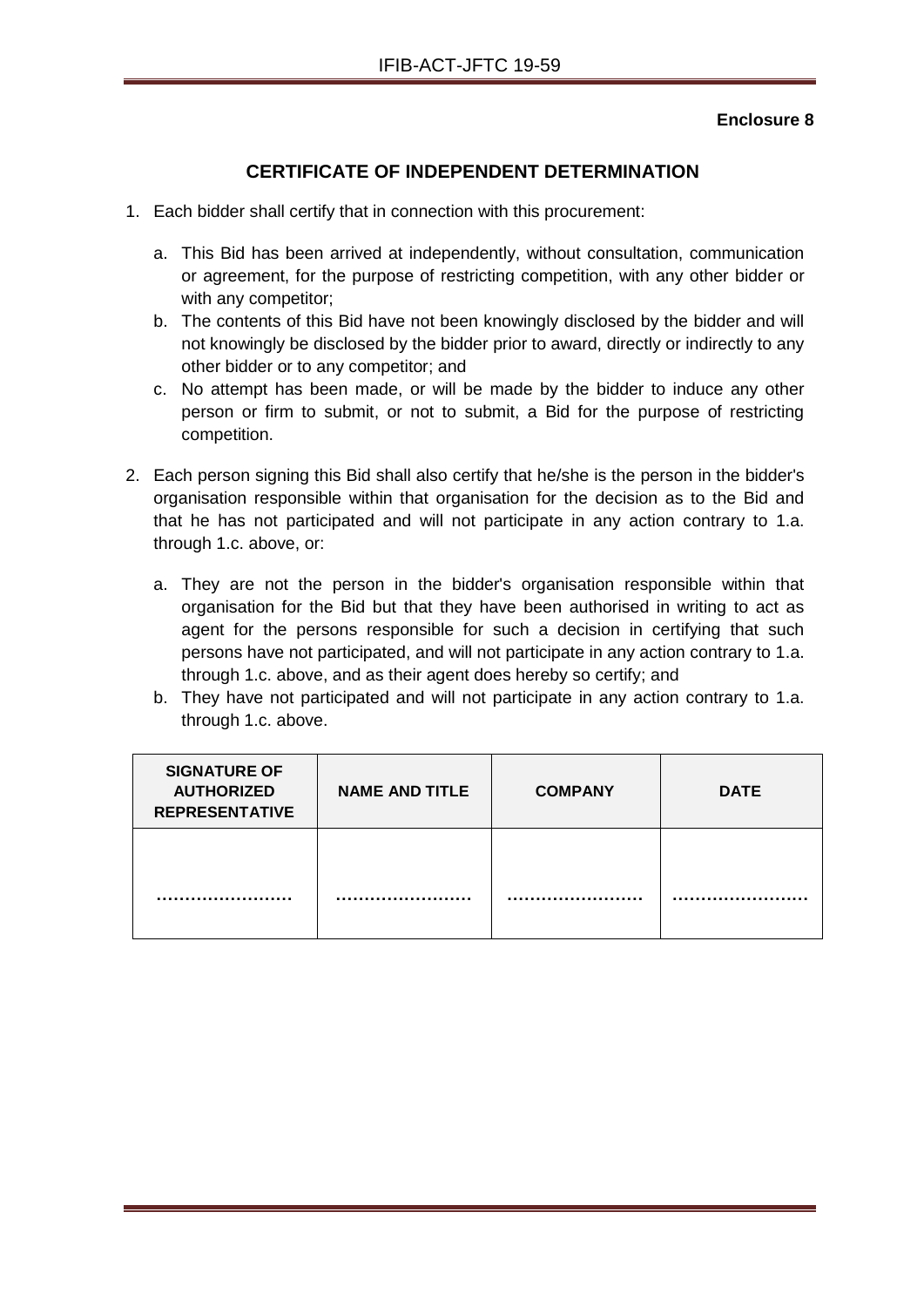## **CERTIFICATE OF INDEPENDENT DETERMINATION**

- 1. Each bidder shall certify that in connection with this procurement:
	- a. This Bid has been arrived at independently, without consultation, communication or agreement, for the purpose of restricting competition, with any other bidder or with any competitor;
	- b. The contents of this Bid have not been knowingly disclosed by the bidder and will not knowingly be disclosed by the bidder prior to award, directly or indirectly to any other bidder or to any competitor; and
	- c. No attempt has been made, or will be made by the bidder to induce any other person or firm to submit, or not to submit, a Bid for the purpose of restricting competition.
- 2. Each person signing this Bid shall also certify that he/she is the person in the bidder's organisation responsible within that organisation for the decision as to the Bid and that he has not participated and will not participate in any action contrary to 1.a. through 1.c. above, or:
	- a. They are not the person in the bidder's organisation responsible within that organisation for the Bid but that they have been authorised in writing to act as agent for the persons responsible for such a decision in certifying that such persons have not participated, and will not participate in any action contrary to 1.a. through 1.c. above, and as their agent does hereby so certify; and
	- b. They have not participated and will not participate in any action contrary to 1.a. through 1.c. above.

| <b>SIGNATURE OF</b><br><b>AUTHORIZED</b><br><b>REPRESENTATIVE</b> | <b>NAME AND TITLE</b> | <b>COMPANY</b> | <b>DATE</b> |
|-------------------------------------------------------------------|-----------------------|----------------|-------------|
|                                                                   |                       |                |             |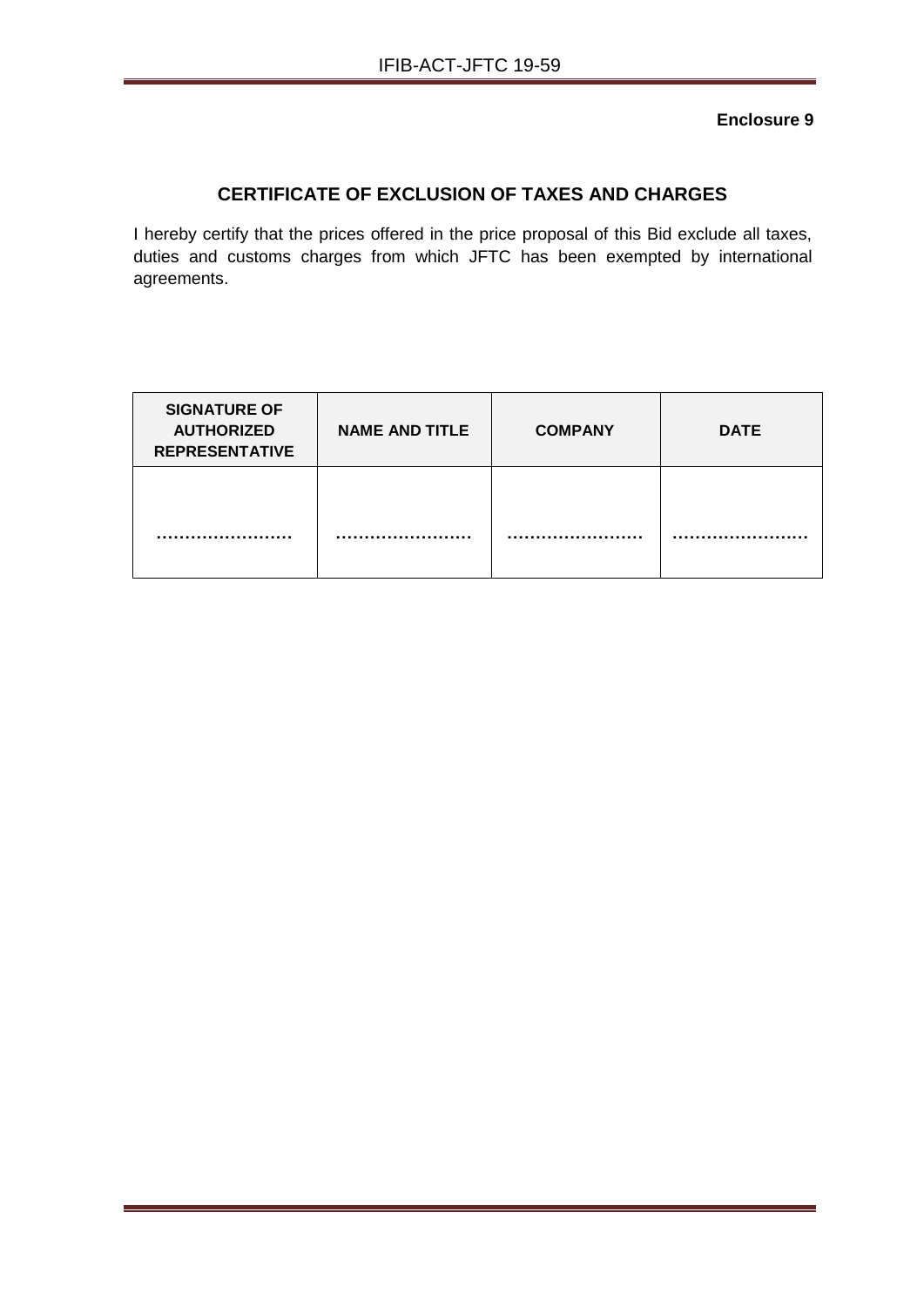# **CERTIFICATE OF EXCLUSION OF TAXES AND CHARGES**

I hereby certify that the prices offered in the price proposal of this Bid exclude all taxes, duties and customs charges from which JFTC has been exempted by international agreements.

| <b>SIGNATURE OF</b><br><b>AUTHORIZED</b><br><b>REPRESENTATIVE</b> | <b>NAME AND TITLE</b> | <b>COMPANY</b> | <b>DATE</b> |
|-------------------------------------------------------------------|-----------------------|----------------|-------------|
|                                                                   |                       |                |             |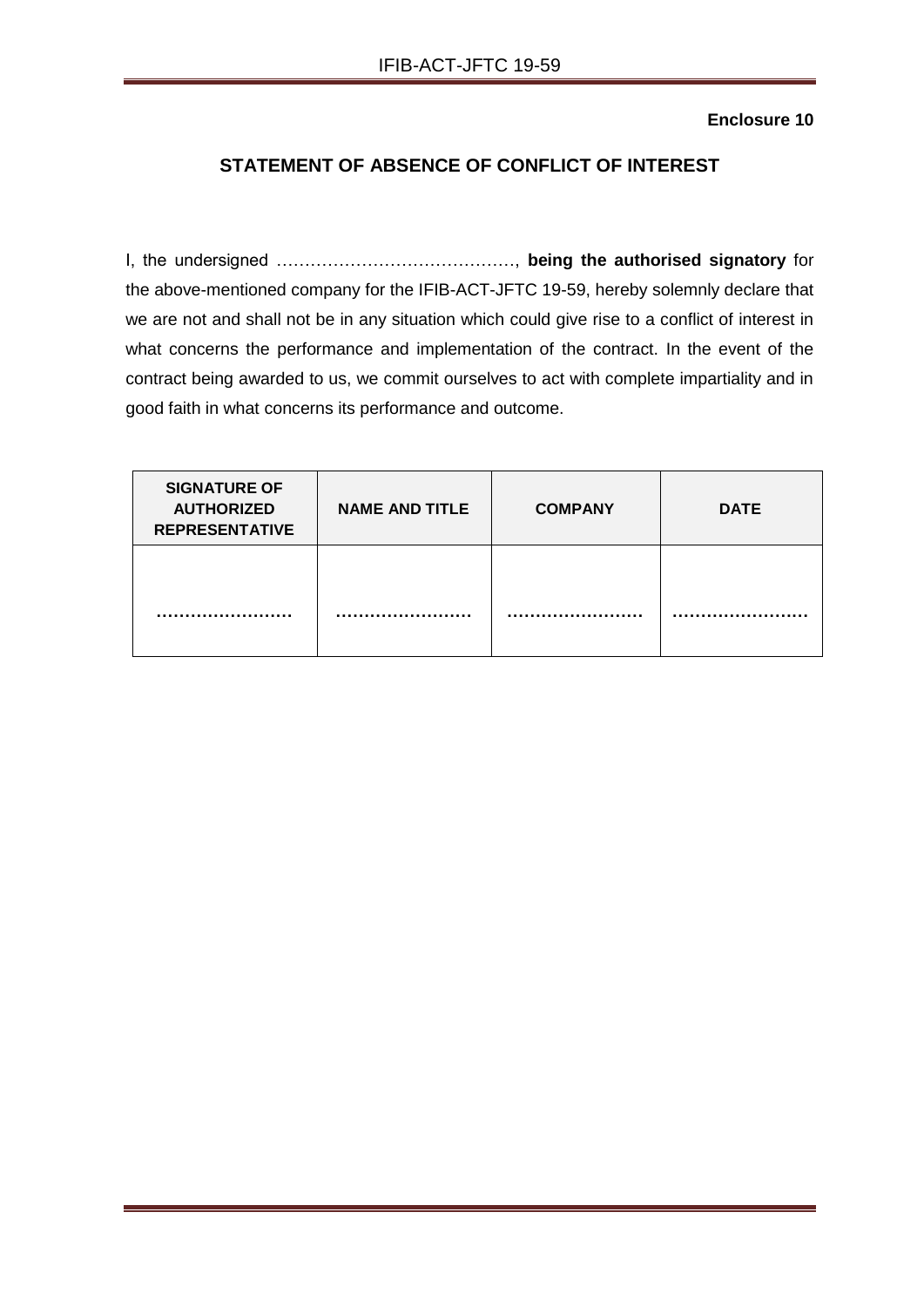# **STATEMENT OF ABSENCE OF CONFLICT OF INTEREST**

I, the undersigned ……………………………………, **being the authorised signatory** for the above-mentioned company for the IFIB-ACT-JFTC 19-59, hereby solemnly declare that we are not and shall not be in any situation which could give rise to a conflict of interest in what concerns the performance and implementation of the contract. In the event of the contract being awarded to us, we commit ourselves to act with complete impartiality and in good faith in what concerns its performance and outcome.

| <b>SIGNATURE OF</b><br><b>AUTHORIZED</b><br><b>REPRESENTATIVE</b> | <b>NAME AND TITLE</b> | <b>COMPANY</b> | <b>DATE</b> |
|-------------------------------------------------------------------|-----------------------|----------------|-------------|
|                                                                   |                       |                |             |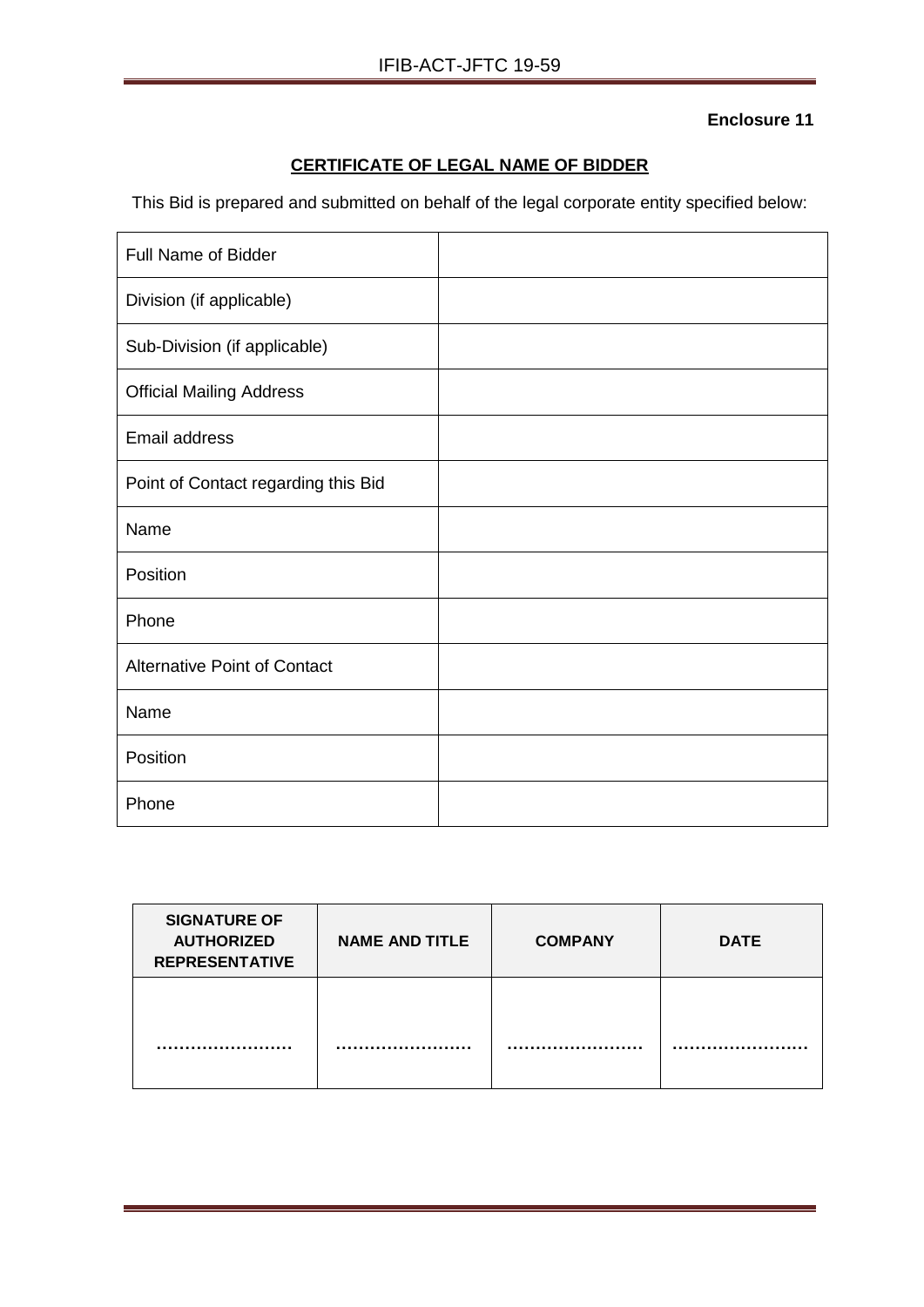# **CERTIFICATE OF LEGAL NAME OF BIDDER**

This Bid is prepared and submitted on behalf of the legal corporate entity specified below:

| Full Name of Bidder                 |  |
|-------------------------------------|--|
| Division (if applicable)            |  |
| Sub-Division (if applicable)        |  |
| <b>Official Mailing Address</b>     |  |
| Email address                       |  |
| Point of Contact regarding this Bid |  |
| Name                                |  |
| Position                            |  |
| Phone                               |  |
| <b>Alternative Point of Contact</b> |  |
| Name                                |  |
| Position                            |  |
| Phone                               |  |

| <b>SIGNATURE OF</b><br><b>AUTHORIZED</b><br><b>REPRESENTATIVE</b> | <b>NAME AND TITLE</b> | <b>COMPANY</b> | <b>DATE</b> |
|-------------------------------------------------------------------|-----------------------|----------------|-------------|
|                                                                   |                       |                |             |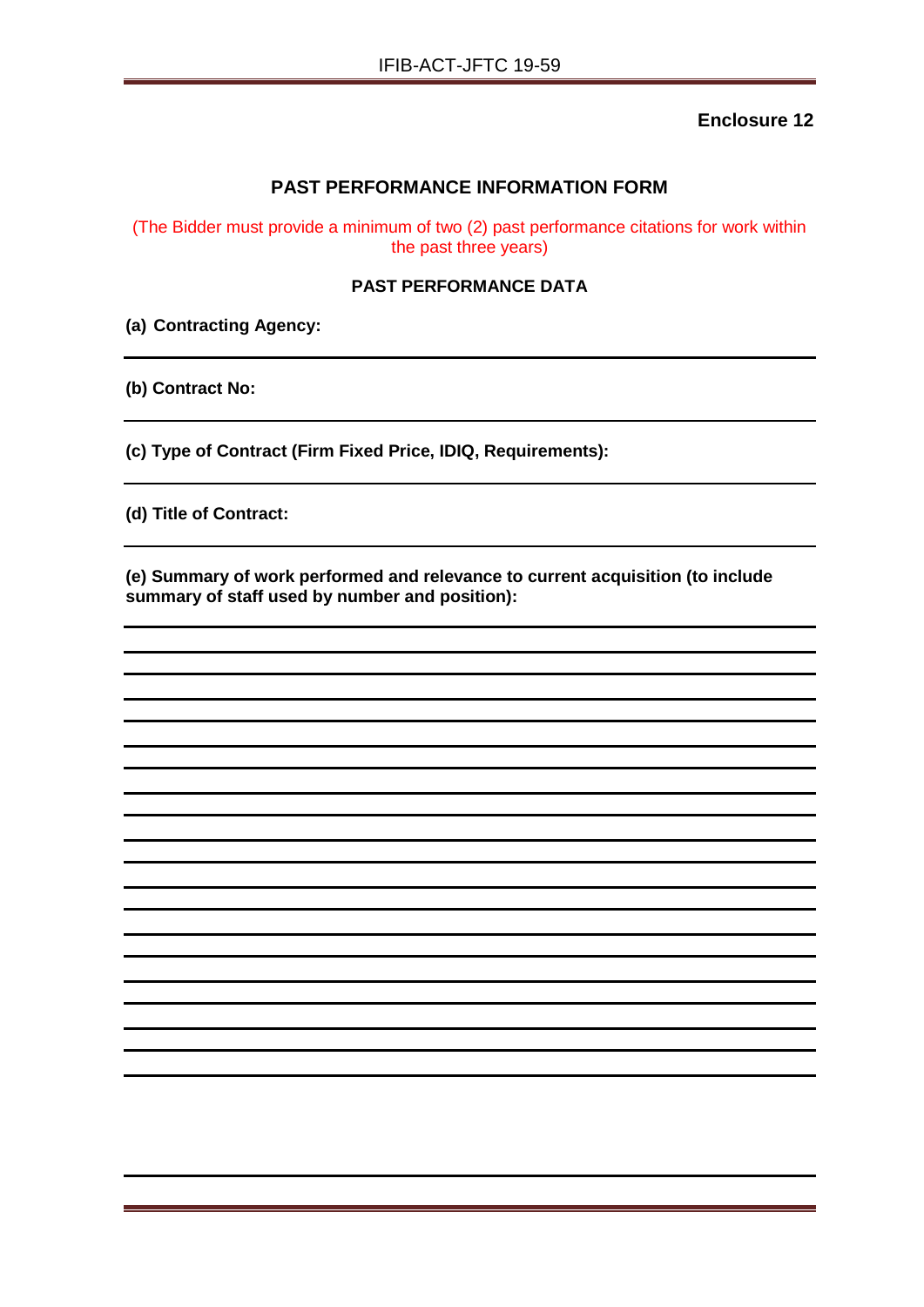## **PAST PERFORMANCE INFORMATION FORM**

(The Bidder must provide a minimum of two (2) past performance citations for work within the past three years)

#### **PAST PERFORMANCE DATA**

**(a) Contracting Agency:**

**(b) Contract No:**

**(c) Type of Contract (Firm Fixed Price, IDIQ, Requirements):**

**(d) Title of Contract:**

**(e) Summary of work performed and relevance to current acquisition (to include summary of staff used by number and position):**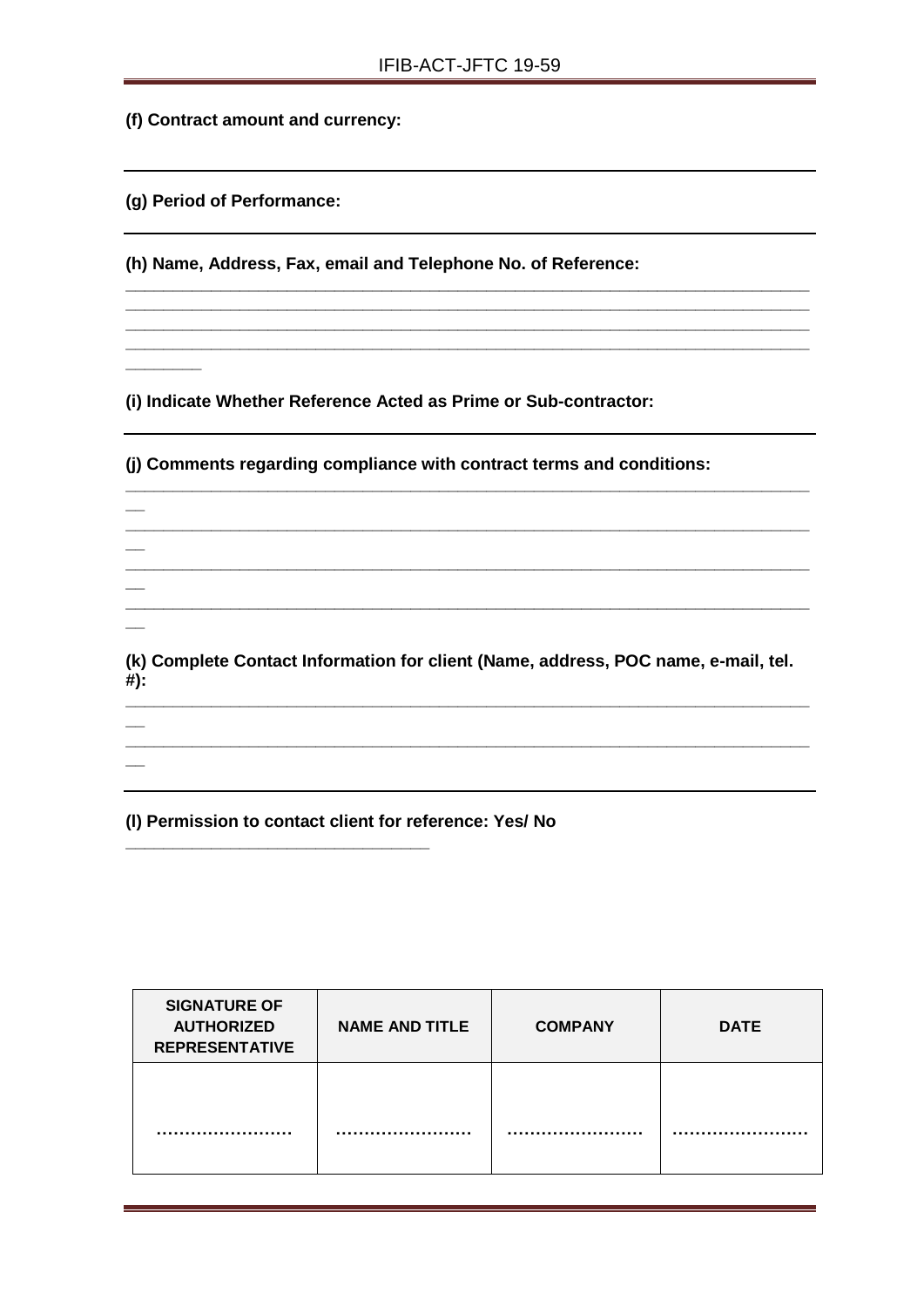**\_\_\_\_\_\_\_\_\_\_\_\_\_\_\_\_\_\_\_\_\_\_\_\_\_\_\_\_\_\_\_\_\_\_\_\_\_\_\_\_\_\_\_\_\_\_\_\_\_\_\_\_\_\_\_\_\_\_\_\_\_\_\_\_\_\_\_\_\_\_\_\_ \_\_\_\_\_\_\_\_\_\_\_\_\_\_\_\_\_\_\_\_\_\_\_\_\_\_\_\_\_\_\_\_\_\_\_\_\_\_\_\_\_\_\_\_\_\_\_\_\_\_\_\_\_\_\_\_\_\_\_\_\_\_\_\_\_\_\_\_\_\_\_\_ \_\_\_\_\_\_\_\_\_\_\_\_\_\_\_\_\_\_\_\_\_\_\_\_\_\_\_\_\_\_\_\_\_\_\_\_\_\_\_\_\_\_\_\_\_\_\_\_\_\_\_\_\_\_\_\_\_\_\_\_\_\_\_\_\_\_\_\_\_\_\_\_ \_\_\_\_\_\_\_\_\_\_\_\_\_\_\_\_\_\_\_\_\_\_\_\_\_\_\_\_\_\_\_\_\_\_\_\_\_\_\_\_\_\_\_\_\_\_\_\_\_\_\_\_\_\_\_\_\_\_\_\_\_\_\_\_\_\_\_\_\_\_\_\_**

**(f) Contract amount and currency:**

**(g) Period of Performance:**

**\_\_\_\_\_\_\_\_**

**(h) Name, Address, Fax, email and Telephone No. of Reference:**

**(i) Indicate Whether Reference Acted as Prime or Sub-contractor:**

**(j) Comments regarding compliance with contract terms and conditions: \_\_\_\_\_\_\_\_\_\_\_\_\_\_\_\_\_\_\_\_\_\_\_\_\_\_\_\_\_\_\_\_\_\_\_\_\_\_\_\_\_\_\_\_\_\_\_\_\_\_\_\_\_\_\_\_\_\_\_\_\_\_\_\_\_\_\_\_\_\_\_\_ \_\_ \_\_\_\_\_\_\_\_\_\_\_\_\_\_\_\_\_\_\_\_\_\_\_\_\_\_\_\_\_\_\_\_\_\_\_\_\_\_\_\_\_\_\_\_\_\_\_\_\_\_\_\_\_\_\_\_\_\_\_\_\_\_\_\_\_\_\_\_\_\_\_\_ \_\_**  $\mathcal{L} = \{ \mathcal{L} \mathcal{L} \mathcal{L} \mathcal{L} \mathcal{L} \mathcal{L} \mathcal{L} \mathcal{L} \mathcal{L} \mathcal{L} \mathcal{L} \mathcal{L} \mathcal{L} \mathcal{L} \mathcal{L} \mathcal{L} \mathcal{L} \mathcal{L} \mathcal{L} \mathcal{L} \mathcal{L} \mathcal{L} \mathcal{L} \mathcal{L} \mathcal{L} \mathcal{L} \mathcal{L} \mathcal{L} \mathcal{L} \mathcal{L} \mathcal{L} \mathcal{L} \mathcal{L} \mathcal{L} \mathcal{L} \$ **\_\_ \_\_\_\_\_\_\_\_\_\_\_\_\_\_\_\_\_\_\_\_\_\_\_\_\_\_\_\_\_\_\_\_\_\_\_\_\_\_\_\_\_\_\_\_\_\_\_\_\_\_\_\_\_\_\_\_\_\_\_\_\_\_\_\_\_\_\_\_\_\_\_\_ \_\_ (k) Complete Contact Information for client (Name, address, POC name, e-mail, tel. #): \_\_\_\_\_\_\_\_\_\_\_\_\_\_\_\_\_\_\_\_\_\_\_\_\_\_\_\_\_\_\_\_\_\_\_\_\_\_\_\_\_\_\_\_\_\_\_\_\_\_\_\_\_\_\_\_\_\_\_\_\_\_\_\_\_\_\_\_\_\_\_\_ \_\_ \_\_\_\_\_\_\_\_\_\_\_\_\_\_\_\_\_\_\_\_\_\_\_\_\_\_\_\_\_\_\_\_\_\_\_\_\_\_\_\_\_\_\_\_\_\_\_\_\_\_\_\_\_\_\_\_\_\_\_\_\_\_\_\_\_\_\_\_\_\_\_\_ \_\_**

**(l) Permission to contact client for reference: Yes/ No**

**\_\_\_\_\_\_\_\_\_\_\_\_\_\_\_\_\_\_\_\_\_\_\_\_\_\_\_\_\_\_\_\_**

| <b>SIGNATURE OF</b><br><b>AUTHORIZED</b><br><b>REPRESENTATIVE</b> | <b>NAME AND TITLE</b> | <b>COMPANY</b> | <b>DATE</b> |
|-------------------------------------------------------------------|-----------------------|----------------|-------------|
|                                                                   |                       |                |             |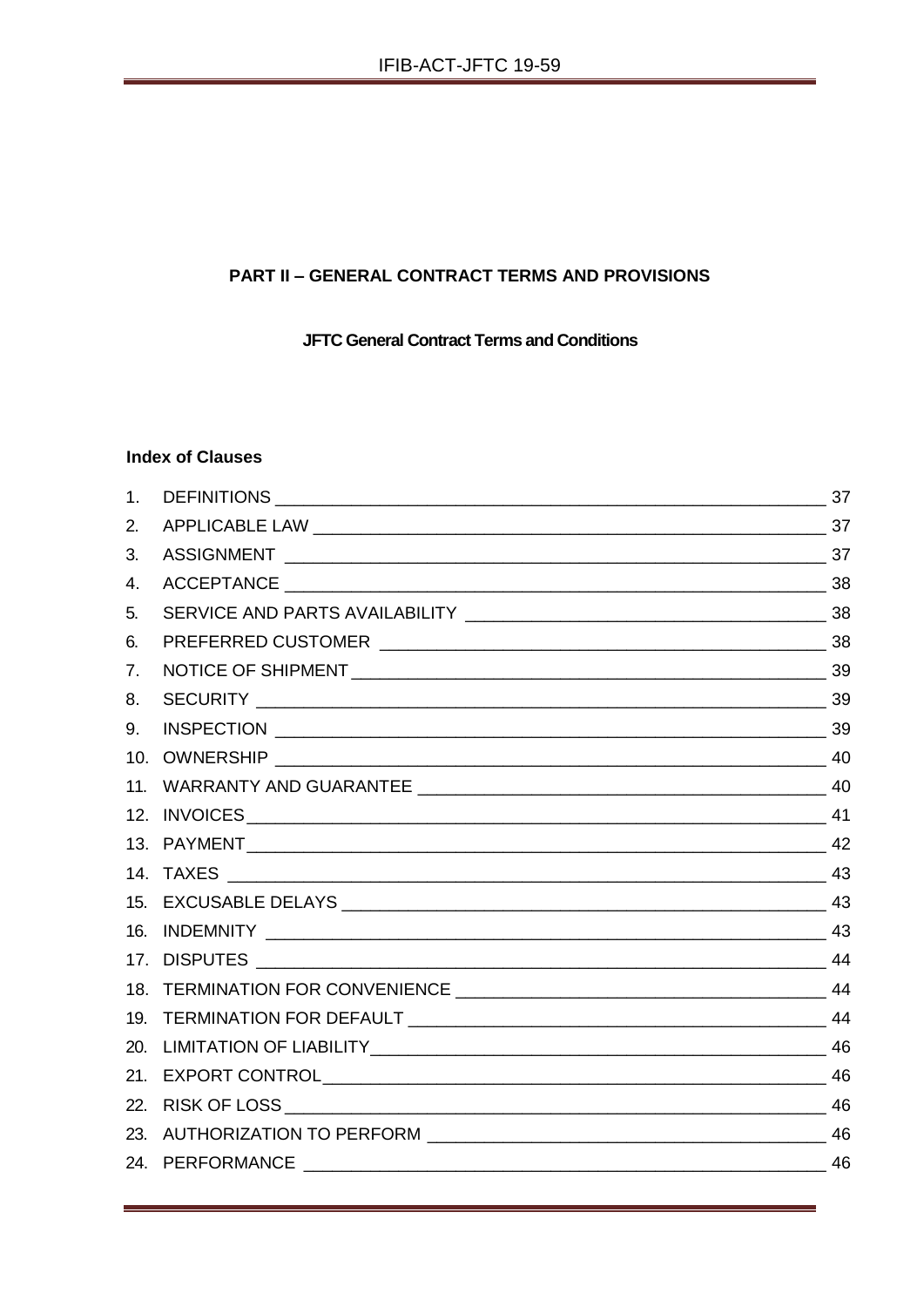## **PART II - GENERAL CONTRACT TERMS AND PROVISIONS**

**JFTC General Contract Terms and Conditions** 

## **Index of Clauses**

| 1 <sub>1</sub> |  |
|----------------|--|
| 2.             |  |
| 3.             |  |
| 4.             |  |
| 5.             |  |
| 6.             |  |
| 7.             |  |
| 8.             |  |
| 9.             |  |
|                |  |
|                |  |
|                |  |
|                |  |
|                |  |
|                |  |
|                |  |
|                |  |
|                |  |
|                |  |
|                |  |
|                |  |
|                |  |
|                |  |
|                |  |
|                |  |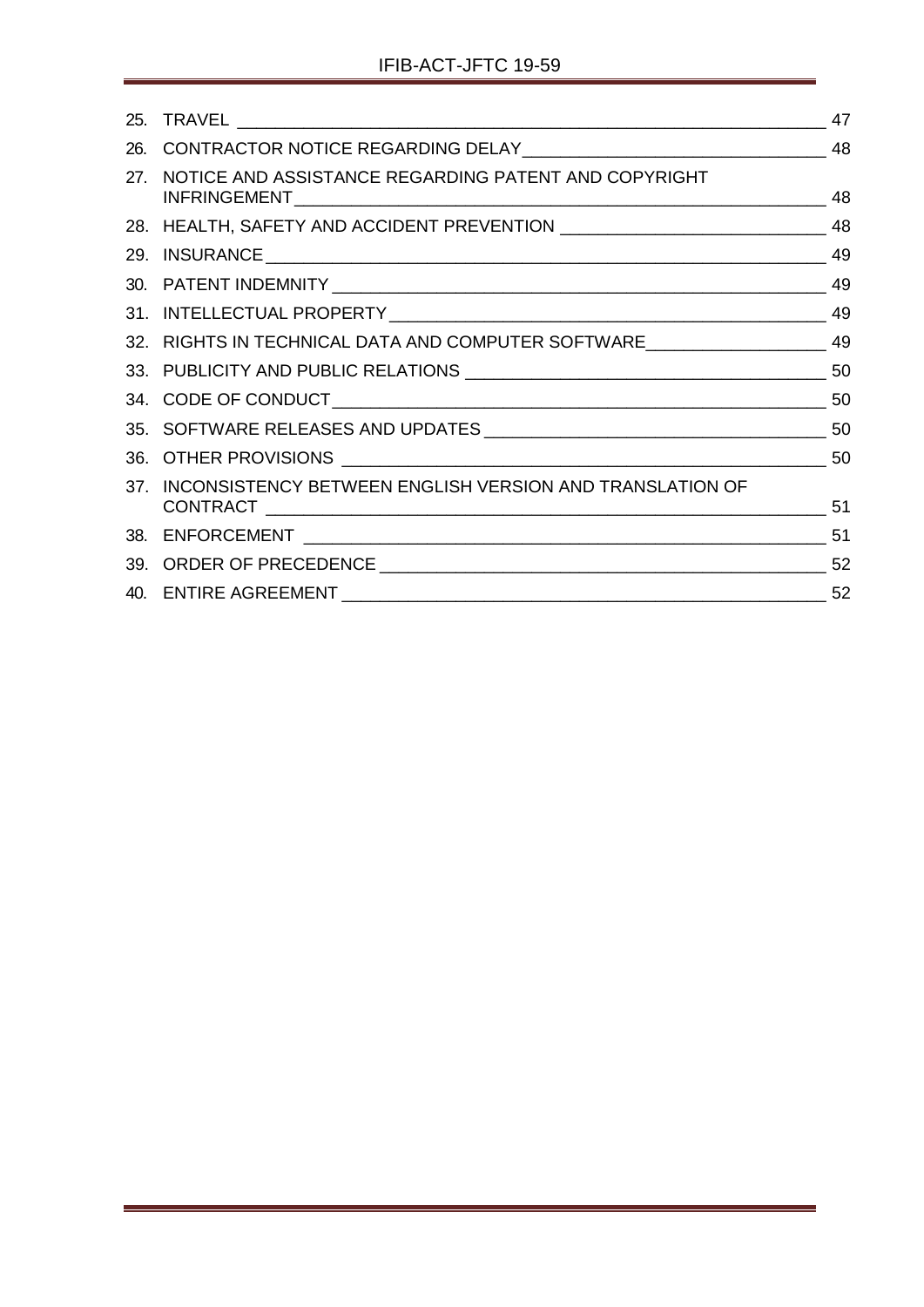<span id="page-35-0"></span>

| 25. |                                                                                     | 47 |
|-----|-------------------------------------------------------------------------------------|----|
|     |                                                                                     |    |
| 27. | NOTICE AND ASSISTANCE REGARDING PATENT AND COPYRIGHT                                | 48 |
|     |                                                                                     |    |
|     |                                                                                     |    |
|     |                                                                                     |    |
|     |                                                                                     |    |
|     | 32. RIGHTS IN TECHNICAL DATA AND COMPUTER SOFTWARE _____________________________ 49 |    |
|     |                                                                                     |    |
|     |                                                                                     |    |
|     |                                                                                     |    |
|     |                                                                                     |    |
| 37. | INCONSISTENCY BETWEEN ENGLISH VERSION AND TRANSLATION OF                            |    |
| 38. |                                                                                     |    |
|     |                                                                                     |    |
|     |                                                                                     |    |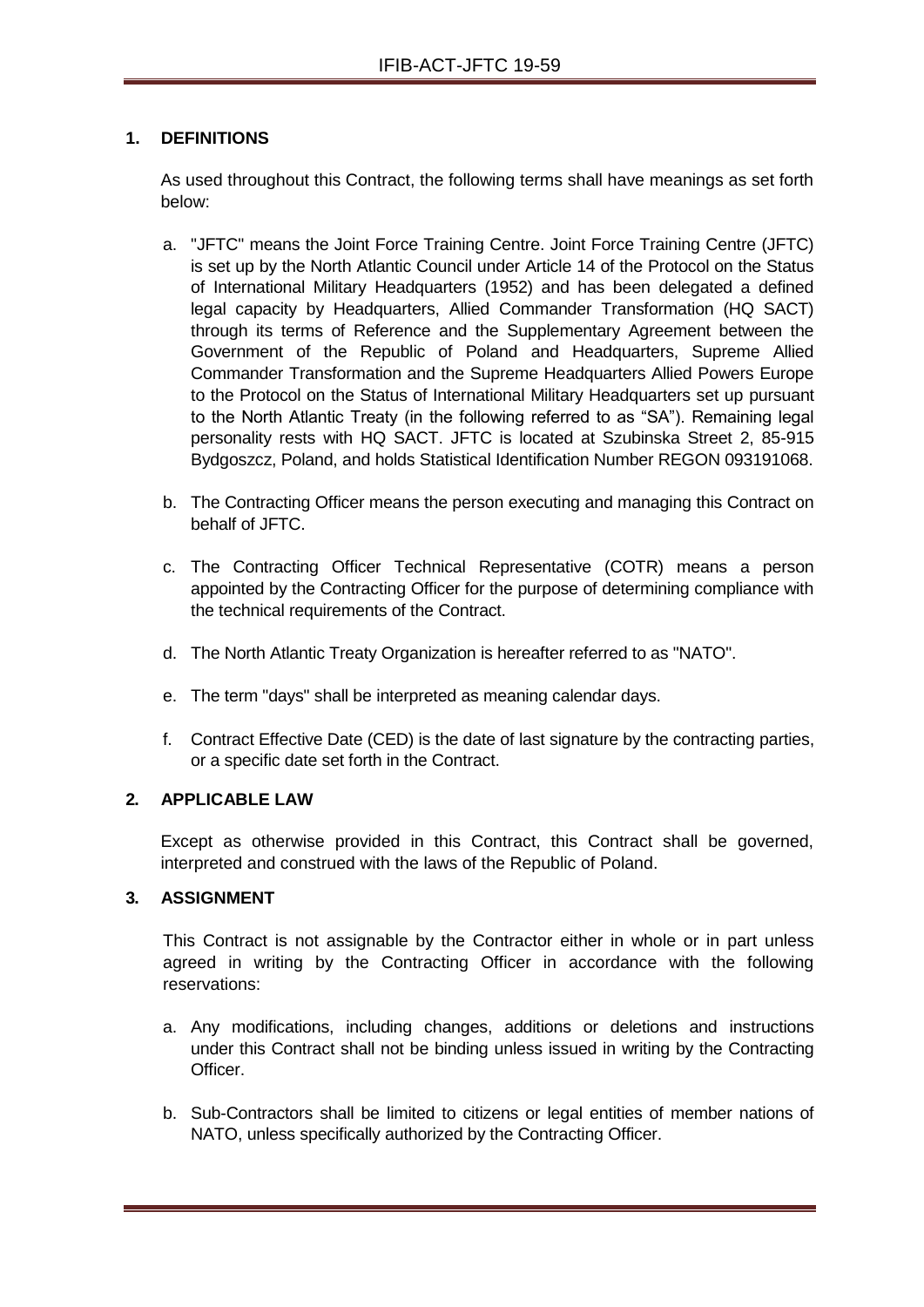## **1. DEFINITIONS**

As used throughout this Contract, the following terms shall have meanings as set forth below:

- a. "JFTC" means the Joint Force Training Centre. Joint Force Training Centre (JFTC) is set up by the North Atlantic Council under Article 14 of the Protocol on the Status of International Military Headquarters (1952) and has been delegated a defined legal capacity by Headquarters, Allied Commander Transformation (HQ SACT) through its terms of Reference and the Supplementary Agreement between the Government of the Republic of Poland and Headquarters, Supreme Allied Commander Transformation and the Supreme Headquarters Allied Powers Europe to the Protocol on the Status of International Military Headquarters set up pursuant to the North Atlantic Treaty (in the following referred to as "SA"). Remaining legal personality rests with HQ SACT. JFTC is located at Szubinska Street 2, 85-915 Bydgoszcz, Poland, and holds Statistical Identification Number REGON 093191068.
- b. The Contracting Officer means the person executing and managing this Contract on behalf of JFTC.
- c. The Contracting Officer Technical Representative (COTR) means a person appointed by the Contracting Officer for the purpose of determining compliance with the technical requirements of the Contract.
- d. The North Atlantic Treaty Organization is hereafter referred to as "NATO".
- e. The term "days" shall be interpreted as meaning calendar days.
- f. Contract Effective Date (CED) is the date of last signature by the contracting parties, or a specific date set forth in the Contract.

#### **2. APPLICABLE LAW**

Except as otherwise provided in this Contract, this Contract shall be governed, interpreted and construed with the laws of the Republic of Poland.

#### **3. ASSIGNMENT**

This Contract is not assignable by the Contractor either in whole or in part unless agreed in writing by the Contracting Officer in accordance with the following reservations:

- a. Any modifications, including changes, additions or deletions and instructions under this Contract shall not be binding unless issued in writing by the Contracting **Officer**
- b. Sub-Contractors shall be limited to citizens or legal entities of member nations of NATO, unless specifically authorized by the Contracting Officer.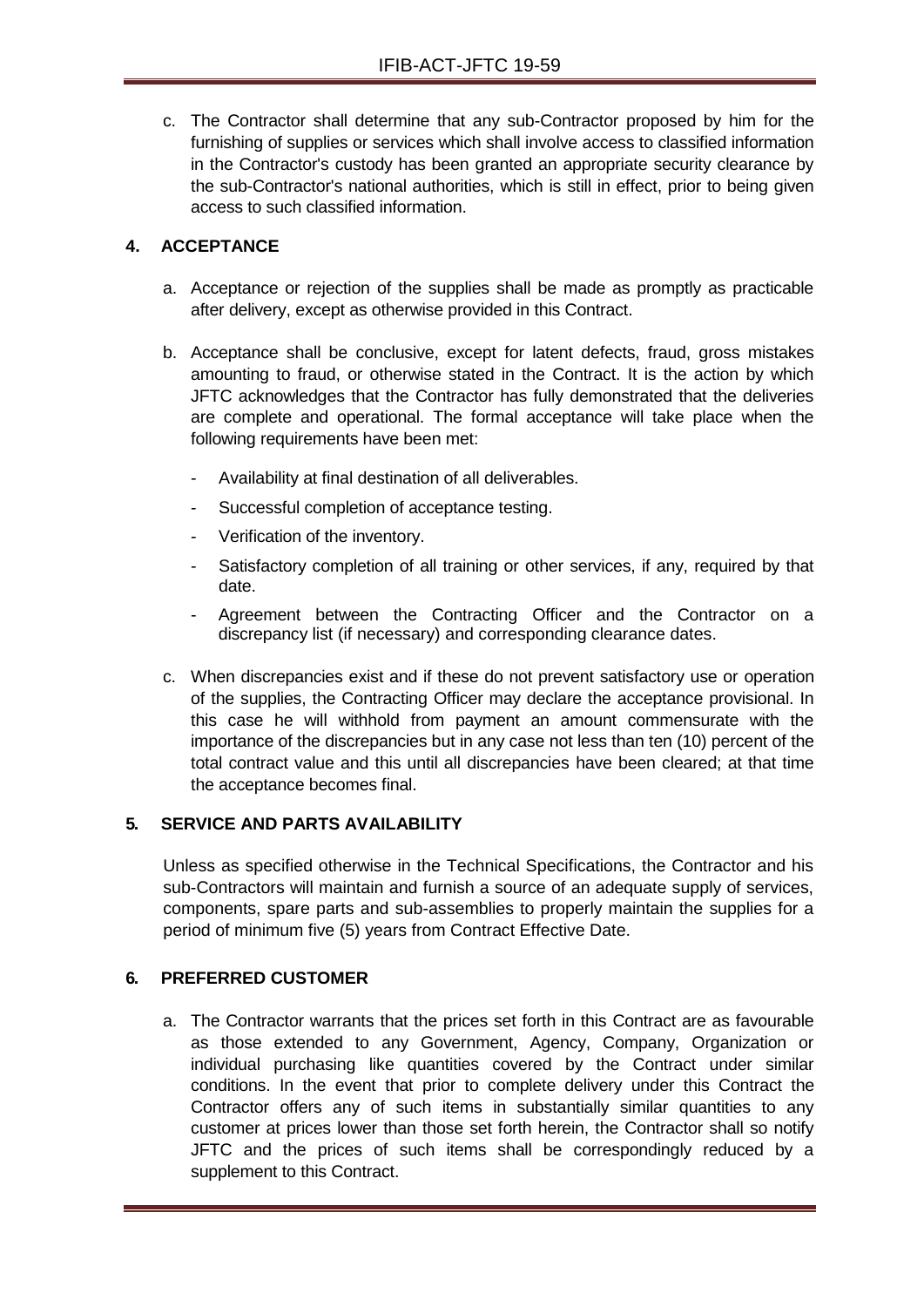c. The Contractor shall determine that any sub-Contractor proposed by him for the furnishing of supplies or services which shall involve access to classified information in the Contractor's custody has been granted an appropriate security clearance by the sub-Contractor's national authorities, which is still in effect, prior to being given access to such classified information.

## **4. ACCEPTANCE**

- a. Acceptance or rejection of the supplies shall be made as promptly as practicable after delivery, except as otherwise provided in this Contract.
- b. Acceptance shall be conclusive, except for latent defects, fraud, gross mistakes amounting to fraud, or otherwise stated in the Contract. It is the action by which JFTC acknowledges that the Contractor has fully demonstrated that the deliveries are complete and operational. The formal acceptance will take place when the following requirements have been met:
	- Availability at final destination of all deliverables.
	- Successful completion of acceptance testing.
	- Verification of the inventory.
	- Satisfactory completion of all training or other services, if any, required by that date.
	- Agreement between the Contracting Officer and the Contractor on a discrepancy list (if necessary) and corresponding clearance dates.
- c. When discrepancies exist and if these do not prevent satisfactory use or operation of the supplies, the Contracting Officer may declare the acceptance provisional. In this case he will withhold from payment an amount commensurate with the importance of the discrepancies but in any case not less than ten (10) percent of the total contract value and this until all discrepancies have been cleared; at that time the acceptance becomes final.

## **5. SERVICE AND PARTS AVAILABILITY**

Unless as specified otherwise in the Technical Specifications, the Contractor and his sub-Contractors will maintain and furnish a source of an adequate supply of services, components, spare parts and sub-assemblies to properly maintain the supplies for a period of minimum five (5) years from Contract Effective Date.

## **6. PREFERRED CUSTOMER**

a. The Contractor warrants that the prices set forth in this Contract are as favourable as those extended to any Government, Agency, Company, Organization or individual purchasing like quantities covered by the Contract under similar conditions. In the event that prior to complete delivery under this Contract the Contractor offers any of such items in substantially similar quantities to any customer at prices lower than those set forth herein, the Contractor shall so notify JFTC and the prices of such items shall be correspondingly reduced by a supplement to this Contract.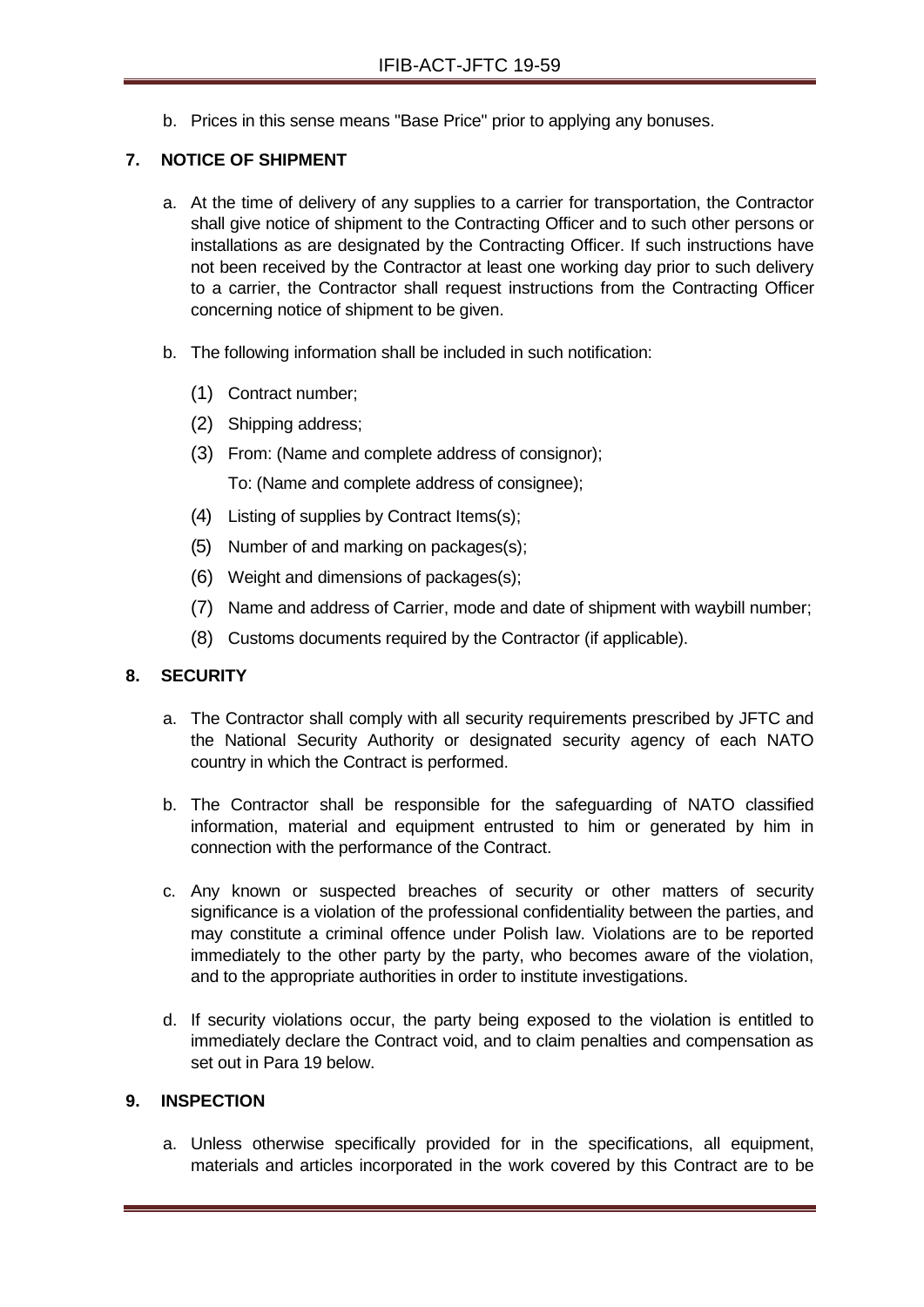b. Prices in this sense means "Base Price" prior to applying any bonuses.

## **7. NOTICE OF SHIPMENT**

- a. At the time of delivery of any supplies to a carrier for transportation, the Contractor shall give notice of shipment to the Contracting Officer and to such other persons or installations as are designated by the Contracting Officer. If such instructions have not been received by the Contractor at least one working day prior to such delivery to a carrier, the Contractor shall request instructions from the Contracting Officer concerning notice of shipment to be given.
- b. The following information shall be included in such notification:
	- (1) Contract number;
	- (2) Shipping address;
	- (3) From: (Name and complete address of consignor);

To: (Name and complete address of consignee);

- (4) Listing of supplies by Contract Items(s);
- (5) Number of and marking on packages(s);
- (6) Weight and dimensions of packages(s);
- (7) Name and address of Carrier, mode and date of shipment with waybill number;
- (8) Customs documents required by the Contractor (if applicable).

## **8. SECURITY**

- a. The Contractor shall comply with all security requirements prescribed by JFTC and the National Security Authority or designated security agency of each NATO country in which the Contract is performed.
- b. The Contractor shall be responsible for the safeguarding of NATO classified information, material and equipment entrusted to him or generated by him in connection with the performance of the Contract.
- c. Any known or suspected breaches of security or other matters of security significance is a violation of the professional confidentiality between the parties, and may constitute a criminal offence under Polish law. Violations are to be reported immediately to the other party by the party, who becomes aware of the violation, and to the appropriate authorities in order to institute investigations.
- d. If security violations occur, the party being exposed to the violation is entitled to immediately declare the Contract void, and to claim penalties and compensation as set out in Para 19 below.

## **9. INSPECTION**

a. Unless otherwise specifically provided for in the specifications, all equipment, materials and articles incorporated in the work covered by this Contract are to be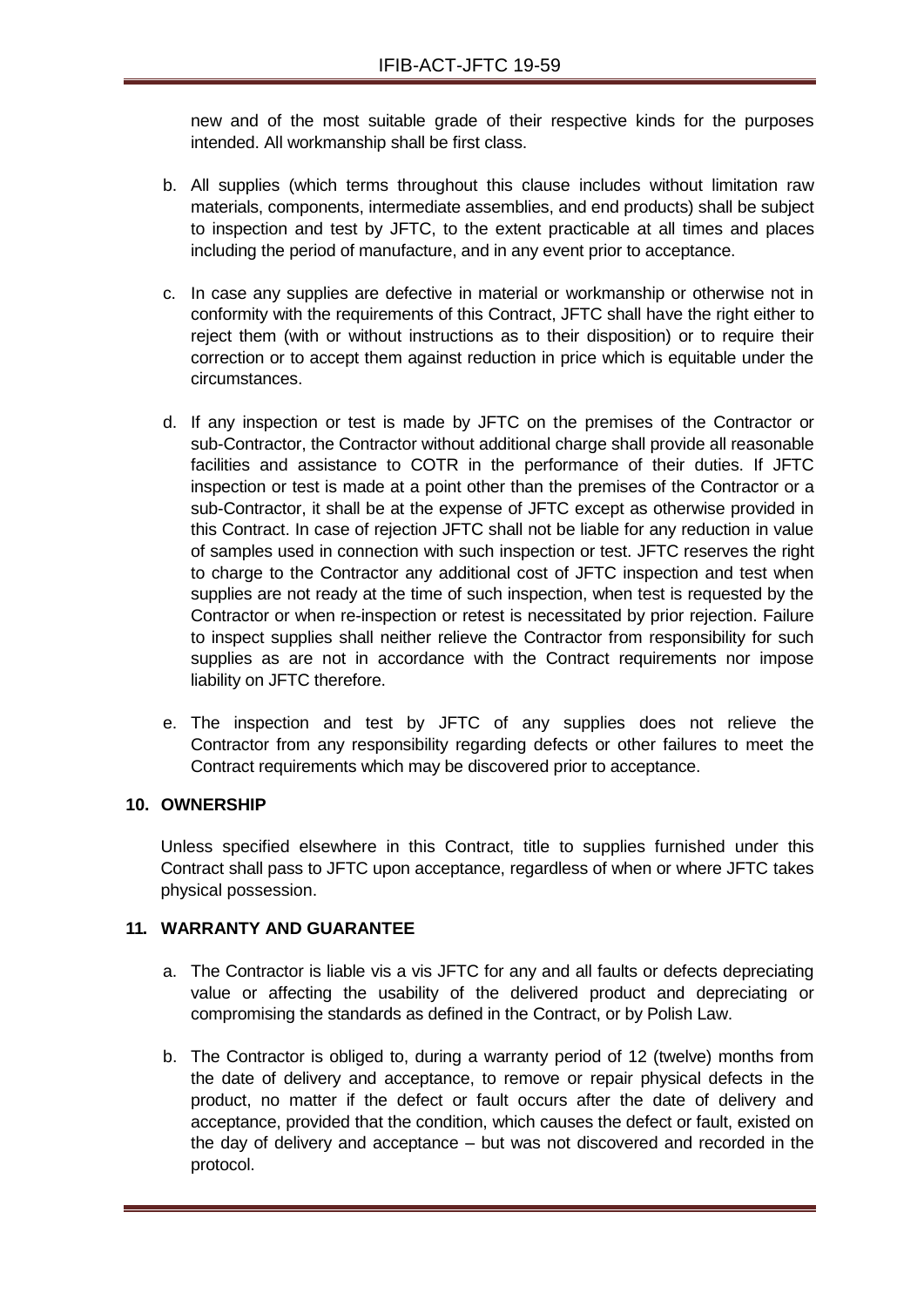new and of the most suitable grade of their respective kinds for the purposes intended. All workmanship shall be first class.

- b. All supplies (which terms throughout this clause includes without limitation raw materials, components, intermediate assemblies, and end products) shall be subject to inspection and test by JFTC, to the extent practicable at all times and places including the period of manufacture, and in any event prior to acceptance.
- c. In case any supplies are defective in material or workmanship or otherwise not in conformity with the requirements of this Contract, JFTC shall have the right either to reject them (with or without instructions as to their disposition) or to require their correction or to accept them against reduction in price which is equitable under the circumstances.
- d. If any inspection or test is made by JFTC on the premises of the Contractor or sub-Contractor, the Contractor without additional charge shall provide all reasonable facilities and assistance to COTR in the performance of their duties. If JFTC inspection or test is made at a point other than the premises of the Contractor or a sub-Contractor, it shall be at the expense of JFTC except as otherwise provided in this Contract. In case of rejection JFTC shall not be liable for any reduction in value of samples used in connection with such inspection or test. JFTC reserves the right to charge to the Contractor any additional cost of JFTC inspection and test when supplies are not ready at the time of such inspection, when test is requested by the Contractor or when re-inspection or retest is necessitated by prior rejection. Failure to inspect supplies shall neither relieve the Contractor from responsibility for such supplies as are not in accordance with the Contract requirements nor impose liability on JFTC therefore.
- e. The inspection and test by JFTC of any supplies does not relieve the Contractor from any responsibility regarding defects or other failures to meet the Contract requirements which may be discovered prior to acceptance.

## **10. OWNERSHIP**

Unless specified elsewhere in this Contract, title to supplies furnished under this Contract shall pass to JFTC upon acceptance, regardless of when or where JFTC takes physical possession.

## **11. WARRANTY AND GUARANTEE**

- a. The Contractor is liable vis a vis JFTC for any and all faults or defects depreciating value or affecting the usability of the delivered product and depreciating or compromising the standards as defined in the Contract, or by Polish Law.
- b. The Contractor is obliged to, during a warranty period of 12 (twelve) months from the date of delivery and acceptance, to remove or repair physical defects in the product, no matter if the defect or fault occurs after the date of delivery and acceptance, provided that the condition, which causes the defect or fault, existed on the day of delivery and acceptance – but was not discovered and recorded in the protocol.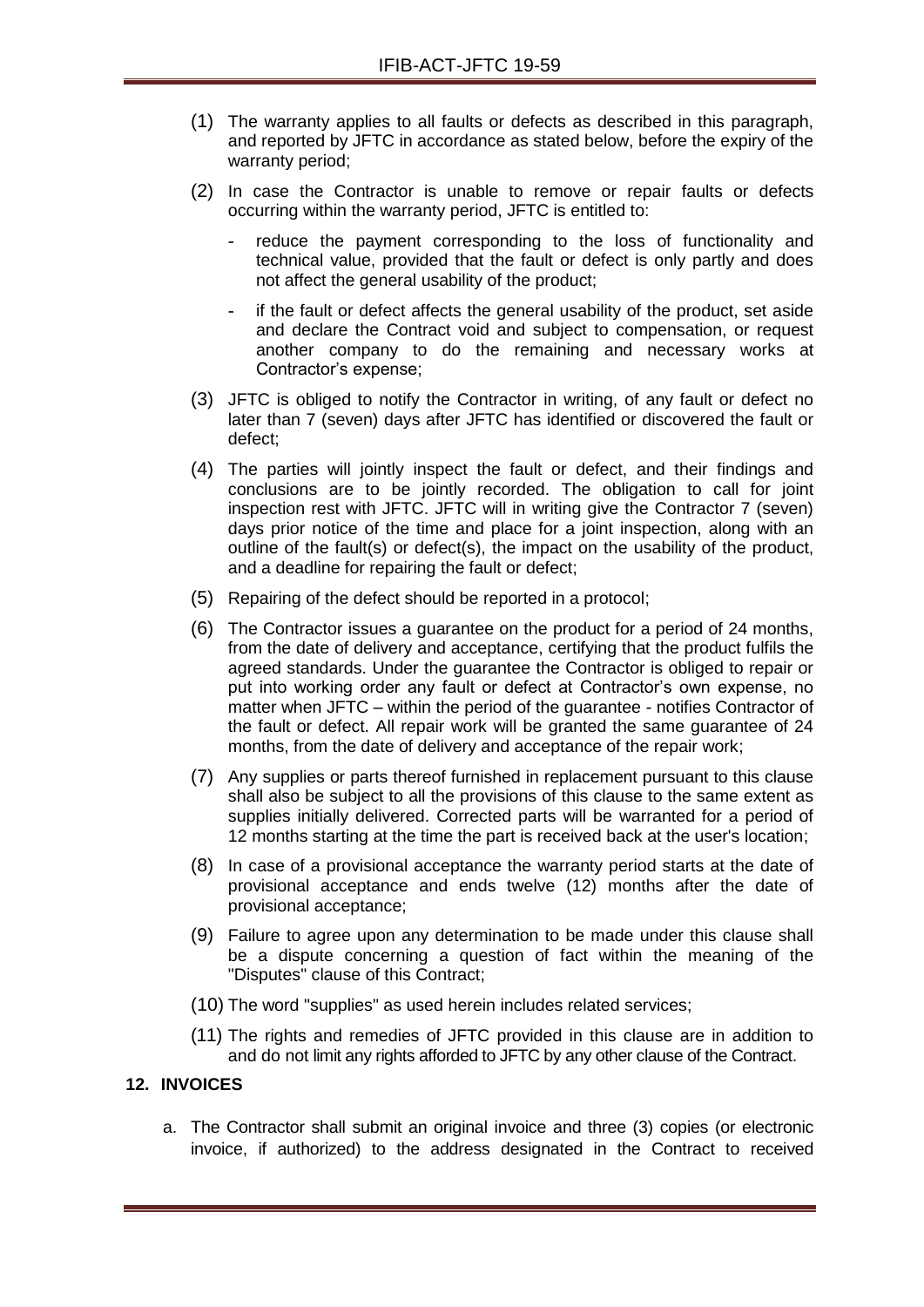- (1) The warranty applies to all faults or defects as described in this paragraph, and reported by JFTC in accordance as stated below, before the expiry of the warranty period;
- (2) In case the Contractor is unable to remove or repair faults or defects occurring within the warranty period, JFTC is entitled to:
	- reduce the payment corresponding to the loss of functionality and technical value, provided that the fault or defect is only partly and does not affect the general usability of the product;
	- if the fault or defect affects the general usability of the product, set aside and declare the Contract void and subject to compensation, or request another company to do the remaining and necessary works at Contractor's expense;
- (3) JFTC is obliged to notify the Contractor in writing, of any fault or defect no later than 7 (seven) days after JFTC has identified or discovered the fault or defect;
- (4) The parties will jointly inspect the fault or defect, and their findings and conclusions are to be jointly recorded. The obligation to call for joint inspection rest with JFTC. JFTC will in writing give the Contractor 7 (seven) days prior notice of the time and place for a joint inspection, along with an outline of the fault(s) or defect(s), the impact on the usability of the product, and a deadline for repairing the fault or defect;
- (5) Repairing of the defect should be reported in a protocol;
- (6) The Contractor issues a guarantee on the product for a period of 24 months, from the date of delivery and acceptance, certifying that the product fulfils the agreed standards. Under the guarantee the Contractor is obliged to repair or put into working order any fault or defect at Contractor's own expense, no matter when JFTC – within the period of the guarantee - notifies Contractor of the fault or defect. All repair work will be granted the same guarantee of 24 months, from the date of delivery and acceptance of the repair work;
- (7) Any supplies or parts thereof furnished in replacement pursuant to this clause shall also be subject to all the provisions of this clause to the same extent as supplies initially delivered. Corrected parts will be warranted for a period of 12 months starting at the time the part is received back at the user's location;
- (8) In case of a provisional acceptance the warranty period starts at the date of provisional acceptance and ends twelve (12) months after the date of provisional acceptance;
- (9) Failure to agree upon any determination to be made under this clause shall be a dispute concerning a question of fact within the meaning of the "Disputes" clause of this Contract;
- (10) The word "supplies" as used herein includes related services;
- (11) The rights and remedies of JFTC provided in this clause are in addition to and do not limit any rights afforded to JFTC by any other clause of the Contract.

## **12. INVOICES**

a. The Contractor shall submit an original invoice and three (3) copies (or electronic invoice, if authorized) to the address designated in the Contract to received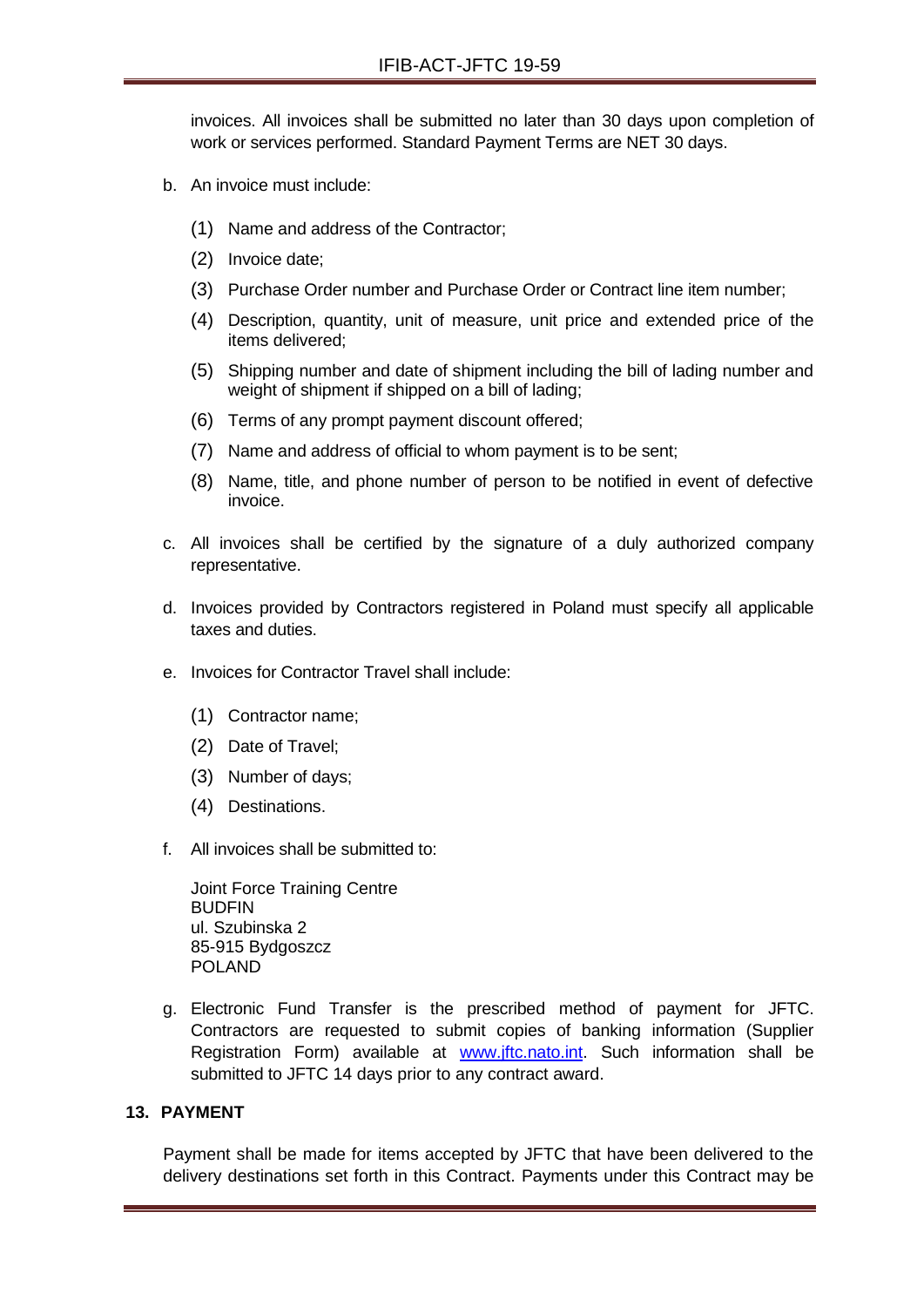invoices. All invoices shall be submitted no later than 30 days upon completion of work or services performed. Standard Payment Terms are NET 30 days.

- b. An invoice must include:
	- (1) Name and address of the Contractor;
	- (2) Invoice date;
	- (3) Purchase Order number and Purchase Order or Contract line item number;
	- (4) Description, quantity, unit of measure, unit price and extended price of the items delivered;
	- (5) Shipping number and date of shipment including the bill of lading number and weight of shipment if shipped on a bill of lading;
	- (6) Terms of any prompt payment discount offered;
	- (7) Name and address of official to whom payment is to be sent;
	- (8) Name, title, and phone number of person to be notified in event of defective invoice.
- c. All invoices shall be certified by the signature of a duly authorized company representative.
- d. Invoices provided by Contractors registered in Poland must specify all applicable taxes and duties.
- e. Invoices for Contractor Travel shall include:
	- (1) Contractor name;
	- (2) Date of Travel;
	- (3) Number of days;
	- (4) Destinations.
- f. All invoices shall be submitted to:

Joint Force Training Centre **BUDFIN** ul. Szubinska 2 85-915 Bydgoszcz POLAND

g. Electronic Fund Transfer is the prescribed method of payment for JFTC. Contractors are requested to submit copies of banking information (Supplier Registration Form) available at [www.jftc.nato.int.](http://www.jftc.nato.int/) Such information shall be submitted to JFTC 14 days prior to any contract award.

#### **13. PAYMENT**

Payment shall be made for items accepted by JFTC that have been delivered to the delivery destinations set forth in this Contract. Payments under this Contract may be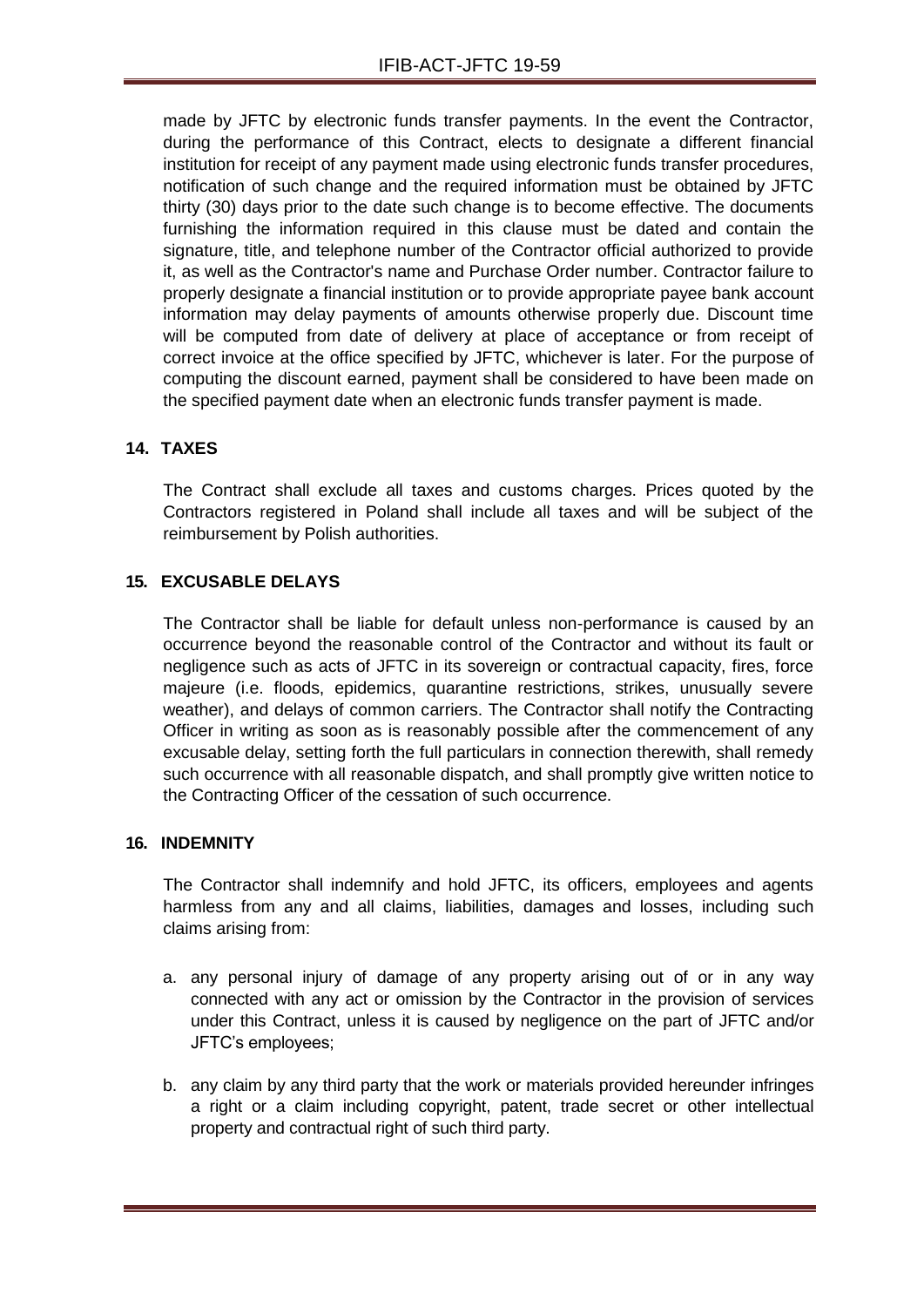made by JFTC by electronic funds transfer payments. In the event the Contractor, during the performance of this Contract, elects to designate a different financial institution for receipt of any payment made using electronic funds transfer procedures, notification of such change and the required information must be obtained by JFTC thirty (30) days prior to the date such change is to become effective. The documents furnishing the information required in this clause must be dated and contain the signature, title, and telephone number of the Contractor official authorized to provide it, as well as the Contractor's name and Purchase Order number. Contractor failure to properly designate a financial institution or to provide appropriate payee bank account information may delay payments of amounts otherwise properly due. Discount time will be computed from date of delivery at place of acceptance or from receipt of correct invoice at the office specified by JFTC, whichever is later. For the purpose of computing the discount earned, payment shall be considered to have been made on the specified payment date when an electronic funds transfer payment is made.

## **14. TAXES**

The Contract shall exclude all taxes and customs charges. Prices quoted by the Contractors registered in Poland shall include all taxes and will be subject of the reimbursement by Polish authorities.

## **15. EXCUSABLE DELAYS**

The Contractor shall be liable for default unless non-performance is caused by an occurrence beyond the reasonable control of the Contractor and without its fault or negligence such as acts of JFTC in its sovereign or contractual capacity, fires, force majeure (i.e. floods, epidemics, quarantine restrictions, strikes, unusually severe weather), and delays of common carriers. The Contractor shall notify the Contracting Officer in writing as soon as is reasonably possible after the commencement of any excusable delay, setting forth the full particulars in connection therewith, shall remedy such occurrence with all reasonable dispatch, and shall promptly give written notice to the Contracting Officer of the cessation of such occurrence.

## **16. INDEMNITY**

The Contractor shall indemnify and hold JFTC, its officers, employees and agents harmless from any and all claims, liabilities, damages and losses, including such claims arising from:

- a. any personal injury of damage of any property arising out of or in any way connected with any act or omission by the Contractor in the provision of services under this Contract, unless it is caused by negligence on the part of JFTC and/or JFTC's employees;
- b. any claim by any third party that the work or materials provided hereunder infringes a right or a claim including copyright, patent, trade secret or other intellectual property and contractual right of such third party.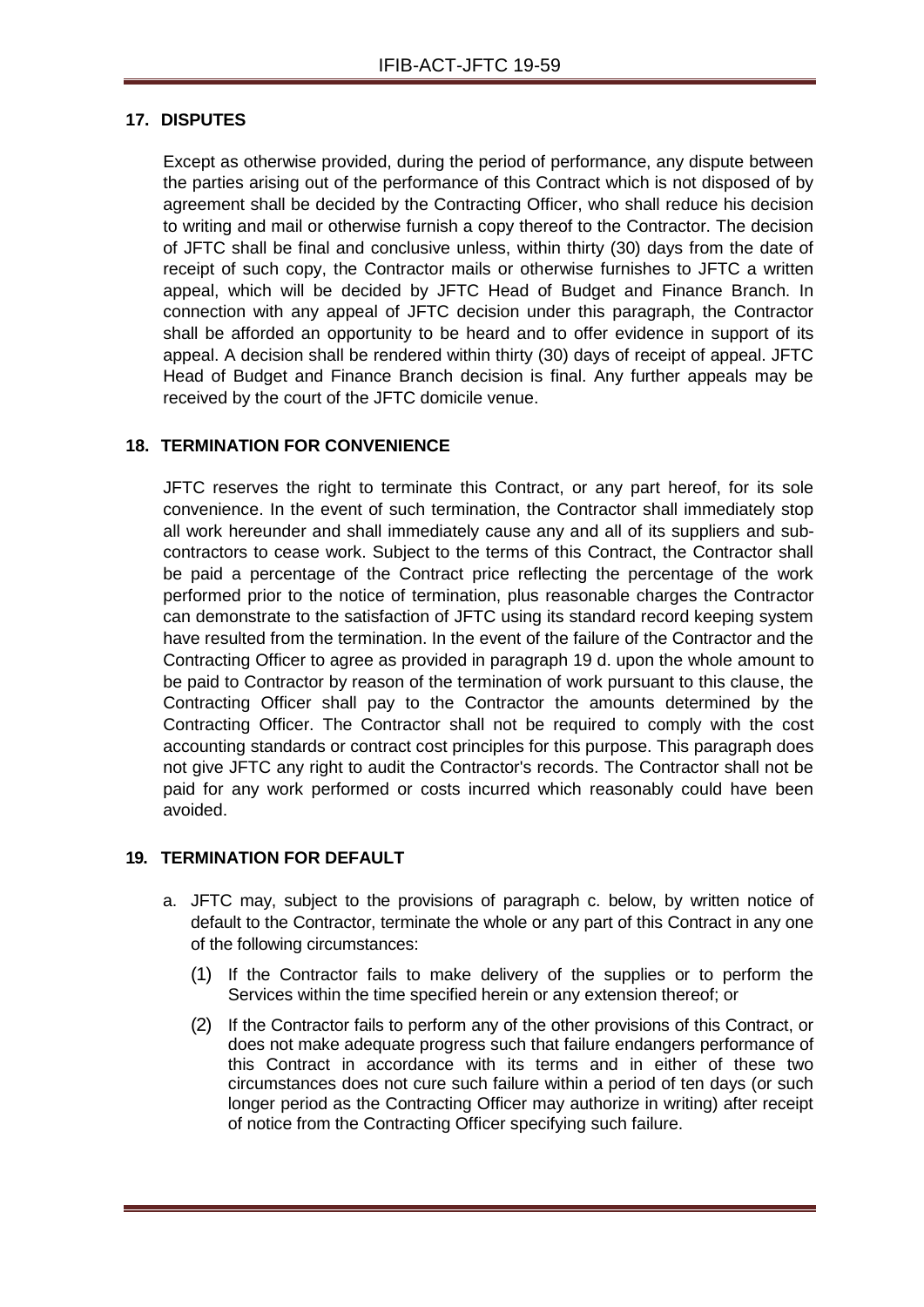## **17. DISPUTES**

Except as otherwise provided, during the period of performance, any dispute between the parties arising out of the performance of this Contract which is not disposed of by agreement shall be decided by the Contracting Officer, who shall reduce his decision to writing and mail or otherwise furnish a copy thereof to the Contractor. The decision of JFTC shall be final and conclusive unless, within thirty (30) days from the date of receipt of such copy, the Contractor mails or otherwise furnishes to JFTC a written appeal, which will be decided by JFTC Head of Budget and Finance Branch. In connection with any appeal of JFTC decision under this paragraph, the Contractor shall be afforded an opportunity to be heard and to offer evidence in support of its appeal. A decision shall be rendered within thirty (30) days of receipt of appeal. JFTC Head of Budget and Finance Branch decision is final. Any further appeals may be received by the court of the JFTC domicile venue.

## **18. TERMINATION FOR CONVENIENCE**

JFTC reserves the right to terminate this Contract, or any part hereof, for its sole convenience. In the event of such termination, the Contractor shall immediately stop all work hereunder and shall immediately cause any and all of its suppliers and subcontractors to cease work. Subject to the terms of this Contract, the Contractor shall be paid a percentage of the Contract price reflecting the percentage of the work performed prior to the notice of termination, plus reasonable charges the Contractor can demonstrate to the satisfaction of JFTC using its standard record keeping system have resulted from the termination. In the event of the failure of the Contractor and the Contracting Officer to agree as provided in paragraph 19 d. upon the whole amount to be paid to Contractor by reason of the termination of work pursuant to this clause, the Contracting Officer shall pay to the Contractor the amounts determined by the Contracting Officer. The Contractor shall not be required to comply with the cost accounting standards or contract cost principles for this purpose. This paragraph does not give JFTC any right to audit the Contractor's records. The Contractor shall not be paid for any work performed or costs incurred which reasonably could have been avoided.

## **19. TERMINATION FOR DEFAULT**

- a. JFTC may, subject to the provisions of paragraph c. below, by written notice of default to the Contractor, terminate the whole or any part of this Contract in any one of the following circumstances:
	- (1) If the Contractor fails to make delivery of the supplies or to perform the Services within the time specified herein or any extension thereof; or
	- (2) If the Contractor fails to perform any of the other provisions of this Contract, or does not make adequate progress such that failure endangers performance of this Contract in accordance with its terms and in either of these two circumstances does not cure such failure within a period of ten days (or such longer period as the Contracting Officer may authorize in writing) after receipt of notice from the Contracting Officer specifying such failure.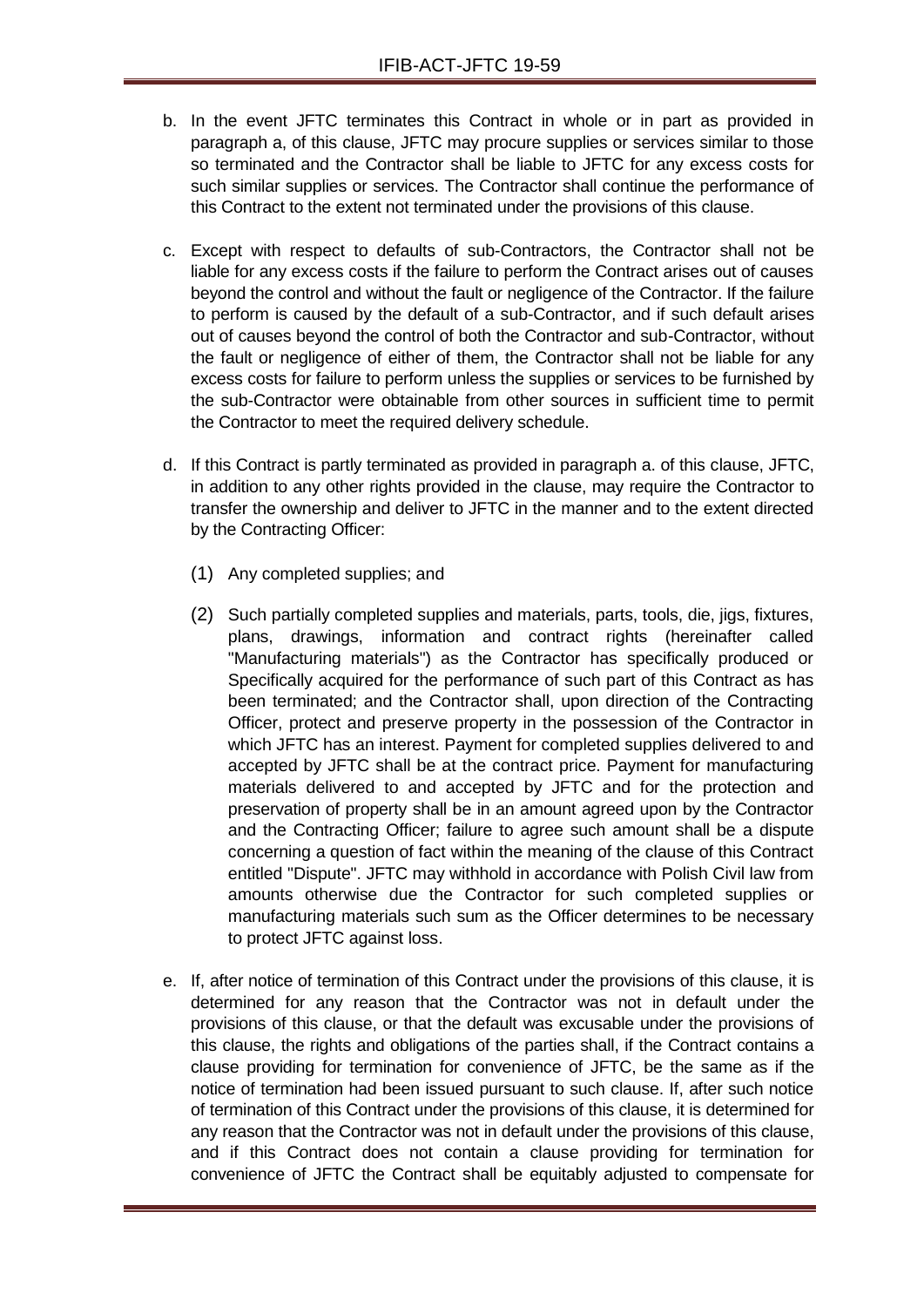- b. In the event JFTC terminates this Contract in whole or in part as provided in paragraph a, of this clause, JFTC may procure supplies or services similar to those so terminated and the Contractor shall be liable to JFTC for any excess costs for such similar supplies or services. The Contractor shall continue the performance of this Contract to the extent not terminated under the provisions of this clause.
- c. Except with respect to defaults of sub-Contractors, the Contractor shall not be liable for any excess costs if the failure to perform the Contract arises out of causes beyond the control and without the fault or negligence of the Contractor. If the failure to perform is caused by the default of a sub-Contractor, and if such default arises out of causes beyond the control of both the Contractor and sub-Contractor, without the fault or negligence of either of them, the Contractor shall not be liable for any excess costs for failure to perform unless the supplies or services to be furnished by the sub-Contractor were obtainable from other sources in sufficient time to permit the Contractor to meet the required delivery schedule.
- d. If this Contract is partly terminated as provided in paragraph a. of this clause, JFTC, in addition to any other rights provided in the clause, may require the Contractor to transfer the ownership and deliver to JFTC in the manner and to the extent directed by the Contracting Officer:
	- (1) Any completed supplies; and
	- (2) Such partially completed supplies and materials, parts, tools, die, jigs, fixtures, plans, drawings, information and contract rights (hereinafter called "Manufacturing materials") as the Contractor has specifically produced or Specifically acquired for the performance of such part of this Contract as has been terminated; and the Contractor shall, upon direction of the Contracting Officer, protect and preserve property in the possession of the Contractor in which JFTC has an interest. Payment for completed supplies delivered to and accepted by JFTC shall be at the contract price. Payment for manufacturing materials delivered to and accepted by JFTC and for the protection and preservation of property shall be in an amount agreed upon by the Contractor and the Contracting Officer; failure to agree such amount shall be a dispute concerning a question of fact within the meaning of the clause of this Contract entitled "Dispute". JFTC may withhold in accordance with Polish Civil law from amounts otherwise due the Contractor for such completed supplies or manufacturing materials such sum as the Officer determines to be necessary to protect JFTC against loss.
- e. If, after notice of termination of this Contract under the provisions of this clause, it is determined for any reason that the Contractor was not in default under the provisions of this clause, or that the default was excusable under the provisions of this clause, the rights and obligations of the parties shall, if the Contract contains a clause providing for termination for convenience of JFTC, be the same as if the notice of termination had been issued pursuant to such clause. If, after such notice of termination of this Contract under the provisions of this clause, it is determined for any reason that the Contractor was not in default under the provisions of this clause, and if this Contract does not contain a clause providing for termination for convenience of JFTC the Contract shall be equitably adjusted to compensate for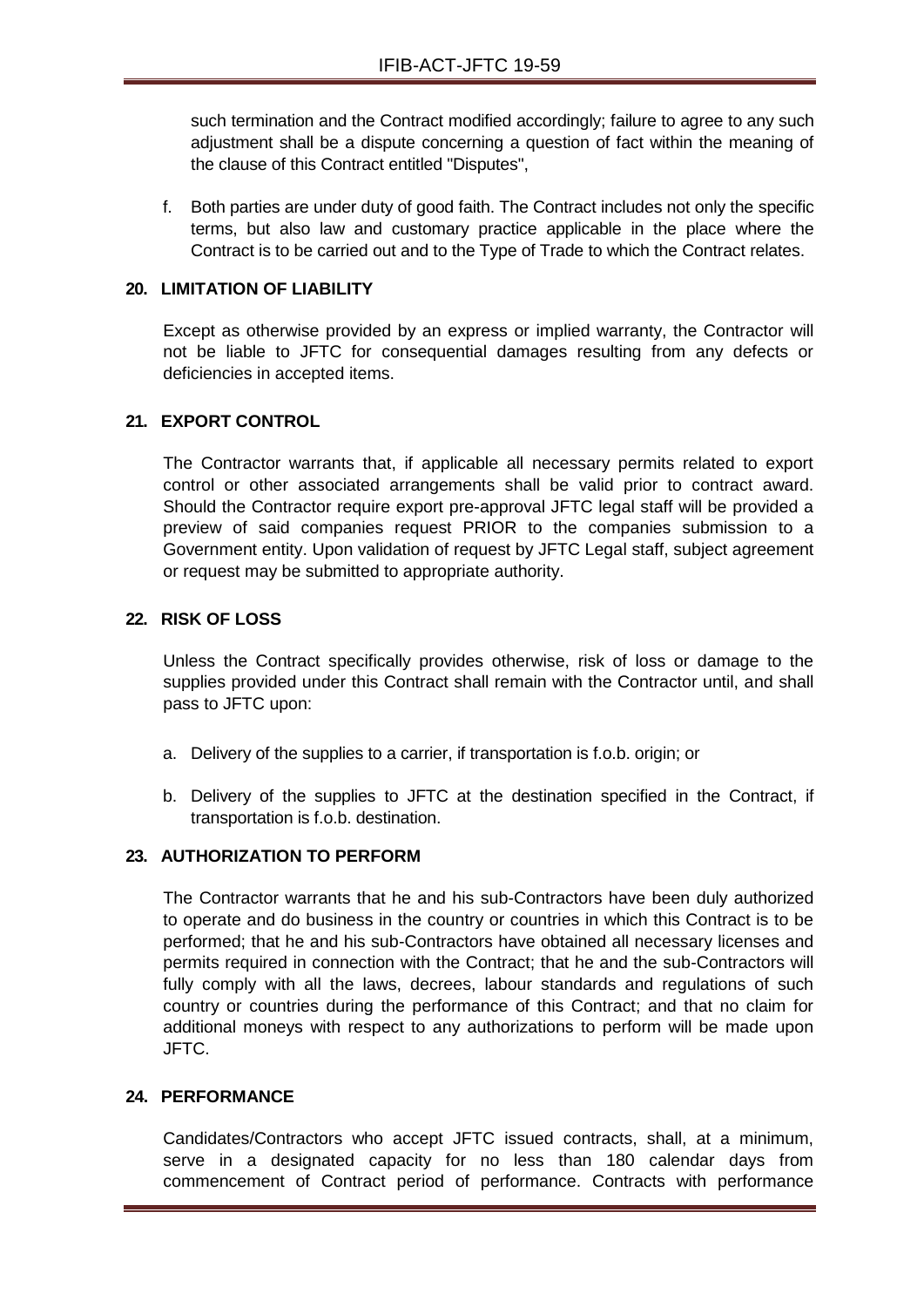such termination and the Contract modified accordingly; failure to agree to any such adjustment shall be a dispute concerning a question of fact within the meaning of the clause of this Contract entitled "Disputes",

f. Both parties are under duty of good faith. The Contract includes not only the specific terms, but also law and customary practice applicable in the place where the Contract is to be carried out and to the Type of Trade to which the Contract relates.

## **20. LIMITATION OF LIABILITY**

Except as otherwise provided by an express or implied warranty, the Contractor will not be liable to JFTC for consequential damages resulting from any defects or deficiencies in accepted items.

## **21. EXPORT CONTROL**

The Contractor warrants that, if applicable all necessary permits related to export control or other associated arrangements shall be valid prior to contract award. Should the Contractor require export pre-approval JFTC legal staff will be provided a preview of said companies request PRIOR to the companies submission to a Government entity. Upon validation of request by JFTC Legal staff, subject agreement or request may be submitted to appropriate authority.

## **22. RISK OF LOSS**

Unless the Contract specifically provides otherwise, risk of loss or damage to the supplies provided under this Contract shall remain with the Contractor until, and shall pass to JFTC upon:

- a. Delivery of the supplies to a carrier, if transportation is f.o.b. origin; or
- b. Delivery of the supplies to JFTC at the destination specified in the Contract, if transportation is f.o.b. destination.

## **23. AUTHORIZATION TO PERFORM**

The Contractor warrants that he and his sub-Contractors have been duly authorized to operate and do business in the country or countries in which this Contract is to be performed; that he and his sub-Contractors have obtained all necessary licenses and permits required in connection with the Contract; that he and the sub-Contractors will fully comply with all the laws, decrees, labour standards and regulations of such country or countries during the performance of this Contract; and that no claim for additional moneys with respect to any authorizations to perform will be made upon JFTC.

## **24. PERFORMANCE**

Candidates/Contractors who accept JFTC issued contracts, shall, at a minimum, serve in a designated capacity for no less than 180 calendar days from commencement of Contract period of performance. Contracts with performance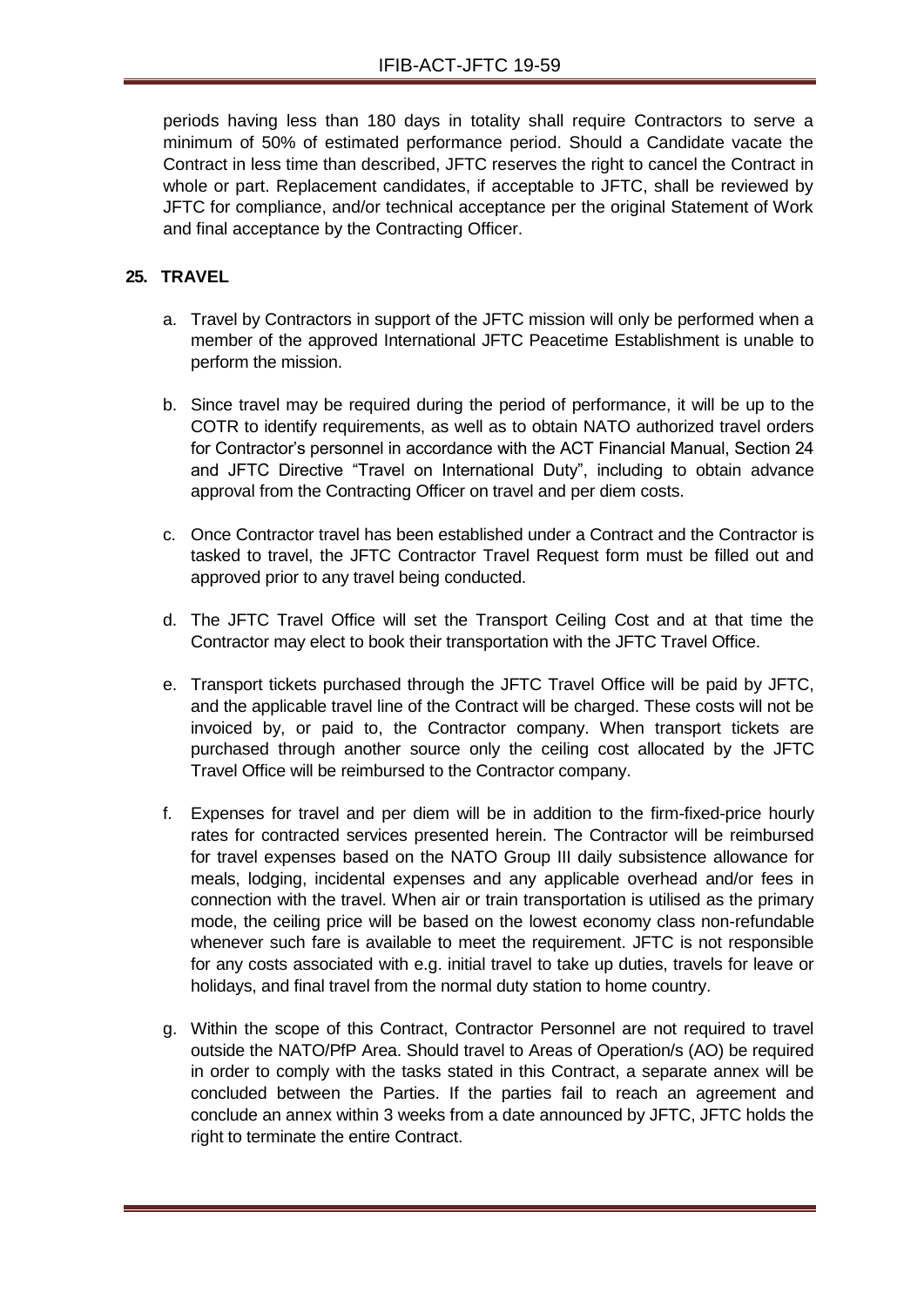periods having less than 180 days in totality shall require Contractors to serve a minimum of 50% of estimated performance period. Should a Candidate vacate the Contract in less time than described, JFTC reserves the right to cancel the Contract in whole or part. Replacement candidates, if acceptable to JFTC, shall be reviewed by JFTC for compliance, and/or technical acceptance per the original Statement of Work and final acceptance by the Contracting Officer.

## **25. TRAVEL**

- a. Travel by Contractors in support of the JFTC mission will only be performed when a member of the approved International JFTC Peacetime Establishment is unable to perform the mission.
- b. Since travel may be required during the period of performance, it will be up to the COTR to identify requirements, as well as to obtain NATO authorized travel orders for Contractor's personnel in accordance with the ACT Financial Manual, Section 24 and JFTC Directive "Travel on International Duty", including to obtain advance approval from the Contracting Officer on travel and per diem costs.
- c. Once Contractor travel has been established under a Contract and the Contractor is tasked to travel, the JFTC Contractor Travel Request form must be filled out and approved prior to any travel being conducted.
- d. The JFTC Travel Office will set the Transport Ceiling Cost and at that time the Contractor may elect to book their transportation with the JFTC Travel Office.
- e. Transport tickets purchased through the JFTC Travel Office will be paid by JFTC, and the applicable travel line of the Contract will be charged. These costs will not be invoiced by, or paid to, the Contractor company. When transport tickets are purchased through another source only the ceiling cost allocated by the JFTC Travel Office will be reimbursed to the Contractor company.
- f. Expenses for travel and per diem will be in addition to the firm-fixed-price hourly rates for contracted services presented herein. The Contractor will be reimbursed for travel expenses based on the NATO Group III daily subsistence allowance for meals, lodging, incidental expenses and any applicable overhead and/or fees in connection with the travel. When air or train transportation is utilised as the primary mode, the ceiling price will be based on the lowest economy class non-refundable whenever such fare is available to meet the requirement. JFTC is not responsible for any costs associated with e.g. initial travel to take up duties, travels for leave or holidays, and final travel from the normal duty station to home country.
- g. Within the scope of this Contract, Contractor Personnel are not required to travel outside the NATO/PfP Area. Should travel to Areas of Operation/s (AO) be required in order to comply with the tasks stated in this Contract, a separate annex will be concluded between the Parties. If the parties fail to reach an agreement and conclude an annex within 3 weeks from a date announced by JFTC, JFTC holds the right to terminate the entire Contract.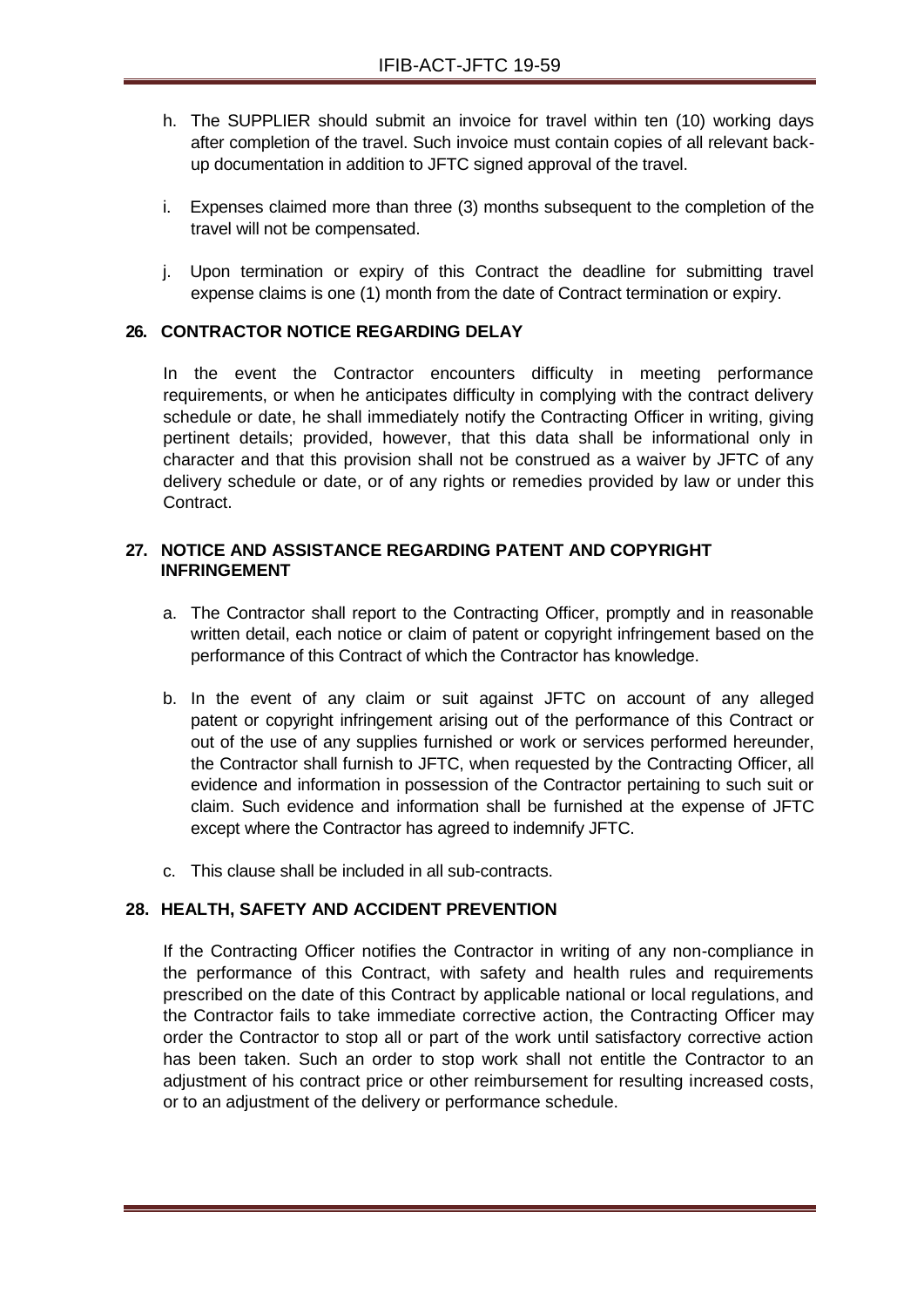- h. The SUPPLIER should submit an invoice for travel within ten (10) working days after completion of the travel. Such invoice must contain copies of all relevant backup documentation in addition to JFTC signed approval of the travel.
- i. Expenses claimed more than three (3) months subsequent to the completion of the travel will not be compensated.
- j. Upon termination or expiry of this Contract the deadline for submitting travel expense claims is one (1) month from the date of Contract termination or expiry.

### **26. CONTRACTOR NOTICE REGARDING DELAY**

In the event the Contractor encounters difficulty in meeting performance requirements, or when he anticipates difficulty in complying with the contract delivery schedule or date, he shall immediately notify the Contracting Officer in writing, giving pertinent details; provided, however, that this data shall be informational only in character and that this provision shall not be construed as a waiver by JFTC of any delivery schedule or date, or of any rights or remedies provided by law or under this Contract.

## **27. NOTICE AND ASSISTANCE REGARDING PATENT AND COPYRIGHT INFRINGEMENT**

- a. The Contractor shall report to the Contracting Officer, promptly and in reasonable written detail, each notice or claim of patent or copyright infringement based on the performance of this Contract of which the Contractor has knowledge.
- b. In the event of any claim or suit against JFTC on account of any alleged patent or copyright infringement arising out of the performance of this Contract or out of the use of any supplies furnished or work or services performed hereunder, the Contractor shall furnish to JFTC, when requested by the Contracting Officer, all evidence and information in possession of the Contractor pertaining to such suit or claim. Such evidence and information shall be furnished at the expense of JFTC except where the Contractor has agreed to indemnify JFTC.
- c. This clause shall be included in all sub-contracts.

## **28. HEALTH, SAFETY AND ACCIDENT PREVENTION**

If the Contracting Officer notifies the Contractor in writing of any non-compliance in the performance of this Contract, with safety and health rules and requirements prescribed on the date of this Contract by applicable national or local regulations, and the Contractor fails to take immediate corrective action, the Contracting Officer may order the Contractor to stop all or part of the work until satisfactory corrective action has been taken. Such an order to stop work shall not entitle the Contractor to an adjustment of his contract price or other reimbursement for resulting increased costs, or to an adjustment of the delivery or performance schedule.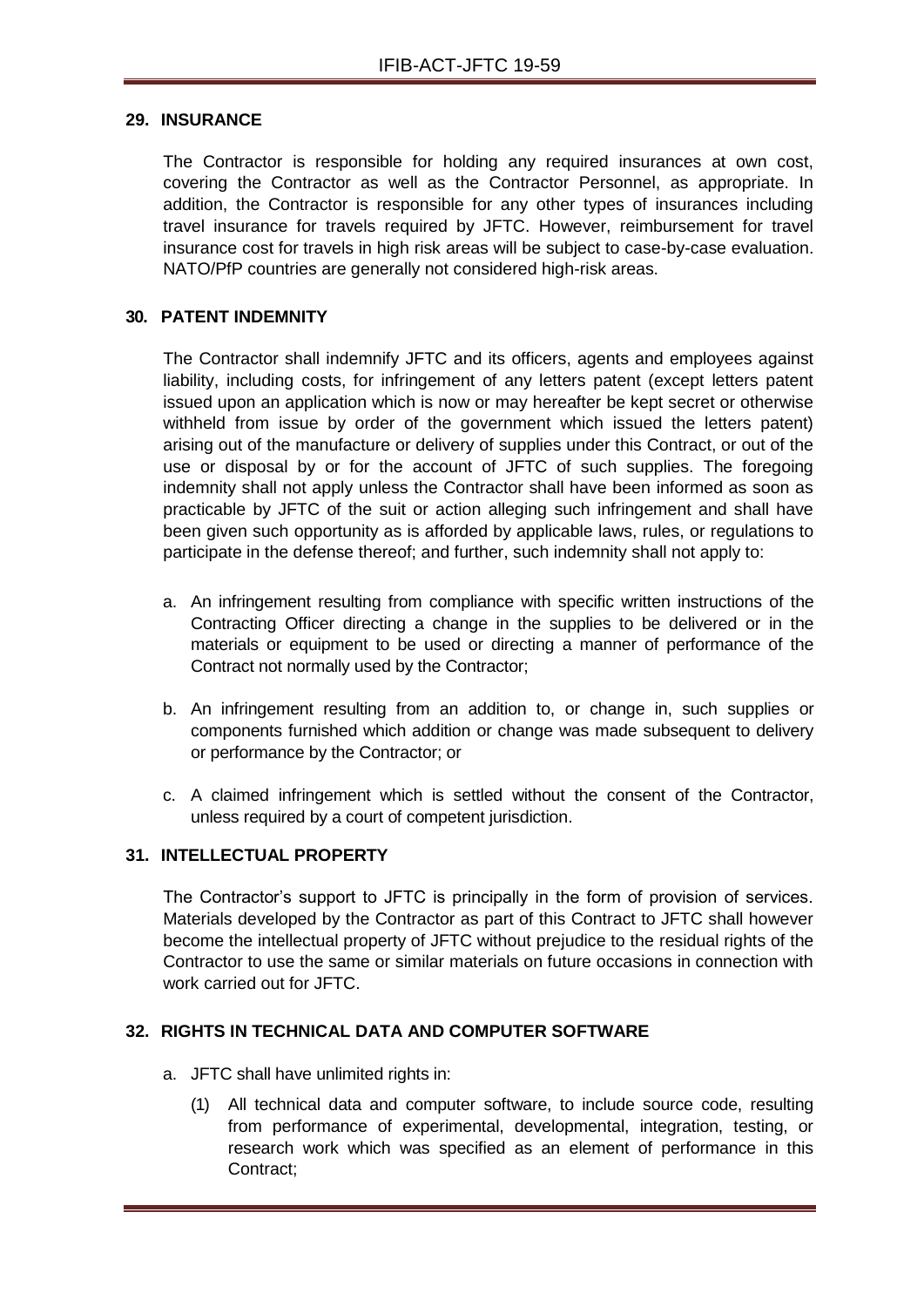#### **29. INSURANCE**

The Contractor is responsible for holding any required insurances at own cost, covering the Contractor as well as the Contractor Personnel, as appropriate. In addition, the Contractor is responsible for any other types of insurances including travel insurance for travels required by JFTC. However, reimbursement for travel insurance cost for travels in high risk areas will be subject to case-by-case evaluation. NATO/PfP countries are generally not considered high-risk areas.

### **30. PATENT INDEMNITY**

The Contractor shall indemnify JFTC and its officers, agents and employees against liability, including costs, for infringement of any letters patent (except letters patent issued upon an application which is now or may hereafter be kept secret or otherwise withheld from issue by order of the government which issued the letters patent) arising out of the manufacture or delivery of supplies under this Contract, or out of the use or disposal by or for the account of JFTC of such supplies. The foregoing indemnity shall not apply unless the Contractor shall have been informed as soon as practicable by JFTC of the suit or action alleging such infringement and shall have been given such opportunity as is afforded by applicable laws, rules, or regulations to participate in the defense thereof; and further, such indemnity shall not apply to:

- a. An infringement resulting from compliance with specific written instructions of the Contracting Officer directing a change in the supplies to be delivered or in the materials or equipment to be used or directing a manner of performance of the Contract not normally used by the Contractor;
- b. An infringement resulting from an addition to, or change in, such supplies or components furnished which addition or change was made subsequent to delivery or performance by the Contractor; or
- c. A claimed infringement which is settled without the consent of the Contractor, unless required by a court of competent jurisdiction.

#### **31. INTELLECTUAL PROPERTY**

The Contractor's support to JFTC is principally in the form of provision of services. Materials developed by the Contractor as part of this Contract to JFTC shall however become the intellectual property of JFTC without prejudice to the residual rights of the Contractor to use the same or similar materials on future occasions in connection with work carried out for JFTC.

### **32. RIGHTS IN TECHNICAL DATA AND COMPUTER SOFTWARE**

- a. JFTC shall have unlimited rights in:
	- (1) All technical data and computer software, to include source code, resulting from performance of experimental, developmental, integration, testing, or research work which was specified as an element of performance in this Contract;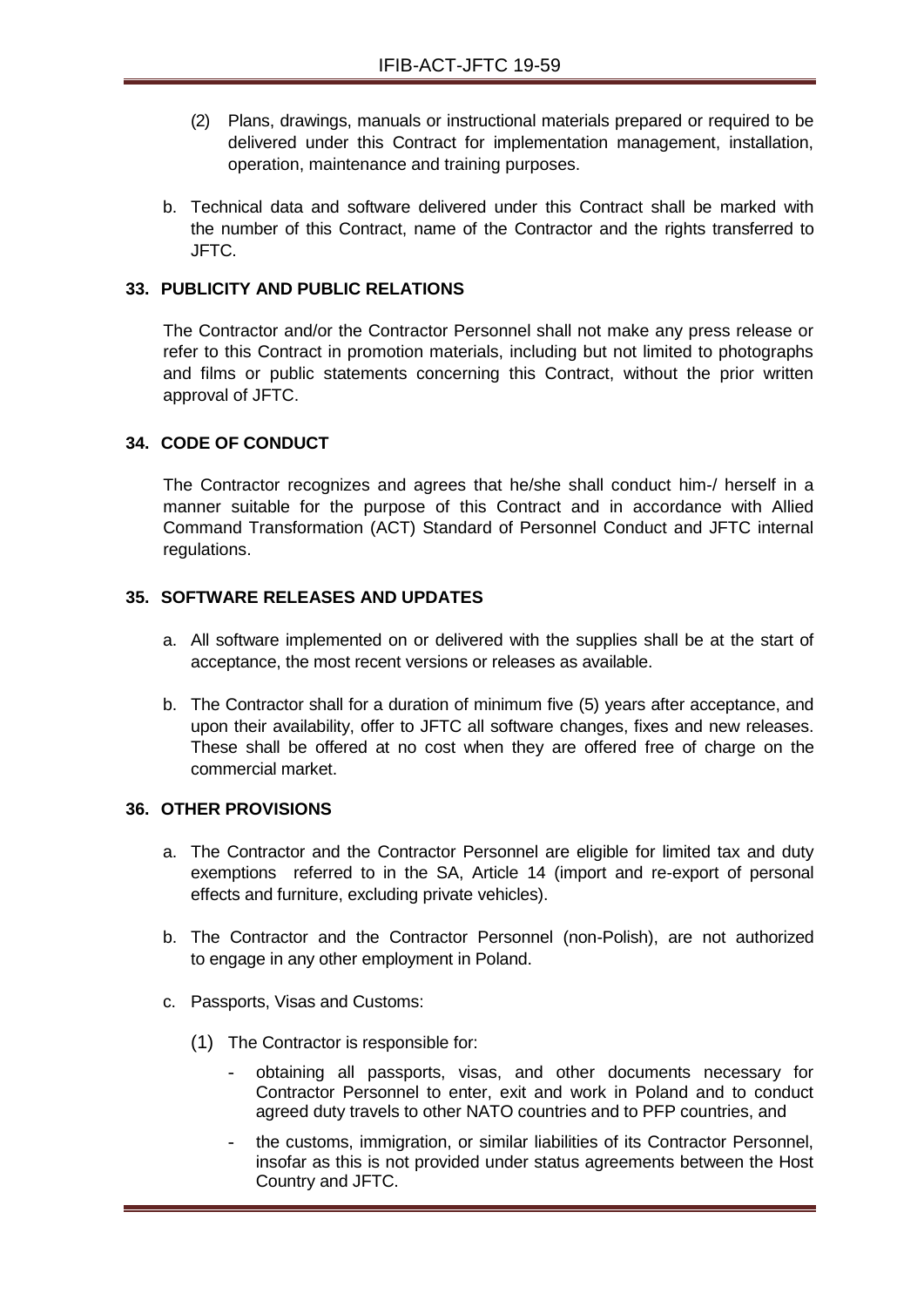- (2) Plans, drawings, manuals or instructional materials prepared or required to be delivered under this Contract for implementation management, installation, operation, maintenance and training purposes.
- b. Technical data and software delivered under this Contract shall be marked with the number of this Contract, name of the Contractor and the rights transferred to JFTC.

## **33. PUBLICITY AND PUBLIC RELATIONS**

The Contractor and/or the Contractor Personnel shall not make any press release or refer to this Contract in promotion materials, including but not limited to photographs and films or public statements concerning this Contract, without the prior written approval of JFTC.

## **34. CODE OF CONDUCT**

The Contractor recognizes and agrees that he/she shall conduct him-/ herself in a manner suitable for the purpose of this Contract and in accordance with Allied Command Transformation (ACT) Standard of Personnel Conduct and JFTC internal regulations.

## **35. SOFTWARE RELEASES AND UPDATES**

- a. All software implemented on or delivered with the supplies shall be at the start of acceptance, the most recent versions or releases as available.
- b. The Contractor shall for a duration of minimum five (5) years after acceptance, and upon their availability, offer to JFTC all software changes, fixes and new releases. These shall be offered at no cost when they are offered free of charge on the commercial market.

## **36. OTHER PROVISIONS**

- a. The Contractor and the Contractor Personnel are eligible for limited tax and duty exemptions referred to in the SA, Article 14 (import and re-export of personal effects and furniture, excluding private vehicles).
- b. The Contractor and the Contractor Personnel (non-Polish), are not authorized to engage in any other employment in Poland.
- c. Passports, Visas and Customs:
	- (1) The Contractor is responsible for:
		- obtaining all passports, visas, and other documents necessary for Contractor Personnel to enter, exit and work in Poland and to conduct agreed duty travels to other NATO countries and to PFP countries, and
		- the customs, immigration, or similar liabilities of its Contractor Personnel, insofar as this is not provided under status agreements between the Host Country and JFTC.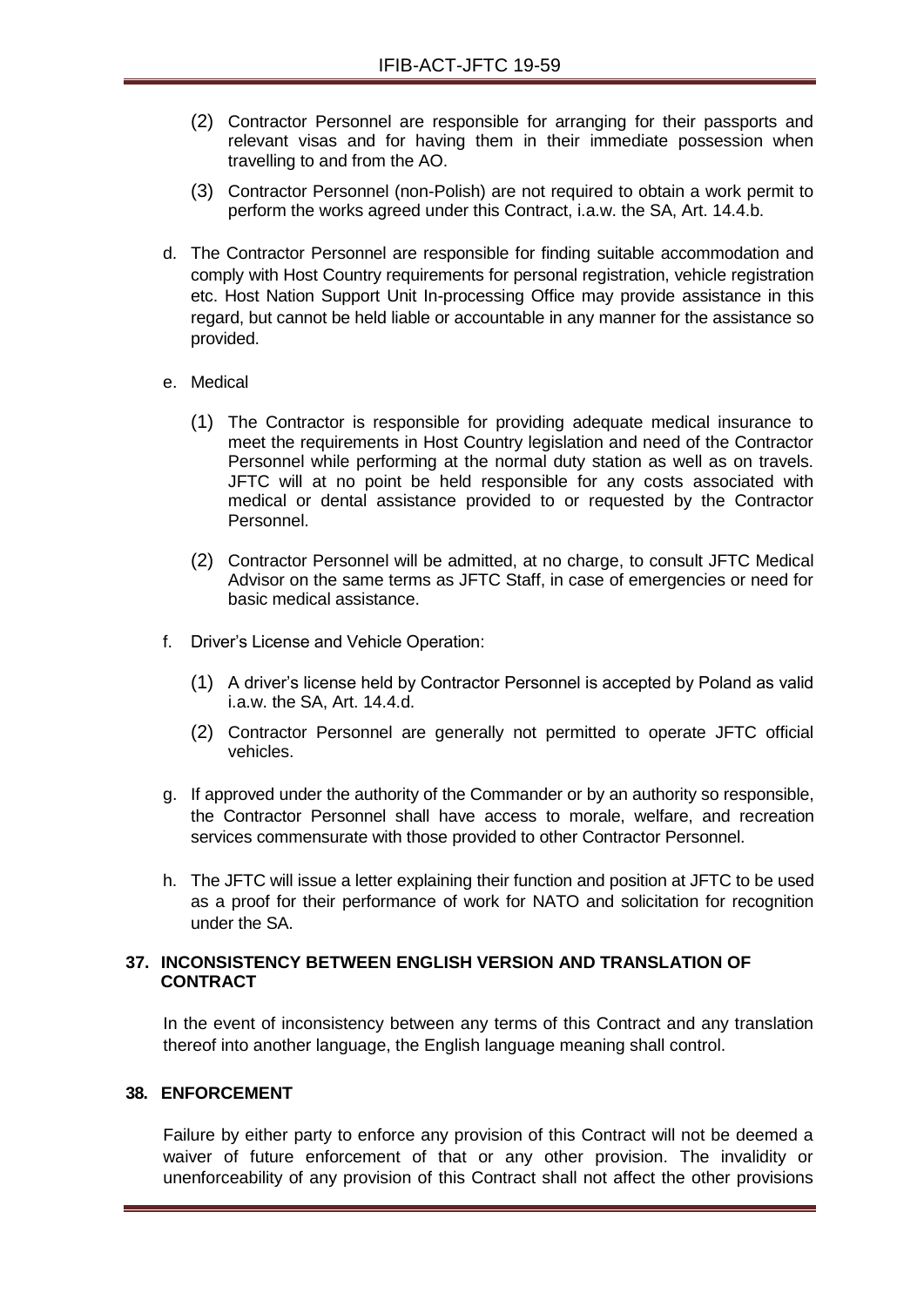- (2) Contractor Personnel are responsible for arranging for their passports and relevant visas and for having them in their immediate possession when travelling to and from the AO.
- (3) Contractor Personnel (non-Polish) are not required to obtain a work permit to perform the works agreed under this Contract, i.a.w. the SA, Art. 14.4.b.
- d. The Contractor Personnel are responsible for finding suitable accommodation and comply with Host Country requirements for personal registration, vehicle registration etc. Host Nation Support Unit In-processing Office may provide assistance in this regard, but cannot be held liable or accountable in any manner for the assistance so provided.

## e. Medical

- (1) The Contractor is responsible for providing adequate medical insurance to meet the requirements in Host Country legislation and need of the Contractor Personnel while performing at the normal duty station as well as on travels. JFTC will at no point be held responsible for any costs associated with medical or dental assistance provided to or requested by the Contractor Personnel.
- (2) Contractor Personnel will be admitted, at no charge, to consult JFTC Medical Advisor on the same terms as JFTC Staff, in case of emergencies or need for basic medical assistance.
- f. Driver's License and Vehicle Operation:
	- (1) A driver's license held by Contractor Personnel is accepted by Poland as valid i.a.w. the SA, Art. 14.4.d.
	- (2) Contractor Personnel are generally not permitted to operate JFTC official vehicles.
- g. If approved under the authority of the Commander or by an authority so responsible, the Contractor Personnel shall have access to morale, welfare, and recreation services commensurate with those provided to other Contractor Personnel.
- h. The JFTC will issue a letter explaining their function and position at JFTC to be used as a proof for their performance of work for NATO and solicitation for recognition under the SA.

## **37. INCONSISTENCY BETWEEN ENGLISH VERSION AND TRANSLATION OF CONTRACT**

In the event of inconsistency between any terms of this Contract and any translation thereof into another language, the English language meaning shall control.

#### **38. ENFORCEMENT**

Failure by either party to enforce any provision of this Contract will not be deemed a waiver of future enforcement of that or any other provision. The invalidity or unenforceability of any provision of this Contract shall not affect the other provisions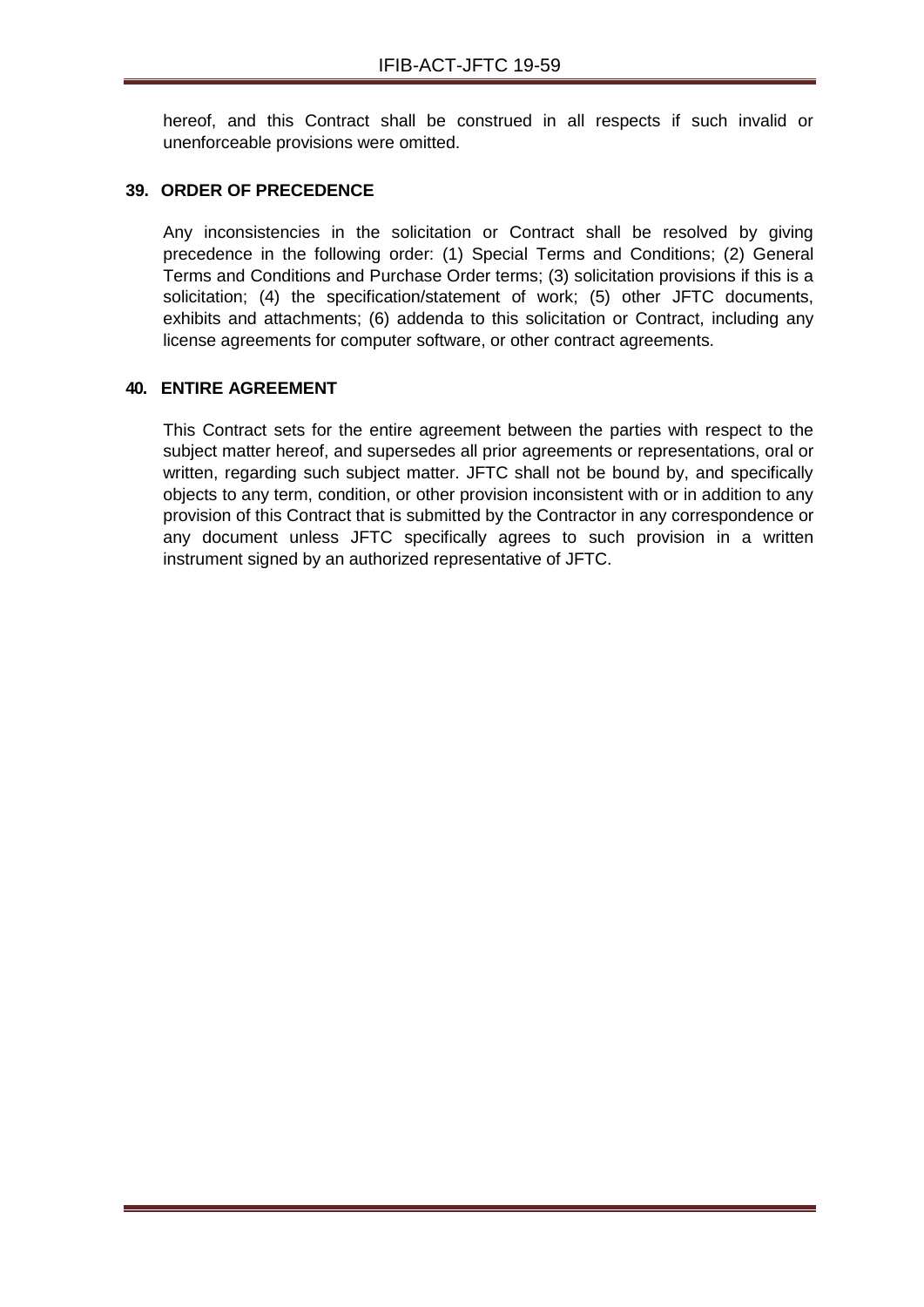hereof, and this Contract shall be construed in all respects if such invalid or unenforceable provisions were omitted.

#### **39. ORDER OF PRECEDENCE**

Any inconsistencies in the solicitation or Contract shall be resolved by giving precedence in the following order: (1) Special Terms and Conditions; (2) General Terms and Conditions and Purchase Order terms; (3) solicitation provisions if this is a solicitation; (4) the specification/statement of work; (5) other JFTC documents, exhibits and attachments; (6) addenda to this solicitation or Contract, including any license agreements for computer software, or other contract agreements.

#### **40. ENTIRE AGREEMENT**

This Contract sets for the entire agreement between the parties with respect to the subject matter hereof, and supersedes all prior agreements or representations, oral or written, regarding such subject matter. JFTC shall not be bound by, and specifically objects to any term, condition, or other provision inconsistent with or in addition to any provision of this Contract that is submitted by the Contractor in any correspondence or any document unless JFTC specifically agrees to such provision in a written instrument signed by an authorized representative of JFTC.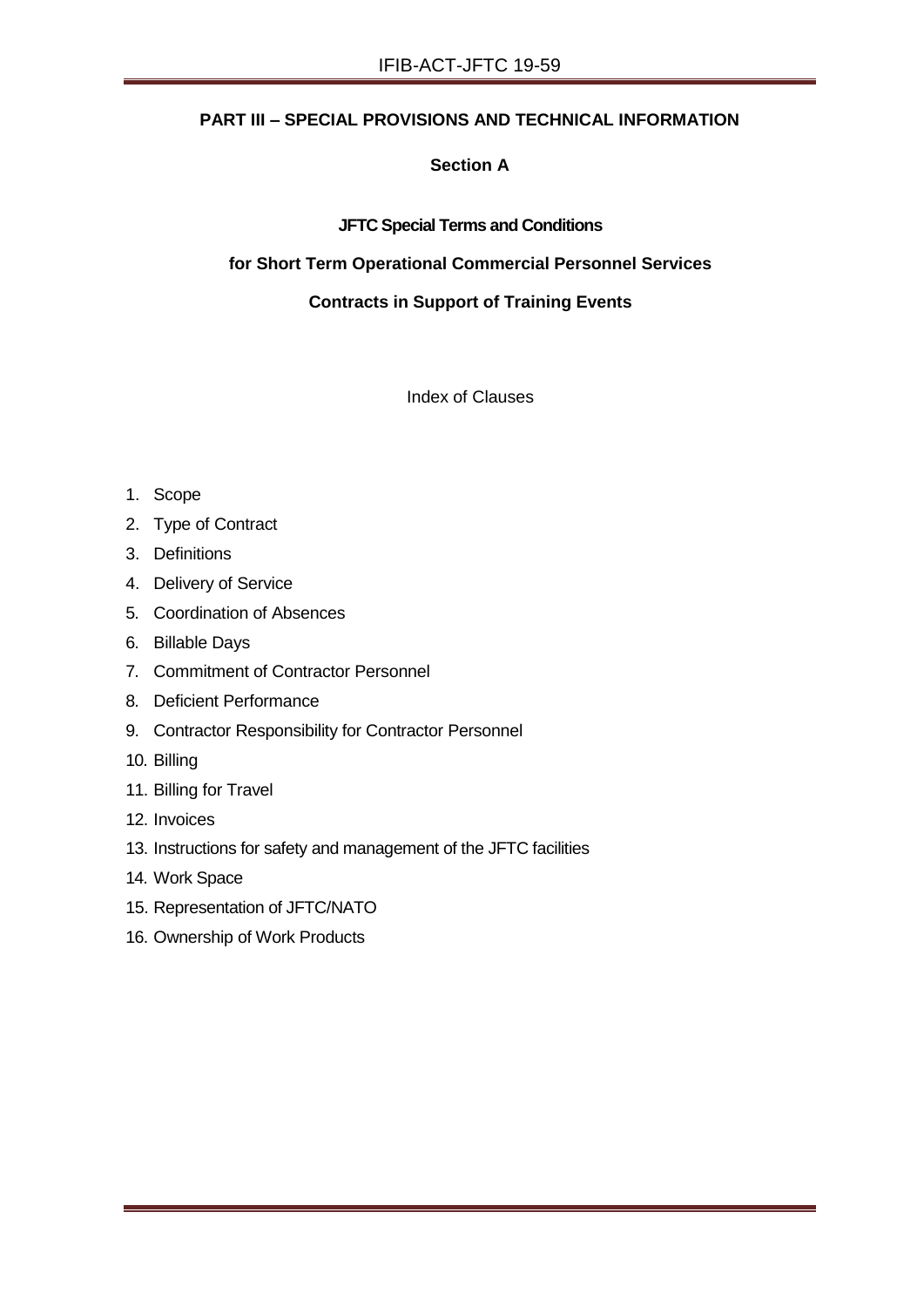## **PART III – SPECIAL PROVISIONS AND TECHNICAL INFORMATION**

## **Section A**

## **JFTC Special Terms and Conditions**

## **for Short Term Operational Commercial Personnel Services**

## **Contracts in Support of Training Events**

Index of Clauses

- 1. Scope
- 2. Type of Contract
- 3. Definitions
- 4. Delivery of Service
- 5. Coordination of Absences
- 6. Billable Days
- 7. Commitment of Contractor Personnel
- 8. Deficient Performance
- 9. Contractor Responsibility for Contractor Personnel
- 10. Billing
- 11. Billing for Travel
- 12. Invoices
- 13. Instructions for safety and management of the JFTC facilities
- 14. Work Space
- 15. Representation of JFTC/NATO
- 16. Ownership of Work Products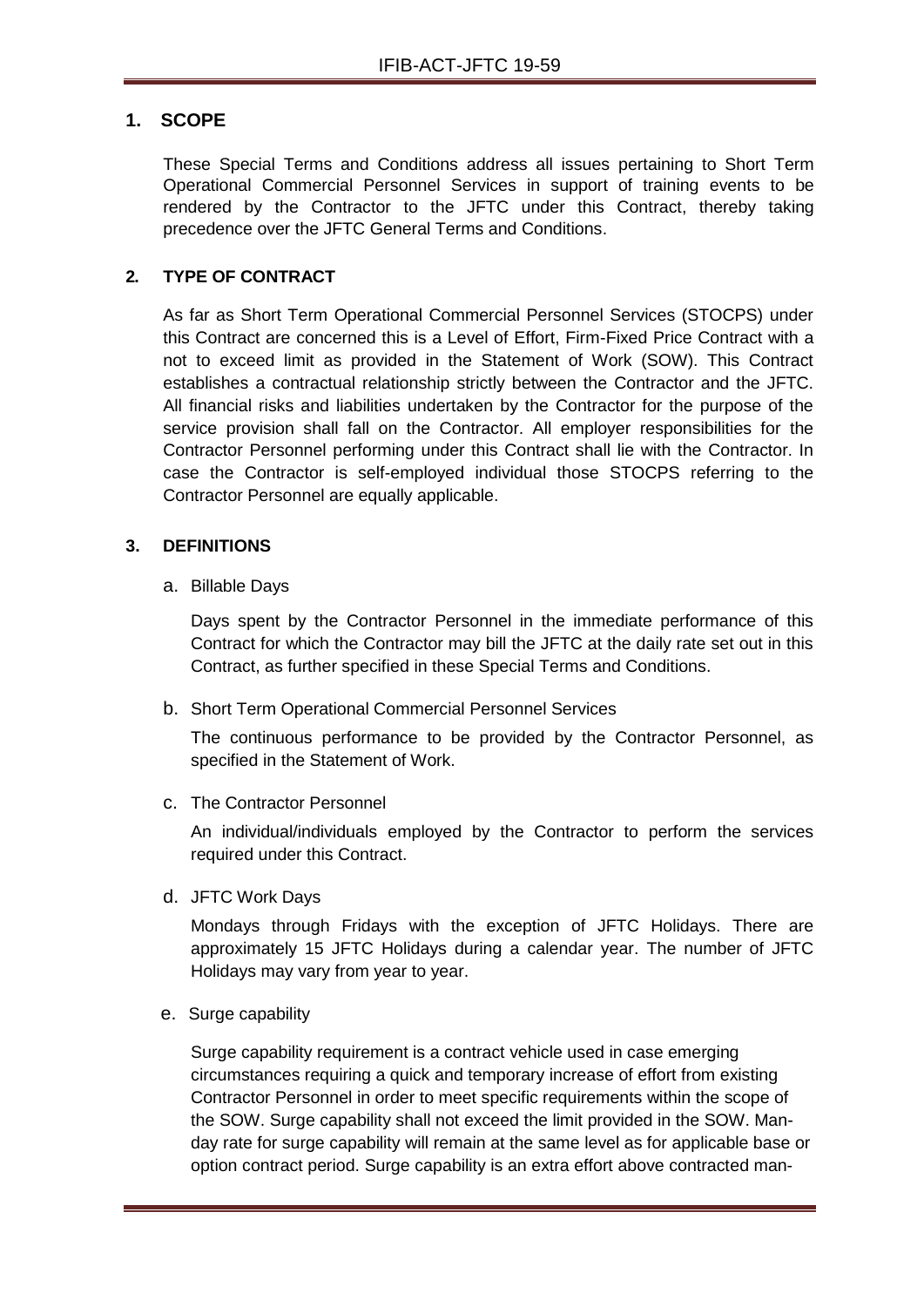## **1. SCOPE**

These Special Terms and Conditions address all issues pertaining to Short Term Operational Commercial Personnel Services in support of training events to be rendered by the Contractor to the JFTC under this Contract, thereby taking precedence over the JFTC General Terms and Conditions.

## **2. TYPE OF CONTRACT**

As far as Short Term Operational Commercial Personnel Services (STOCPS) under this Contract are concerned this is a Level of Effort, Firm-Fixed Price Contract with a not to exceed limit as provided in the Statement of Work (SOW). This Contract establishes a contractual relationship strictly between the Contractor and the JFTC. All financial risks and liabilities undertaken by the Contractor for the purpose of the service provision shall fall on the Contractor. All employer responsibilities for the Contractor Personnel performing under this Contract shall lie with the Contractor. In case the Contractor is self-employed individual those STOCPS referring to the Contractor Personnel are equally applicable.

#### **3. DEFINITIONS**

a. Billable Days

Days spent by the Contractor Personnel in the immediate performance of this Contract for which the Contractor may bill the JFTC at the daily rate set out in this Contract, as further specified in these Special Terms and Conditions.

b. Short Term Operational Commercial Personnel Services

The continuous performance to be provided by the Contractor Personnel, as specified in the Statement of Work.

c. The Contractor Personnel

An individual/individuals employed by the Contractor to perform the services required under this Contract.

d. JFTC Work Days

Mondays through Fridays with the exception of JFTC Holidays. There are approximately 15 JFTC Holidays during a calendar year. The number of JFTC Holidays may vary from year to year.

e. Surge capability

Surge capability requirement is a contract vehicle used in case emerging circumstances requiring a quick and temporary increase of effort from existing Contractor Personnel in order to meet specific requirements within the scope of the SOW. Surge capability shall not exceed the limit provided in the SOW. Manday rate for surge capability will remain at the same level as for applicable base or option contract period. Surge capability is an extra effort above contracted man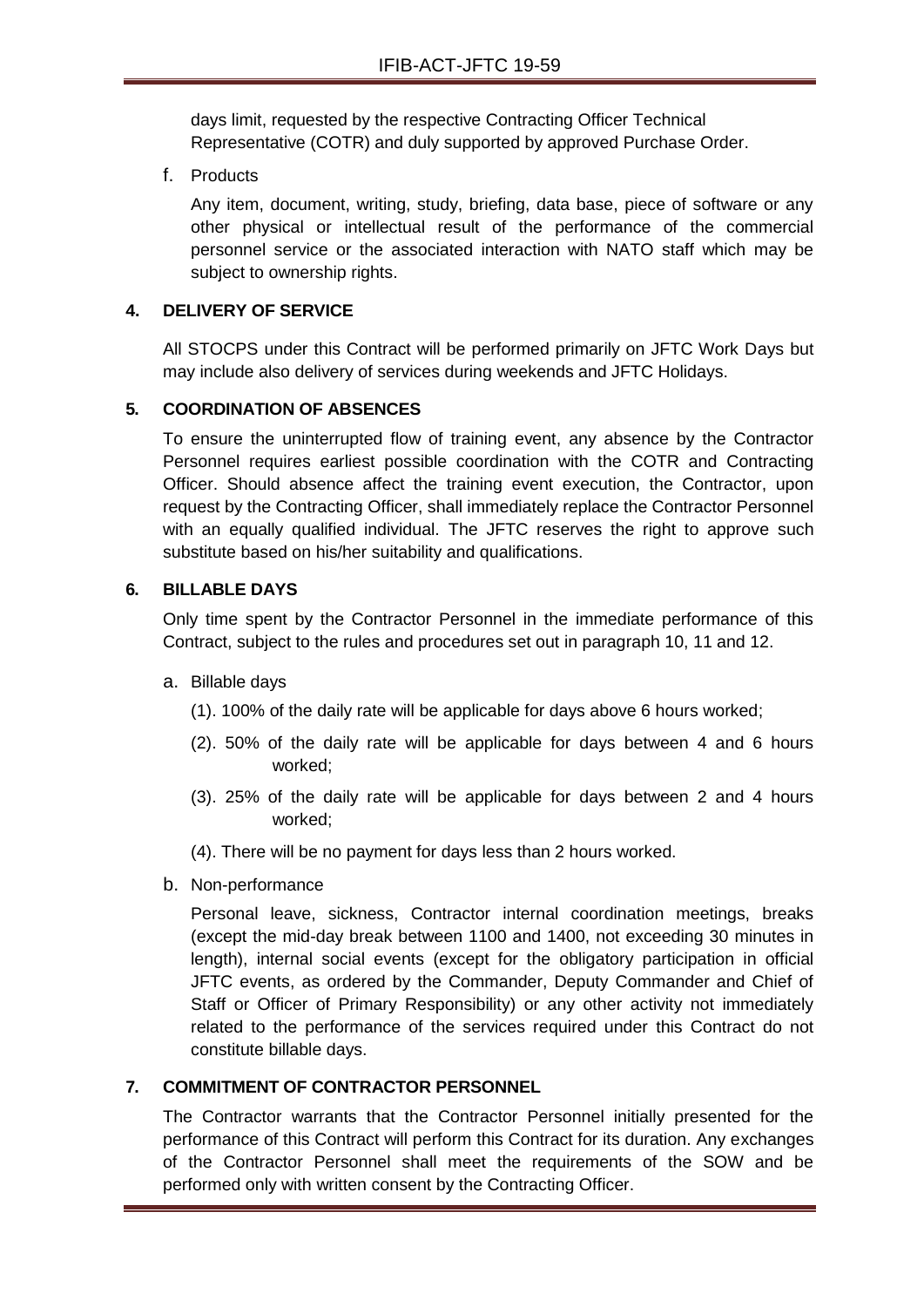days limit, requested by the respective Contracting Officer Technical Representative (COTR) and duly supported by approved Purchase Order.

f. Products

Any item, document, writing, study, briefing, data base, piece of software or any other physical or intellectual result of the performance of the commercial personnel service or the associated interaction with NATO staff which may be subject to ownership rights.

## **4. DELIVERY OF SERVICE**

All STOCPS under this Contract will be performed primarily on JFTC Work Days but may include also delivery of services during weekends and JFTC Holidays.

## **5. COORDINATION OF ABSENCES**

To ensure the uninterrupted flow of training event, any absence by the Contractor Personnel requires earliest possible coordination with the COTR and Contracting Officer. Should absence affect the training event execution, the Contractor, upon request by the Contracting Officer, shall immediately replace the Contractor Personnel with an equally qualified individual. The JFTC reserves the right to approve such substitute based on his/her suitability and qualifications.

## **6. BILLABLE DAYS**

Only time spent by the Contractor Personnel in the immediate performance of this Contract, subject to the rules and procedures set out in paragraph 10, 11 and 12.

- a. Billable days
	- (1). 100% of the daily rate will be applicable for days above 6 hours worked;
	- (2). 50% of the daily rate will be applicable for days between 4 and 6 hours worked;
	- (3). 25% of the daily rate will be applicable for days between 2 and 4 hours worked;
	- (4). There will be no payment for days less than 2 hours worked.
- b. Non-performance

Personal leave, sickness, Contractor internal coordination meetings, breaks (except the mid-day break between 1100 and 1400, not exceeding 30 minutes in length), internal social events (except for the obligatory participation in official JFTC events, as ordered by the Commander, Deputy Commander and Chief of Staff or Officer of Primary Responsibility) or any other activity not immediately related to the performance of the services required under this Contract do not constitute billable days.

## **7. COMMITMENT OF CONTRACTOR PERSONNEL**

The Contractor warrants that the Contractor Personnel initially presented for the performance of this Contract will perform this Contract for its duration. Any exchanges of the Contractor Personnel shall meet the requirements of the SOW and be performed only with written consent by the Contracting Officer.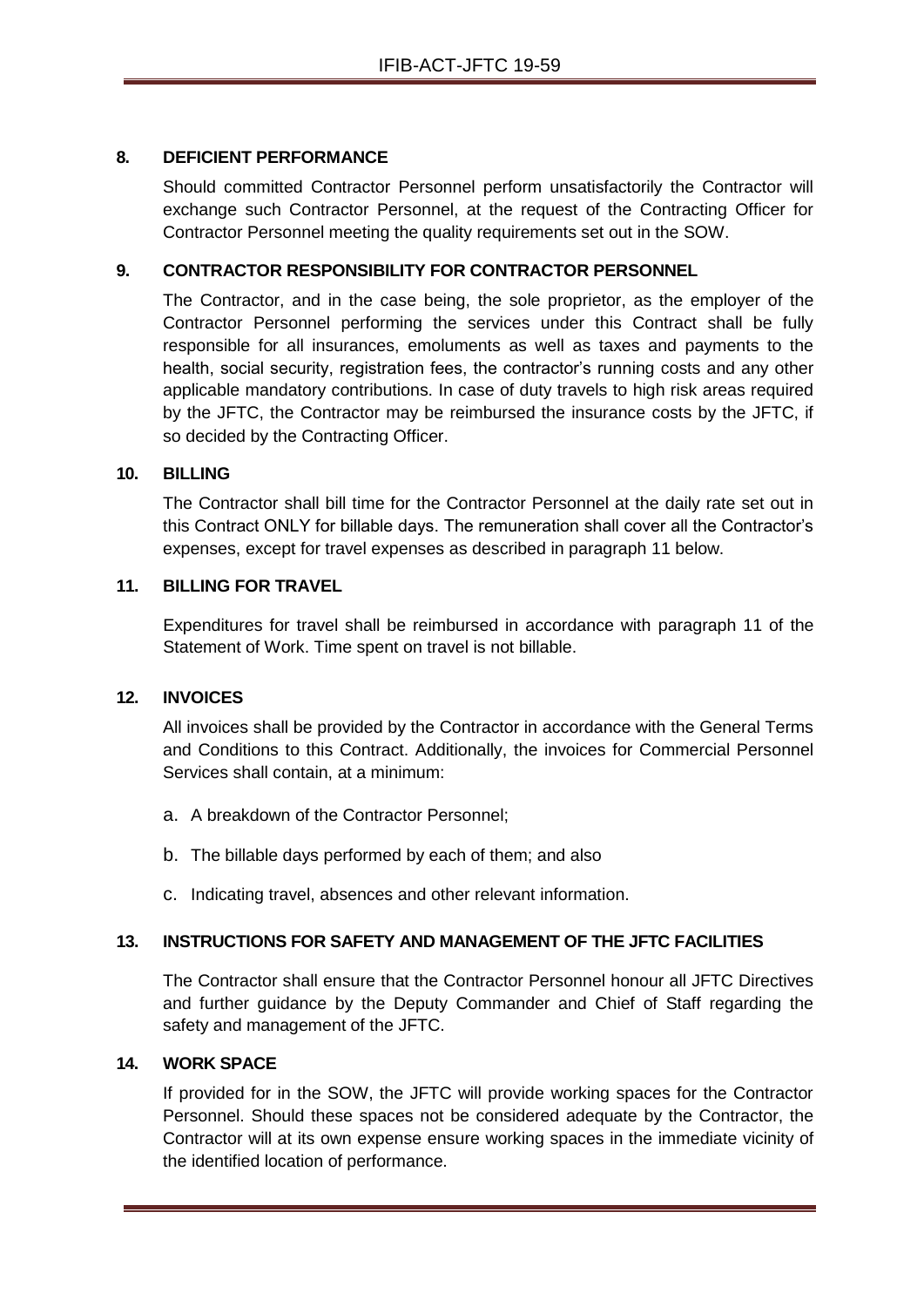## **8. DEFICIENT PERFORMANCE**

Should committed Contractor Personnel perform unsatisfactorily the Contractor will exchange such Contractor Personnel, at the request of the Contracting Officer for Contractor Personnel meeting the quality requirements set out in the SOW.

## **9. CONTRACTOR RESPONSIBILITY FOR CONTRACTOR PERSONNEL**

The Contractor, and in the case being, the sole proprietor, as the employer of the Contractor Personnel performing the services under this Contract shall be fully responsible for all insurances, emoluments as well as taxes and payments to the health, social security, registration fees, the contractor's running costs and any other applicable mandatory contributions. In case of duty travels to high risk areas required by the JFTC, the Contractor may be reimbursed the insurance costs by the JFTC, if so decided by the Contracting Officer.

## **10. BILLING**

The Contractor shall bill time for the Contractor Personnel at the daily rate set out in this Contract ONLY for billable days. The remuneration shall cover all the Contractor's expenses, except for travel expenses as described in paragraph 11 below.

#### **11. BILLING FOR TRAVEL**

Expenditures for travel shall be reimbursed in accordance with paragraph 11 of the Statement of Work. Time spent on travel is not billable.

## **12. INVOICES**

All invoices shall be provided by the Contractor in accordance with the General Terms and Conditions to this Contract. Additionally, the invoices for Commercial Personnel Services shall contain, at a minimum:

- a. A breakdown of the Contractor Personnel;
- b. The billable days performed by each of them; and also
- c. Indicating travel, absences and other relevant information.

## **13. INSTRUCTIONS FOR SAFETY AND MANAGEMENT OF THE JFTC FACILITIES**

The Contractor shall ensure that the Contractor Personnel honour all JFTC Directives and further guidance by the Deputy Commander and Chief of Staff regarding the safety and management of the JFTC.

### **14. WORK SPACE**

If provided for in the SOW, the JFTC will provide working spaces for the Contractor Personnel. Should these spaces not be considered adequate by the Contractor, the Contractor will at its own expense ensure working spaces in the immediate vicinity of the identified location of performance.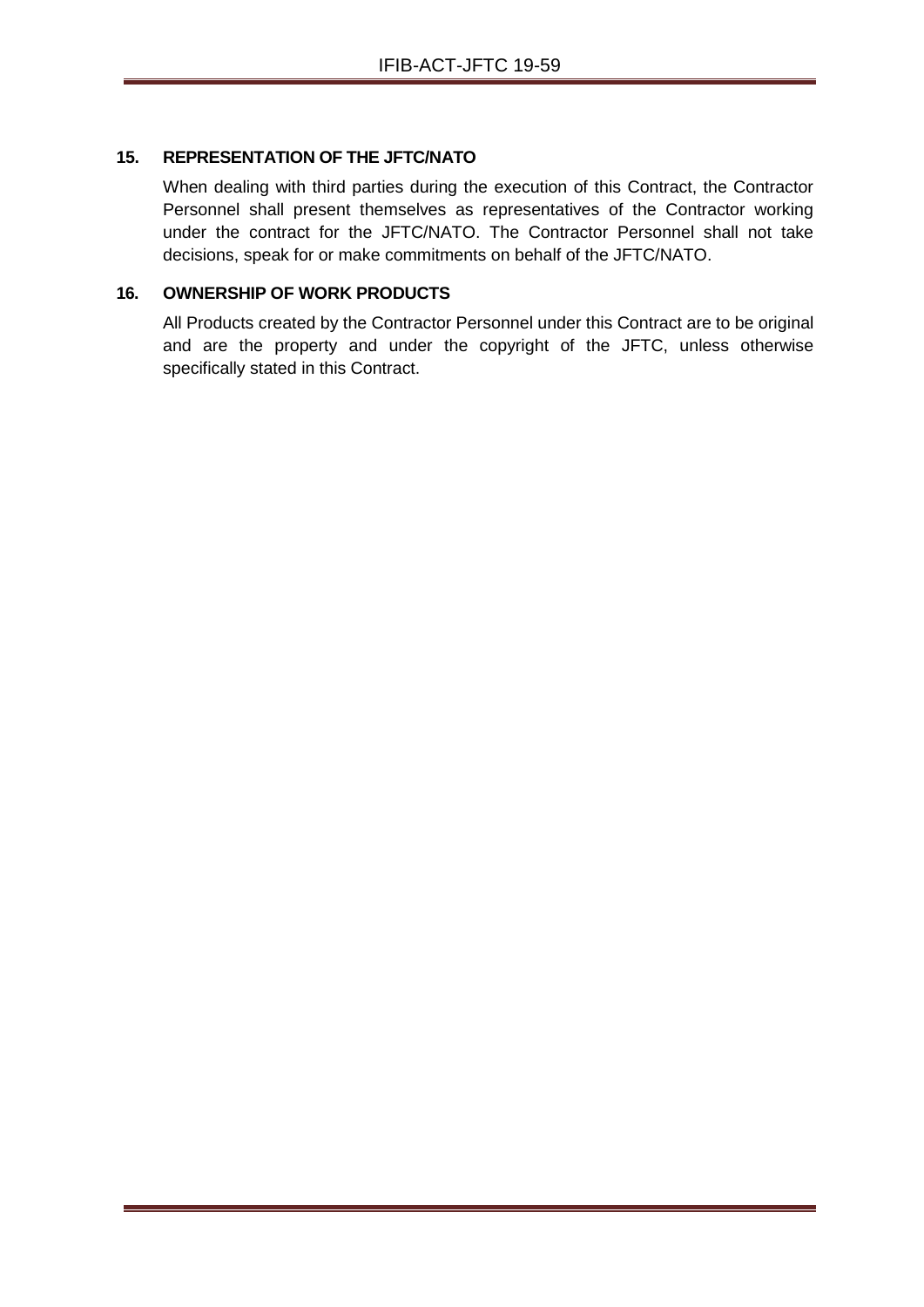## **15. REPRESENTATION OF THE JFTC/NATO**

When dealing with third parties during the execution of this Contract, the Contractor Personnel shall present themselves as representatives of the Contractor working under the contract for the JFTC/NATO. The Contractor Personnel shall not take decisions, speak for or make commitments on behalf of the JFTC/NATO.

## **16. OWNERSHIP OF WORK PRODUCTS**

All Products created by the Contractor Personnel under this Contract are to be original and are the property and under the copyright of the JFTC, unless otherwise specifically stated in this Contract.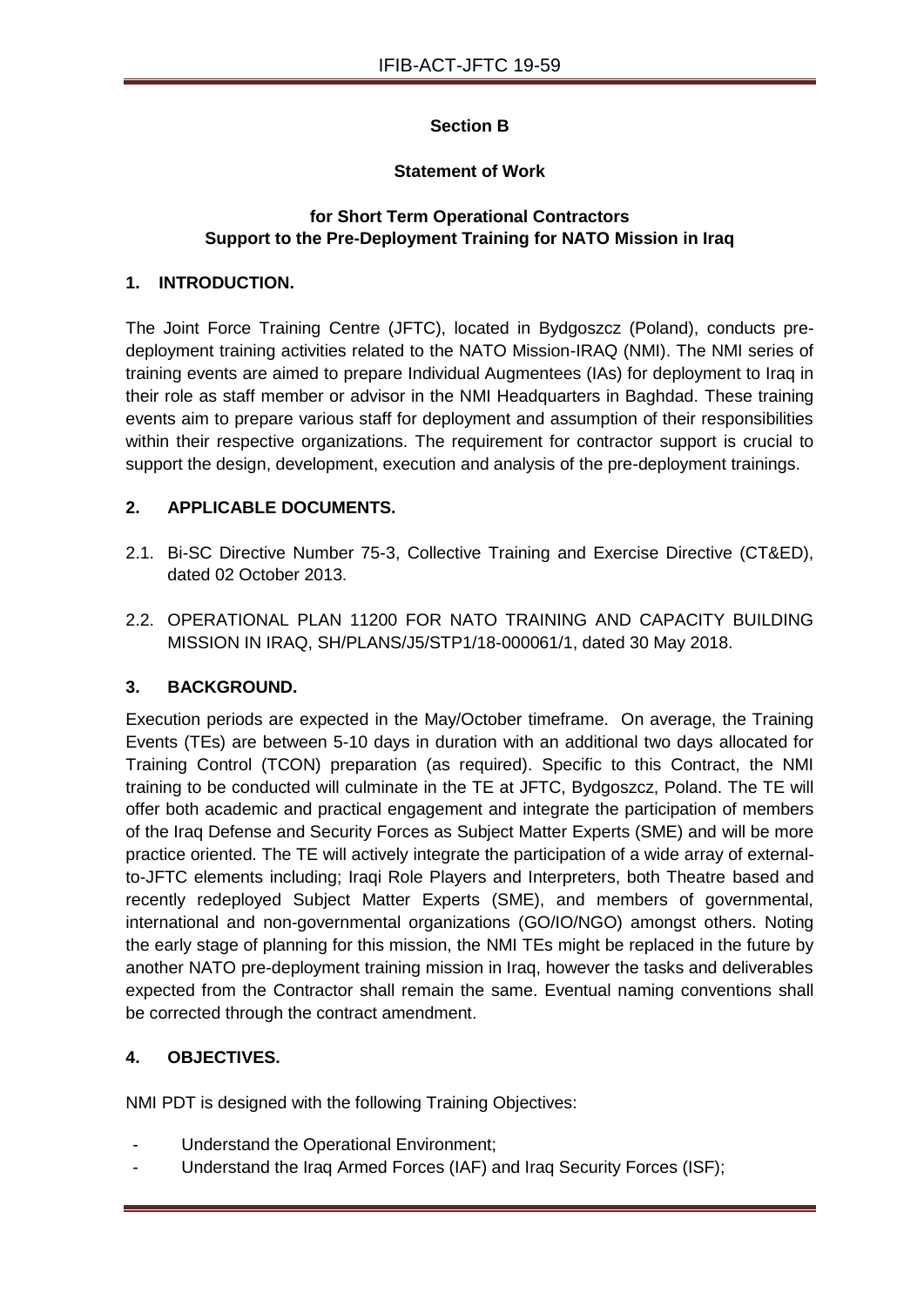# **Section B**

## **Statement of Work**

## **for Short Term Operational Contractors Support to the Pre-Deployment Training for NATO Mission in Iraq**

## **1. INTRODUCTION.**

The Joint Force Training Centre (JFTC), located in Bydgoszcz (Poland), conducts predeployment training activities related to the NATO Mission-IRAQ (NMI). The NMI series of training events are aimed to prepare Individual Augmentees (IAs) for deployment to Iraq in their role as staff member or advisor in the NMI Headquarters in Baghdad. These training events aim to prepare various staff for deployment and assumption of their responsibilities within their respective organizations. The requirement for contractor support is crucial to support the design, development, execution and analysis of the pre-deployment trainings.

## **2. APPLICABLE DOCUMENTS.**

- 2.1. Bi-SC Directive Number 75-3, Collective Training and Exercise Directive (CT&ED), dated 02 October 2013.
- 2.2. OPERATIONAL PLAN 11200 FOR NATO TRAINING AND CAPACITY BUILDING MISSION IN IRAQ, SH/PLANS/J5/STP1/18-000061/1, dated 30 May 2018.

## **3. BACKGROUND.**

Execution periods are expected in the May/October timeframe. On average, the Training Events (TEs) are between 5-10 days in duration with an additional two days allocated for Training Control (TCON) preparation (as required). Specific to this Contract, the NMI training to be conducted will culminate in the TE at JFTC, Bydgoszcz, Poland. The TE will offer both academic and practical engagement and integrate the participation of members of the Iraq Defense and Security Forces as Subject Matter Experts (SME) and will be more practice oriented. The TE will actively integrate the participation of a wide array of externalto-JFTC elements including; Iraqi Role Players and Interpreters, both Theatre based and recently redeployed Subject Matter Experts (SME), and members of governmental, international and non-governmental organizations (GO/IO/NGO) amongst others. Noting the early stage of planning for this mission, the NMI TEs might be replaced in the future by another NATO pre-deployment training mission in Iraq, however the tasks and deliverables expected from the Contractor shall remain the same. Eventual naming conventions shall be corrected through the contract amendment.

## **4. OBJECTIVES.**

NMI PDT is designed with the following Training Objectives:

- Understand the Operational Environment;
- Understand the Iraq Armed Forces (IAF) and Iraq Security Forces (ISF);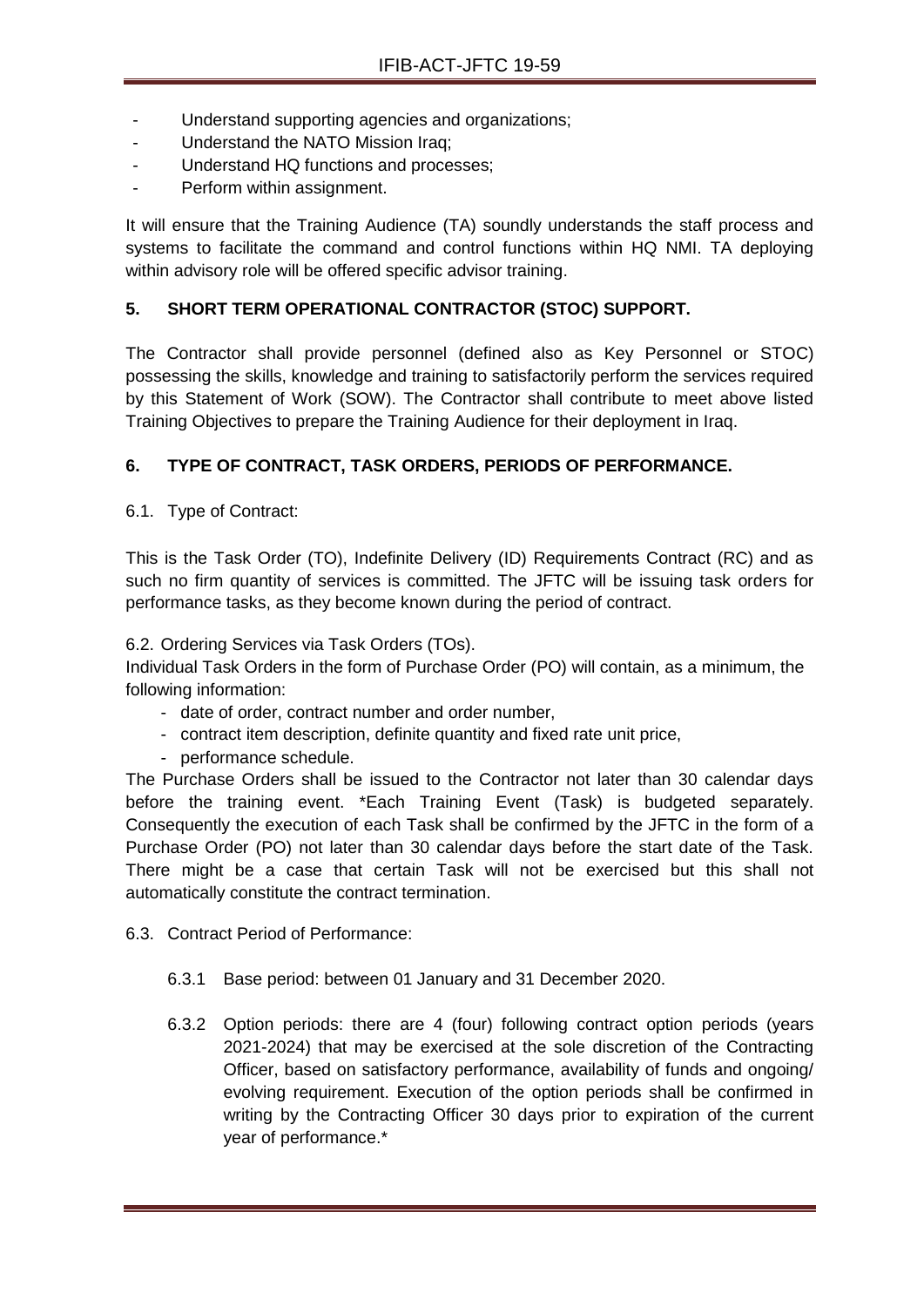- Understand supporting agencies and organizations;
- Understand the NATO Mission Iraq;
- Understand HQ functions and processes;
- Perform within assignment.

It will ensure that the Training Audience (TA) soundly understands the staff process and systems to facilitate the command and control functions within HQ NMI. TA deploying within advisory role will be offered specific advisor training.

## **5. SHORT TERM OPERATIONAL CONTRACTOR (STOC) SUPPORT.**

The Contractor shall provide personnel (defined also as Key Personnel or STOC) possessing the skills, knowledge and training to satisfactorily perform the services required by this Statement of Work (SOW). The Contractor shall contribute to meet above listed Training Objectives to prepare the Training Audience for their deployment in Iraq.

# **6. TYPE OF CONTRACT, TASK ORDERS, PERIODS OF PERFORMANCE.**

6.1. Type of Contract:

This is the Task Order (TO), Indefinite Delivery (ID) Requirements Contract (RC) and as such no firm quantity of services is committed. The JFTC will be issuing task orders for performance tasks, as they become known during the period of contract.

6.2. Ordering Services via Task Orders (TOs).

Individual Task Orders in the form of Purchase Order (PO) will contain, as a minimum, the following information:

- date of order, contract number and order number,
- contract item description, definite quantity and fixed rate unit price,
- performance schedule.

The Purchase Orders shall be issued to the Contractor not later than 30 calendar days before the training event. \*Each Training Event (Task) is budgeted separately. Consequently the execution of each Task shall be confirmed by the JFTC in the form of a Purchase Order (PO) not later than 30 calendar days before the start date of the Task. There might be a case that certain Task will not be exercised but this shall not automatically constitute the contract termination.

6.3. Contract Period of Performance:

- 6.3.1 Base period: between 01 January and 31 December 2020.
- 6.3.2 Option periods: there are 4 (four) following contract option periods (years 2021-2024) that may be exercised at the sole discretion of the Contracting Officer, based on satisfactory performance, availability of funds and ongoing/ evolving requirement. Execution of the option periods shall be confirmed in writing by the Contracting Officer 30 days prior to expiration of the current year of performance.\*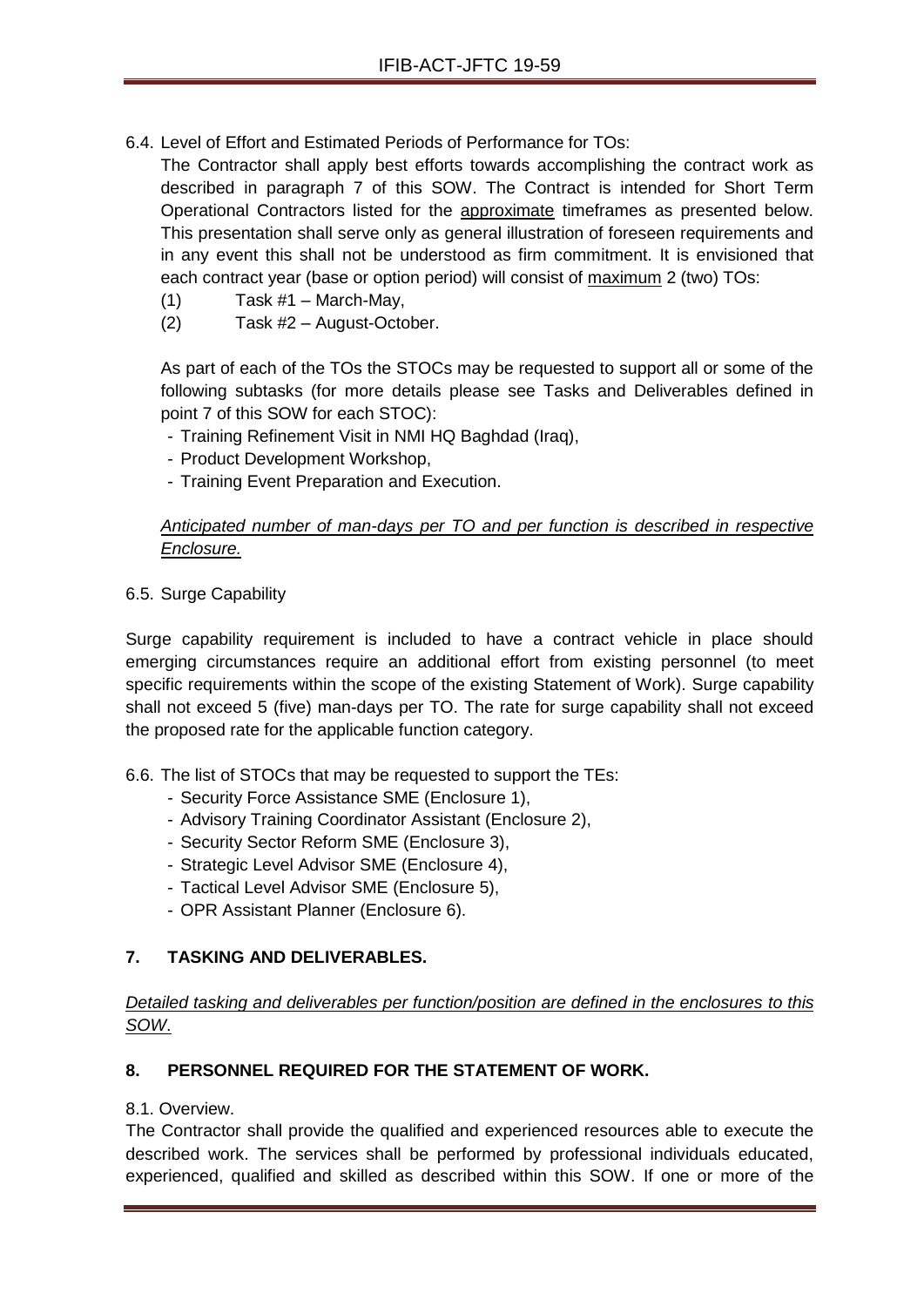6.4. Level of Effort and Estimated Periods of Performance for TOs:

The Contractor shall apply best efforts towards accomplishing the contract work as described in paragraph 7 of this SOW. The Contract is intended for Short Term Operational Contractors listed for the approximate timeframes as presented below. This presentation shall serve only as general illustration of foreseen requirements and in any event this shall not be understood as firm commitment. It is envisioned that each contract year (base or option period) will consist of maximum 2 (two) TOs:

- $(1)$  Task #1 March-May,
- (2) Task #2 August-October.

As part of each of the TOs the STOCs may be requested to support all or some of the following subtasks (for more details please see Tasks and Deliverables defined in point 7 of this SOW for each STOC):

- Training Refinement Visit in NMI HQ Baghdad (Iraq),
- Product Development Workshop,
- Training Event Preparation and Execution.

## *Anticipated number of man-days per TO and per function is described in respective Enclosure.*

6.5. Surge Capability

Surge capability requirement is included to have a contract vehicle in place should emerging circumstances require an additional effort from existing personnel (to meet specific requirements within the scope of the existing Statement of Work). Surge capability shall not exceed 5 (five) man-days per TO. The rate for surge capability shall not exceed the proposed rate for the applicable function category.

- 6.6. The list of STOCs that may be requested to support the TEs:
	- Security Force Assistance SME (Enclosure 1),
	- Advisory Training Coordinator Assistant (Enclosure 2),
	- Security Sector Reform SME (Enclosure 3),
	- Strategic Level Advisor SME (Enclosure 4),
	- Tactical Level Advisor SME (Enclosure 5),
	- OPR Assistant Planner (Enclosure 6).

## **7. TASKING AND DELIVERABLES.**

## *Detailed tasking and deliverables per function/position are defined in the enclosures to this SOW*.

## **8. PERSONNEL REQUIRED FOR THE STATEMENT OF WORK.**

## 8.1. Overview.

The Contractor shall provide the qualified and experienced resources able to execute the described work. The services shall be performed by professional individuals educated, experienced, qualified and skilled as described within this SOW. If one or more of the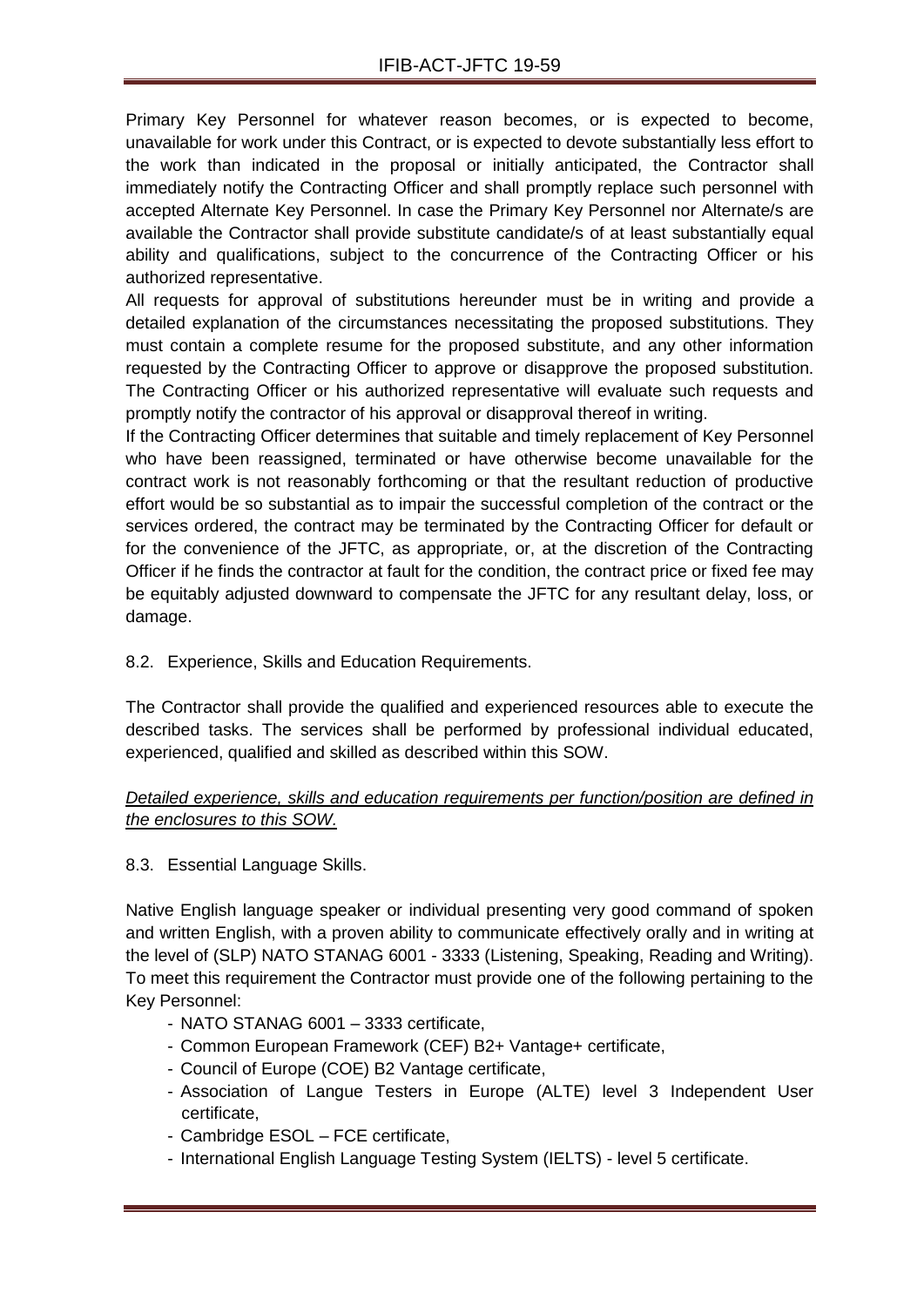Primary Key Personnel for whatever reason becomes, or is expected to become, unavailable for work under this Contract, or is expected to devote substantially less effort to the work than indicated in the proposal or initially anticipated, the Contractor shall immediately notify the Contracting Officer and shall promptly replace such personnel with accepted Alternate Key Personnel. In case the Primary Key Personnel nor Alternate/s are available the Contractor shall provide substitute candidate/s of at least substantially equal ability and qualifications, subject to the concurrence of the Contracting Officer or his authorized representative.

All requests for approval of substitutions hereunder must be in writing and provide a detailed explanation of the circumstances necessitating the proposed substitutions. They must contain a complete resume for the proposed substitute, and any other information requested by the Contracting Officer to approve or disapprove the proposed substitution. The Contracting Officer or his authorized representative will evaluate such requests and promptly notify the contractor of his approval or disapproval thereof in writing.

If the Contracting Officer determines that suitable and timely replacement of Key Personnel who have been reassigned, terminated or have otherwise become unavailable for the contract work is not reasonably forthcoming or that the resultant reduction of productive effort would be so substantial as to impair the successful completion of the contract or the services ordered, the contract may be terminated by the Contracting Officer for default or for the convenience of the JFTC, as appropriate, or, at the discretion of the Contracting Officer if he finds the contractor at fault for the condition, the contract price or fixed fee may be equitably adjusted downward to compensate the JFTC for any resultant delay, loss, or damage.

8.2. Experience, Skills and Education Requirements.

The Contractor shall provide the qualified and experienced resources able to execute the described tasks. The services shall be performed by professional individual educated, experienced, qualified and skilled as described within this SOW.

## *Detailed experience, skills and education requirements per function/position are defined in the enclosures to this SOW.*

8.3. Essential Language Skills.

Native English language speaker or individual presenting very good command of spoken and written English, with a proven ability to communicate effectively orally and in writing at the level of (SLP) NATO STANAG 6001 - 3333 (Listening, Speaking, Reading and Writing). To meet this requirement the Contractor must provide one of the following pertaining to the Key Personnel:

- NATO STANAG 6001 3333 certificate,
- Common European Framework (CEF) B2+ Vantage+ certificate,
- Council of Europe (COE) B2 Vantage certificate,
- Association of Langue Testers in Europe (ALTE) level 3 Independent User certificate,
- Cambridge ESOL FCE certificate,
- International English Language Testing System (IELTS) level 5 certificate.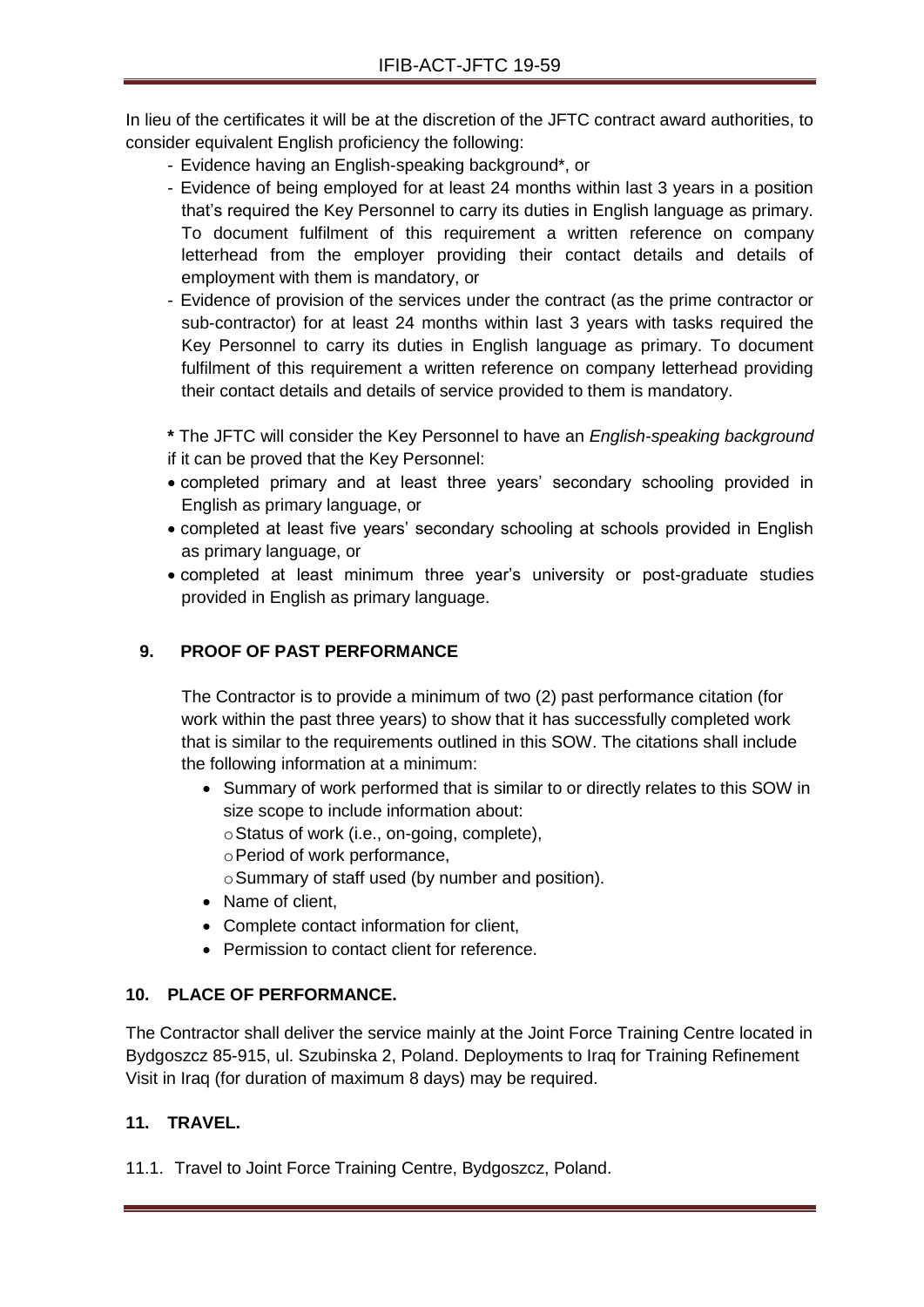In lieu of the certificates it will be at the discretion of the JFTC contract award authorities, to consider equivalent English proficiency the following:

- Evidence having an English-speaking background\*, or
- Evidence of being employed for at least 24 months within last 3 years in a position that's required the Key Personnel to carry its duties in English language as primary. To document fulfilment of this requirement a written reference on company letterhead from the employer providing their contact details and details of employment with them is mandatory, or
- Evidence of provision of the services under the contract (as the prime contractor or sub-contractor) for at least 24 months within last 3 years with tasks required the Key Personnel to carry its duties in English language as primary. To document fulfilment of this requirement a written reference on company letterhead providing their contact details and details of service provided to them is mandatory.

**\*** The JFTC will consider the Key Personnel to have an *English-speaking background*  if it can be proved that the Key Personnel:

- completed primary and at least three years' secondary schooling provided in English as primary language, or
- completed at least five years' secondary schooling at schools provided in English as primary language, or
- completed at least minimum three year's university or post-graduate studies provided in English as primary language.

## **9. PROOF OF PAST PERFORMANCE**

The Contractor is to provide a minimum of two (2) past performance citation (for work within the past three years) to show that it has successfully completed work that is similar to the requirements outlined in this SOW. The citations shall include the following information at a minimum:

 Summary of work performed that is similar to or directly relates to this SOW in size scope to include information about:

oStatus of work (i.e., on-going, complete),

oPeriod of work performance,

oSummary of staff used (by number and position).

- Name of client,
- Complete contact information for client,
- Permission to contact client for reference.

## **10. PLACE OF PERFORMANCE.**

The Contractor shall deliver the service mainly at the Joint Force Training Centre located in Bydgoszcz 85-915, ul. Szubinska 2, Poland. Deployments to Iraq for Training Refinement Visit in Iraq (for duration of maximum 8 days) may be required.

## **11. TRAVEL.**

11.1. Travel to Joint Force Training Centre, Bydgoszcz, Poland.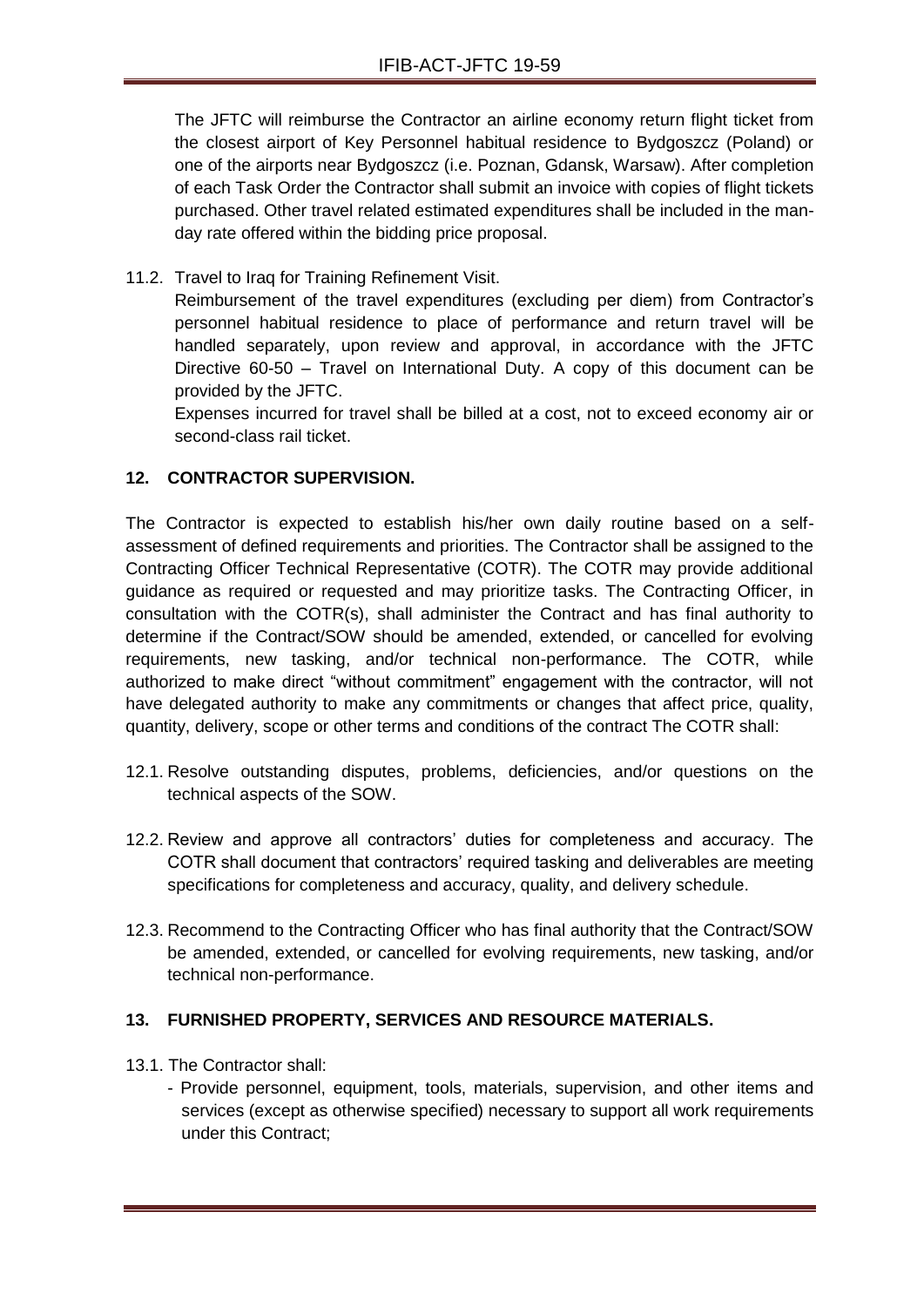The JFTC will reimburse the Contractor an airline economy return flight ticket from the closest airport of Key Personnel habitual residence to Bydgoszcz (Poland) or one of the airports near Bydgoszcz (i.e. Poznan, Gdansk, Warsaw). After completion of each Task Order the Contractor shall submit an invoice with copies of flight tickets purchased. Other travel related estimated expenditures shall be included in the manday rate offered within the bidding price proposal.

11.2. Travel to Iraq for Training Refinement Visit.

Reimbursement of the travel expenditures (excluding per diem) from Contractor's personnel habitual residence to place of performance and return travel will be handled separately, upon review and approval, in accordance with the JFTC Directive 60-50 – Travel on International Duty. A copy of this document can be provided by the JFTC.

Expenses incurred for travel shall be billed at a cost, not to exceed economy air or second-class rail ticket.

## **12. CONTRACTOR SUPERVISION.**

The Contractor is expected to establish his/her own daily routine based on a selfassessment of defined requirements and priorities. The Contractor shall be assigned to the Contracting Officer Technical Representative (COTR). The COTR may provide additional guidance as required or requested and may prioritize tasks. The Contracting Officer, in consultation with the COTR(s), shall administer the Contract and has final authority to determine if the Contract/SOW should be amended, extended, or cancelled for evolving requirements, new tasking, and/or technical non-performance. The COTR, while authorized to make direct "without commitment" engagement with the contractor, will not have delegated authority to make any commitments or changes that affect price, quality, quantity, delivery, scope or other terms and conditions of the contract The COTR shall:

- 12.1. Resolve outstanding disputes, problems, deficiencies, and/or questions on the technical aspects of the SOW.
- 12.2. Review and approve all contractors' duties for completeness and accuracy. The COTR shall document that contractors' required tasking and deliverables are meeting specifications for completeness and accuracy, quality, and delivery schedule.
- 12.3. Recommend to the Contracting Officer who has final authority that the Contract/SOW be amended, extended, or cancelled for evolving requirements, new tasking, and/or technical non-performance.

## **13. FURNISHED PROPERTY, SERVICES AND RESOURCE MATERIALS.**

- 13.1. The Contractor shall:
	- Provide personnel, equipment, tools, materials, supervision, and other items and services (except as otherwise specified) necessary to support all work requirements under this Contract;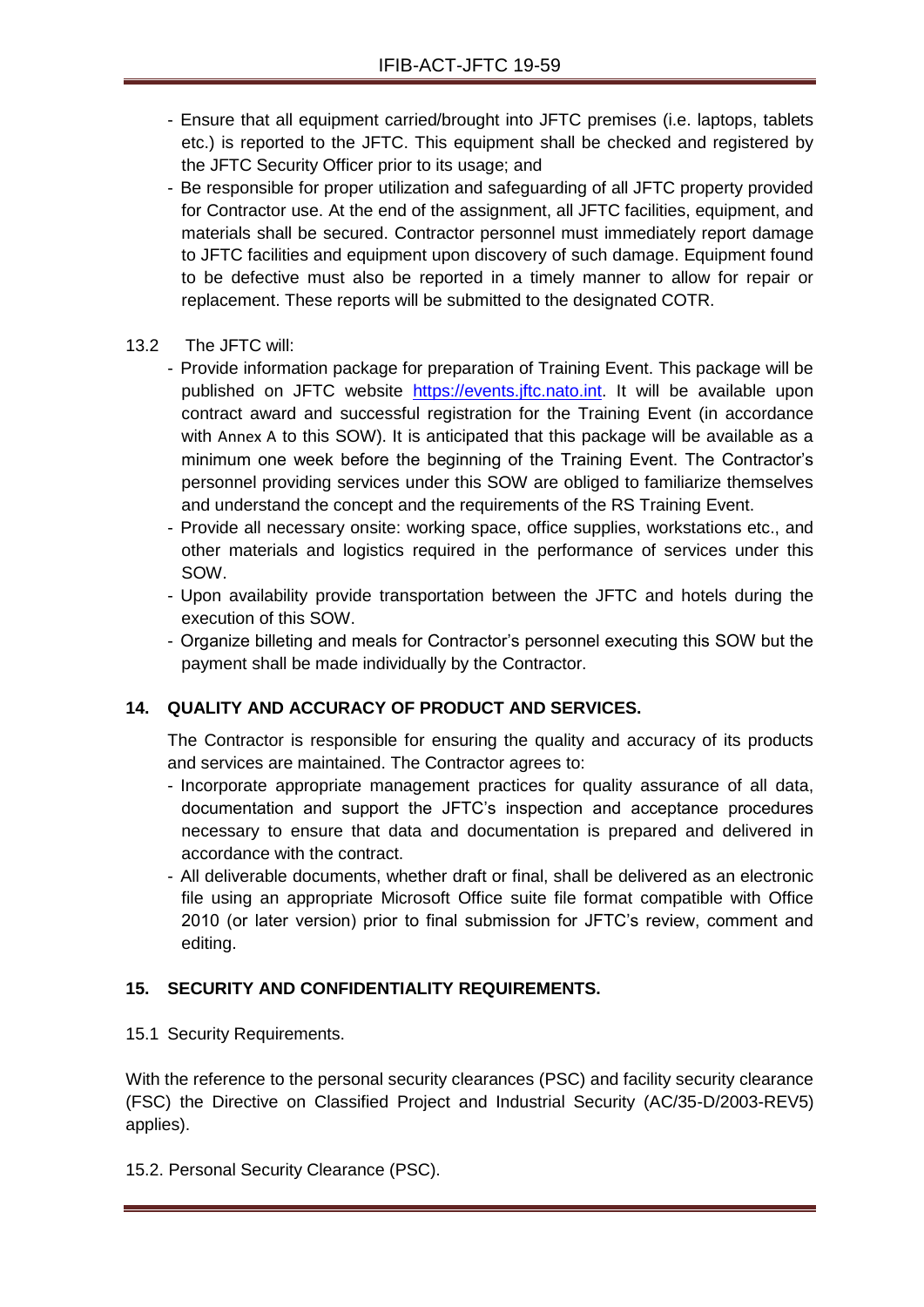- Ensure that all equipment carried/brought into JFTC premises (i.e. laptops, tablets etc.) is reported to the JFTC. This equipment shall be checked and registered by the JFTC Security Officer prior to its usage; and
- Be responsible for proper utilization and safeguarding of all JFTC property provided for Contractor use. At the end of the assignment, all JFTC facilities, equipment, and materials shall be secured. Contractor personnel must immediately report damage to JFTC facilities and equipment upon discovery of such damage. Equipment found to be defective must also be reported in a timely manner to allow for repair or replacement. These reports will be submitted to the designated COTR.
- 13.2 The JFTC will:
	- Provide information package for preparation of Training Event. This package will be published on JFTC website [https://events.jftc.nato.int.](https://events.jftc.nato.int/) It will be available upon contract award and successful registration for the Training Event (in accordance with [Annex A](#page-66-0) to this SOW). It is anticipated that this package will be available as a minimum one week before the beginning of the Training Event. The Contractor's personnel providing services under this SOW are obliged to familiarize themselves and understand the concept and the requirements of the RS Training Event.
	- Provide all necessary onsite: working space, office supplies, workstations etc., and other materials and logistics required in the performance of services under this SOW.
	- Upon availability provide transportation between the JFTC and hotels during the execution of this SOW.
	- Organize billeting and meals for Contractor's personnel executing this SOW but the payment shall be made individually by the Contractor.

## **14. QUALITY AND ACCURACY OF PRODUCT AND SERVICES.**

The Contractor is responsible for ensuring the quality and accuracy of its products and services are maintained. The Contractor agrees to:

- Incorporate appropriate management practices for quality assurance of all data, documentation and support the JFTC's inspection and acceptance procedures necessary to ensure that data and documentation is prepared and delivered in accordance with the contract.
- All deliverable documents, whether draft or final, shall be delivered as an electronic file using an appropriate Microsoft Office suite file format compatible with Office 2010 (or later version) prior to final submission for JFTC's review, comment and editing.

## **15. SECURITY AND CONFIDENTIALITY REQUIREMENTS.**

15.1 Security Requirements.

With the reference to the personal security clearances (PSC) and facility security clearance (FSC) the Directive on Classified Project and Industrial Security (AC/35-D/2003-REV5) applies).

## 15.2. Personal Security Clearance (PSC).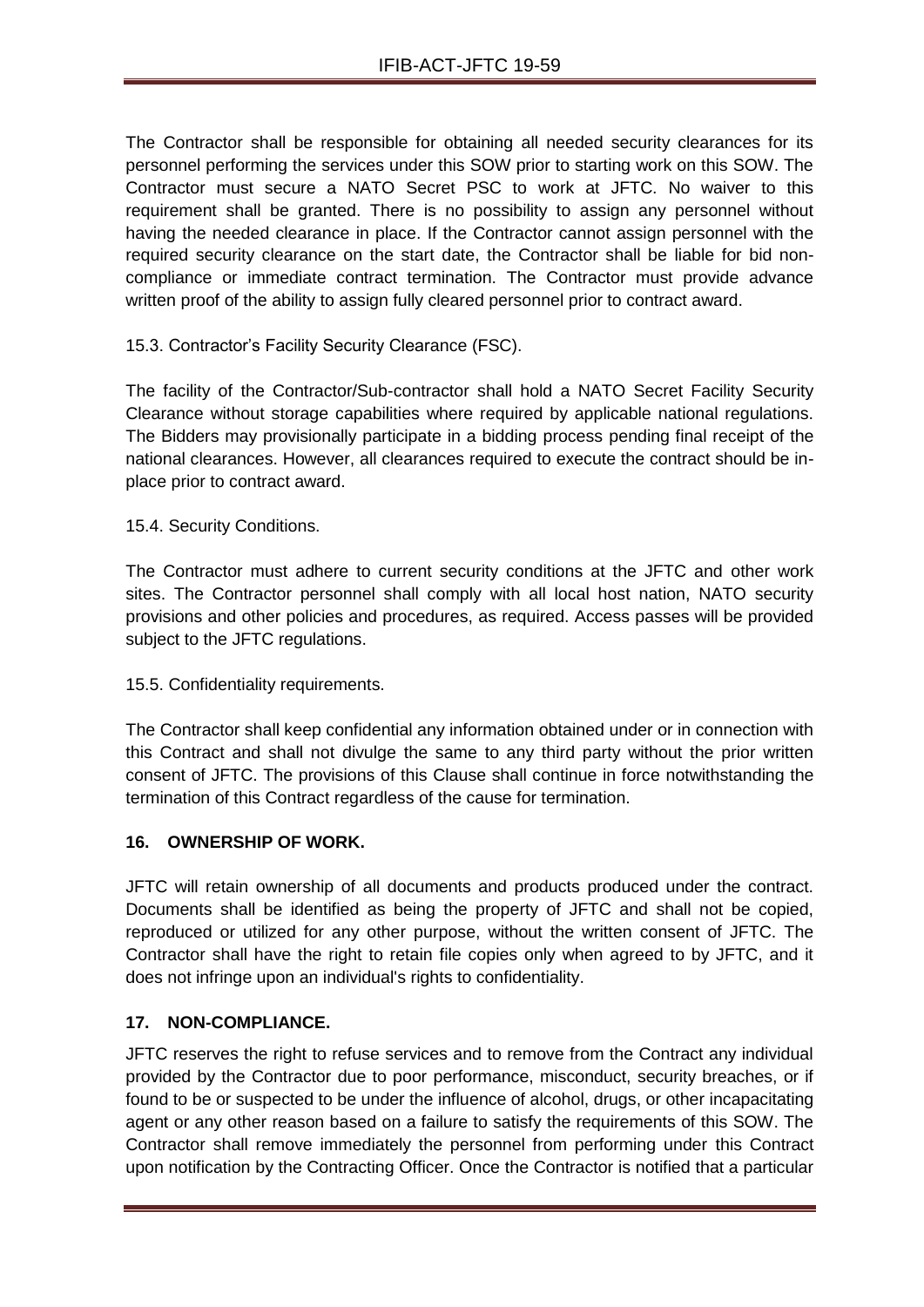The Contractor shall be responsible for obtaining all needed security clearances for its personnel performing the services under this SOW prior to starting work on this SOW. The Contractor must secure a NATO Secret PSC to work at JFTC. No waiver to this requirement shall be granted. There is no possibility to assign any personnel without having the needed clearance in place. If the Contractor cannot assign personnel with the required security clearance on the start date, the Contractor shall be liable for bid noncompliance or immediate contract termination. The Contractor must provide advance written proof of the ability to assign fully cleared personnel prior to contract award.

## 15.3. Contractor's Facility Security Clearance (FSC).

The facility of the Contractor/Sub-contractor shall hold a NATO Secret Facility Security Clearance without storage capabilities where required by applicable national regulations. The Bidders may provisionally participate in a bidding process pending final receipt of the national clearances. However, all clearances required to execute the contract should be inplace prior to contract award.

15.4. Security Conditions.

The Contractor must adhere to current security conditions at the JFTC and other work sites. The Contractor personnel shall comply with all local host nation, NATO security provisions and other policies and procedures, as required. Access passes will be provided subject to the JFTC regulations.

## 15.5. Confidentiality requirements.

The Contractor shall keep confidential any information obtained under or in connection with this Contract and shall not divulge the same to any third party without the prior written consent of JFTC. The provisions of this Clause shall continue in force notwithstanding the termination of this Contract regardless of the cause for termination.

## **16. OWNERSHIP OF WORK.**

JFTC will retain ownership of all documents and products produced under the contract. Documents shall be identified as being the property of JFTC and shall not be copied, reproduced or utilized for any other purpose, without the written consent of JFTC. The Contractor shall have the right to retain file copies only when agreed to by JFTC, and it does not infringe upon an individual's rights to confidentiality.

## **17. NON-COMPLIANCE.**

JFTC reserves the right to refuse services and to remove from the Contract any individual provided by the Contractor due to poor performance, misconduct, security breaches, or if found to be or suspected to be under the influence of alcohol, drugs, or other incapacitating agent or any other reason based on a failure to satisfy the requirements of this SOW. The Contractor shall remove immediately the personnel from performing under this Contract upon notification by the Contracting Officer. Once the Contractor is notified that a particular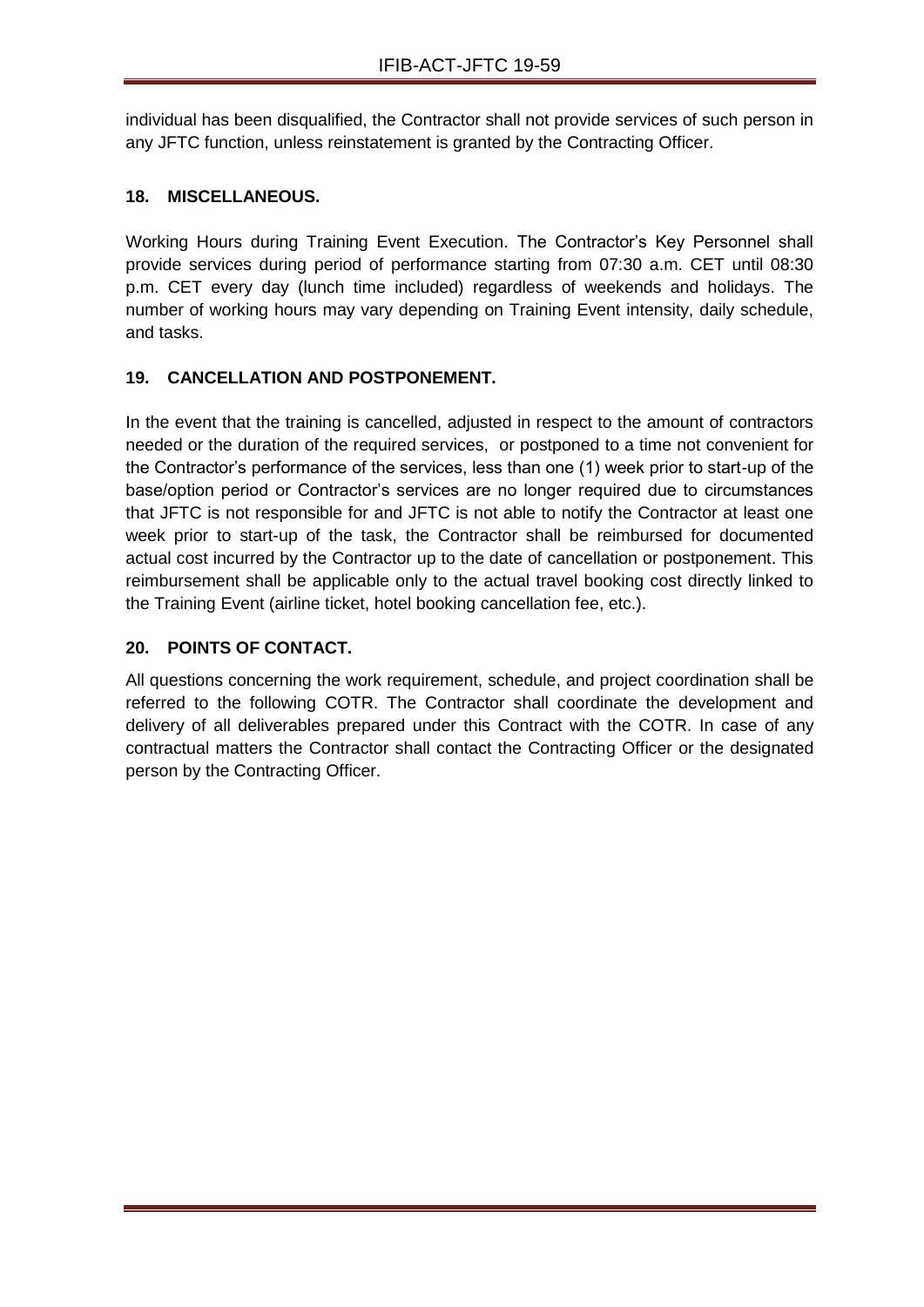individual has been disqualified, the Contractor shall not provide services of such person in any JFTC function, unless reinstatement is granted by the Contracting Officer.

## **18. MISCELLANEOUS.**

Working Hours during Training Event Execution. The Contractor's Key Personnel shall provide services during period of performance starting from 07:30 a.m. CET until 08:30 p.m. CET every day (lunch time included) regardless of weekends and holidays. The number of working hours may vary depending on Training Event intensity, daily schedule, and tasks.

## **19. CANCELLATION AND POSTPONEMENT.**

In the event that the training is cancelled, adjusted in respect to the amount of contractors needed or the duration of the required services, or postponed to a time not convenient for the Contractor's performance of the services, less than one (1) week prior to start-up of the base/option period or Contractor's services are no longer required due to circumstances that JFTC is not responsible for and JFTC is not able to notify the Contractor at least one week prior to start-up of the task, the Contractor shall be reimbursed for documented actual cost incurred by the Contractor up to the date of cancellation or postponement. This reimbursement shall be applicable only to the actual travel booking cost directly linked to the Training Event (airline ticket, hotel booking cancellation fee, etc.).

## **20. POINTS OF CONTACT.**

All questions concerning the work requirement, schedule, and project coordination shall be referred to the following COTR. The Contractor shall coordinate the development and delivery of all deliverables prepared under this Contract with the COTR. In case of any contractual matters the Contractor shall contact the Contracting Officer or the designated person by the Contracting Officer.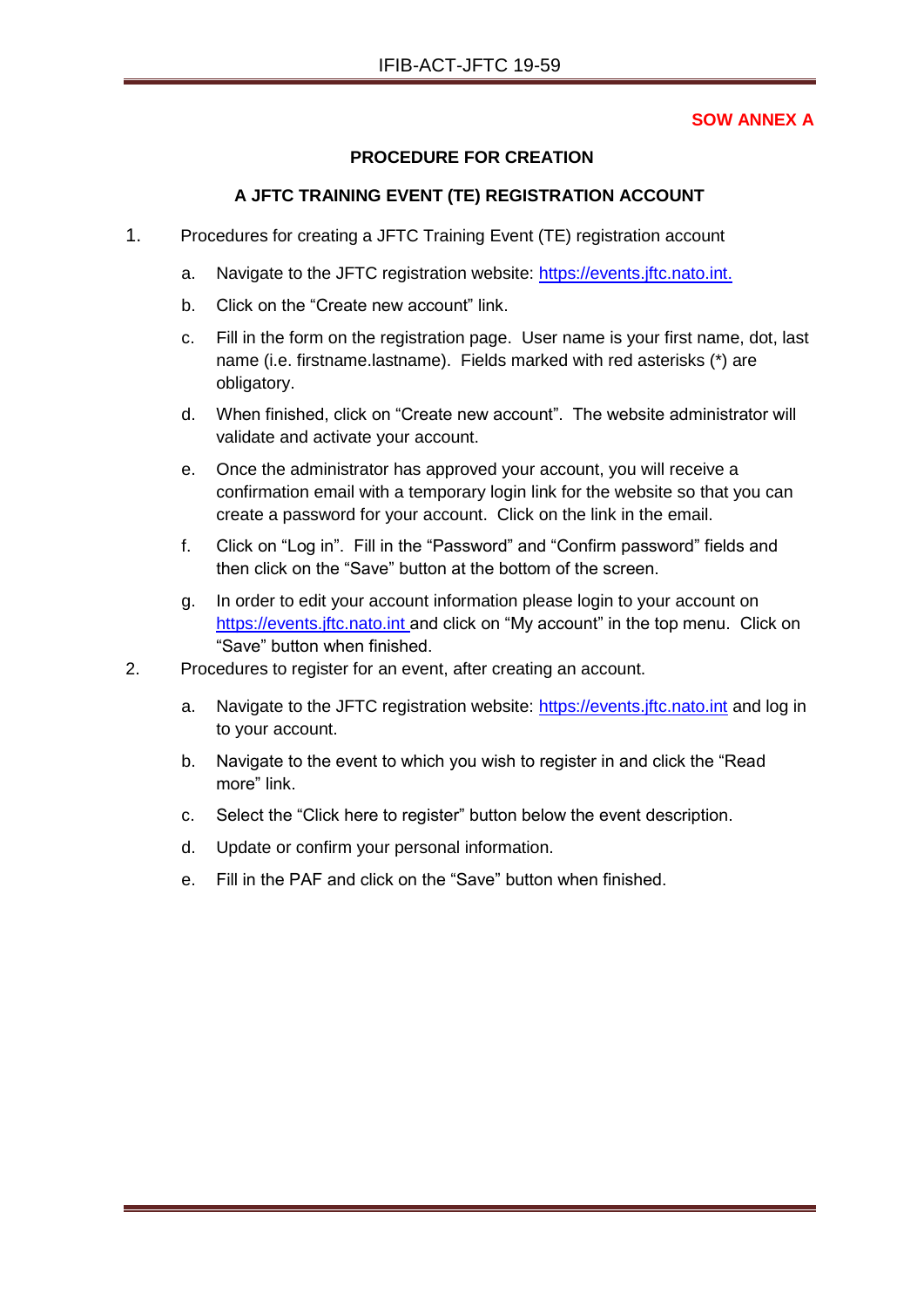## **SOW ANNEX A**

## **PROCEDURE FOR CREATION**

## **A JFTC TRAINING EVENT (TE) REGISTRATION ACCOUNT**

- <span id="page-66-0"></span>1. Procedures for creating a JFTC Training Event (TE) registration account
	- a. Navigate to the JFTC registration website: [https://events.jftc.nato.int.](https://events.jftc.nato.int/)
	- b. Click on the "Create new account" link.
	- c. Fill in the form on the registration page. User name is your first name, dot, last name (i.e. firstname.lastname). Fields marked with red asterisks (\*) are obligatory.
	- d. When finished, click on "Create new account". The website administrator will validate and activate your account.
	- e. Once the administrator has approved your account, you will receive a confirmation email with a temporary login link for the website so that you can create a password for your account. Click on the link in the email.
	- f. Click on "Log in". Fill in the "Password" and "Confirm password" fields and then click on the "Save" button at the bottom of the screen.
	- g. In order to edit your account information please login to your account on [https://events.jftc.nato.int](https://events.jftc.nato.int/) and click on "My account" in the top menu. Click on "Save" button when finished.
- 2. Procedures to register for an event, after creating an account.
	- a. Navigate to the JFTC registration website: [https://events.jftc.nato.int](https://events.jftc.nato.int/) and log in to your account.
	- b. Navigate to the event to which you wish to register in and click the "Read more" link.
	- c. Select the "Click here to register" button below the event description.
	- d. Update or confirm your personal information.
	- e. Fill in the PAF and click on the "Save" button when finished.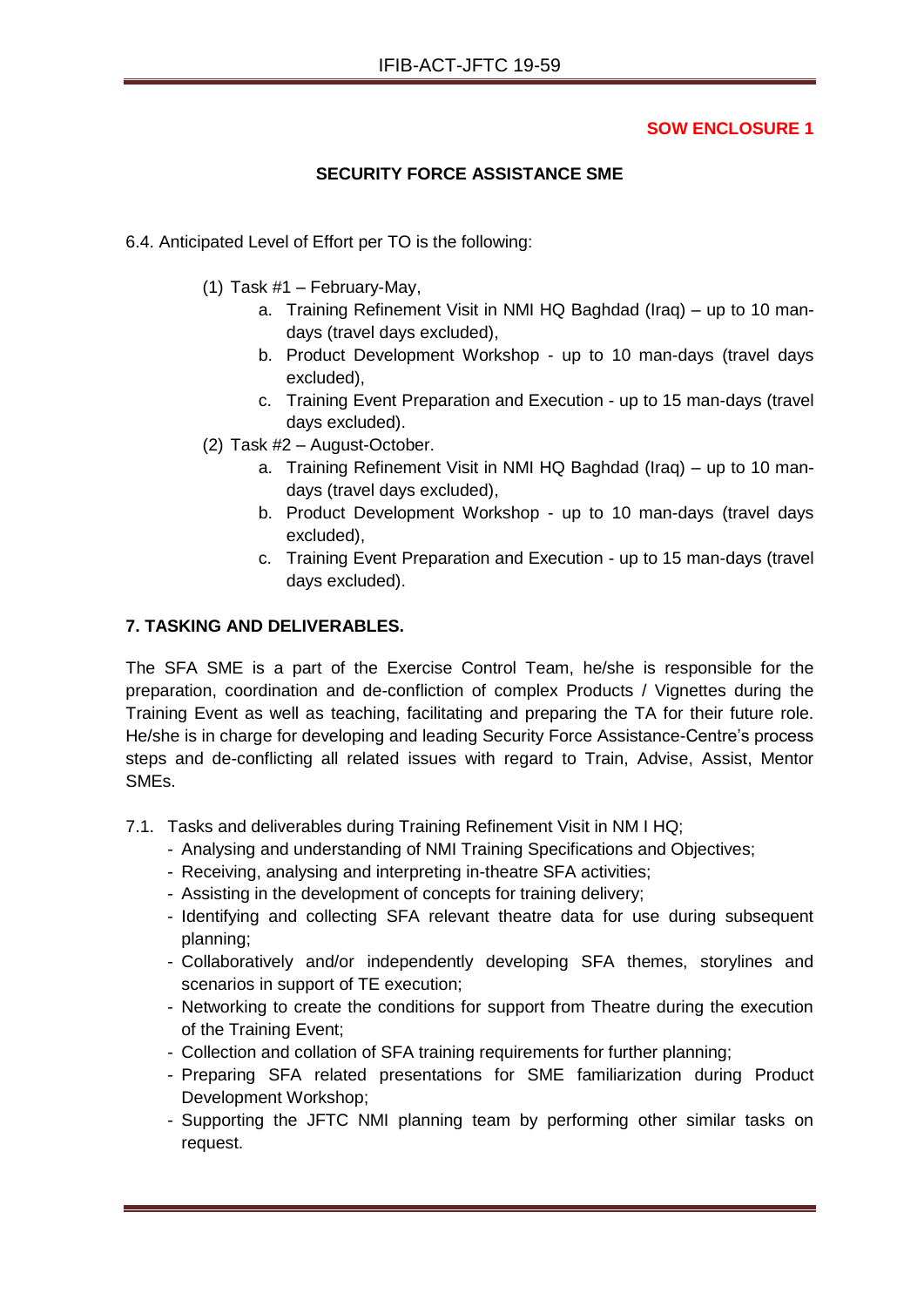## **SOW ENCLOSURE 1**

## **SECURITY FORCE ASSISTANCE SME**

- 6.4. Anticipated Level of Effort per TO is the following:
	- (1) Task #1 February-May,
		- a. Training Refinement Visit in NMI HQ Baghdad (Iraq) up to 10 mandays (travel days excluded),
		- b. Product Development Workshop up to 10 man-days (travel days excluded),
		- c. Training Event Preparation and Execution up to 15 man-days (travel days excluded).
	- (2) Task #2 August-October.
		- a. Training Refinement Visit in NMI HQ Baghdad (Iraq) up to 10 mandays (travel days excluded),
		- b. Product Development Workshop up to 10 man-days (travel days excluded),
		- c. Training Event Preparation and Execution up to 15 man-days (travel days excluded).

## **7. TASKING AND DELIVERABLES.**

The SFA SME is a part of the Exercise Control Team, he/she is responsible for the preparation, coordination and de-confliction of complex Products / Vignettes during the Training Event as well as teaching, facilitating and preparing the TA for their future role. He/she is in charge for developing and leading Security Force Assistance-Centre's process steps and de-conflicting all related issues with regard to Train, Advise, Assist, Mentor SMEs.

- 7.1. Tasks and deliverables during Training Refinement Visit in NM I HQ;
	- Analysing and understanding of NMI Training Specifications and Objectives;
	- Receiving, analysing and interpreting in-theatre SFA activities;
	- Assisting in the development of concepts for training delivery;
	- Identifying and collecting SFA relevant theatre data for use during subsequent planning;
	- Collaboratively and/or independently developing SFA themes, storylines and scenarios in support of TE execution;
	- Networking to create the conditions for support from Theatre during the execution of the Training Event;
	- Collection and collation of SFA training requirements for further planning;
	- Preparing SFA related presentations for SME familiarization during Product Development Workshop;
	- Supporting the JFTC NMI planning team by performing other similar tasks on request.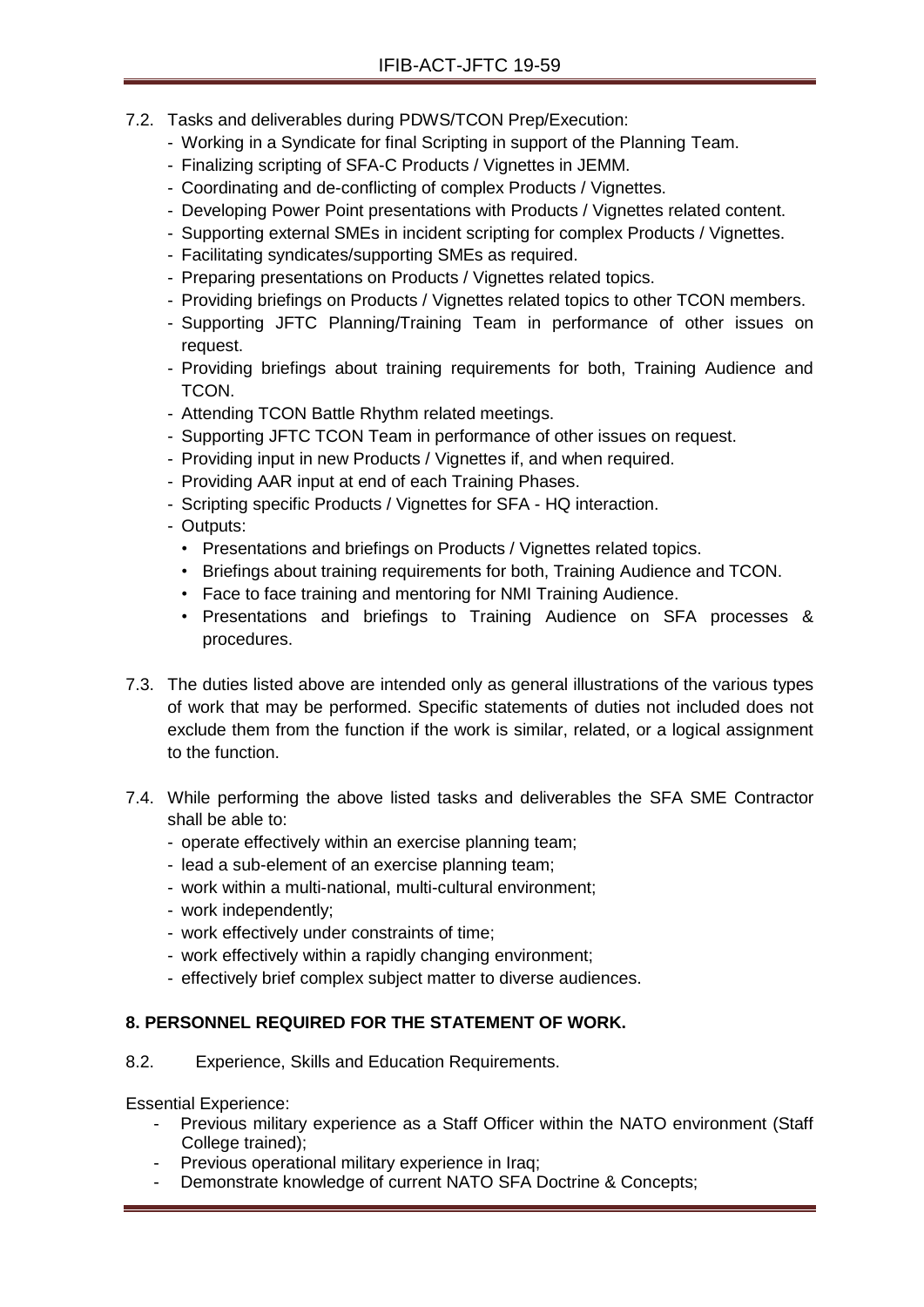- 7.2. Tasks and deliverables during PDWS/TCON Prep/Execution:
	- Working in a Syndicate for final Scripting in support of the Planning Team.
	- Finalizing scripting of SFA-C Products / Vignettes in JEMM.
	- Coordinating and de-conflicting of complex Products / Vignettes.
	- Developing Power Point presentations with Products / Vignettes related content.
	- Supporting external SMEs in incident scripting for complex Products / Vignettes.
	- Facilitating syndicates/supporting SMEs as required.
	- Preparing presentations on Products / Vignettes related topics.
	- Providing briefings on Products / Vignettes related topics to other TCON members.
	- Supporting JFTC Planning/Training Team in performance of other issues on request.
	- Providing briefings about training requirements for both, Training Audience and TCON.
	- Attending TCON Battle Rhythm related meetings.
	- Supporting JFTC TCON Team in performance of other issues on request.
	- Providing input in new Products / Vignettes if, and when required.
	- Providing AAR input at end of each Training Phases.
	- Scripting specific Products / Vignettes for SFA HQ interaction.
	- Outputs:
		- Presentations and briefings on Products / Vignettes related topics.
		- Briefings about training requirements for both, Training Audience and TCON.
		- Face to face training and mentoring for NMI Training Audience.
		- Presentations and briefings to Training Audience on SFA processes & procedures.
- 7.3. The duties listed above are intended only as general illustrations of the various types of work that may be performed. Specific statements of duties not included does not exclude them from the function if the work is similar, related, or a logical assignment to the function.
- 7.4. While performing the above listed tasks and deliverables the SFA SME Contractor shall be able to:
	- operate effectively within an exercise planning team;
	- lead a sub-element of an exercise planning team;
	- work within a multi-national, multi-cultural environment;
	- work independently;
	- work effectively under constraints of time;
	- work effectively within a rapidly changing environment;
	- effectively brief complex subject matter to diverse audiences.

# **8. PERSONNEL REQUIRED FOR THE STATEMENT OF WORK.**

8.2. Experience, Skills and Education Requirements.

Essential Experience:

- Previous military experience as a Staff Officer within the NATO environment (Staff College trained);
- Previous operational military experience in Iraq;
- Demonstrate knowledge of current NATO SFA Doctrine & Concepts;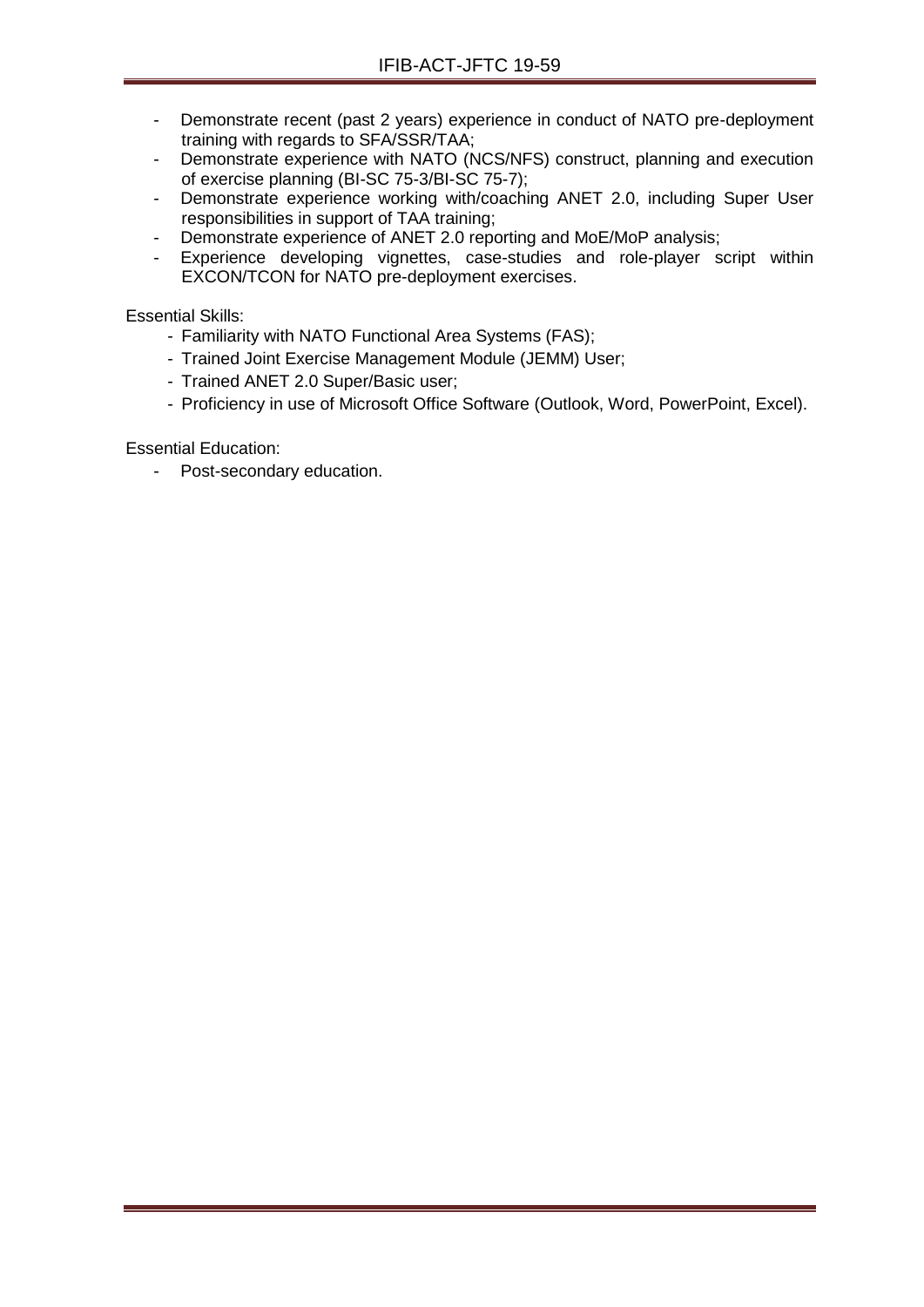- Demonstrate recent (past 2 years) experience in conduct of NATO pre-deployment training with regards to SFA/SSR/TAA;
- Demonstrate experience with NATO (NCS/NFS) construct, planning and execution of exercise planning (BI-SC 75-3/BI-SC 75-7);
- Demonstrate experience working with/coaching ANET 2.0, including Super User responsibilities in support of TAA training;
- Demonstrate experience of ANET 2.0 reporting and MoE/MoP analysis;
- Experience developing vignettes, case-studies and role-player script within EXCON/TCON for NATO pre-deployment exercises.

Essential Skills:

- Familiarity with NATO Functional Area Systems (FAS);
- Trained Joint Exercise Management Module (JEMM) User;
- Trained ANET 2.0 Super/Basic user;
- Proficiency in use of Microsoft Office Software (Outlook, Word, PowerPoint, Excel).

Essential Education:

- Post-secondary education.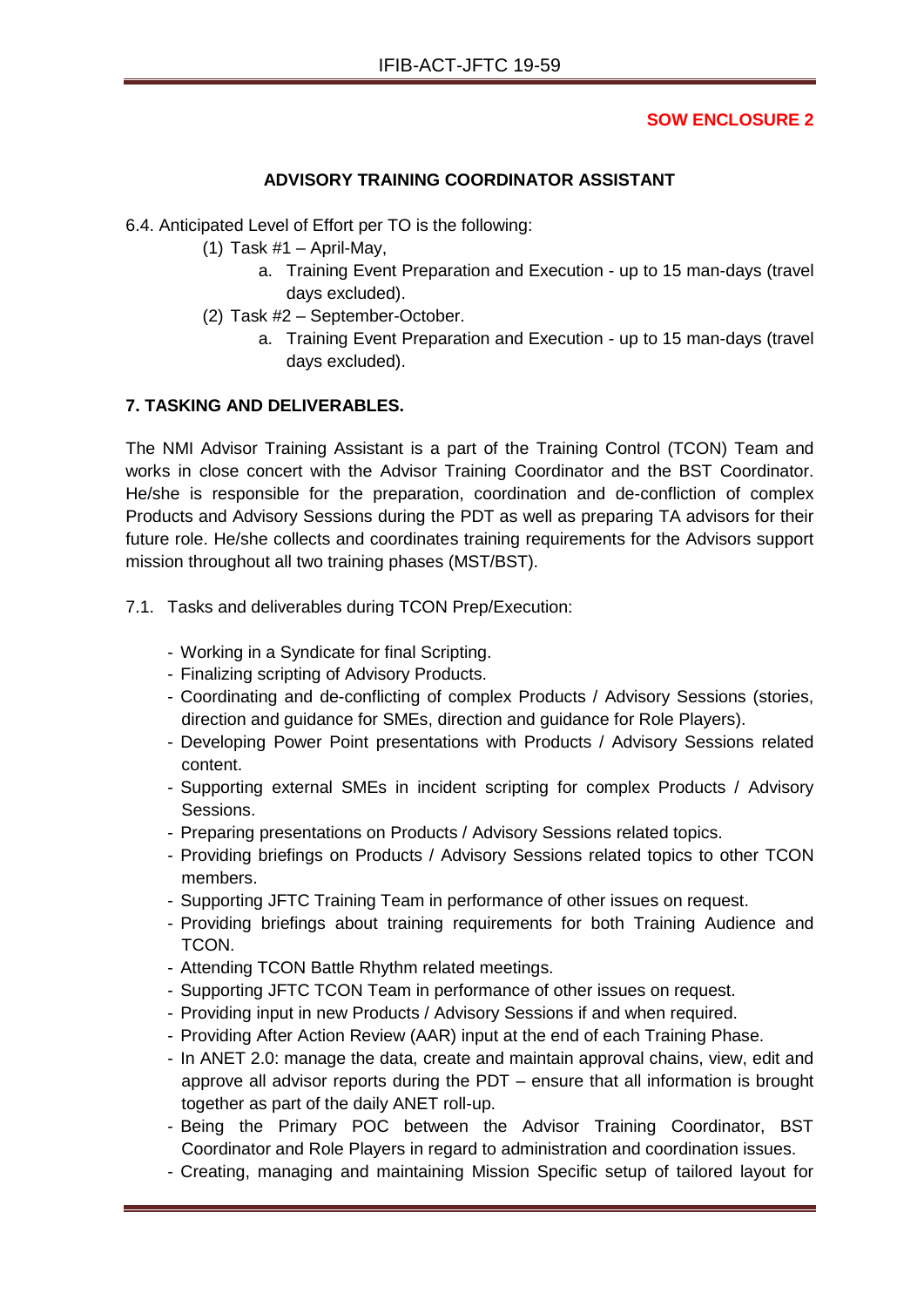## **SOW ENCLOSURE 2**

## **ADVISORY TRAINING COORDINATOR ASSISTANT**

6.4. Anticipated Level of Effort per TO is the following:

- (1) Task  $#1 -$  April-May,
	- a. Training Event Preparation and Execution up to 15 man-days (travel days excluded).
- (2) Task #2 September-October.
	- a. Training Event Preparation and Execution up to 15 man-days (travel days excluded).

## **7. TASKING AND DELIVERABLES.**

The NMI Advisor Training Assistant is a part of the Training Control (TCON) Team and works in close concert with the Advisor Training Coordinator and the BST Coordinator. He/she is responsible for the preparation, coordination and de-confliction of complex Products and Advisory Sessions during the PDT as well as preparing TA advisors for their future role. He/she collects and coordinates training requirements for the Advisors support mission throughout all two training phases (MST/BST).

- 7.1. Tasks and deliverables during TCON Prep/Execution:
	- Working in a Syndicate for final Scripting.
	- Finalizing scripting of Advisory Products.
	- Coordinating and de-conflicting of complex Products / Advisory Sessions (stories, direction and guidance for SMEs, direction and guidance for Role Players).
	- Developing Power Point presentations with Products / Advisory Sessions related content.
	- Supporting external SMEs in incident scripting for complex Products / Advisory Sessions.
	- Preparing presentations on Products / Advisory Sessions related topics.
	- Providing briefings on Products / Advisory Sessions related topics to other TCON members.
	- Supporting JFTC Training Team in performance of other issues on request.
	- Providing briefings about training requirements for both Training Audience and TCON.
	- Attending TCON Battle Rhythm related meetings.
	- Supporting JFTC TCON Team in performance of other issues on request.
	- Providing input in new Products / Advisory Sessions if and when required.
	- Providing After Action Review (AAR) input at the end of each Training Phase.
	- In ANET 2.0: manage the data, create and maintain approval chains, view, edit and approve all advisor reports during the PDT – ensure that all information is brought together as part of the daily ANET roll-up.
	- Being the Primary POC between the Advisor Training Coordinator, BST Coordinator and Role Players in regard to administration and coordination issues.
	- Creating, managing and maintaining Mission Specific setup of tailored layout for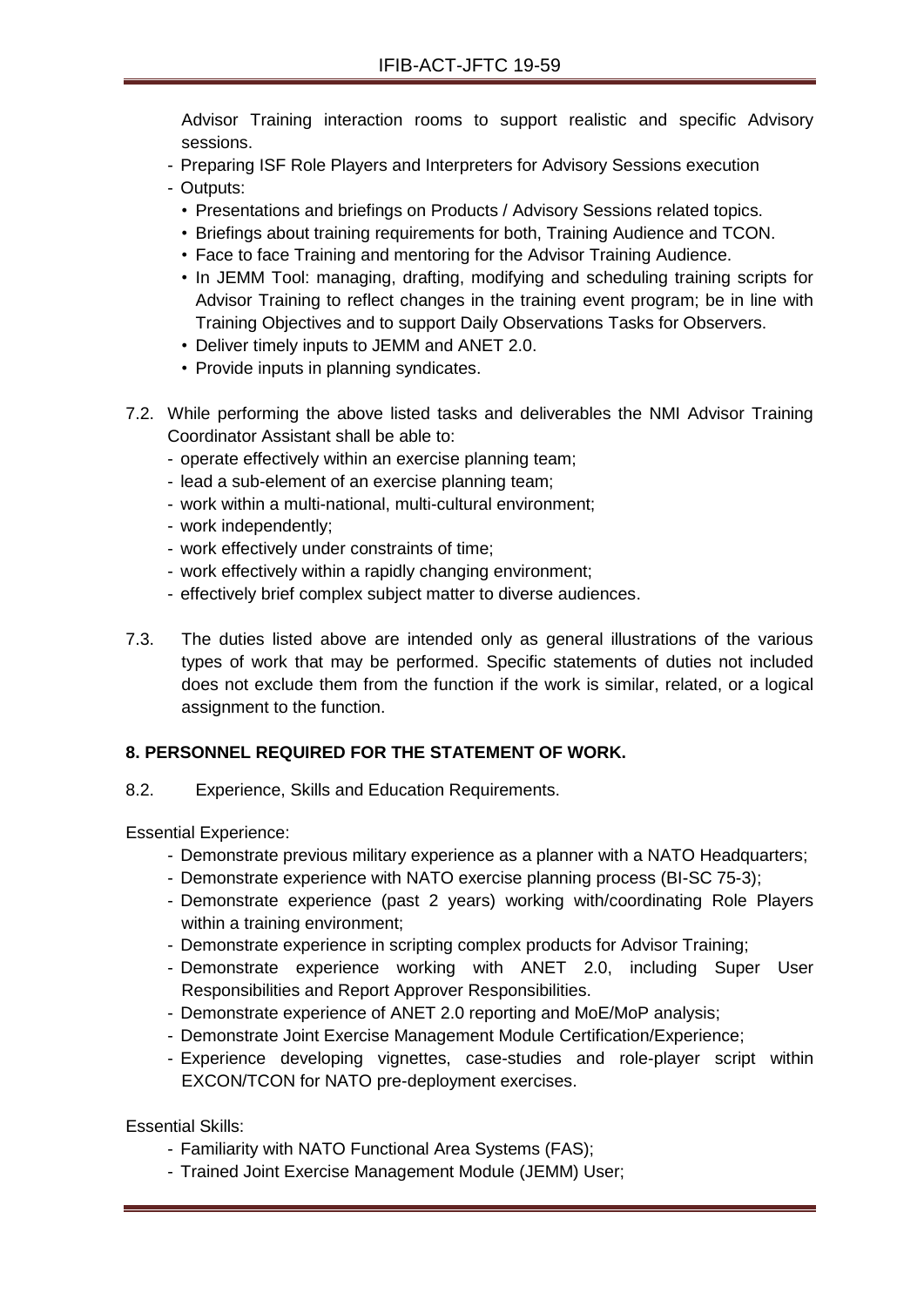Advisor Training interaction rooms to support realistic and specific Advisory sessions.

- Preparing ISF Role Players and Interpreters for Advisory Sessions execution
- Outputs:
	- Presentations and briefings on Products / Advisory Sessions related topics.
	- Briefings about training requirements for both, Training Audience and TCON.
	- Face to face Training and mentoring for the Advisor Training Audience.
	- In JEMM Tool: managing, drafting, modifying and scheduling training scripts for Advisor Training to reflect changes in the training event program; be in line with Training Objectives and to support Daily Observations Tasks for Observers.
	- Deliver timely inputs to JEMM and ANET 2.0.
	- Provide inputs in planning syndicates.
- 7.2. While performing the above listed tasks and deliverables the NMI Advisor Training Coordinator Assistant shall be able to:
	- operate effectively within an exercise planning team;
	- lead a sub-element of an exercise planning team;
	- work within a multi-national, multi-cultural environment;
	- work independently;
	- work effectively under constraints of time;
	- work effectively within a rapidly changing environment;
	- effectively brief complex subject matter to diverse audiences.
- 7.3. The duties listed above are intended only as general illustrations of the various types of work that may be performed. Specific statements of duties not included does not exclude them from the function if the work is similar, related, or a logical assignment to the function.

## **8. PERSONNEL REQUIRED FOR THE STATEMENT OF WORK.**

8.2. Experience, Skills and Education Requirements.

Essential Experience:

- Demonstrate previous military experience as a planner with a NATO Headquarters;
- Demonstrate experience with NATO exercise planning process (BI-SC 75-3);
- Demonstrate experience (past 2 years) working with/coordinating Role Players within a training environment;
- Demonstrate experience in scripting complex products for Advisor Training;
- Demonstrate experience working with ANET 2.0, including Super User Responsibilities and Report Approver Responsibilities.
- Demonstrate experience of ANET 2.0 reporting and MoE/MoP analysis;
- Demonstrate Joint Exercise Management Module Certification/Experience;
- Experience developing vignettes, case-studies and role-player script within EXCON/TCON for NATO pre-deployment exercises.

Essential Skills:

- Familiarity with NATO Functional Area Systems (FAS);
- Trained Joint Exercise Management Module (JEMM) User;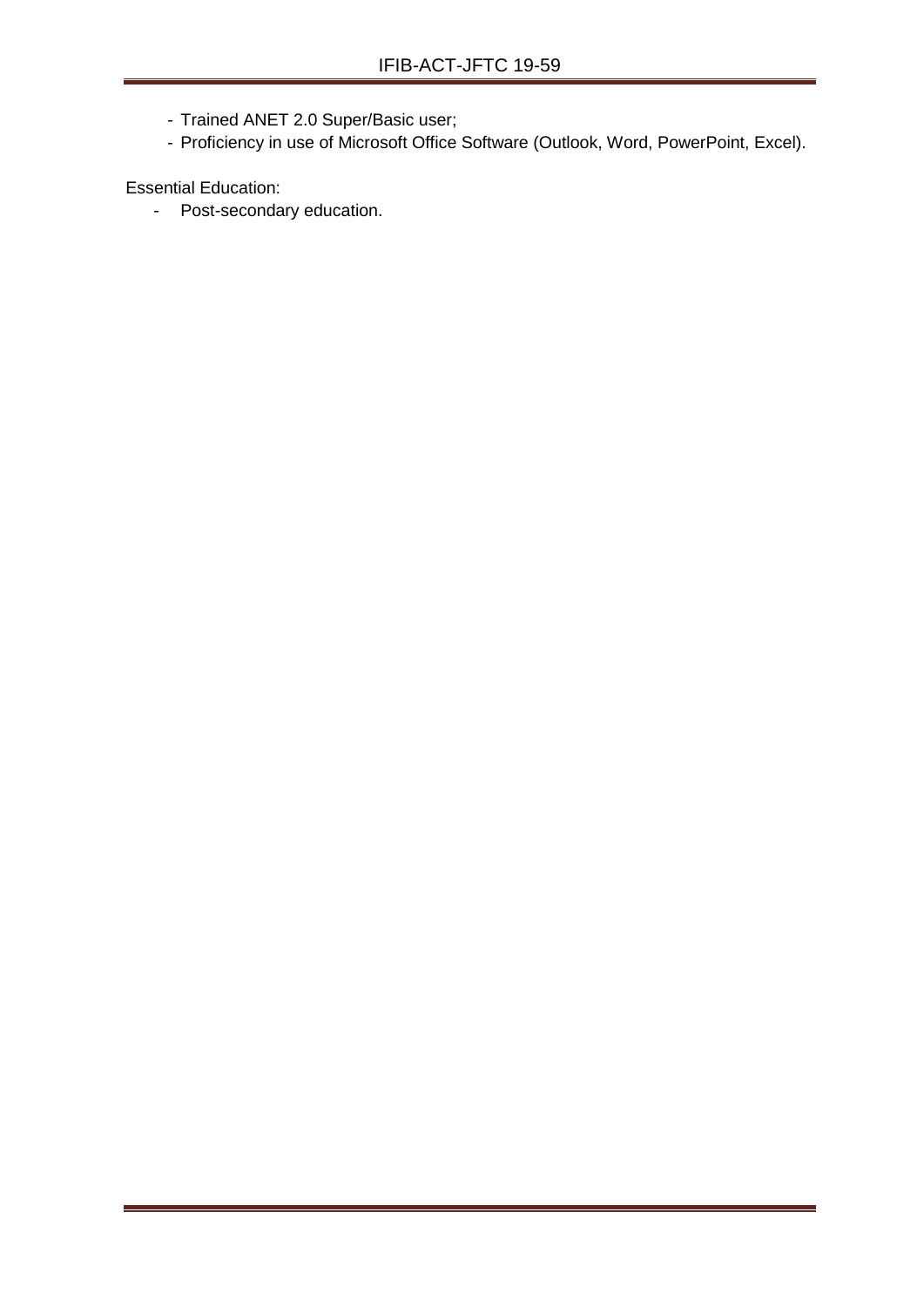- Trained ANET 2.0 Super/Basic user;
- Proficiency in use of Microsoft Office Software (Outlook, Word, PowerPoint, Excel).

Essential Education: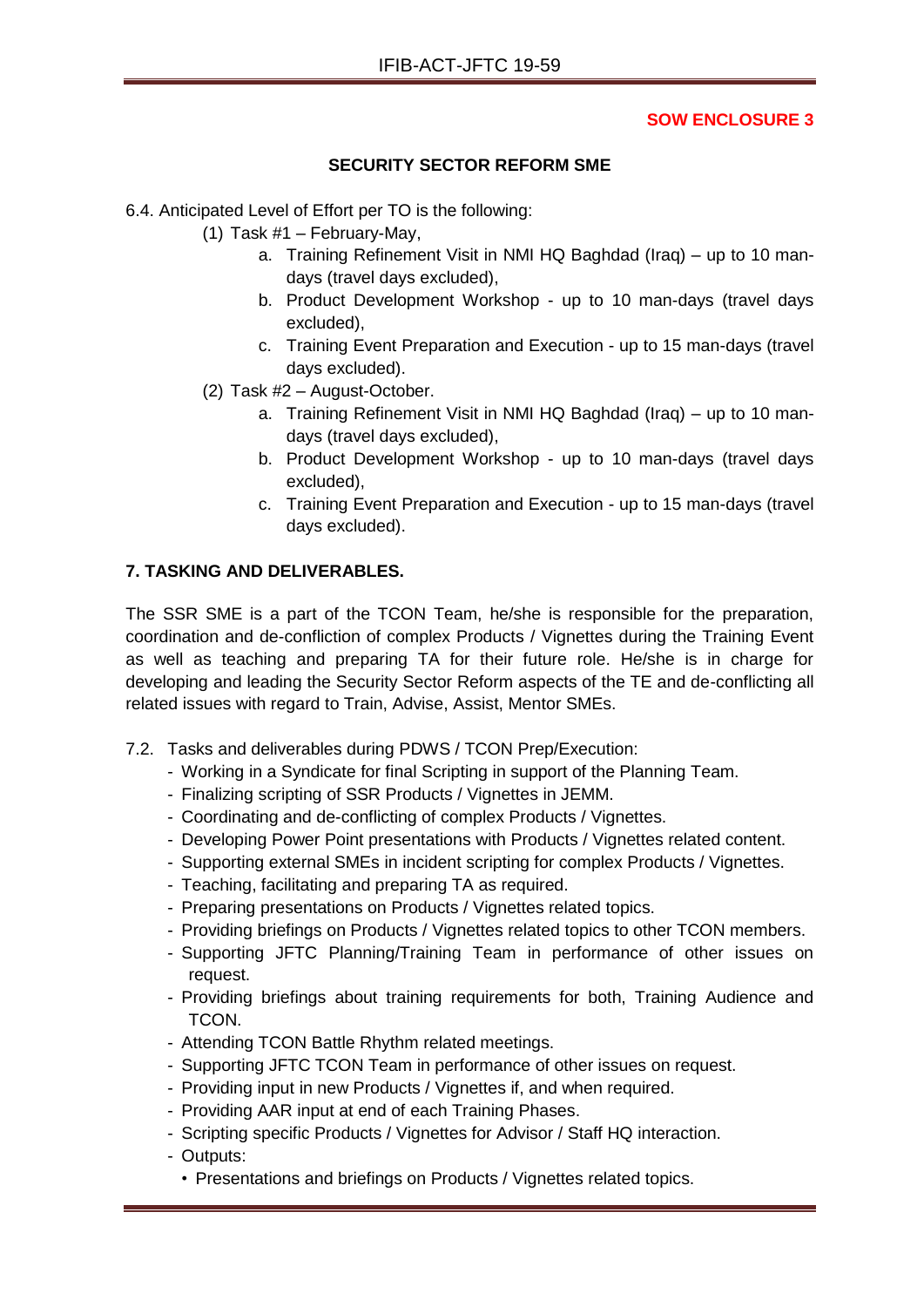### **SECURITY SECTOR REFORM SME**

- 6.4. Anticipated Level of Effort per TO is the following:
	- (1) Task #1 February-May,
		- a. Training Refinement Visit in NMI HQ Baghdad (Iraq) up to 10 mandays (travel days excluded),
		- b. Product Development Workshop up to 10 man-days (travel days excluded),
		- c. Training Event Preparation and Execution up to 15 man-days (travel days excluded).
	- (2) Task #2 August-October.
		- a. Training Refinement Visit in NMI HQ Baghdad (Iraq) up to 10 mandays (travel days excluded),
		- b. Product Development Workshop up to 10 man-days (travel days excluded),
		- c. Training Event Preparation and Execution up to 15 man-days (travel days excluded).

### **7. TASKING AND DELIVERABLES.**

The SSR SME is a part of the TCON Team, he/she is responsible for the preparation, coordination and de-confliction of complex Products / Vignettes during the Training Event as well as teaching and preparing TA for their future role. He/she is in charge for developing and leading the Security Sector Reform aspects of the TE and de-conflicting all related issues with regard to Train, Advise, Assist, Mentor SMEs.

- 7.2. Tasks and deliverables during PDWS / TCON Prep/Execution:
	- Working in a Syndicate for final Scripting in support of the Planning Team.
	- Finalizing scripting of SSR Products / Vignettes in JEMM.
	- Coordinating and de-conflicting of complex Products / Vignettes.
	- Developing Power Point presentations with Products / Vignettes related content.
	- Supporting external SMEs in incident scripting for complex Products / Vignettes.
	- Teaching, facilitating and preparing TA as required.
	- Preparing presentations on Products / Vignettes related topics.
	- Providing briefings on Products / Vignettes related topics to other TCON members.
	- Supporting JFTC Planning/Training Team in performance of other issues on request.
	- Providing briefings about training requirements for both, Training Audience and TCON.
	- Attending TCON Battle Rhythm related meetings.
	- Supporting JFTC TCON Team in performance of other issues on request.
	- Providing input in new Products / Vignettes if, and when required.
	- Providing AAR input at end of each Training Phases.
	- Scripting specific Products / Vignettes for Advisor / Staff HQ interaction.
	- Outputs:
		- Presentations and briefings on Products / Vignettes related topics.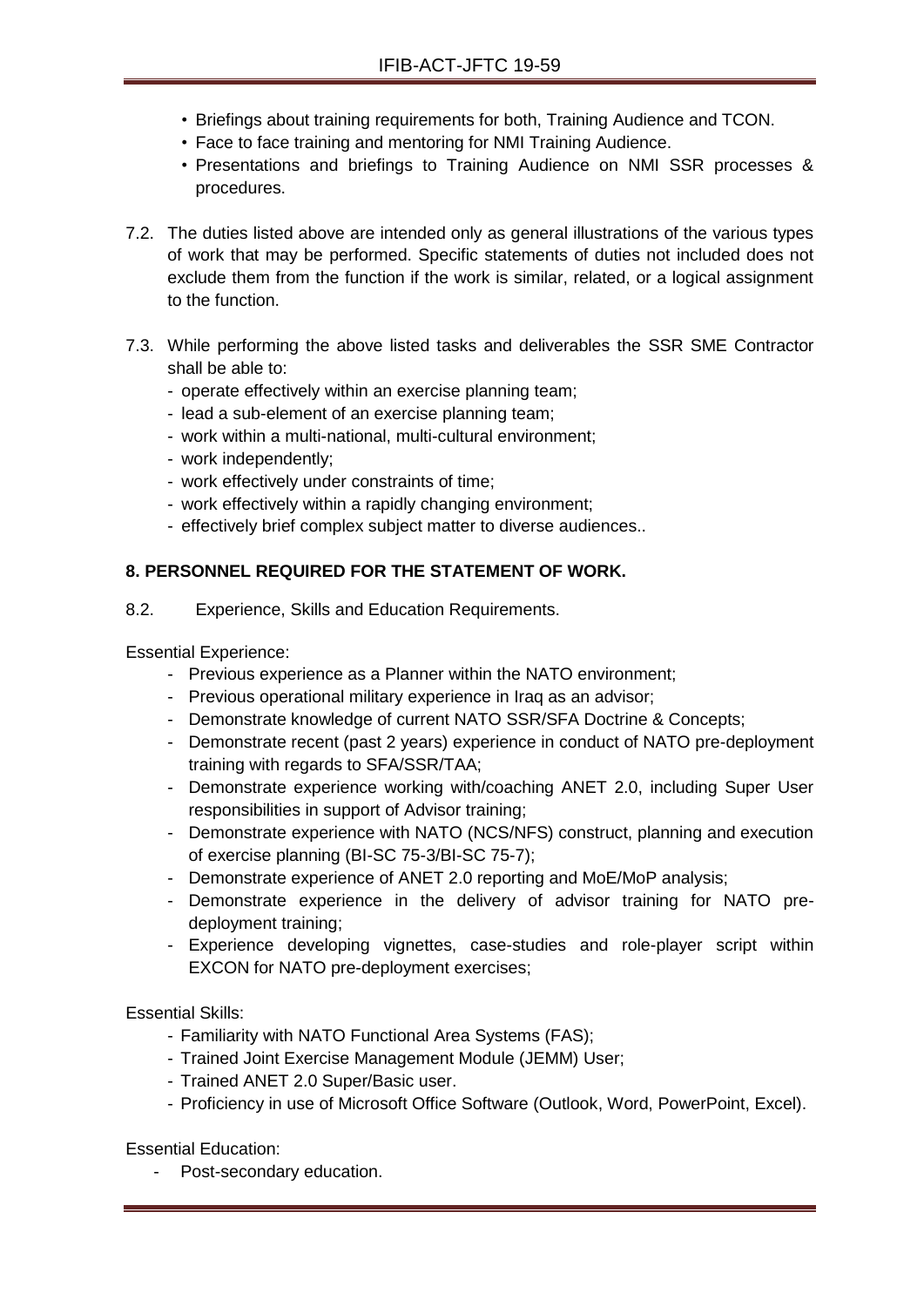- Briefings about training requirements for both, Training Audience and TCON.
- Face to face training and mentoring for NMI Training Audience.
- Presentations and briefings to Training Audience on NMI SSR processes & procedures.
- 7.2. The duties listed above are intended only as general illustrations of the various types of work that may be performed. Specific statements of duties not included does not exclude them from the function if the work is similar, related, or a logical assignment to the function.
- 7.3. While performing the above listed tasks and deliverables the SSR SME Contractor shall be able to:
	- operate effectively within an exercise planning team;
	- lead a sub-element of an exercise planning team;
	- work within a multi-national, multi-cultural environment;
	- work independently;
	- work effectively under constraints of time;
	- work effectively within a rapidly changing environment;
	- effectively brief complex subject matter to diverse audiences..

### **8. PERSONNEL REQUIRED FOR THE STATEMENT OF WORK.**

8.2. Experience, Skills and Education Requirements.

Essential Experience:

- Previous experience as a Planner within the NATO environment;
- Previous operational military experience in Iraq as an advisor;
- Demonstrate knowledge of current NATO SSR/SFA Doctrine & Concepts;
- Demonstrate recent (past 2 years) experience in conduct of NATO pre-deployment training with regards to SFA/SSR/TAA;
- Demonstrate experience working with/coaching ANET 2.0, including Super User responsibilities in support of Advisor training;
- Demonstrate experience with NATO (NCS/NFS) construct, planning and execution of exercise planning (BI-SC 75-3/BI-SC 75-7);
- Demonstrate experience of ANET 2.0 reporting and MoE/MoP analysis;
- Demonstrate experience in the delivery of advisor training for NATO predeployment training;
- Experience developing vignettes, case-studies and role-player script within EXCON for NATO pre-deployment exercises;

Essential Skills:

- Familiarity with NATO Functional Area Systems (FAS);
- Trained Joint Exercise Management Module (JEMM) User;
- Trained ANET 2.0 Super/Basic user.
- Proficiency in use of Microsoft Office Software (Outlook, Word, PowerPoint, Excel).

Essential Education: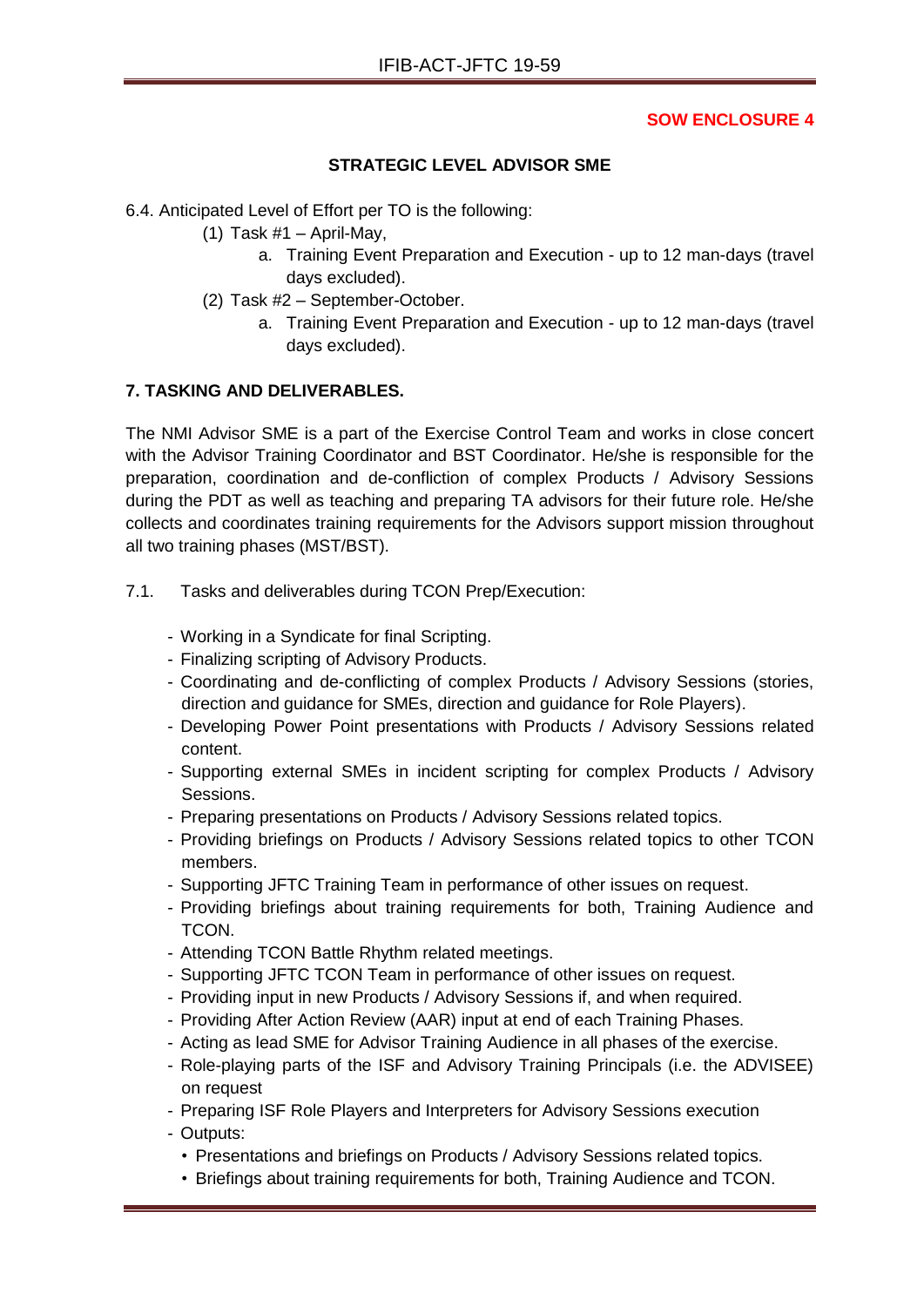## **STRATEGIC LEVEL ADVISOR SME**

6.4. Anticipated Level of Effort per TO is the following:

- (1) Task  $#1 -$  April-May,
	- a. Training Event Preparation and Execution up to 12 man-days (travel days excluded).
- (2) Task #2 September-October.
	- a. Training Event Preparation and Execution up to 12 man-days (travel days excluded).

### **7. TASKING AND DELIVERABLES.**

The NMI Advisor SME is a part of the Exercise Control Team and works in close concert with the Advisor Training Coordinator and BST Coordinator. He/she is responsible for the preparation, coordination and de-confliction of complex Products / Advisory Sessions during the PDT as well as teaching and preparing TA advisors for their future role. He/she collects and coordinates training requirements for the Advisors support mission throughout all two training phases (MST/BST).

- 7.1. Tasks and deliverables during TCON Prep/Execution:
	- Working in a Syndicate for final Scripting.
	- Finalizing scripting of Advisory Products.
	- Coordinating and de-conflicting of complex Products / Advisory Sessions (stories, direction and guidance for SMEs, direction and guidance for Role Players).
	- Developing Power Point presentations with Products / Advisory Sessions related content.
	- Supporting external SMEs in incident scripting for complex Products / Advisory Sessions.
	- Preparing presentations on Products / Advisory Sessions related topics.
	- Providing briefings on Products / Advisory Sessions related topics to other TCON members.
	- Supporting JFTC Training Team in performance of other issues on request.
	- Providing briefings about training requirements for both, Training Audience and TCON.
	- Attending TCON Battle Rhythm related meetings.
	- Supporting JFTC TCON Team in performance of other issues on request.
	- Providing input in new Products / Advisory Sessions if, and when required.
	- Providing After Action Review (AAR) input at end of each Training Phases.
	- Acting as lead SME for Advisor Training Audience in all phases of the exercise.
	- Role-playing parts of the ISF and Advisory Training Principals (i.e. the ADVISEE) on request
	- Preparing ISF Role Players and Interpreters for Advisory Sessions execution
	- Outputs:
		- Presentations and briefings on Products / Advisory Sessions related topics.
		- Briefings about training requirements for both, Training Audience and TCON.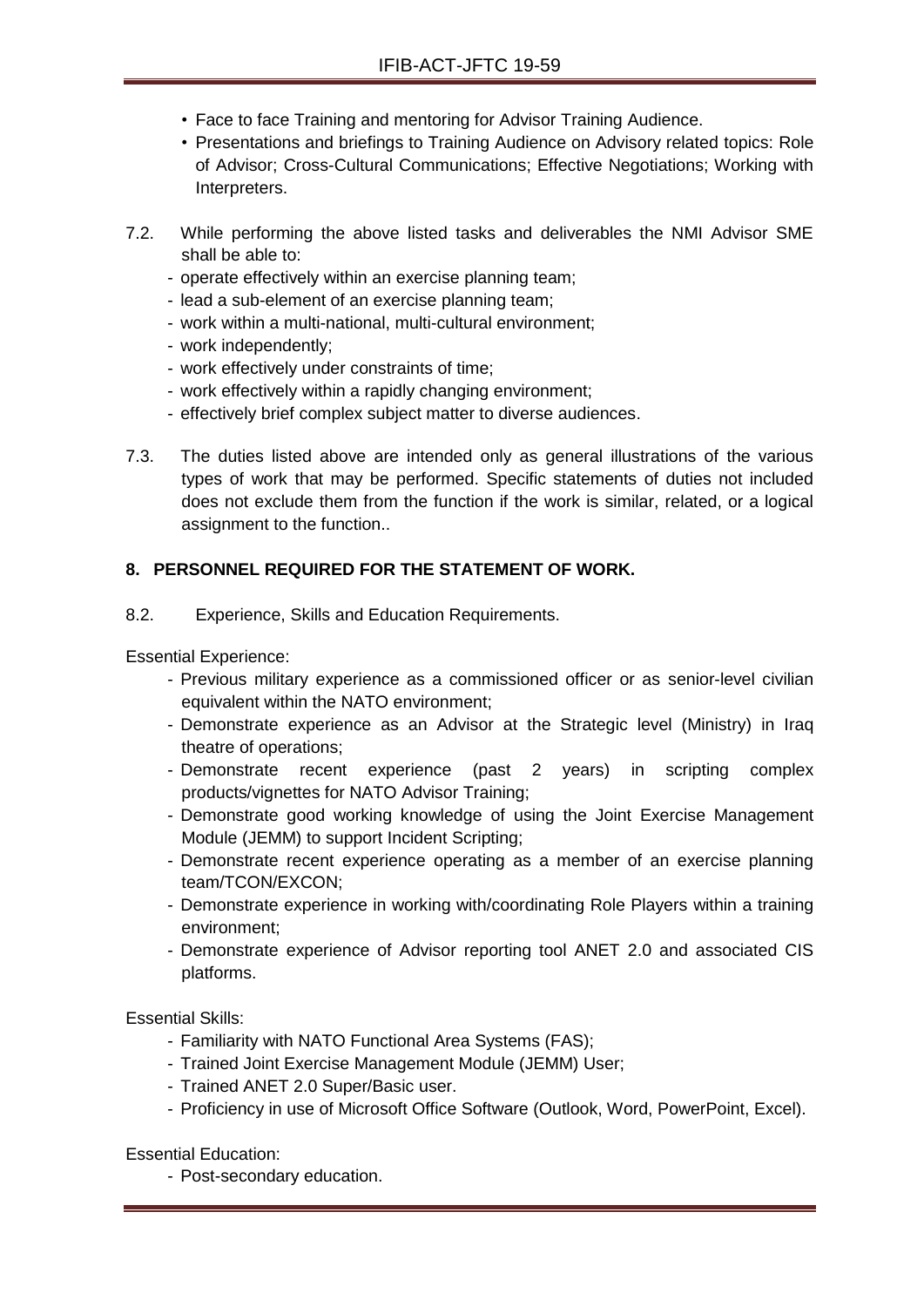- Face to face Training and mentoring for Advisor Training Audience.
- Presentations and briefings to Training Audience on Advisory related topics: Role of Advisor; Cross-Cultural Communications; Effective Negotiations; Working with Interpreters.
- 7.2. While performing the above listed tasks and deliverables the NMI Advisor SME shall be able to:
	- operate effectively within an exercise planning team;
	- lead a sub-element of an exercise planning team;
	- work within a multi-national, multi-cultural environment;
	- work independently;
	- work effectively under constraints of time;
	- work effectively within a rapidly changing environment;
	- effectively brief complex subject matter to diverse audiences.
- 7.3. The duties listed above are intended only as general illustrations of the various types of work that may be performed. Specific statements of duties not included does not exclude them from the function if the work is similar, related, or a logical assignment to the function..

# **8. PERSONNEL REQUIRED FOR THE STATEMENT OF WORK.**

8.2. Experience, Skills and Education Requirements.

Essential Experience:

- Previous military experience as a commissioned officer or as senior-level civilian equivalent within the NATO environment;
- Demonstrate experience as an Advisor at the Strategic level (Ministry) in Iraq theatre of operations;
- Demonstrate recent experience (past 2 years) in scripting complex products/vignettes for NATO Advisor Training;
- Demonstrate good working knowledge of using the Joint Exercise Management Module (JEMM) to support Incident Scripting;
- Demonstrate recent experience operating as a member of an exercise planning team/TCON/EXCON;
- Demonstrate experience in working with/coordinating Role Players within a training environment;
- Demonstrate experience of Advisor reporting tool ANET 2.0 and associated CIS platforms.

Essential Skills:

- Familiarity with NATO Functional Area Systems (FAS);
- Trained Joint Exercise Management Module (JEMM) User;
- Trained ANET 2.0 Super/Basic user.
- Proficiency in use of Microsoft Office Software (Outlook, Word, PowerPoint, Excel).

Essential Education: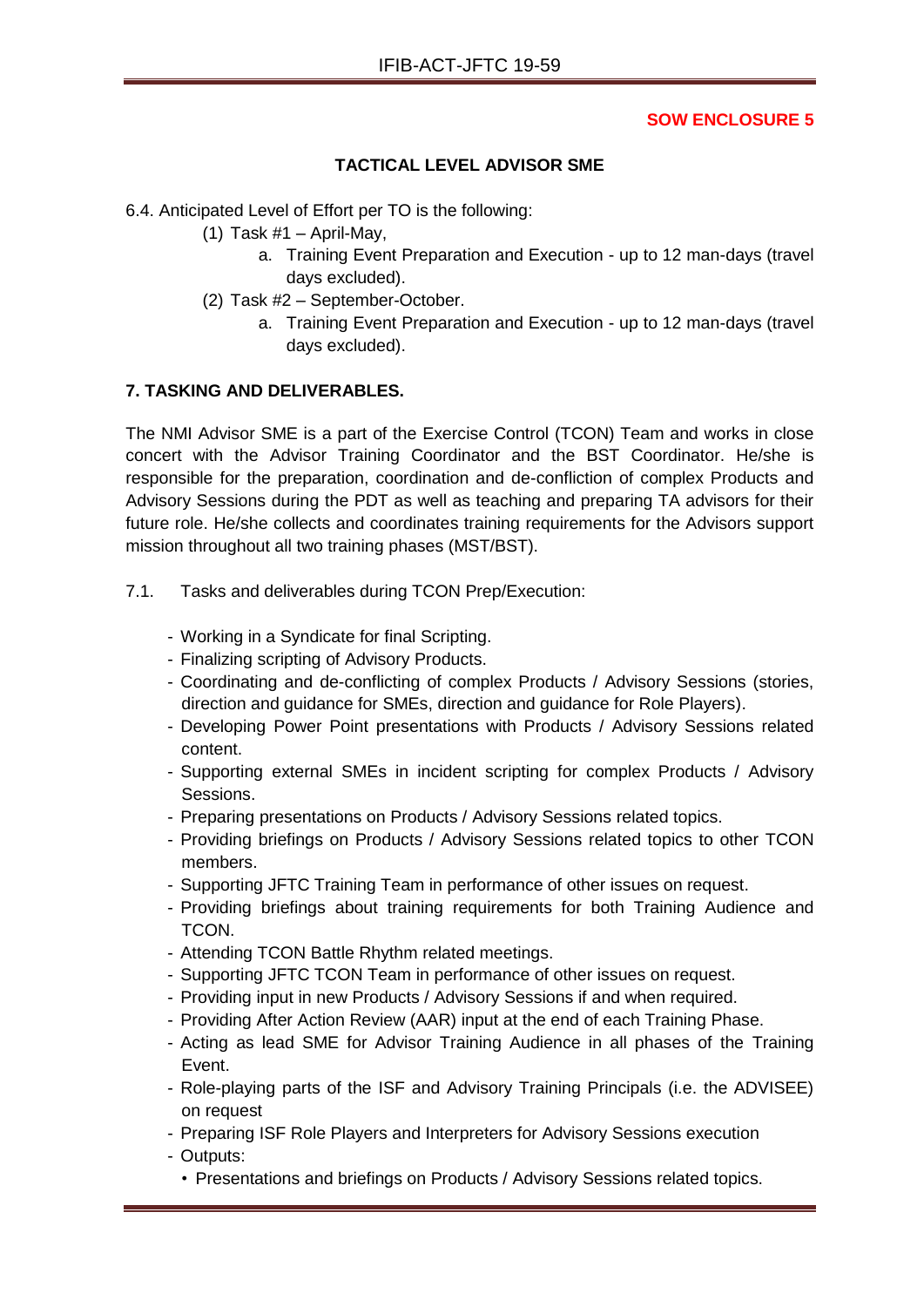# **TACTICAL LEVEL ADVISOR SME**

6.4. Anticipated Level of Effort per TO is the following:

- (1) Task  $#1 -$  April-May,
	- a. Training Event Preparation and Execution up to 12 man-days (travel days excluded).
- (2) Task #2 September-October.
	- a. Training Event Preparation and Execution up to 12 man-days (travel days excluded).

# **7. TASKING AND DELIVERABLES.**

The NMI Advisor SME is a part of the Exercise Control (TCON) Team and works in close concert with the Advisor Training Coordinator and the BST Coordinator. He/she is responsible for the preparation, coordination and de-confliction of complex Products and Advisory Sessions during the PDT as well as teaching and preparing TA advisors for their future role. He/she collects and coordinates training requirements for the Advisors support mission throughout all two training phases (MST/BST).

- 7.1. Tasks and deliverables during TCON Prep/Execution:
	- Working in a Syndicate for final Scripting.
	- Finalizing scripting of Advisory Products.
	- Coordinating and de-conflicting of complex Products / Advisory Sessions (stories, direction and guidance for SMEs, direction and guidance for Role Players).
	- Developing Power Point presentations with Products / Advisory Sessions related content.
	- Supporting external SMEs in incident scripting for complex Products / Advisory Sessions.
	- Preparing presentations on Products / Advisory Sessions related topics.
	- Providing briefings on Products / Advisory Sessions related topics to other TCON members.
	- Supporting JFTC Training Team in performance of other issues on request.
	- Providing briefings about training requirements for both Training Audience and TCON.
	- Attending TCON Battle Rhythm related meetings.
	- Supporting JFTC TCON Team in performance of other issues on request.
	- Providing input in new Products / Advisory Sessions if and when required.
	- Providing After Action Review (AAR) input at the end of each Training Phase.
	- Acting as lead SME for Advisor Training Audience in all phases of the Training Event.
	- Role-playing parts of the ISF and Advisory Training Principals (i.e. the ADVISEE) on request
	- Preparing ISF Role Players and Interpreters for Advisory Sessions execution
	- Outputs:
		- Presentations and briefings on Products / Advisory Sessions related topics.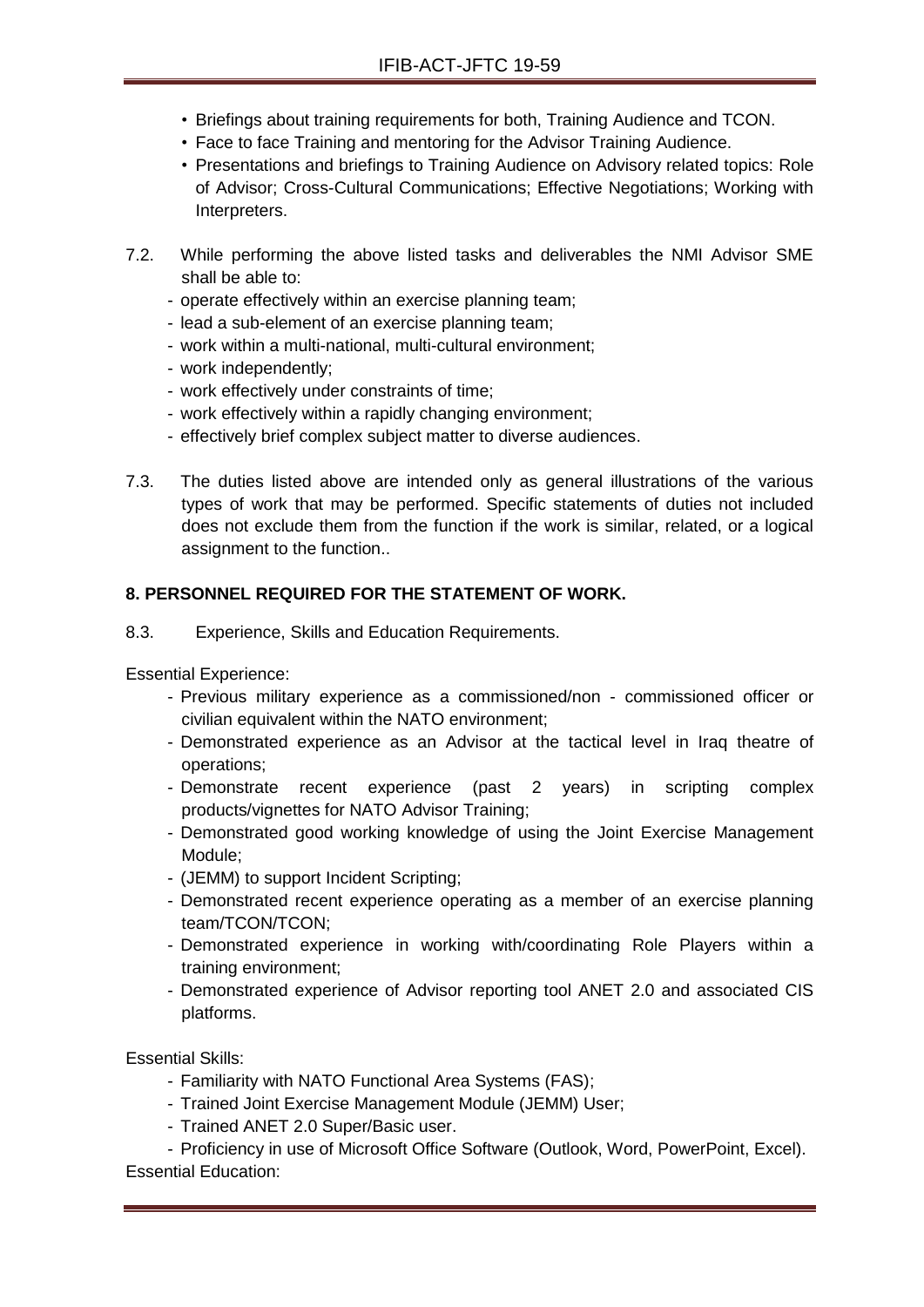- Briefings about training requirements for both, Training Audience and TCON.
- Face to face Training and mentoring for the Advisor Training Audience.
- Presentations and briefings to Training Audience on Advisory related topics: Role of Advisor; Cross-Cultural Communications; Effective Negotiations; Working with Interpreters.
- 7.2. While performing the above listed tasks and deliverables the NMI Advisor SME shall be able to:
	- operate effectively within an exercise planning team;
	- lead a sub-element of an exercise planning team;
	- work within a multi-national, multi-cultural environment;
	- work independently;
	- work effectively under constraints of time;
	- work effectively within a rapidly changing environment;
	- effectively brief complex subject matter to diverse audiences.
- 7.3. The duties listed above are intended only as general illustrations of the various types of work that may be performed. Specific statements of duties not included does not exclude them from the function if the work is similar, related, or a logical assignment to the function..

### **8. PERSONNEL REQUIRED FOR THE STATEMENT OF WORK.**

8.3. Experience, Skills and Education Requirements.

Essential Experience:

- Previous military experience as a commissioned/non commissioned officer or civilian equivalent within the NATO environment;
- Demonstrated experience as an Advisor at the tactical level in Iraq theatre of operations;
- Demonstrate recent experience (past 2 years) in scripting complex products/vignettes for NATO Advisor Training;
- Demonstrated good working knowledge of using the Joint Exercise Management Module;
- (JEMM) to support Incident Scripting;
- Demonstrated recent experience operating as a member of an exercise planning team/TCON/TCON;
- Demonstrated experience in working with/coordinating Role Players within a training environment;
- Demonstrated experience of Advisor reporting tool ANET 2.0 and associated CIS platforms.

Essential Skills:

- Familiarity with NATO Functional Area Systems (FAS);
- Trained Joint Exercise Management Module (JEMM) User;
- Trained ANET 2.0 Super/Basic user.

- Proficiency in use of Microsoft Office Software (Outlook, Word, PowerPoint, Excel). Essential Education: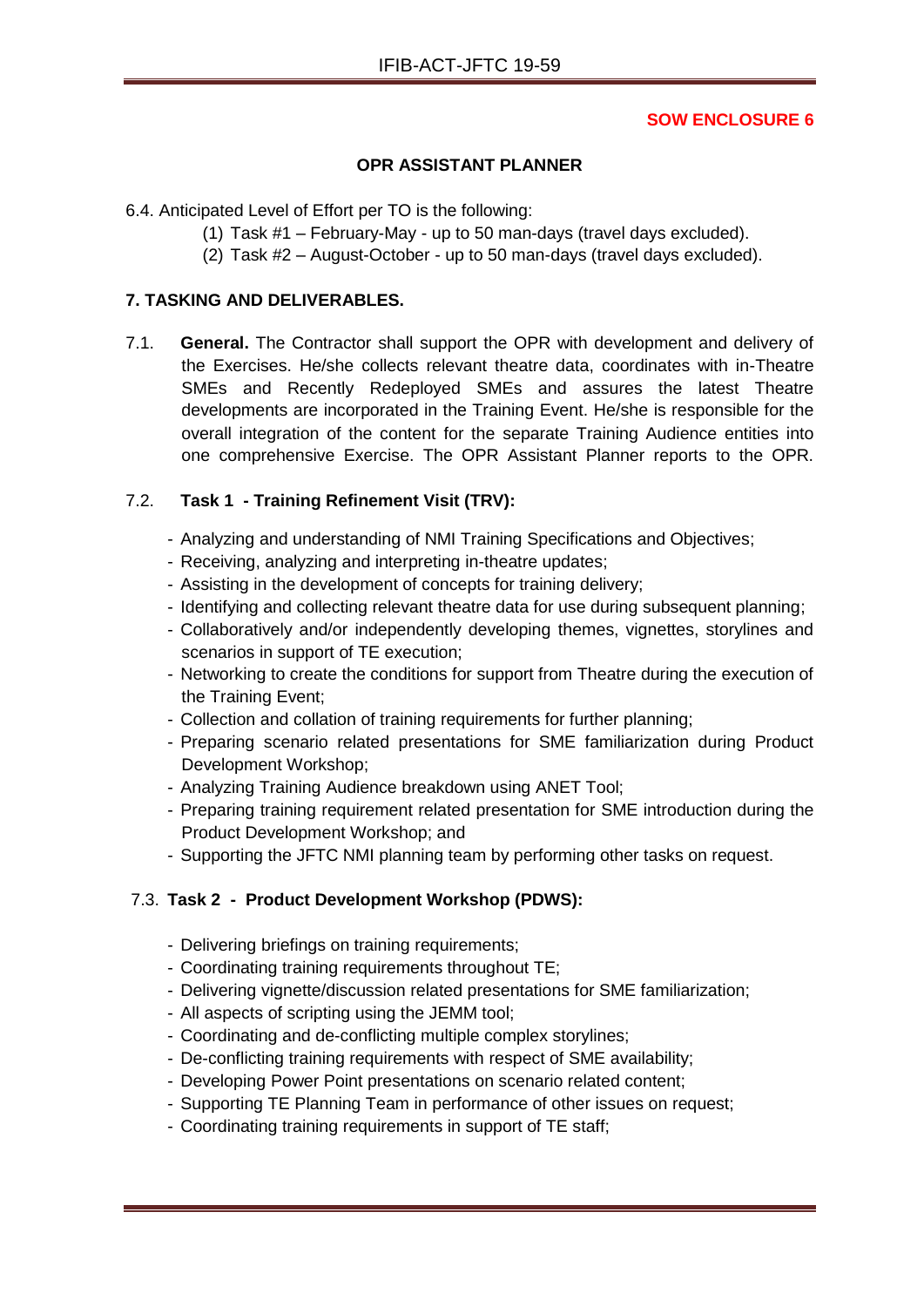## **OPR ASSISTANT PLANNER**

6.4. Anticipated Level of Effort per TO is the following:

- (1) Task #1 February-May up to 50 man-days (travel days excluded).
- (2) Task #2 August-October up to 50 man-days (travel days excluded).

#### **7. TASKING AND DELIVERABLES.**

7.1. **General.** The Contractor shall support the OPR with development and delivery of the Exercises. He/she collects relevant theatre data, coordinates with in-Theatre SMEs and Recently Redeployed SMEs and assures the latest Theatre developments are incorporated in the Training Event. He/she is responsible for the overall integration of the content for the separate Training Audience entities into one comprehensive Exercise. The OPR Assistant Planner reports to the OPR.

# 7.2. **Task 1 - Training Refinement Visit (TRV):**

- Analyzing and understanding of NMI Training Specifications and Objectives;
- Receiving, analyzing and interpreting in-theatre updates;
- Assisting in the development of concepts for training delivery;
- Identifying and collecting relevant theatre data for use during subsequent planning;
- Collaboratively and/or independently developing themes, vignettes, storylines and scenarios in support of TE execution;
- Networking to create the conditions for support from Theatre during the execution of the Training Event;
- Collection and collation of training requirements for further planning;
- Preparing scenario related presentations for SME familiarization during Product Development Workshop;
- Analyzing Training Audience breakdown using ANET Tool;
- Preparing training requirement related presentation for SME introduction during the Product Development Workshop; and
- Supporting the JFTC NMI planning team by performing other tasks on request.

# 7.3. **Task 2 - Product Development Workshop (PDWS):**

- Delivering briefings on training requirements;
- Coordinating training requirements throughout TE;
- Delivering vignette/discussion related presentations for SME familiarization;
- All aspects of scripting using the JEMM tool;
- Coordinating and de-conflicting multiple complex storylines;
- De-conflicting training requirements with respect of SME availability;
- Developing Power Point presentations on scenario related content;
- Supporting TE Planning Team in performance of other issues on request;
- Coordinating training requirements in support of TE staff;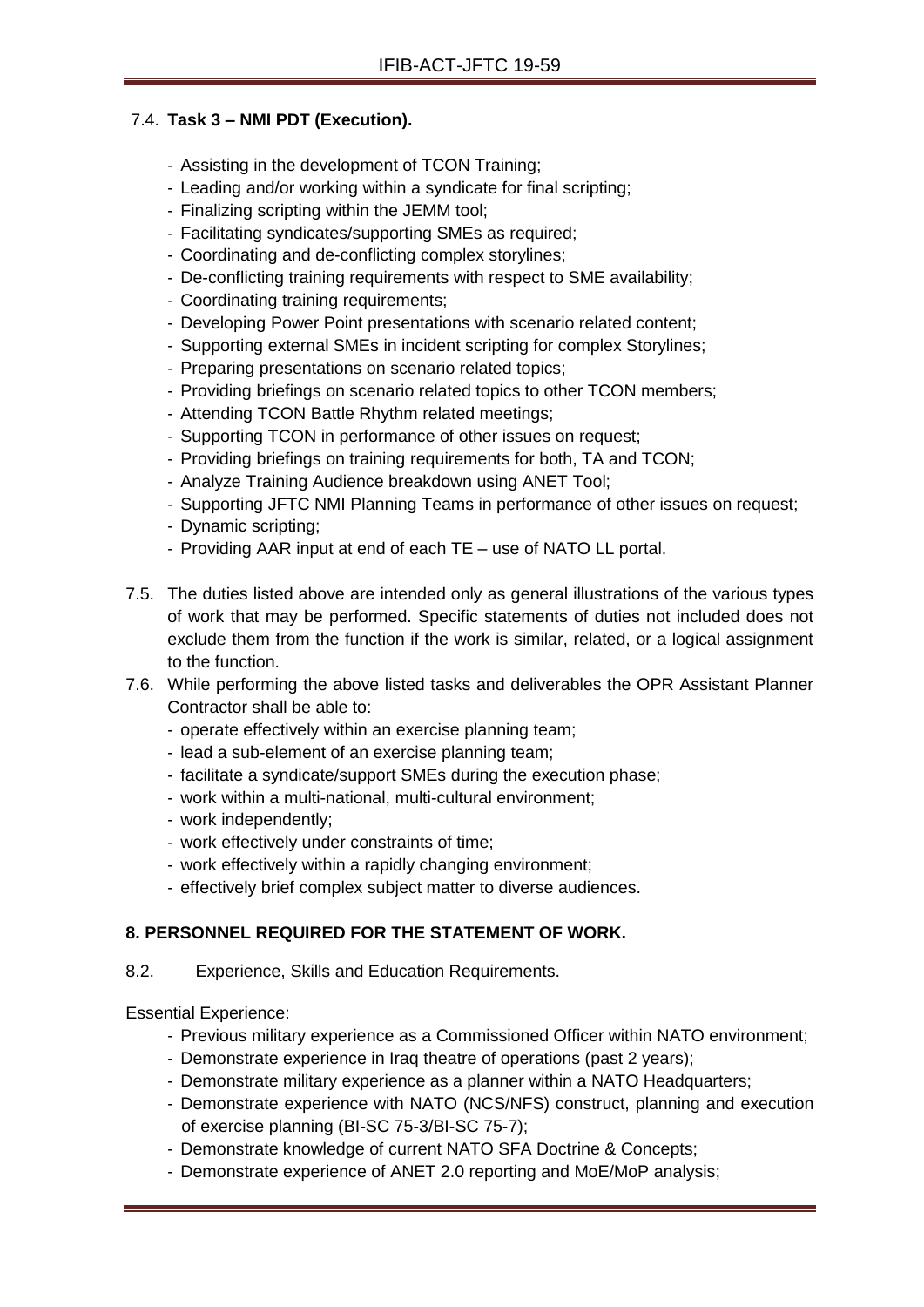## 7.4. **Task 3 – NMI PDT (Execution).**

- Assisting in the development of TCON Training;
- Leading and/or working within a syndicate for final scripting;
- Finalizing scripting within the JEMM tool;
- Facilitating syndicates/supporting SMEs as required;
- Coordinating and de-conflicting complex storylines;
- De-conflicting training requirements with respect to SME availability;
- Coordinating training requirements;
- Developing Power Point presentations with scenario related content;
- Supporting external SMEs in incident scripting for complex Storylines;
- Preparing presentations on scenario related topics;
- Providing briefings on scenario related topics to other TCON members;
- Attending TCON Battle Rhythm related meetings;
- Supporting TCON in performance of other issues on request;
- Providing briefings on training requirements for both, TA and TCON;
- Analyze Training Audience breakdown using ANET Tool;
- Supporting JFTC NMI Planning Teams in performance of other issues on request;
- Dynamic scripting;
- Providing AAR input at end of each TE use of NATO LL portal.
- 7.5. The duties listed above are intended only as general illustrations of the various types of work that may be performed. Specific statements of duties not included does not exclude them from the function if the work is similar, related, or a logical assignment to the function.
- 7.6. While performing the above listed tasks and deliverables the OPR Assistant Planner Contractor shall be able to:
	- operate effectively within an exercise planning team;
	- lead a sub-element of an exercise planning team;
	- facilitate a syndicate/support SMEs during the execution phase;
	- work within a multi-national, multi-cultural environment;
	- work independently;
	- work effectively under constraints of time;
	- work effectively within a rapidly changing environment;
	- effectively brief complex subject matter to diverse audiences.

# **8. PERSONNEL REQUIRED FOR THE STATEMENT OF WORK.**

8.2. Experience, Skills and Education Requirements.

Essential Experience:

- Previous military experience as a Commissioned Officer within NATO environment;
- Demonstrate experience in Iraq theatre of operations (past 2 years);
- Demonstrate military experience as a planner within a NATO Headquarters;
- Demonstrate experience with NATO (NCS/NFS) construct, planning and execution of exercise planning (BI-SC 75-3/BI-SC 75-7);
- Demonstrate knowledge of current NATO SFA Doctrine & Concepts;
- Demonstrate experience of ANET 2.0 reporting and MoE/MoP analysis;